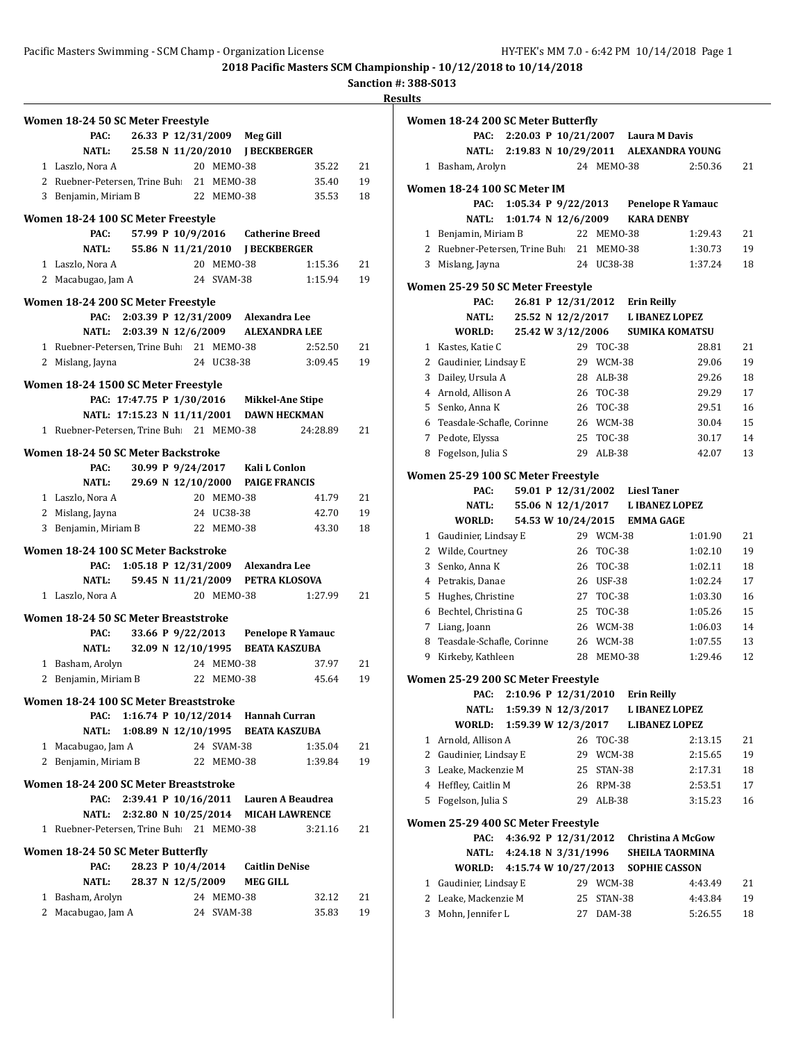**Sanction #: 388-S013**

|   | Women 18-24 50 SC Meter Freestyle<br>PAC: |                             |  | 26.33 P 12/31/2009 | <b>Meg Gill</b>                    |          |    |
|---|-------------------------------------------|-----------------------------|--|--------------------|------------------------------------|----------|----|
|   | <b>NATL:</b>                              | 25.58 N 11/20/2010          |  |                    | <b>J BECKBERGER</b>                |          |    |
|   | 1 Laszlo, Nora A                          |                             |  | 20 MEMO-38         |                                    | 35.22    | 21 |
|   | 2 Ruebner-Petersen, Trine Buh             |                             |  | 21 MEMO-38         |                                    | 35.40    | 19 |
|   | 3 Benjamin, Miriam B                      |                             |  | 22 MEMO-38         |                                    | 35.53    | 18 |
|   |                                           |                             |  |                    |                                    |          |    |
|   | Women 18-24 100 SC Meter Freestyle        |                             |  |                    |                                    |          |    |
|   | PAC:                                      | 57.99 P 10/9/2016           |  |                    | <b>Catherine Breed</b>             |          |    |
|   | NATL:                                     | 55.86 N 11/21/2010          |  |                    | <b>I BECKBERGER</b>                |          |    |
|   | 1 Laszlo, Nora A                          |                             |  | 20 MEMO-38         |                                    | 1:15.36  | 21 |
|   | 2 Macabugao, Jam A                        |                             |  | 24 SVAM-38         |                                    | 1:15.94  | 19 |
|   | Women 18-24 200 SC Meter Freestyle        |                             |  |                    |                                    |          |    |
|   | PAC:                                      | 2:03.39 P 12/31/2009        |  |                    | Alexandra Lee                      |          |    |
|   |                                           | NATL: 2:03.39 N 12/6/2009   |  |                    | <b>ALEXANDRA LEE</b>               |          |    |
|   | 1 Ruebner-Petersen, Trine Buh: 21 MEMO-38 |                             |  |                    |                                    | 2:52.50  | 21 |
|   | 2 Mislang, Jayna                          |                             |  | 24 UC38-38         |                                    | 3:09.45  | 19 |
|   |                                           |                             |  |                    |                                    |          |    |
|   | Women 18-24 1500 SC Meter Freestyle       |                             |  |                    |                                    |          |    |
|   |                                           | PAC: 17:47.75 P 1/30/2016   |  |                    | <b>Mikkel-Ane Stipe</b>            |          |    |
|   |                                           | NATL: 17:15.23 N 11/11/2001 |  |                    | <b>DAWN HECKMAN</b>                |          |    |
|   | 1 Ruebner-Petersen, Trine Buh 21 MEMO-38  |                             |  |                    |                                    | 24:28.89 | 21 |
|   | Women 18-24 50 SC Meter Backstroke        |                             |  |                    |                                    |          |    |
|   | PAC:                                      |                             |  | 30.99 P 9/24/2017  | Kali L Conlon                      |          |    |
|   | <b>NATL:</b>                              | 29.69 N 12/10/2000          |  |                    | <b>PAIGE FRANCIS</b>               |          |    |
|   | 1 Laszlo, Nora A                          |                             |  | 20 MEMO-38         |                                    | 41.79    | 21 |
|   | 2 Mislang, Jayna                          |                             |  | 24 UC38-38         |                                    | 42.70    | 19 |
| 3 | Benjamin, Miriam B                        |                             |  | 22 MEMO-38         |                                    | 43.30    | 18 |
|   |                                           |                             |  |                    |                                    |          |    |
|   | Women 18-24 100 SC Meter Backstroke       |                             |  |                    |                                    |          |    |
|   | PAC:                                      | 1:05.18 P 12/31/2009        |  |                    | Alexandra Lee                      |          |    |
|   | NATL:                                     | 59.45 N 11/21/2009          |  |                    | PETRA KLOSOVA                      |          |    |
|   | 1 Laszlo, Nora A                          |                             |  | 20 MEMO-38         |                                    | 1:27.99  | 21 |
|   | Women 18-24 50 SC Meter Breaststroke      |                             |  |                    |                                    |          |    |
|   | PAC:                                      | 33.66 P 9/22/2013           |  |                    | <b>Penelope R Yamauc</b>           |          |    |
|   | <b>NATL:</b>                              | 32.09 N 12/10/1995          |  |                    | <b>BEATA KASZUBA</b>               |          |    |
|   | 1 Basham, Arolyn                          |                             |  | 24 MEM0-38         |                                    | 37.97    | 21 |
|   | 2 Benjamin, Miriam B                      |                             |  | 22 MEM0-38         |                                    | 45.64    | 19 |
|   |                                           |                             |  |                    |                                    |          |    |
|   | Women 18-24 100 SC Meter Breaststroke     |                             |  |                    |                                    |          |    |
|   | PAC:                                      |                             |  |                    | 1:16.74 P 10/12/2014 Hannah Curran |          |    |
|   | <b>NATL:</b>                              | 1:08.89 N 12/10/1995        |  |                    | <b>BEATA KASZUBA</b>               |          |    |
|   | 1 Macabugao, Jam A                        |                             |  | 24 SVAM-38         |                                    | 1:35.04  | 21 |
|   | 2 Benjamin, Miriam B                      |                             |  | 22 MEM0-38         |                                    | 1:39.84  | 19 |
|   | Women 18-24 200 SC Meter Breaststroke     |                             |  |                    |                                    |          |    |
|   | PAC:                                      | 2:39.41 P $10/16/2011$      |  |                    | Lauren A Beaudrea                  |          |    |
|   |                                           | NATL: 2:32.80 N 10/25/2014  |  |                    | <b>MICAH LAWRENCE</b>              |          |    |
|   | 1 Ruebner-Petersen, Trine Buh: 21 MEMO-38 |                             |  |                    |                                    | 3:21.16  | 21 |
|   |                                           |                             |  |                    |                                    |          |    |
|   | Women 18-24 50 SC Meter Butterfly         |                             |  |                    |                                    |          |    |
|   | PAC:                                      | 28.23 P 10/4/2014           |  |                    | <b>Caitlin DeNise</b>              |          |    |
|   | NATL:                                     | 28.37 N 12/5/2009           |  |                    | <b>MEG GILL</b>                    |          |    |
|   | 1 Basham, Arolyn                          |                             |  | 24 MEMO-38         |                                    | 32.12    | 21 |
|   | 2 Macabugao, Jam A                        |                             |  | 24 SVAM-38         |                                    | 35.83    | 19 |

|   | Women 18-24 200 SC Meter Butterfly |                           |  |    |                    |                                    |                                            |    |
|---|------------------------------------|---------------------------|--|----|--------------------|------------------------------------|--------------------------------------------|----|
|   | PAC:                               |                           |  |    |                    | 2:20.03 P 10/21/2007 Laura M Davis |                                            |    |
|   |                                    |                           |  |    |                    |                                    | NATL: 2:19.83 N 10/29/2011 ALEXANDRA YOUNG |    |
|   | 1 Basham, Arolyn                   |                           |  |    | 24 MEM0-38         |                                    | 2:50.36                                    | 21 |
|   | Women 18-24 100 SC Meter IM        |                           |  |    |                    |                                    |                                            |    |
|   | PAC:                               |                           |  |    |                    |                                    | 1:05.34 P 9/22/2013 Penelope R Yamauc      |    |
|   | NATL:                              | 1:01.74 N $12/6/2009$     |  |    |                    | <b>KARA DENBY</b>                  |                                            |    |
|   | 1 Benjamin, Miriam B               |                           |  |    | 22 MEM0-38         |                                    | 1:29.43                                    | 21 |
|   | 2 Ruebner-Petersen, Trine Buh      |                           |  |    | 21 MEMO-38         |                                    | 1:30.73                                    | 19 |
|   | 3 Mislang, Jayna                   |                           |  |    | 24 UC38-38         |                                    | 1:37.24                                    | 18 |
|   | Women 25-29 50 SC Meter Freestyle  |                           |  |    |                    |                                    |                                            |    |
|   | PAC:                               |                           |  |    | 26.81 P 12/31/2012 | <b>Erin Reilly</b>                 |                                            |    |
|   | <b>NATL:</b>                       |                           |  |    |                    | 25.52 N 12/2/2017 L IBANEZ LOPEZ   |                                            |    |
|   | WORLD:                             |                           |  |    | 25.42 W 3/12/2006  |                                    | <b>SUMIKA KOMATSU</b>                      |    |
|   | 1 Kastes, Katie C                  |                           |  | 29 | <b>TOC-38</b>      |                                    | 28.81                                      | 21 |
|   | 2 Gaudinier, Lindsay E             |                           |  |    | 29 WCM-38          |                                    | 29.06                                      | 19 |
|   | 3 Dailey, Ursula A                 |                           |  |    | 28 ALB-38          |                                    | 29.26                                      | 18 |
|   | 4 Arnold, Allison A                |                           |  |    | 26 TOC-38          |                                    | 29.29                                      | 17 |
|   | 5 Senko, Anna K                    |                           |  |    | 26 TOC-38          |                                    | 29.51                                      | 16 |
|   | 6 Teasdale-Schafle, Corinne        |                           |  |    | 26 WCM-38          |                                    | 30.04                                      | 15 |
|   | 7 Pedote, Elyssa                   |                           |  |    | 25 TOC-38          |                                    | 30.17                                      | 14 |
|   | 8 Fogelson, Julia S                |                           |  |    | 29 ALB-38          |                                    | 42.07                                      | 13 |
|   |                                    |                           |  |    |                    |                                    |                                            |    |
|   | Women 25-29 100 SC Meter Freestyle |                           |  |    |                    |                                    |                                            |    |
|   | PAC:                               |                           |  |    |                    | 59.01 P 12/31/2002 Liesl Taner     |                                            |    |
|   | <b>NATL:</b>                       |                           |  |    |                    | 55.06 N 12/1/2017 L IBANEZ LOPEZ   |                                            |    |
|   | WORLD:                             |                           |  |    | 54.53 W 10/24/2015 | <b>EMMA GAGE</b>                   |                                            |    |
|   | 1 Gaudinier, Lindsay E             |                           |  |    | 29 WCM-38          |                                    | 1:01.90                                    | 21 |
|   | 2 Wilde, Courtney                  |                           |  |    | 26 TOC-38          |                                    | 1:02.10                                    | 19 |
| 3 | Senko, Anna K                      |                           |  |    | 26 TOC-38          |                                    | 1:02.11                                    | 18 |
|   | 4 Petrakis, Danae                  |                           |  |    | 26 USF-38          |                                    | 1:02.24                                    | 17 |
|   | 5 Hughes, Christine                |                           |  |    | 27 TOC-38          |                                    | 1:03.30                                    | 16 |
|   | 6 Bechtel, Christina G             |                           |  |    | 25 TOC-38          |                                    | 1:05.26                                    | 15 |
|   | 7 Liang, Joann                     |                           |  |    | 26 WCM-38          |                                    | 1:06.03                                    | 14 |
| 8 | Teasdale-Schafle, Corinne          |                           |  |    | 26 WCM-38          |                                    | 1:07.55                                    | 13 |
|   | 9 Kirkeby, Kathleen                |                           |  |    | 28 MEM0-38         |                                    | 1:29.46                                    | 12 |
|   | Women 25-29 200 SC Meter Freestyle |                           |  |    |                    |                                    |                                            |    |
|   | PAC:                               | 2:10.96 P 12/31/2010      |  |    |                    | <b>Erin Reilly</b>                 |                                            |    |
|   | NATL:                              | 1:59.39 N 12/3/2017       |  |    |                    | <b>L IBANEZ LOPEZ</b>              |                                            |    |
|   | WORLD:                             | 1:59.39 W 12/3/2017       |  |    |                    |                                    | <b>L.IBANEZ LOPEZ</b>                      |    |
| 1 | Arnold, Allison A                  |                           |  | 26 | TOC-38             |                                    | 2:13.15                                    | 21 |
|   | 2 Gaudinier, Lindsay E             |                           |  |    | 29 WCM-38          |                                    | 2:15.65                                    | 19 |
|   | 3 Leake, Mackenzie M               |                           |  | 25 | STAN-38            |                                    | 2:17.31                                    | 18 |
|   | 4 Heffley, Caitlin M               |                           |  |    | 26 RPM-38          |                                    | 2:53.51                                    | 17 |
| 5 | Fogelson, Julia S                  |                           |  |    | 29 ALB-38          |                                    | 3:15.23                                    | 16 |
|   | Women 25-29 400 SC Meter Freestyle |                           |  |    |                    |                                    |                                            |    |
|   | PAC:                               | 4:36.92 P 12/31/2012      |  |    |                    |                                    | <b>Christina A McGow</b>                   |    |
|   |                                    | NATL: 4:24.18 N 3/31/1996 |  |    |                    |                                    | <b>SHEILA TAORMINA</b>                     |    |
|   | WORLD:                             | 4:15.74 W 10/27/2013      |  |    |                    | <b>SOPHIE CASSON</b>               |                                            |    |
| 1 | Gaudinier, Lindsay E               |                           |  |    | 29 WCM-38          |                                    |                                            | 21 |
| 2 | Leake, Mackenzie M                 |                           |  | 25 |                    |                                    | 4:43.49                                    | 19 |
|   |                                    |                           |  |    | STAN-38            |                                    | 4:43.84                                    |    |
| 3 | Mohn, Jennifer L                   |                           |  | 27 | DAM-38             |                                    | 5:26.55                                    | 18 |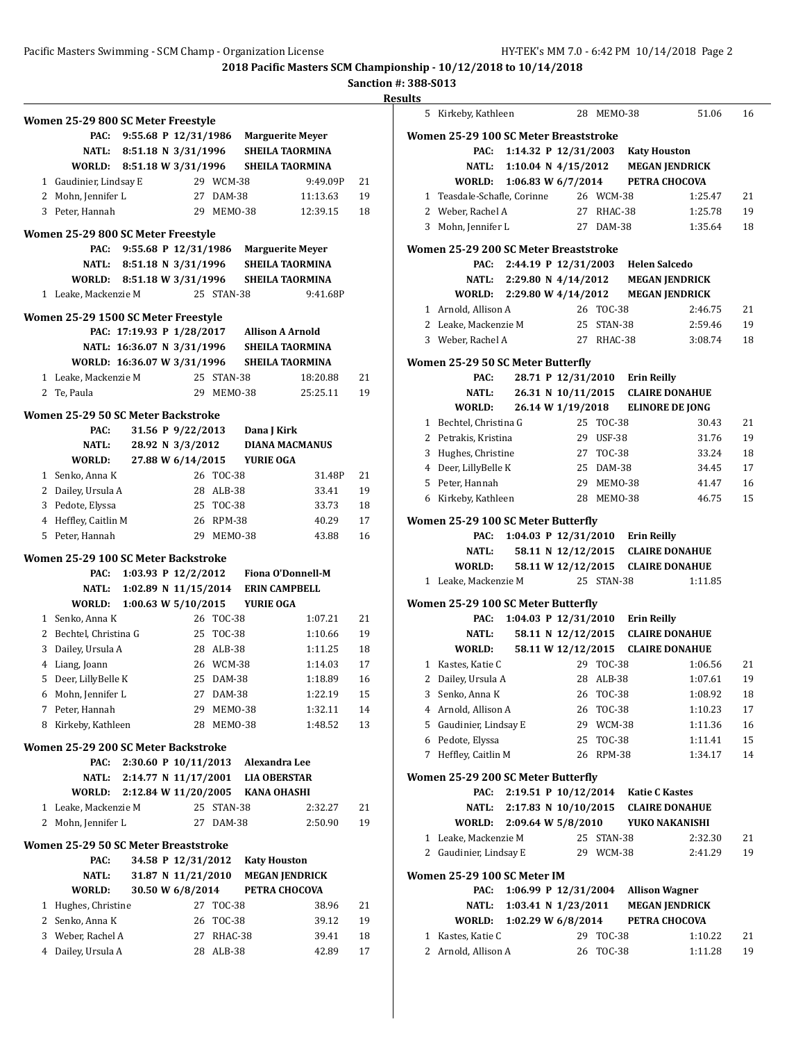#### **Sanction #: 388-S013**

**Women 25-29 800 SC Meter Freestyle PAC: 9:55.68 P 12/31/1986 Marguerite Meyer NATL: 8:51.18 N 3/31/1996 SHEILA TAORMINA WORLD: 8:51.18 W 3/31/1996 SHEILA TAORMINA** 1 Gaudinier, Lindsay E 29 WCM-38 9:49.09P 21 2 Mohn, Jennifer L 27 DAM-38 11:13.63 19 3 Peter, Hannah 29 MEMO-38 12:39.15 18 **Women 25-29 800 SC Meter Freestyle PAC: 9:55.68 P 12/31/1986 Marguerite Meyer NATL: 8:51.18 N 3/31/1996 SHEILA TAORMINA WORLD: 8:51.18 W 3/31/1996 SHEILA TAORMINA** 1 Leake, Mackenzie M 25 STAN-38 9:41.68P **Women 25-29 1500 SC Meter Freestyle PAC: 17:19.93 P 1/28/2017 Allison A Arnold NATL: 16:36.07 N 3/31/1996 SHEILA TAORMINA WORLD: 16:36.07 W 3/31/1996 SHEILA TAORMINA** 1 Leake, Mackenzie M 25 STAN-38 18:20.88 21 2 Te, Paula 29 MEMO-38 25:25.11 19 **Women 25-29 50 SC Meter Backstroke PAC: 31.56 P 9/22/2013 Dana J Kirk NATL: 28.92 N 3/3/2012 DIANA MACMANUS WORLD: 27.88 W 6/14/2015 YURIE OGA** 1 Senko, Anna K 26 TOC-38 31.48P 21 2 Dailey, Ursula A 28 ALB-38 33.41 19 3 Pedote, Elyssa 25 TOC-38 33.73 18 4 Heffley, Caitlin M 26 RPM-38 40.29 17 5 Peter, Hannah 29 MEMO-38 43.88 16 **Women 25-29 100 SC Meter Backstroke PAC: 1:03.93 P 12/2/2012 Fiona O'Donnell-M NATL: 1:02.89 N 11/15/2014 ERIN CAMPBELL WORLD: 1:00.63 W 5/10/2015 YURIE OGA** 1 Senko, Anna K 26 TOC-38 1:07.21 21 2 Bechtel, Christina G 25 TOC-38 1:10.66 19 3 Dailey, Ursula A 28 ALB-38 1:11.25 18 4 Liang, Joann 26 WCM-38 1:14.03 17 5 Deer, LillyBelle K 25 DAM-38 1:18.89 16 6 Mohn, Jennifer L 27 DAM-38 1:22.19 15 7 Peter, Hannah 29 MEMO-38 1:32.11 14 8 Kirkeby, Kathleen 28 MEMO-38 1:48.52 13 **Women 25-29 200 SC Meter Backstroke PAC: 2:30.60 P 10/11/2013 Alexandra Lee NATL: 2:14.77 N 11/17/2001 LIA OBERSTAR WORLD: 2:12.84 W 11/20/2005 KANA OHASHI** 1 Leake, Mackenzie M 25 STAN-38 2:32.27 21 2 Mohn, Jennifer L 27 DAM-38 2:50.90 19 **Women 25-29 50 SC Meter Breaststroke PAC: 34.58 P 12/31/2012 Katy Houston NATL: 31.87 N 11/21/2010 MEGAN JENDRICK WORLD: 30.50 W 6/8/2014 PETRA CHOCOVA** 1 Hughes, Christine 27 TOC-38 38.96 21 2 Senko, Anna K 26 TOC-38 39.12 19 3 Weber, Rachel A 27 RHAC-38 39.41 18 4 Dailey, Ursula A 28 ALB-38 42.89 17

| <b>Results</b> |                                                               |  |                      |                        |                                     |                                              |          |
|----------------|---------------------------------------------------------------|--|----------------------|------------------------|-------------------------------------|----------------------------------------------|----------|
|                | 5 Kirkeby, Kathleen                                           |  |                      | 28 MEM0-38             |                                     | 51.06                                        | 16       |
|                | Women 25-29 100 SC Meter Breaststroke                         |  |                      |                        |                                     |                                              |          |
|                | PAC:                                                          |  |                      |                        | 1:14.32 P 12/31/2003 Katy Houston   |                                              |          |
|                |                                                               |  |                      |                        |                                     | NATL: 1:10.04 N 4/15/2012 MEGAN JENDRICK     |          |
|                | WORLD: 1:06.83 W 6/7/2014 PETRA CHOCOVA                       |  |                      |                        |                                     |                                              |          |
|                | 1 Teasdale-Schafle, Corinne 26 WCM-38                         |  |                      |                        |                                     | 1:25.47                                      | 21       |
|                | 2 Weber, Rachel A                                             |  |                      | 27 RHAC-38             |                                     | 1:25.78                                      | 19       |
|                | 3 Mohn, Jennifer L                                            |  |                      | 27 DAM-38              |                                     | 1:35.64                                      | 18       |
|                | Women 25-29 200 SC Meter Breaststroke                         |  |                      |                        |                                     |                                              |          |
|                | PAC:                                                          |  |                      |                        | 2:44.19 P 12/31/2003 Helen Salcedo  |                                              |          |
|                |                                                               |  |                      |                        |                                     | NATL: 2:29.80 N 4/14/2012 MEGAN JENDRICK     |          |
|                | WORLD: 2:29.80 W 4/14/2012 MEGAN JENDRICK                     |  |                      |                        |                                     |                                              |          |
|                | 1 Arnold, Allison A                                           |  |                      | 26 TOC-38              |                                     | 2:46.75                                      | 21       |
|                | 2 Leake, Mackenzie M 25 STAN-38                               |  |                      |                        |                                     | 2:59.46                                      | 19       |
|                | 3 Weber, Rachel A                                             |  |                      |                        | 27 RHAC-38                          | 3:08.74                                      | 18       |
|                | Women 25-29 50 SC Meter Butterfly                             |  |                      |                        |                                     |                                              |          |
|                | PAC:                                                          |  |                      |                        | 28.71 P 12/31/2010 Erin Reilly      |                                              |          |
|                | NATL:                                                         |  |                      |                        |                                     | 26.31 N 10/11/2015 CLAIRE DONAHUE            |          |
|                | <b>WORLD:</b>                                                 |  |                      |                        |                                     | 26.14 W 1/19/2018 ELINORE DE JONG            |          |
|                | 1 Bechtel, Christina G                                        |  |                      | 25 TOC-38              |                                     | 30.43                                        | 21       |
|                | 2 Petrakis, Kristina                                          |  |                      | 29 USF-38              |                                     | 31.76                                        | 19       |
|                | 3 Hughes, Christine                                           |  |                      | 27 TOC-38              |                                     | 33.24                                        | 18       |
|                | 4 Deer, LillyBelle K                                          |  |                      | 25 DAM-38              |                                     | 34.45                                        | 17       |
|                | 5 Peter, Hannah                                               |  | 29 MEMO-38           |                        |                                     | 41.47                                        | 16       |
|                | 6 Kirkeby, Kathleen                                           |  | 28 MEMO-38           |                        |                                     | 46.75                                        | 15       |
|                | Women 25-29 100 SC Meter Butterfly                            |  |                      |                        |                                     |                                              |          |
|                | PAC:                                                          |  |                      |                        | 1:04.03 P 12/31/2010 Erin Reilly    |                                              |          |
|                | NATL:                                                         |  |                      |                        |                                     | 58.11 N 12/12/2015 CLAIRE DONAHUE            |          |
|                | WORLD:<br>1 Leake, Mackenzie M                                |  | 25 STAN-38           |                        |                                     | 58.11 W 12/12/2015 CLAIRE DONAHUE<br>1:11.85 |          |
|                |                                                               |  |                      |                        |                                     |                                              |          |
|                | Women 25-29 100 SC Meter Butterfly                            |  |                      |                        |                                     |                                              |          |
|                | PAC:                                                          |  |                      |                        | 1:04.03 P 12/31/2010 Erin Reilly    |                                              |          |
|                | <b>NATL:</b>                                                  |  |                      |                        |                                     | 58.11 N 12/12/2015 CLAIRE DONAHUE            |          |
|                | WORLD: 58.11 W 12/12/2015 CLAIRE DONAHUE<br>1 Kastes, Katie C |  |                      | 29 TOC-38              |                                     | 1:06.56                                      | 21       |
|                |                                                               |  |                      | 28 ALB-38              |                                     | 1:07.61                                      | 19       |
| 2              | Dailey, Ursula A<br>3 Senko, Anna K                           |  |                      |                        |                                     |                                              |          |
|                | 4 Arnold, Allison A                                           |  |                      | 26 TOC-38<br>26 TOC-38 |                                     | 1:08.92<br>1:10.23                           | 18<br>17 |
|                | 5 Gaudinier, Lindsay E                                        |  |                      | 29 WCM-38              |                                     | 1:11.36                                      | 16       |
|                | 6 Pedote, Elyssa                                              |  |                      | 25 TOC-38              |                                     | 1:11.41                                      | 15       |
|                | 7 Heffley, Caitlin M                                          |  |                      | 26 RPM-38              |                                     | 1:34.17                                      | 14       |
|                |                                                               |  |                      |                        |                                     |                                              |          |
|                | Women 25-29 200 SC Meter Butterfly<br>PAC:                    |  |                      |                        | 2:19.51 P 10/12/2014 Katie C Kastes |                                              |          |
|                | NATL:                                                         |  |                      |                        |                                     | 2:17.83 N 10/10/2015 CLAIRE DONAHUE          |          |
|                | WORLD: 2:09.64 W 5/8/2010                                     |  |                      |                        |                                     | YUKO NAKANISHI                               |          |
|                | 1 Leake, Mackenzie M                                          |  |                      | 25 STAN-38             |                                     | 2:32.30                                      | 21       |
|                | 2 Gaudinier, Lindsay E                                        |  |                      | 29 WCM-38              |                                     | 2:41.29                                      | 19       |
|                | Women 25-29 100 SC Meter IM                                   |  |                      |                        |                                     |                                              |          |
|                | PAC:                                                          |  | 1:06.99 P 12/31/2004 |                        | <b>Allison Wagner</b>               |                                              |          |
|                | <b>NATL:</b>                                                  |  | 1:03.41 N 1/23/2011  |                        |                                     | <b>MEGAN JENDRICK</b>                        |          |
|                | WORLD:                                                        |  | 1:02.29 W 6/8/2014   |                        |                                     | PETRA CHOCOVA                                |          |
|                | 1 Kastes, Katie C                                             |  |                      | 29 TOC-38              |                                     | 1:10.22                                      | 21       |
|                | 2 Arnold, Allison A                                           |  |                      | 26 TOC-38              |                                     | 1:11.28                                      | 19       |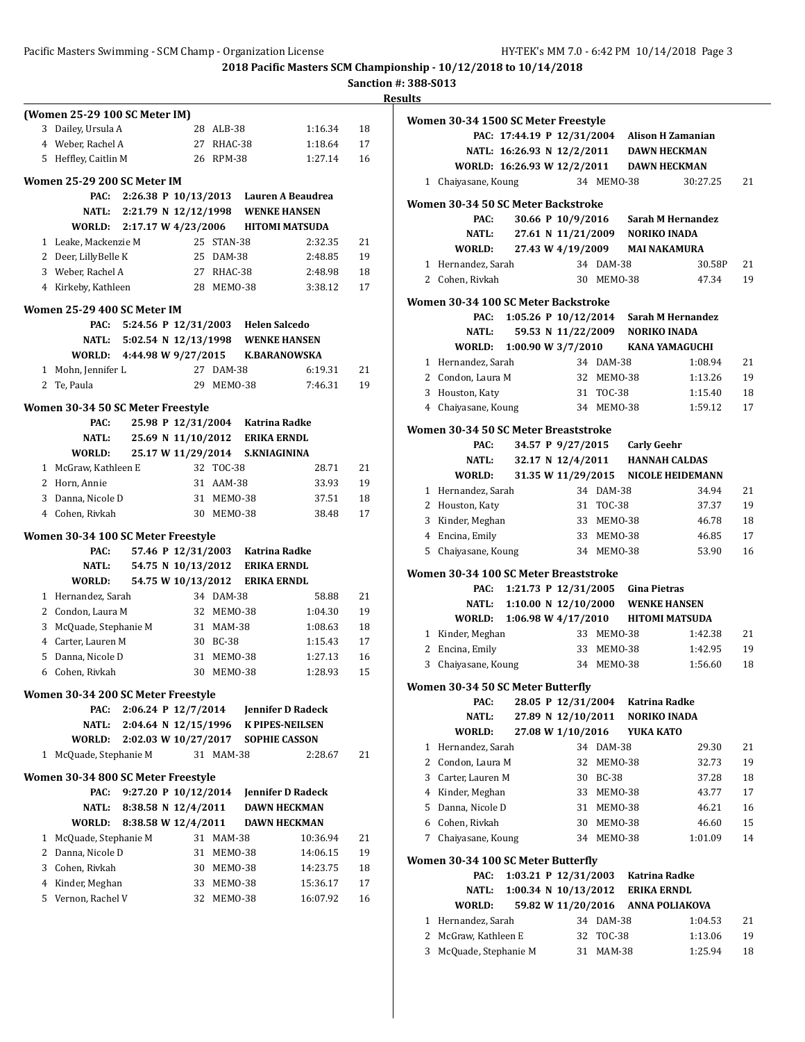#### Pacific Masters Swimming - SCM Champ - Organization License HY-TEK's MM 7.0 - 6:42 PM 10/14/2018 Page 3

**2018 Pacific Masters SCM Championship - 10/12/2018 to 10/14/2018**

|  |  |  | nction #: 388-S013 |
|--|--|--|--------------------|
|--|--|--|--------------------|

|              |                                                     |                         |                         |                                         | Sanction #: 38 |                |
|--------------|-----------------------------------------------------|-------------------------|-------------------------|-----------------------------------------|----------------|----------------|
|              |                                                     |                         |                         |                                         |                | <b>Results</b> |
|              | (Women 25-29 100 SC Meter IM)<br>3 Dailey, Ursula A |                         | 28 ALB-38               | 1:16.34                                 | 18             | Wo             |
|              |                                                     |                         |                         |                                         |                |                |
|              | 4 Weber, Rachel A<br>5 Heffley, Caitlin M           |                         | 27 RHAC-38<br>26 RPM-38 | 1:18.64                                 | 17             |                |
|              |                                                     |                         |                         | 1:27.14                                 | 16             |                |
|              | Women 25-29 200 SC Meter IM                         |                         |                         |                                         |                |                |
|              | PAC:                                                |                         |                         | 2:26.38 P 10/13/2013 Lauren A Beaudrea  |                |                |
|              | NATL:                                               |                         |                         | 2:21.79 N 12/12/1998 WENKE HANSEN       |                | <b>Wo</b>      |
|              | WORLD:                                              |                         |                         | 2:17.17 W 4/23/2006 HITOMI MATSUDA      |                |                |
|              | 1 Leake, Mackenzie M                                |                         | 25 STAN-38              | 2:32.35                                 | 21             |                |
|              | 2 Deer, LillyBelle K                                |                         | 25 DAM-38               | 2:48.85                                 | 19             |                |
|              | 3 Weber, Rachel A                                   |                         | 27 RHAC-38              | 2:48.98                                 | 18             |                |
|              | 4 Kirkeby, Kathleen                                 |                         | 28 MEMO-38              | 3:38.12                                 | 17             |                |
|              |                                                     |                         |                         |                                         |                | Wo             |
|              | Women 25-29 400 SC Meter IM<br>PAC:                 |                         |                         | 5:24.56 P 12/31/2003 Helen Salcedo      |                |                |
|              |                                                     |                         |                         |                                         |                |                |
|              |                                                     |                         |                         | NATL: 5:02.54 N 12/13/1998 WENKE HANSEN |                |                |
|              |                                                     |                         |                         | WORLD: 4:44.98 W 9/27/2015 K.BARANOWSKA |                |                |
|              | 1 Mohn, Jennifer L                                  |                         | 27 DAM-38               | 6:19.31                                 | 21             |                |
|              | 2 Te, Paula                                         |                         | 29 MEMO-38              | 7:46.31                                 | 19             |                |
|              | Women 30-34 50 SC Meter Freestyle                   |                         |                         |                                         |                |                |
|              | PAC:                                                |                         |                         | 25.98 P 12/31/2004 Katrina Radke        |                | Wo             |
|              | NATL:                                               |                         |                         | 25.69 N 11/10/2012 ERIKA ERNDL          |                |                |
|              | WORLD:                                              |                         |                         | 25.17 W 11/29/2014 S.KNIAGININA         |                |                |
|              | 1 McGraw, Kathleen E                                |                         | 32 TOC-38               | 28.71                                   | 21             |                |
|              | 2 Horn, Annie                                       |                         | 31 AAM-38               | 33.93                                   | 19             |                |
|              | 3 Danna, Nicole D                                   |                         | 31 MEM0-38              | 37.51                                   | 18             |                |
|              | 4 Cohen, Rivkah                                     |                         | 30 MEMO-38              | 38.48                                   | 17             |                |
|              | Women 30-34 100 SC Meter Freestyle                  |                         |                         |                                         |                |                |
|              | PAC:                                                |                         |                         | 57.46 P 12/31/2003 Katrina Radke        |                |                |
|              | NATL:                                               |                         |                         | 54.75 N 10/13/2012 ERIKA ERNDL          |                |                |
|              | WORLD:                                              |                         |                         | 54.75 W 10/13/2012 ERIKA ERNDL          |                | Wo             |
|              | 1 Hernandez, Sarah                                  |                         | 34 DAM-38               | 58.88                                   | 21             |                |
|              | 2 Condon, Laura M                                   |                         | 32 MEM0-38              | 1:04.30                                 | 19             |                |
|              | 3 McQuade, Stephanie M                              |                         | 31 MAM-38               | 1:08.63                                 | 18             |                |
|              | 4 Carter, Lauren M                                  |                         | 30 BC-38                | 1:15.43                                 | 17             |                |
|              | 5 Danna, Nicole D                                   |                         | 31 MEM0-38              | 1:27.13                                 | 16             |                |
|              | 6 Cohen, Rivkah                                     |                         | 30 MEMO-38              | 1:28.93                                 | 15             |                |
|              |                                                     |                         |                         |                                         |                | Wo             |
|              | Women 30-34 200 SC Meter Freestyle                  |                         |                         |                                         |                |                |
|              | PAC:                                                | $2:06.24$ P $12/7/2014$ |                         | <b>Jennifer D Radeck</b>                |                |                |
|              | NATL:                                               |                         |                         | 2:04.64 N 12/15/1996 K PIPES-NEILSEN    |                |                |
|              | WORLD:                                              | 2:02.03 W 10/27/2017    |                         | <b>SOPHIE CASSON</b>                    |                |                |
|              | 1 McQuade, Stephanie M                              |                         | 31 MAM-38               | 2:28.67                                 | 21             |                |
|              | Women 30-34 800 SC Meter Freestyle                  |                         |                         |                                         |                |                |
|              | PAC:                                                | 9:27.20 P $10/12/2014$  |                         | Jennifer D Radeck                       |                |                |
|              | <b>NATL:</b>                                        | 8:38.58 N 12/4/2011     |                         | <b>DAWN HECKMAN</b>                     |                |                |
|              | WORLD:                                              | 8:38.58 W 12/4/2011     |                         | <b>DAWN HECKMAN</b>                     |                |                |
| $\mathbf{1}$ | McQuade, Stephanie M                                |                         | 31 MAM-38               | 10:36.94                                | 21             |                |
|              | 2 Danna, Nicole D                                   | 31                      | MEMO-38                 | 14:06.15                                | 19             |                |
|              | 3 Cohen, Rivkah                                     |                         | 30 MEMO-38              | 14:23.75                                | 18             | Wo             |
|              | 4 Kinder, Meghan                                    |                         | 33 MEMO-38              | 15:36.17                                | 17             |                |
|              | 5 Vernon, Rachel V                                  | 32                      | MEMO-38                 | 16:07.92                                | 16             |                |
|              |                                                     |                         |                         |                                         |                |                |

| 11.S           |                                            |                                   |                                          |               |           |                                              |          |
|----------------|--------------------------------------------|-----------------------------------|------------------------------------------|---------------|-----------|----------------------------------------------|----------|
|                | Women 30-34 1500 SC Meter Freestyle        |                                   |                                          |               |           |                                              |          |
|                |                                            |                                   |                                          |               |           | PAC: 17:44.19 P 12/31/2004 Alison H Zamanian |          |
|                |                                            |                                   |                                          |               |           | NATL: 16:26.93 N 12/2/2011 DAWN HECKMAN      |          |
|                |                                            |                                   |                                          |               |           | WORLD: 16:26.93 W 12/2/2011 DAWN HECKMAN     |          |
| 1              | Chaiyasane, Koung                          |                                   |                                          | 34 MEMO-38    |           | 30:27.25                                     | 21       |
|                |                                            |                                   |                                          |               |           |                                              |          |
|                | Women 30-34 50 SC Meter Backstroke<br>PAC: |                                   |                                          |               |           | 30.66 P 10/9/2016 Sarah M Hernandez          |          |
|                | <b>NATL:</b>                               |                                   |                                          |               |           | 27.61 N 11/21/2009 NORIKO INADA              |          |
|                | WORLD:                                     |                                   |                                          |               |           | 27.43 W 4/19/2009 MAI NAKAMURA               |          |
|                | 1 Hernandez, Sarah                         |                                   |                                          | 34 DAM-38     |           | 30.58P                                       | 21       |
|                | 2 Cohen. Rivkah                            |                                   |                                          | 30 MEMO-38    |           | 47.34                                        | 19       |
|                |                                            |                                   |                                          |               |           |                                              |          |
|                | Women 30-34 100 SC Meter Backstroke        |                                   |                                          |               |           |                                              |          |
|                | PAC:                                       |                                   |                                          |               |           | 1:05.26 P 10/12/2014 Sarah M Hernandez       |          |
|                | NATL:                                      |                                   |                                          |               |           | 59.53 N 11/22/2009 NORIKO INADA              |          |
|                | WORLD:                                     | 1:00.90 W 3/7/2010                |                                          |               |           | KANA YAMAGUCHI                               |          |
|                | 1 Hernandez, Sarah                         |                                   |                                          | 34 DAM-38     |           | 1:08.94                                      | 21       |
|                | 2 Condon, Laura M                          |                                   |                                          | 32 MEM0-38    |           | 1:13.26                                      | 19       |
|                | 3 Houston, Katy                            |                                   |                                          | 31 TOC-38     |           | 1:15.40                                      | 18       |
|                | 4 Chaiyasane, Koung                        |                                   |                                          | 34 MEM0-38    |           | 1:59.12                                      | 17       |
|                | Women 30-34 50 SC Meter Breaststroke       |                                   |                                          |               |           |                                              |          |
|                | PAC:                                       |                                   | 34.57 P 9/27/2015 Carly Geehr            |               |           |                                              |          |
|                | NATL:                                      |                                   |                                          |               |           | 32.17 N 12/4/2011 HANNAH CALDAS              |          |
|                | WORLD:                                     |                                   |                                          |               |           | 31.35 W 11/29/2015 NICOLE HEIDEMANN          |          |
|                | 1 Hernandez, Sarah                         |                                   |                                          | 34 DAM-38     |           | 34.94                                        | 21       |
|                | 2 Houston, Katy                            |                                   |                                          | 31 TOC-38     |           | 37.37                                        | 19       |
|                | 3 Kinder, Meghan                           |                                   |                                          | 33 MEMO-38    |           | 46.78                                        | 18       |
|                | 4 Encina, Emily                            |                                   |                                          | 33 MEMO-38    |           | 46.85                                        | 17       |
|                | 5 Chaiyasane, Koung                        |                                   |                                          | 34 MEMO-38    |           | 53.90                                        | 16       |
|                | Women 30-34 100 SC Meter Breaststroke      |                                   |                                          |               |           |                                              |          |
|                | PAC:                                       | 1:21.73 P 12/31/2005 Gina Pietras |                                          |               |           |                                              |          |
|                |                                            |                                   |                                          |               |           | NATL: 1:10.00 N 12/10/2000 WENKE HANSEN      |          |
|                | <b>WORLD:</b>                              |                                   |                                          |               |           | 1:06.98 W 4/17/2010 HITOMI MATSUDA           |          |
|                | 1 Kinder, Meghan                           |                                   |                                          | 33 MEMO-38    |           | 1:42.38                                      | 21       |
|                | 2 Encina, Emily                            |                                   |                                          | 33 MEM0-38    |           | 1:42.95                                      | 19       |
| 3              | Chaiyasane, Koung                          |                                   |                                          | 34 MEM0-38    |           | 1:56.60                                      | 18       |
|                |                                            |                                   |                                          |               |           |                                              |          |
|                | Women 30-34 50 SC Meter Butterfly          |                                   |                                          |               |           |                                              |          |
|                | PAC:                                       |                                   | 28.05 P 12/31/2004<br>27.89 N 12/10/2011 |               |           | Katrina Radke                                |          |
|                | NATL:                                      |                                   | 27.08 W 1/10/2016                        |               |           | <b>NORIKO INADA</b>                          |          |
| $\mathbf{1}$   | WORLD:<br>Hernandez, Sarah                 |                                   |                                          | 34 DAM-38     | YUKA KATO |                                              | 21       |
| $\overline{2}$ | Condon, Laura M                            |                                   | 32                                       | MEMO-38       |           | 29.30                                        |          |
|                | 3 Carter, Lauren M                         |                                   | 30                                       | <b>BC-38</b>  |           | 32.73<br>37.28                               | 19<br>18 |
|                | 4 Kinder, Meghan                           |                                   | 33                                       | MEMO-38       |           | 43.77                                        | 17       |
| 5              | Danna, Nicole D                            |                                   | 31                                       | MEMO-38       |           | 46.21                                        | 16       |
| 6              | Cohen, Rivkah                              |                                   | 30                                       | MEMO-38       |           | 46.60                                        | 15       |
| 7              | Chaiyasane, Koung                          |                                   | 34                                       | MEMO-38       |           | 1:01.09                                      | 14       |
|                |                                            |                                   |                                          |               |           |                                              |          |
|                | Women 30-34 100 SC Meter Butterfly         |                                   |                                          |               |           |                                              |          |
|                | PAC:                                       | 1:03.21 P 12/31/2003              |                                          |               |           | Katrina Radke                                |          |
|                | NATL:                                      | 1:00.34 N 10/13/2012              |                                          |               |           | ERIKA ERNDL                                  |          |
|                | WORLD:                                     |                                   |                                          |               |           | 59.82 W 11/20/2016 ANNA POLIAKOVA            |          |
| 1              | Hernandez, Sarah                           |                                   |                                          | 34 DAM-38     |           | 1:04.53                                      | 21       |
| 2              | McGraw, Kathleen E                         |                                   | 32                                       | <b>TOC-38</b> |           | 1:13.06                                      | 19       |
| 3              | McQuade, Stephanie M                       |                                   | 31                                       | <b>MAM-38</b> |           | 1:25.94                                      | 18       |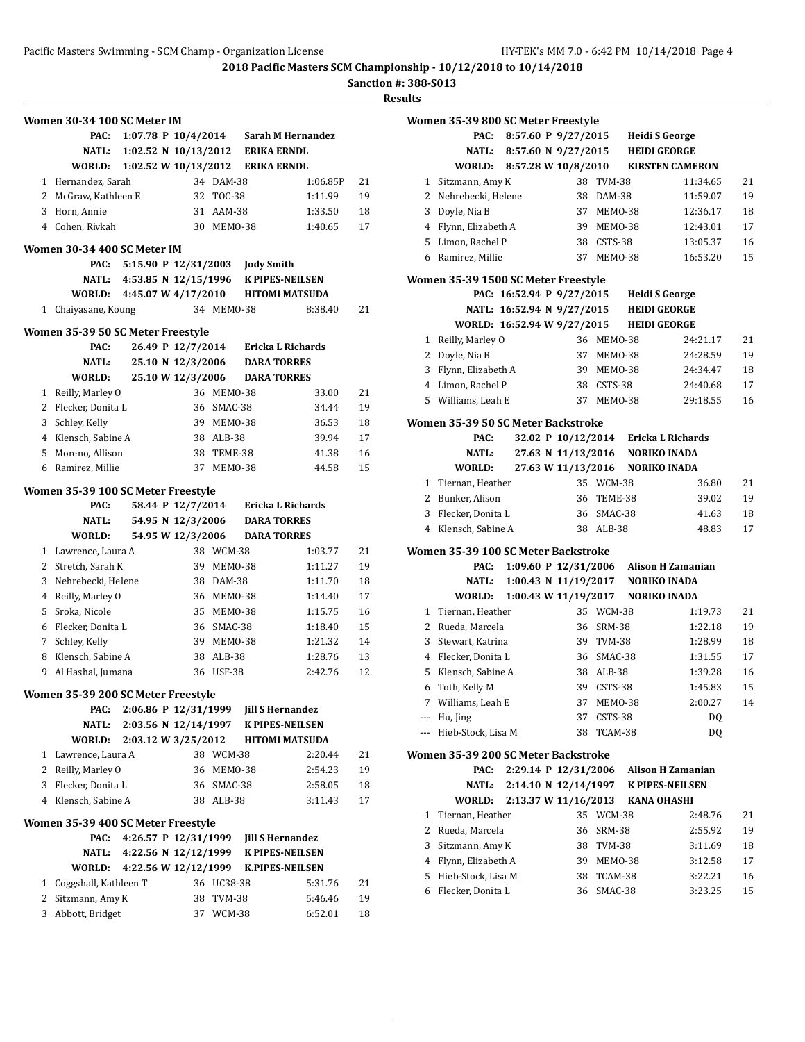**Sanction #: 388-S013**

|   | Women 30-34 100 SC Meter IM        |                      |                   |            |                                            |          |    |
|---|------------------------------------|----------------------|-------------------|------------|--------------------------------------------|----------|----|
|   | PAC:                               |                      |                   |            | 1:07.78 P 10/4/2014 Sarah M Hernandez      |          |    |
|   | NATL:                              | 1:02.52 N 10/13/2012 |                   |            | <b>ERIKA ERNDL</b>                         |          |    |
|   | WORLD:                             |                      |                   |            | 1:02.52 W 10/13/2012 ERIKA ERNDL           |          |    |
|   | 1 Hernandez, Sarah                 |                      |                   | 34 DAM-38  |                                            | 1:06.85P | 21 |
|   | 2 McGraw, Kathleen E               |                      |                   | 32 TOC-38  |                                            | 1:11.99  | 19 |
|   | 3 Horn, Annie                      |                      |                   | 31 AAM-38  |                                            | 1:33.50  | 18 |
|   | 4 Cohen, Rivkah                    |                      |                   | 30 MEMO-38 |                                            | 1:40.65  | 17 |
|   |                                    |                      |                   |            |                                            |          |    |
|   | Women 30-34 400 SC Meter IM        |                      |                   |            |                                            |          |    |
|   | PAC:                               |                      |                   |            | 5:15.90 P 12/31/2003 Jody Smith            |          |    |
|   |                                    |                      |                   |            | NATL: 4:53.85 N 12/15/1996 K PIPES-NEILSEN |          |    |
|   | WORLD: 4:45.07 W 4/17/2010         |                      |                   |            | <b>HITOMI MATSUDA</b>                      |          |    |
| 1 | Chaiyasane, Koung                  |                      |                   | 34 MEM0-38 |                                            | 8:38.40  | 21 |
|   | Women 35-39 50 SC Meter Freestyle  |                      |                   |            |                                            |          |    |
|   | PAC:                               |                      |                   |            | 26.49 P 12/7/2014 Ericka L Richards        |          |    |
|   | <b>NATL:</b>                       |                      | 25.10 N 12/3/2006 |            | <b>DARA TORRES</b>                         |          |    |
|   | WORLD:                             |                      | 25.10 W 12/3/2006 |            | <b>DARA TORRES</b>                         |          |    |
| 1 | Reilly, Marley O                   |                      |                   | 36 MEMO-38 |                                            | 33.00    | 21 |
| 2 | Flecker, Donita L                  |                      |                   | 36 SMAC-38 |                                            | 34.44    | 19 |
| 3 | Schley, Kelly                      |                      |                   | 39 MEMO-38 |                                            | 36.53    | 18 |
|   | 4 Klensch, Sabine A                |                      |                   | 38 ALB-38  |                                            | 39.94    | 17 |
|   | 5 Moreno, Allison                  |                      |                   | 38 TEME-38 |                                            | 41.38    | 16 |
| 6 | Ramirez, Millie                    |                      |                   | 37 MEM0-38 |                                            | 44.58    | 15 |
|   |                                    |                      |                   |            |                                            |          |    |
|   | Women 35-39 100 SC Meter Freestyle |                      |                   |            |                                            |          |    |
|   | PAC:                               |                      | 58.44 P 12/7/2014 |            | Ericka L Richards                          |          |    |
|   | <b>NATL:</b>                       |                      | 54.95 N 12/3/2006 |            | <b>DARA TORRES</b>                         |          |    |
|   | WORLD:                             |                      | 54.95 W 12/3/2006 |            | <b>DARA TORRES</b>                         |          |    |
|   | 1 Lawrence, Laura A                |                      |                   | 38 WCM-38  |                                            | 1:03.77  | 21 |
|   | 2 Stretch, Sarah K                 |                      |                   | 39 MEMO-38 |                                            | 1:11.27  | 19 |
| 3 | Nehrebecki, Helene                 |                      |                   | 38 DAM-38  |                                            | 1:11.70  | 18 |
| 4 | Reilly, Marley O                   |                      |                   | 36 MEMO-38 |                                            | 1:14.40  | 17 |
| 5 | Sroka, Nicole                      |                      |                   | 35 MEM0-38 |                                            | 1:15.75  | 16 |
|   | 6 Flecker, Donita L                |                      |                   | 36 SMAC-38 |                                            | 1:18.40  | 15 |
|   | 7 Schley, Kelly                    |                      |                   | 39 MEM0-38 |                                            | 1:21.32  | 14 |
| 8 | Klensch, Sabine A                  |                      |                   | 38 ALB-38  |                                            | 1:28.76  | 13 |
| 9 | Al Hashal, Jumana                  |                      | 36                | USF-38     |                                            | 2:42.76  | 12 |
|   | Women 35-39 200 SC Meter Freestyle |                      |                   |            |                                            |          |    |
|   | PAC:                               |                      |                   |            | 2:06.86 P 12/31/1999 Jill S Hernandez      |          |    |
|   | NATL:                              |                      |                   |            | 2:03.56 N 12/14/1997 K PIPES-NEILSEN       |          |    |
|   | WORLD:                             | 2:03.12 W 3/25/2012  |                   |            | <b>HITOMI MATSUDA</b>                      |          |    |
| 1 | Lawrence, Laura A                  |                      |                   | 38 WCM-38  |                                            | 2:20.44  | 21 |
| 2 | Reilly, Marley O                   |                      | 36                | MEMO-38    |                                            | 2:54.23  | 19 |
| 3 | Flecker, Donita L                  |                      |                   | 36 SMAC-38 |                                            | 2:58.05  | 18 |
|   | 4 Klensch, Sabine A                |                      |                   | 38 ALB-38  |                                            | 3:11.43  | 17 |
|   |                                    |                      |                   |            |                                            |          |    |
|   | Women 35-39 400 SC Meter Freestyle |                      |                   |            |                                            |          |    |
|   | PAC:                               |                      |                   |            | 4:26.57 P 12/31/1999 Jill S Hernandez      |          |    |
|   | NATL:                              |                      |                   |            | 4:22.56 N 12/12/1999 K PIPES-NEILSEN       |          |    |
|   | WORLD:                             | 4:22.56 W 12/12/1999 |                   |            | <b>K.PIPES-NEILSEN</b>                     |          |    |
|   | 1 Coggshall, Kathleen T            |                      |                   | 36 UC38-38 |                                            | 5:31.76  | 21 |
| 2 | Sitzmann, Amy K                    |                      | 38                | TVM-38     |                                            | 5:46.46  | 19 |
| 3 | Abbott, Bridget                    |                      |                   | 37 WCM-38  |                                            | 6:52.01  | 18 |
|   |                                    |                      |                   |            |                                            |          |    |

|     | Women 35-39 800 SC Meter Freestyle  |                                  |                      |            |                                                          |    |
|-----|-------------------------------------|----------------------------------|----------------------|------------|----------------------------------------------------------|----|
|     | PAC:                                | 8:57.60 P 9/27/2015              |                      |            | Heidi S George                                           |    |
|     | <b>NATL:</b>                        | 8:57.60 N 9/27/2015 HEIDI GEORGE |                      |            |                                                          |    |
|     |                                     |                                  |                      |            | WORLD: 8:57.28 W 10/8/2010 KIRSTEN CAMERON               |    |
| 1   | Sitzmann, Amy K                     |                                  |                      | 38 TVM-38  | 11:34.65                                                 | 21 |
|     | 2 Nehrebecki, Helene                |                                  |                      | 38 DAM-38  | 11:59.07                                                 | 19 |
|     | 3 Doyle, Nia B                      |                                  |                      | 37 MEM0-38 | 12:36.17                                                 | 18 |
|     | 4 Flynn, Elizabeth A                |                                  |                      | 39 MEM0-38 | 12:43.01                                                 | 17 |
|     | 5 Limon, Rachel P                   |                                  |                      | 38 CSTS-38 | 13:05.37                                                 | 16 |
|     | 6 Ramirez, Millie                   |                                  |                      | 37 MEM0-38 | 16:53.20                                                 | 15 |
|     | Women 35-39 1500 SC Meter Freestyle |                                  |                      |            |                                                          |    |
|     |                                     | PAC: 16:52.94 P 9/27/2015        |                      |            | Heidi S George                                           |    |
|     |                                     | NATL: 16:52.94 N 9/27/2015       |                      |            | HEIDI GEORGE                                             |    |
|     | WORLD: 16:52.94 W 9/27/2015         |                                  |                      |            | <b>HEIDI GEORGE</b>                                      |    |
| 1   | Reilly, Marley O                    |                                  |                      | 36 MEM0-38 | 24:21.17                                                 | 21 |
| 2   | Doyle, Nia B                        |                                  |                      | 37 MEM0-38 | 24:28.59                                                 | 19 |
| 3   | Flynn, Elizabeth A                  |                                  |                      | 39 MEMO-38 | 24:34.47                                                 | 18 |
|     | 4 Limon, Rachel P                   |                                  |                      | 38 CSTS-38 | 24:40.68                                                 | 17 |
|     | 5 Williams, Leah E                  |                                  |                      | 37 MEM0-38 | 29:18.55                                                 | 16 |
|     | Women 35-39 50 SC Meter Backstroke  |                                  |                      |            |                                                          |    |
|     | PAC:                                |                                  |                      |            | 32.02 P 10/12/2014 Ericka L Richards                     |    |
|     | NATL:                               |                                  |                      |            | 27.63 N 11/13/2016 NORIKO INADA                          |    |
|     | WORLD:                              |                                  |                      |            | 27.63 W 11/13/2016 NORIKO INADA                          |    |
| 1   | Tiernan, Heather                    |                                  |                      | 35 WCM-38  | 36.80                                                    | 21 |
|     | 2 Bunker, Alison                    |                                  |                      | 36 TEME-38 | 39.02                                                    | 19 |
| 3   | Flecker, Donita L                   |                                  |                      | 36 SMAC-38 | 41.63                                                    | 18 |
|     | 4 Klensch, Sabine A                 |                                  |                      | 38 ALB-38  | 48.83                                                    | 17 |
|     | Women 35-39 100 SC Meter Backstroke |                                  |                      |            |                                                          |    |
|     | PAC:                                |                                  |                      |            | 1:09.60 P 12/31/2006 Alison H Zamanian                   |    |
|     | NATL:<br><b>WORLD:</b>              |                                  |                      |            | 1:00.43 N 11/19/2017 NORIKO INADA<br><b>NORIKO INADA</b> |    |
|     | 1 Tiernan, Heather                  |                                  | 1:00.43 W 11/19/2017 | 35 WCM-38  | 1:19.73                                                  | 21 |
|     | 2 Rueda, Marcela                    |                                  |                      | 36 SRM-38  | 1:22.18                                                  | 19 |
| 3   | Stewart, Katrina                    |                                  |                      | 39 TVM-38  | 1:28.99                                                  | 18 |
|     | 4 Flecker, Donita L                 |                                  |                      | 36 SMAC-38 | 1:31.55                                                  | 17 |
| 5   | Klensch, Sabine A                   |                                  |                      | 38 ALB-38  | 1:39.28                                                  | 16 |
| 6   | Toth, Kelly M                       |                                  |                      | 39 CSTS-38 | 1:45.83                                                  | 15 |
|     | 7 Williams, Leah E                  |                                  |                      | 37 MEMO-38 | 2:00.27                                                  | 14 |
|     | --- Hu, Jing                        |                                  | 37                   | CSTS-38    | DQ                                                       |    |
| --- | Hieb-Stock, Lisa M                  |                                  | 38                   | TCAM-38    | DQ                                                       |    |
|     | Women 35-39 200 SC Meter Backstroke |                                  |                      |            |                                                          |    |
|     | PAC:                                |                                  | 2:29.14 P 12/31/2006 |            | <b>Alison H Zamanian</b>                                 |    |
|     | NATL:                               | 2:14.10 N 12/14/1997             |                      |            | <b>K PIPES-NEILSEN</b>                                   |    |
|     | WORLD:                              |                                  | 2:13.37 W 11/16/2013 |            | <b>KANA OHASHI</b>                                       |    |
| 1   | Tiernan, Heather                    |                                  | 35                   | WCM-38     | 2:48.76                                                  | 21 |
| 2   | Rueda, Marcela                      |                                  |                      | 36 SRM-38  | 2:55.92                                                  | 19 |
| 3   | Sitzmann, Amy K                     |                                  |                      | 38 TVM-38  | 3:11.69                                                  | 18 |
| 4   | Flynn, Elizabeth A                  |                                  |                      | 39 MEM0-38 | 3:12.58                                                  | 17 |
| 5   | Hieb-Stock, Lisa M                  |                                  | 38                   | TCAM-38    | 3:22.21                                                  | 16 |
| 6   | Flecker, Donita L                   |                                  | 36                   | SMAC-38    | 3:23.25                                                  | 15 |
|     |                                     |                                  |                      |            |                                                          |    |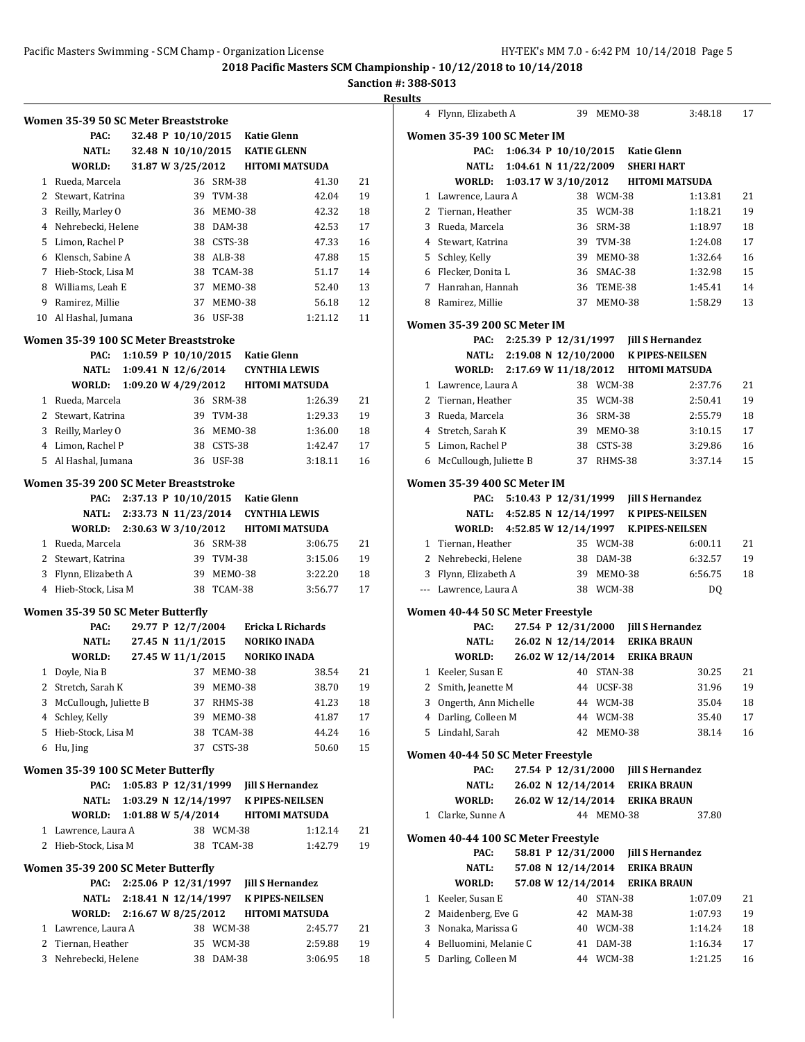|             |                                           |                        |                    |                        |                                       |                         | Sanc     |
|-------------|-------------------------------------------|------------------------|--------------------|------------------------|---------------------------------------|-------------------------|----------|
|             | Women 35-39 50 SC Meter Breaststroke      |                        |                    |                        |                                       |                         |          |
|             | PAC:                                      |                        | 32.48 P 10/10/2015 |                        | <b>Katie Glenn</b>                    |                         |          |
|             | NATL:                                     |                        | 32.48 N 10/10/2015 |                        | <b>KATIE GLENN</b>                    |                         |          |
|             | WORLD:                                    |                        | 31.87 W 3/25/2012  |                        |                                       | <b>HITOMI MATSUDA</b>   |          |
|             | 1 Rueda, Marcela                          |                        |                    | 36 SRM-38              |                                       | 41.30                   | 21       |
|             | 2 Stewart, Katrina                        |                        |                    | 39 TVM-38              |                                       | 42.04                   | 19       |
|             | 3 Reilly, Marley O                        |                        |                    | 36 MEMO-38             |                                       | 42.32                   | 18       |
|             | 4 Nehrebecki, Helene                      |                        |                    | 38 DAM-38              |                                       | 42.53                   | 17       |
|             | 5 Limon, Rachel P                         |                        |                    | 38 CSTS-38             |                                       | 47.33                   | 16       |
|             | 6 Klensch, Sabine A                       |                        |                    | 38 ALB-38              |                                       | 47.88                   | 15       |
| $7^{\circ}$ | Hieb-Stock, Lisa M                        |                        |                    | 38 TCAM-38             |                                       | 51.17                   | 14       |
|             | 8 Williams, Leah E                        |                        |                    | 37 MEMO-38             |                                       | 52.40                   | 13       |
|             | 9 Ramirez, Millie                         |                        |                    | 37 MEMO-38             |                                       | 56.18                   | 12       |
|             | 10 Al Hashal, Jumana                      |                        |                    | 36 USF-38              |                                       | 1:21.12                 | 11       |
|             | Women 35-39 100 SC Meter Breaststroke     |                        |                    |                        |                                       |                         |          |
|             | PAC:                                      | 1:10.59 P $10/10/2015$ |                    |                        | <b>Katie Glenn</b>                    |                         |          |
|             | <b>NATL:</b>                              | 1:09.41 N $12/6/2014$  |                    |                        |                                       | <b>CYNTHIA LEWIS</b>    |          |
|             | WORLD:                                    | 1:09.20 W 4/29/2012    |                    |                        |                                       | <b>HITOMI MATSUDA</b>   |          |
|             | 1 Rueda, Marcela                          |                        |                    | 36 SRM-38              |                                       | 1:26.39                 | 21       |
|             | 2 Stewart, Katrina                        |                        |                    | 39 TVM-38              |                                       | 1:29.33                 | 19       |
|             | 3 Reilly, Marley O                        |                        |                    | 36 MEMO-38             |                                       | 1:36.00                 | 18       |
|             | 4 Limon, Rachel P                         |                        |                    | 38 CSTS-38             |                                       | 1:42.47                 | 17       |
|             | 5 Al Hashal, Jumana                       |                        |                    | 36 USF-38              |                                       | 3:18.11                 | 16       |
|             | Women 35-39 200 SC Meter Breaststroke     |                        |                    |                        |                                       |                         |          |
|             | PAC:                                      | 2:37.13 P 10/10/2015   |                    |                        | Katie Glenn                           |                         |          |
|             | NATL:                                     | 2:33.73 N 11/23/2014   |                    |                        |                                       | <b>CYNTHIA LEWIS</b>    |          |
|             | WORLD:                                    | 2:30.63 W 3/10/2012    |                    |                        |                                       | <b>HITOMI MATSUDA</b>   |          |
|             | 1 Rueda, Marcela                          |                        |                    | 36 SRM-38              |                                       | 3:06.75                 | 21       |
|             | 2 Stewart, Katrina                        |                        |                    | 39 TVM-38              |                                       | 3:15.06                 | 19       |
|             | 3 Flynn, Elizabeth A                      |                        |                    | 39 MEM0-38             |                                       | 3:22.20                 | 18       |
|             | 4 Hieb-Stock, Lisa M                      |                        |                    | 38 TCAM-38             |                                       | 3:56.77                 | 17       |
|             | Women 35-39 50 SC Meter Butterfly<br>PAC: |                        | 29.77 P 12/7/2004  |                        |                                       | Ericka L Richards       |          |
|             |                                           |                        |                    |                        |                                       |                         |          |
|             | <b>NATL:</b>                              |                        | 27.45 N 11/1/2015  |                        | <b>NORIKO INADA</b>                   |                         |          |
|             | <b>WORLD:</b>                             |                        | 27.45 W 11/1/2015  |                        | <b>NORIKO INADA</b>                   |                         |          |
|             | 1 Doyle, Nia B                            |                        | 37                 | MEMO-38                |                                       | 38.54                   | 21       |
|             | 2 Stretch, Sarah K                        |                        |                    | 39 MEMO-38             |                                       | 38.70                   | 19       |
|             | 3 McCullough, Juliette B                  |                        |                    | 37 RHMS-38             |                                       | 41.23                   | 18       |
|             | 4 Schley, Kelly                           |                        |                    | 39 MEMO-38             |                                       | 41.87                   | 17       |
|             | 5 Hieb-Stock, Lisa M                      |                        |                    | 38 TCAM-38             |                                       | 44.24                   | 16       |
|             | 6 Hu, Jing                                |                        | 37                 | CSTS-38                |                                       | 50.60                   | 15       |
|             | Women 35-39 100 SC Meter Butterfly        |                        |                    |                        |                                       |                         |          |
|             |                                           |                        |                    |                        |                                       | <b>Jill S Hernandez</b> |          |
|             | PAC:                                      | 1:05.83 P 12/31/1999   |                    |                        |                                       |                         |          |
|             | NATL:                                     | 1:03.29 N 12/14/1997   |                    |                        | <b>K PIPES-NEILSEN</b>                |                         |          |
|             | WORLD:                                    | 1:01.88 W 5/4/2014     |                    |                        |                                       | <b>HITOMI MATSUDA</b>   |          |
|             | 1 Lawrence, Laura A                       |                        |                    | 38 WCM-38              |                                       | 1:12.14                 | 21       |
|             | 2 Hieb-Stock, Lisa M                      |                        |                    | 38 TCAM-38             |                                       | 1:42.79                 | 19       |
|             | Women 35-39 200 SC Meter Butterfly        |                        |                    |                        |                                       |                         |          |
|             | PAC:                                      |                        |                    |                        | 2:25.06 P 12/31/1997 Jill S Hernandez |                         |          |
|             | NATL:                                     | 2:18.41 N 12/14/1997   |                    |                        |                                       | <b>K PIPES-NEILSEN</b>  |          |
|             | WORLD:                                    | 2:16.67 W 8/25/2012    |                    |                        |                                       | <b>HITOMI MATSUDA</b>   |          |
|             | 1 Lawrence, Laura A                       |                        |                    | 38 WCM-38              |                                       | 2:45.77                 | 21       |
| 3           | 2 Tiernan, Heather<br>Nehrebecki, Helene  |                        |                    | 35 WCM-38<br>38 DAM-38 |                                       | 2:59.88<br>3:06.95      | 19<br>18 |

| 4     | Flynn, Elizabeth A                 |  | 39                              | MEMO-38       |                                                                | 3:48.18 | 17 |
|-------|------------------------------------|--|---------------------------------|---------------|----------------------------------------------------------------|---------|----|
|       | Women 35-39 100 SC Meter IM        |  |                                 |               |                                                                |         |    |
|       | PAC:                               |  |                                 |               | 1:06.34 P 10/10/2015 Katie Glenn                               |         |    |
|       | NATL:                              |  | 1:04.61 N 11/22/2009            |               | <b>SHERI HART</b>                                              |         |    |
|       | WORLD:                             |  | 1:03.17 W 3/10/2012             |               | <b>HITOMI MATSUDA</b>                                          |         |    |
|       | 1 Lawrence, Laura A                |  |                                 | 38 WCM-38     |                                                                | 1:13.81 | 21 |
| 2     | Tiernan, Heather                   |  | 35                              | WCM-38        |                                                                | 1:18.21 | 19 |
| 3     | Rueda, Marcela                     |  | 36                              | SRM-38        |                                                                | 1:18.97 | 18 |
| 4     | Stewart, Katrina                   |  | 39                              | <b>TVM-38</b> |                                                                | 1:24.08 | 17 |
| 5     | Schley, Kelly                      |  | 39                              | MEMO-38       |                                                                | 1:32.64 | 16 |
|       | 6 Flecker, Donita L                |  |                                 | 36 SMAC-38    |                                                                | 1:32.98 | 15 |
| 7     | Hanrahan, Hannah                   |  | 36                              | TEME-38       |                                                                | 1:45.41 | 14 |
| 8     | Ramirez, Millie                    |  | 37                              | MEMO-38       |                                                                | 1:58.29 | 13 |
|       | Women 35-39 200 SC Meter IM        |  |                                 |               |                                                                |         |    |
|       | PAC:                               |  |                                 |               | 2:25.39 P 12/31/1997 Jill S Hernandez                          |         |    |
|       | NATL:                              |  | $2:19.08 \text{ N } 12/10/2000$ |               | <b>K PIPES-NEILSEN</b>                                         |         |    |
|       | WORLD:                             |  | 2:17.69 W 11/18/2012            |               | <b>HITOMI MATSUDA</b>                                          |         |    |
|       | 1 Lawrence, Laura A                |  |                                 | 38 WCM-38     |                                                                | 2:37.76 | 21 |
| 2     | Tiernan, Heather                   |  | 35                              | WCM-38        |                                                                | 2:50.41 | 19 |
| 3     | Rueda, Marcela                     |  | 36                              | SRM-38        |                                                                | 2:55.79 | 18 |
|       | 4 Stretch, Sarah K                 |  |                                 | 39 MEM0-38    |                                                                | 3:10.15 | 17 |
| 5     | Limon, Rachel P                    |  |                                 | 38 CSTS-38    |                                                                | 3:29.86 | 16 |
| 6     | McCullough, Juliette B             |  | 37                              | RHMS-38       |                                                                | 3:37.14 | 15 |
|       |                                    |  |                                 |               |                                                                |         |    |
|       | Women 35-39 400 SC Meter IM        |  |                                 |               |                                                                |         |    |
|       | PAC:                               |  |                                 |               | 5:10.43 P 12/31/1999 Jill S Hernandez                          |         |    |
|       | NATL:<br>WORLD:                    |  | 4:52.85 W 12/14/1997            |               | 4:52.85 N 12/14/1997 K PIPES-NEILSEN<br><b>K.PIPES-NEILSEN</b> |         |    |
|       | 1 Tiernan, Heather                 |  |                                 | 35 WCM-38     |                                                                | 6:00.11 | 21 |
|       | 2 Nehrebecki, Helene               |  |                                 | 38 DAM-38     |                                                                | 6:32.57 | 19 |
|       | 3 Flynn, Elizabeth A               |  | 39                              | MEMO-38       |                                                                | 6:56.75 | 18 |
| $---$ | Lawrence, Laura A                  |  |                                 | 38 WCM-38     |                                                                | DQ      |    |
|       |                                    |  |                                 |               |                                                                |         |    |
|       | Women 40-44 50 SC Meter Freestyle  |  |                                 |               |                                                                |         |    |
|       | PAC:                               |  | 27.54 P 12/31/2000              |               | <b>Jill S Hernandez</b>                                        |         |    |
|       | <b>NATL:</b>                       |  | 26.02 N 12/14/2014              |               | <b>ERIKA BRAUN</b>                                             |         |    |
|       | WORLD:                             |  | 26.02 W 12/14/2014              |               | <b>ERIKA BRAUN</b>                                             |         |    |
| 1     | Keeler, Susan E                    |  | 40                              | STAN-38       |                                                                | 30.25   | 21 |
| 2     | Smith, Jeanette M                  |  | 44                              | UCSF-38       |                                                                | 31.96   | 19 |
| 3     | Ongerth, Ann Michelle              |  |                                 | 44 WCM-38     |                                                                | 35.04   | 18 |
|       | 4 Darling, Colleen M               |  | 44                              | WCM-38        |                                                                | 35.40   | 17 |
| 5     | Lindahl, Sarah                     |  | 42                              | MEMO-38       |                                                                | 38.14   | 16 |
|       | Women 40-44 50 SC Meter Freestyle  |  |                                 |               |                                                                |         |    |
|       | PAC:                               |  | 27.54 P 12/31/2000              |               | <b>Jill S Hernandez</b>                                        |         |    |
|       | NATL:                              |  | 26.02 N 12/14/2014              |               | <b>ERIKA BRAUN</b>                                             |         |    |
|       | WORLD:                             |  | 26.02 W 12/14/2014              |               | <b>ERIKA BRAUN</b>                                             |         |    |
| 1     | Clarke, Sunne A                    |  |                                 | 44 MEMO-38    |                                                                | 37.80   |    |
|       | Women 40-44 100 SC Meter Freestyle |  |                                 |               |                                                                |         |    |
|       | PAC:                               |  | 58.81 P 12/31/2000              |               | <b>Jill S Hernandez</b>                                        |         |    |
|       | NATL:                              |  | 57.08 N 12/14/2014              |               | <b>ERIKA BRAUN</b>                                             |         |    |
|       | WORLD:                             |  | 57.08 W 12/14/2014              |               | <b>ERIKA BRAUN</b>                                             |         |    |
|       | 1 Keeler, Susan E                  |  |                                 | 40 STAN-38    |                                                                | 1:07.09 | 21 |
| 2     | Maidenberg, Eve G                  |  | 42                              | MAM-38        |                                                                | 1:07.93 | 19 |
| 3     | Nonaka, Marissa G                  |  | 40                              | WCM-38        |                                                                | 1:14.24 | 18 |
| 4     | Belluomini, Melanie C              |  | 41                              | DAM-38        |                                                                | 1:16.34 | 17 |
| 5     | Darling, Colleen M                 |  |                                 | 44 WCM-38     |                                                                | 1:21.25 | 16 |
|       |                                    |  |                                 |               |                                                                |         |    |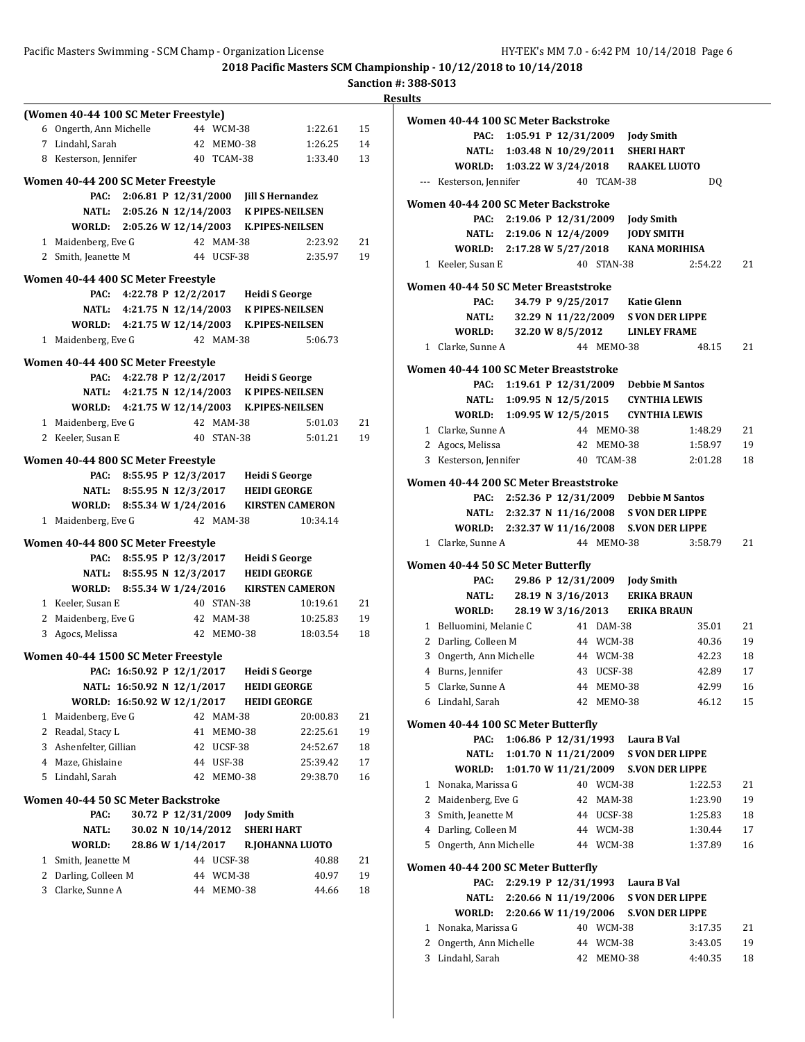### Pacific Masters Swimming - SCM Champ - Organization License HY-TEK's MM 7.0 - 6:42 PM 10/14/2018 Page 6

**2018 Pacific Masters SCM Championship - 10/12/2018 to 10/14/2018**

|                                      |                             |                    |                                             |                                            | <b>Sanction #: 388</b> | Results   |
|--------------------------------------|-----------------------------|--------------------|---------------------------------------------|--------------------------------------------|------------------------|-----------|
| (Women 40-44 100 SC Meter Freestyle) |                             |                    |                                             |                                            |                        | Wo        |
| 6 Ongerth, Ann Michelle              |                             | 44 WCM-38          |                                             | 1:22.61                                    | 15                     |           |
| 7 Lindahl, Sarah                     |                             |                    | 42 MEMO-38                                  | 1:26.25                                    | 14                     |           |
| 8 Kesterson, Jennifer                |                             |                    | 40 TCAM-38                                  | 1:33.40                                    | 13                     |           |
| Women 40-44 200 SC Meter Freestyle   |                             |                    |                                             |                                            |                        |           |
| PAC:                                 |                             |                    | 2:06.81 P 12/31/2000 Jill S Hernandez       |                                            |                        | <b>Wo</b> |
|                                      |                             |                    | NATL: 2:05.26 N 12/14/2003 K PIPES-NEILSEN  |                                            |                        |           |
|                                      |                             |                    | WORLD: 2:05.26 W 12/14/2003 K.PIPES-NEILSEN |                                            |                        |           |
| 1 Maidenberg, Eve G                  |                             | 42 MAM-38          |                                             | 2:23.92                                    | 21                     |           |
| 2 Smith, Jeanette M                  |                             | 44 UCSF-38         |                                             | 2:35.97                                    | 19                     |           |
| Women 40-44 400 SC Meter Freestyle   |                             |                    |                                             |                                            |                        |           |
| PAC:                                 |                             |                    | 4:22.78 P 12/2/2017 Heidi S George          |                                            |                        | <b>Wo</b> |
|                                      |                             |                    | NATL: 4:21.75 N 12/14/2003 K PIPES-NEILSEN  |                                            |                        |           |
|                                      |                             |                    | WORLD: 4:21.75 W 12/14/2003 K.PIPES-NEILSEN |                                            |                        |           |
| 1 Maidenberg, Eve G                  |                             | 42 MAM-38          |                                             | 5:06.73                                    |                        |           |
| Women 40-44 400 SC Meter Freestyle   |                             |                    |                                             |                                            |                        |           |
|                                      |                             |                    | PAC: 4:22.78 P 12/2/2017 Heidi S George     |                                            |                        | <b>Wo</b> |
|                                      |                             |                    | NATL: 4:21.75 N 12/14/2003 K PIPES-NEILSEN  |                                            |                        |           |
|                                      |                             |                    | WORLD: 4:21.75 W 12/14/2003 K.PIPES-NEILSEN |                                            |                        |           |
| 1 Maidenberg, Eve G                  |                             | 42 MAM-38          |                                             | 5:01.03                                    | 21                     |           |
| 2 Keeler, Susan E                    |                             |                    | 40 STAN-38                                  | 5:01.21                                    | 19                     |           |
|                                      |                             |                    |                                             |                                            |                        |           |
| Women 40-44 800 SC Meter Freestyle   |                             |                    |                                             |                                            |                        |           |
|                                      |                             |                    | PAC: 8:55.95 P 12/3/2017 Heidi S George     |                                            |                        | Wo        |
|                                      |                             |                    | NATL: 8:55.95 N 12/3/2017 HEIDI GEORGE      |                                            |                        |           |
|                                      |                             |                    |                                             | WORLD: 8:55.34 W 1/24/2016 KIRSTEN CAMERON |                        |           |
| 1 Maidenberg, Eve G                  |                             | 42 MAM-38          |                                             | 10:34.14                                   |                        |           |
| Women 40-44 800 SC Meter Freestyle   |                             |                    |                                             |                                            |                        |           |
| PAC:                                 |                             |                    | 8:55.95 P 12/3/2017 Heidi S George          |                                            |                        | <b>Wo</b> |
|                                      |                             |                    | NATL: 8:55.95 N 12/3/2017 HEIDI GEORGE      |                                            |                        |           |
|                                      |                             |                    |                                             | WORLD: 8:55.34 W 1/24/2016 KIRSTEN CAMERON |                        |           |
| 1 Keeler, Susan E                    |                             | 40 STAN-38         |                                             | 10:19.61                                   | 21                     |           |
| 2 Maidenberg, Eve G                  |                             | 42 MAM-38          |                                             | 10:25.83                                   | 19                     |           |
| 3 Agocs, Melissa                     |                             |                    | 42 MEM0-38                                  | 18:03.54                                   | 18                     |           |
| Women 40-44 1500 SC Meter Freestyle  |                             |                    |                                             |                                            |                        |           |
|                                      |                             |                    | PAC: 16:50.92 P 12/1/2017 Heidi S George    |                                            |                        |           |
|                                      | NATL: 16:50.92 N 12/1/2017  |                    | <b>HEIDI GEORGE</b>                         |                                            |                        |           |
|                                      | WORLD: 16:50.92 W 12/1/2017 |                    | <b>HEIDI GEORGE</b>                         |                                            |                        |           |
| 1 Maidenberg, Eve G                  |                             | 42 MAM-38          |                                             | 20:00.83                                   | 21                     | Wo        |
| 2 Readal, Stacy L                    |                             | 41                 | MEMO-38                                     | 22:25.61                                   | 19                     |           |
| 3 Ashenfelter, Gillian               |                             | 42 UCSF-38         |                                             | 24:52.67                                   | 18                     |           |
| 4 Maze, Ghislaine                    |                             | 44 USF-38          |                                             | 25:39.42                                   | 17                     |           |
| 5 Lindahl, Sarah                     |                             | 42                 | MEMO-38                                     | 29:38.70                                   | 16                     |           |
| Women 40-44 50 SC Meter Backstroke   |                             |                    |                                             |                                            |                        |           |
| PAC:                                 |                             | 30.72 P 12/31/2009 | <b>Jody Smith</b>                           |                                            |                        |           |
| NATL:                                |                             | 30.02 N 10/14/2012 | <b>SHERI HART</b>                           |                                            |                        |           |
| WORLD:                               |                             | 28.86 W 1/14/2017  |                                             | R.JOHANNA LUOTO                            |                        |           |
| 1 Smith, Jeanette M                  |                             | 44 UCSF-38         |                                             | 40.88                                      | 21                     |           |
| 2 Darling, Colleen M                 |                             | 44 WCM-38          |                                             | 40.97                                      | 19                     | Wo        |
| 3 Clarke, Sunne A                    |                             |                    | 44 MEMO-38                                  | 44.66                                      | 18                     |           |
|                                      |                             |                    |                                             |                                            |                        |           |

|              | Women 40-44 100 SC Meter Backstroke         |                           |                                              |            |                                           |                                            |    |
|--------------|---------------------------------------------|---------------------------|----------------------------------------------|------------|-------------------------------------------|--------------------------------------------|----|
|              | PAC:                                        |                           |                                              |            | 1:05.91 P 12/31/2009 Jody Smith           |                                            |    |
|              | <b>NATL:</b>                                |                           |                                              |            | 1:03.48 N 10/29/2011 SHERI HART           |                                            |    |
|              | WORLD: 1:03.22 W 3/24/2018                  |                           |                                              |            | <b>RAAKEL LUOTO</b>                       |                                            |    |
| ---          | Kesterson, Jennifer                         |                           |                                              | 40 TCAM-38 |                                           | DQ                                         |    |
|              | Women 40-44 200 SC Meter Backstroke         |                           |                                              |            |                                           |                                            |    |
|              | PAC:                                        | 2:19.06 P 12/31/2009      |                                              |            |                                           |                                            |    |
|              |                                             | NATL: 2:19.06 N 12/4/2009 |                                              |            | <b>Jody Smith</b>                         |                                            |    |
|              | WORLD: 2:17.28 W 5/27/2018                  |                           |                                              |            | <b>JODY SMITH</b>                         | <b>KANA MORIHISA</b>                       |    |
|              | 1 Keeler, Susan E                           |                           |                                              | 40 STAN-38 |                                           | 2:54.22                                    | 21 |
|              |                                             |                           |                                              |            |                                           |                                            |    |
|              | Women 40-44 50 SC Meter Breaststroke        |                           |                                              |            |                                           |                                            |    |
|              | PAC:                                        |                           |                                              |            | 34.79 P 9/25/2017 Katie Glenn             | 32.29 N 11/22/2009 S VON DER LIPPE         |    |
|              | <b>NATL:</b>                                |                           |                                              |            |                                           |                                            |    |
|              | WORLD:                                      |                           | 32.20 W 8/5/2012                             |            | <b>LINLEY FRAME</b>                       |                                            |    |
| $\mathbf{1}$ | Clarke, Sunne A                             |                           |                                              | 44 MEM0-38 |                                           | 48.15                                      | 21 |
|              | Women 40-44 100 SC Meter Breaststroke       |                           |                                              |            |                                           |                                            |    |
|              | PAC:                                        |                           |                                              |            | 1:19.61 P 12/31/2009 Debbie M Santos      |                                            |    |
|              |                                             |                           |                                              |            | NATL: 1:09.95 N 12/5/2015 CYNTHIA LEWIS   |                                            |    |
|              | <b>WORLD:</b>                               |                           |                                              |            | 1:09.95 W 12/5/2015 CYNTHIA LEWIS         |                                            |    |
|              | 1 Clarke, Sunne A                           |                           |                                              | 44 MEMO-38 |                                           | 1:48.29                                    | 21 |
|              | 2 Agocs, Melissa                            |                           |                                              | 42 MEMO-38 |                                           | 1:58.97                                    | 19 |
|              | 3 Kesterson, Jennifer                       |                           |                                              | 40 TCAM-38 |                                           | 2:01.28                                    | 18 |
|              | Women 40-44 200 SC Meter Breaststroke       |                           |                                              |            |                                           |                                            |    |
|              |                                             |                           |                                              |            | PAC: 2:52.36 P 12/31/2009 Debbie M Santos |                                            |    |
|              |                                             |                           |                                              |            |                                           | NATL: 2:32.37 N 11/16/2008 S VON DER LIPPE |    |
|              | WORLD: 2:32.37 W 11/16/2008 S.VON DER LIPPE |                           |                                              |            |                                           |                                            |    |
|              | 1 Clarke, Sunne A                           |                           |                                              | 44 MEM0-38 |                                           | 3:58.79                                    | 21 |
|              |                                             |                           |                                              |            |                                           |                                            |    |
|              | Women 40-44 50 SC Meter Butterfly<br>PAC:   |                           |                                              |            | 29.86 P 12/31/2009 Jody Smith             |                                            |    |
|              | NATL:                                       | 28.19 N 3/16/2013         |                                              |            | <b>ERIKA BRAUN</b>                        |                                            |    |
|              | <b>WORLD:</b>                               |                           | 28.19 W 3/16/2013                            |            | <b>ERIKA BRAUN</b>                        |                                            |    |
|              | 1 Belluomini, Melanie C                     |                           |                                              | 41 DAM-38  |                                           | 35.01                                      | 21 |
|              | 2 Darling, Colleen M                        |                           |                                              | 44 WCM-38  |                                           | 40.36                                      | 19 |
|              | 3 Ongerth, Ann Michelle                     |                           |                                              | 44 WCM-38  |                                           | 42.23                                      | 18 |
|              | 4 Burns, Jennifer                           |                           |                                              | 43 UCSF-38 |                                           | 42.89                                      | 17 |
|              | 5 Clarke, Sunne A                           |                           |                                              | 44 MEMO-38 |                                           | 42.99                                      | 16 |
|              | 6 Lindahl, Sarah                            |                           |                                              | 42 MEMO-38 |                                           | 46.12                                      | 15 |
|              |                                             |                           |                                              |            |                                           |                                            |    |
|              | Women 40-44 100 SC Meter Butterfly          |                           |                                              |            |                                           |                                            |    |
|              | PAC:<br><b>NATL:</b>                        |                           | 1:06.86 P 12/31/1993<br>1:01.70 N 11/21/2009 |            | Laura B Val                               | <b>S VON DER LIPPE</b>                     |    |
|              | <b>WORLD:</b>                               |                           |                                              |            |                                           | 1:01.70 W 11/21/2009 S.VON DER LIPPE       |    |
| $\mathbf 1$  | Nonaka, Marissa G                           |                           |                                              | 40 WCM-38  |                                           | 1:22.53                                    | 21 |
|              | 2 Maidenberg, Eve G                         |                           | 42                                           | MAM-38     |                                           | 1:23.90                                    | 19 |
| 3            | Smith, Jeanette M                           |                           |                                              | 44 UCSF-38 |                                           | 1:25.83                                    | 18 |
|              | 4 Darling, Colleen M                        |                           |                                              | 44 WCM-38  |                                           | 1:30.44                                    | 17 |
|              | 5 Ongerth, Ann Michelle                     |                           |                                              |            |                                           |                                            | 16 |
|              |                                             |                           |                                              | 44 WCM-38  |                                           | 1:37.89                                    |    |
|              | Women 40-44 200 SC Meter Butterfly          |                           |                                              |            |                                           |                                            |    |
|              | PAC:                                        | 2:29.19 P 12/31/1993      |                                              |            | Laura B Val                               |                                            |    |
|              | NATL:                                       | 2:20.66 N 11/19/2006      |                                              |            |                                           | <b>S VON DER LIPPE</b>                     |    |
|              | WORLD:                                      | 2:20.66 W 11/19/2006      |                                              |            |                                           | <b>S.VON DER LIPPE</b>                     |    |
| 1            | Nonaka, Marissa G                           |                           |                                              | 40 WCM-38  |                                           | 3:17.35                                    | 21 |
| 2            | Ongerth, Ann Michelle                       |                           |                                              | 44 WCM-38  |                                           | 3:43.05                                    | 19 |
| 3            | Lindahl, Sarah                              |                           | 42                                           | MEMO-38    |                                           | 4:40.35                                    | 18 |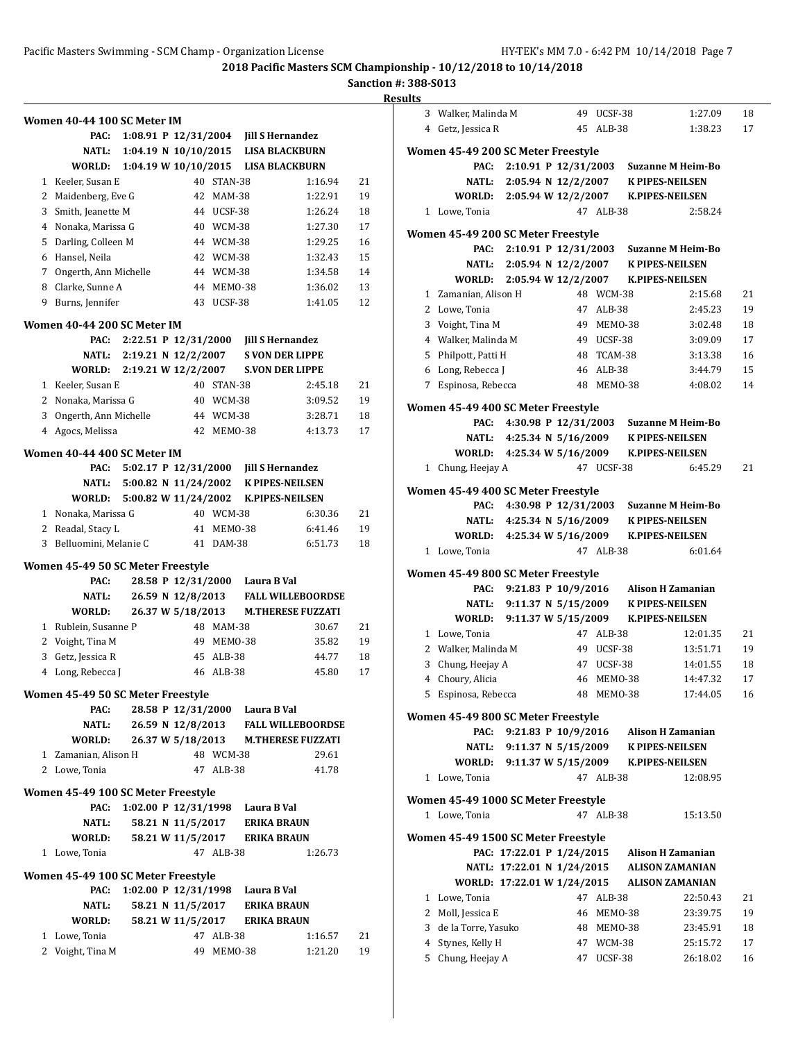**Sanction #: 388-S013**

| Women 40-44 100 SC Meter IM<br>PAC:<br>1:08.91 P $12/31/2004$<br><b>Jill S Hernandez</b><br>1:04.19 N $10/10/2015$<br><b>NATL:</b><br><b>LISA BLACKBURN</b><br>1:04.19 W 10/10/2015<br>WORLD:<br><b>LISA BLACKBURN</b><br>1 Keeler, Susan E<br>40 STAN-38<br>1:16.94<br>2 Maidenberg, Eve G<br>1:22.91<br>42 MAM-38<br>3 Smith, Jeanette M<br>1:26.24<br>44 UCSF-38<br>4 Nonaka, Marissa G<br>1:27.30<br>40 WCM-38<br>5 Darling, Colleen M<br>44 WCM-38<br>1:29.25<br>6 Hansel, Neila<br>1:32.43<br>42 WCM-38<br>7 Ongerth, Ann Michelle<br>44 WCM-38<br>1:34.58<br>8 Clarke, Sunne A<br>44 MEMO-38<br>1:36.02<br>9 Burns, Jennifer<br>43 UCSF-38<br>1:41.05<br>Women 40-44 200 SC Meter IM<br>PAC:<br>2:22.51 P 12/31/2000<br><b>Jill S Hernandez</b><br>2:19.21 N 12/2/2007<br><b>S VON DER LIPPE</b><br><b>NATL:</b><br>2:19.21 W 12/2/2007<br><b>S.VON DER LIPPE</b><br>WORLD:<br>1 Keeler, Susan E<br>40 STAN-38<br>2:45.18<br>2 Nonaka, Marissa G<br>40 WCM-38<br>3:09.52<br>3 Ongerth, Ann Michelle<br>44 WCM-38<br>3:28.71<br>4 Agocs, Melissa<br>42 MEMO-38<br>4:13.73<br>Women 40-44 400 SC Meter IM<br>PAC:<br>5:02.17 P 12/31/2000<br><b>Jill S Hernandez</b><br><b>NATL:</b><br>$5:00.82$ N $11/24/2002$<br><b>K PIPES-NEILSEN</b><br>5:00.82 W 11/24/2002<br>WORLD:<br><b>K.PIPES-NEILSEN</b><br>1 Nonaka, Marissa G<br>40 WCM-38<br>6:30.36<br>2<br>Readal, Stacy L<br>41 MEMO-38<br>6:41.46<br>Belluomini, Melanie C<br>6:51.73<br>3<br>41 DAM-38<br>Women 45-49 50 SC Meter Freestyle<br>28.58 P 12/31/2000<br>PAC:<br>Laura B Val<br><b>NATL:</b><br>26.59 N 12/8/2013<br><b>FALL WILLEBOORDSE</b><br>26.37 W 5/18/2013<br>WORLD:<br><b>M.THERESE FUZZATI</b><br>1 Rublein, Susanne P<br>48 MAM-38<br>30.67<br>2 Voight, Tina M<br>49 MEMO-38<br>35.82<br>3 Getz, Jessica R<br>45 ALB-38<br>44.77<br>46 ALB-38<br>4 Long, Rebecca J<br>45.80<br>Women 45-49 50 SC Meter Freestyle<br>28.58 P 12/31/2000 Laura B Val<br>PAC:<br>26.59 N 12/8/2013<br><b>NATL:</b><br><b>FALL WILLEBOORDSE</b><br>26.37 W 5/18/2013<br>WORLD:<br><b>M.THERESE FUZZATI</b><br>1 Zamanian, Alison H<br>48 WCM-38<br>29.61<br>2 Lowe, Tonia<br>47 ALB-38<br>41.78<br>Women 45-49 100 SC Meter Freestyle<br>PAC:<br>1:02.00 P $12/31/1998$<br>Laura B Val<br><b>NATL:</b><br>58.21 N 11/5/2017<br><b>ERIKA BRAUN</b><br>58.21 W 11/5/2017<br>WORLD:<br><b>ERIKA BRAUN</b><br>1 Lowe, Tonia<br>47 ALB-38<br>1:26.73<br>Women 45-49 100 SC Meter Freestyle<br>PAC:<br>1:02.00 P $12/31/1998$<br>Laura B Val<br><b>NATL:</b><br>58.21 N 11/5/2017<br><b>ERIKA BRAUN</b><br>58.21 W 11/5/2017<br>WORLD:<br><b>ERIKA BRAUN</b><br>1 Lowe, Tonia<br>47 ALB-38<br>1:16.57<br>2 Voight, Tina M<br>49 MEMO-38<br>1:21.20 |  |  |  |  |    |
|-------------------------------------------------------------------------------------------------------------------------------------------------------------------------------------------------------------------------------------------------------------------------------------------------------------------------------------------------------------------------------------------------------------------------------------------------------------------------------------------------------------------------------------------------------------------------------------------------------------------------------------------------------------------------------------------------------------------------------------------------------------------------------------------------------------------------------------------------------------------------------------------------------------------------------------------------------------------------------------------------------------------------------------------------------------------------------------------------------------------------------------------------------------------------------------------------------------------------------------------------------------------------------------------------------------------------------------------------------------------------------------------------------------------------------------------------------------------------------------------------------------------------------------------------------------------------------------------------------------------------------------------------------------------------------------------------------------------------------------------------------------------------------------------------------------------------------------------------------------------------------------------------------------------------------------------------------------------------------------------------------------------------------------------------------------------------------------------------------------------------------------------------------------------------------------------------------------------------------------------------------------------------------------------------------------------------------------------------------------------------------------------------------------------------------------------------------------------------------------------------------------------------------------------------------------------------------------------------------------------------------------------------------------------------------------------------------------|--|--|--|--|----|
|                                                                                                                                                                                                                                                                                                                                                                                                                                                                                                                                                                                                                                                                                                                                                                                                                                                                                                                                                                                                                                                                                                                                                                                                                                                                                                                                                                                                                                                                                                                                                                                                                                                                                                                                                                                                                                                                                                                                                                                                                                                                                                                                                                                                                                                                                                                                                                                                                                                                                                                                                                                                                                                                                                             |  |  |  |  |    |
|                                                                                                                                                                                                                                                                                                                                                                                                                                                                                                                                                                                                                                                                                                                                                                                                                                                                                                                                                                                                                                                                                                                                                                                                                                                                                                                                                                                                                                                                                                                                                                                                                                                                                                                                                                                                                                                                                                                                                                                                                                                                                                                                                                                                                                                                                                                                                                                                                                                                                                                                                                                                                                                                                                             |  |  |  |  |    |
|                                                                                                                                                                                                                                                                                                                                                                                                                                                                                                                                                                                                                                                                                                                                                                                                                                                                                                                                                                                                                                                                                                                                                                                                                                                                                                                                                                                                                                                                                                                                                                                                                                                                                                                                                                                                                                                                                                                                                                                                                                                                                                                                                                                                                                                                                                                                                                                                                                                                                                                                                                                                                                                                                                             |  |  |  |  |    |
|                                                                                                                                                                                                                                                                                                                                                                                                                                                                                                                                                                                                                                                                                                                                                                                                                                                                                                                                                                                                                                                                                                                                                                                                                                                                                                                                                                                                                                                                                                                                                                                                                                                                                                                                                                                                                                                                                                                                                                                                                                                                                                                                                                                                                                                                                                                                                                                                                                                                                                                                                                                                                                                                                                             |  |  |  |  |    |
|                                                                                                                                                                                                                                                                                                                                                                                                                                                                                                                                                                                                                                                                                                                                                                                                                                                                                                                                                                                                                                                                                                                                                                                                                                                                                                                                                                                                                                                                                                                                                                                                                                                                                                                                                                                                                                                                                                                                                                                                                                                                                                                                                                                                                                                                                                                                                                                                                                                                                                                                                                                                                                                                                                             |  |  |  |  | 21 |
|                                                                                                                                                                                                                                                                                                                                                                                                                                                                                                                                                                                                                                                                                                                                                                                                                                                                                                                                                                                                                                                                                                                                                                                                                                                                                                                                                                                                                                                                                                                                                                                                                                                                                                                                                                                                                                                                                                                                                                                                                                                                                                                                                                                                                                                                                                                                                                                                                                                                                                                                                                                                                                                                                                             |  |  |  |  | 19 |
|                                                                                                                                                                                                                                                                                                                                                                                                                                                                                                                                                                                                                                                                                                                                                                                                                                                                                                                                                                                                                                                                                                                                                                                                                                                                                                                                                                                                                                                                                                                                                                                                                                                                                                                                                                                                                                                                                                                                                                                                                                                                                                                                                                                                                                                                                                                                                                                                                                                                                                                                                                                                                                                                                                             |  |  |  |  | 18 |
|                                                                                                                                                                                                                                                                                                                                                                                                                                                                                                                                                                                                                                                                                                                                                                                                                                                                                                                                                                                                                                                                                                                                                                                                                                                                                                                                                                                                                                                                                                                                                                                                                                                                                                                                                                                                                                                                                                                                                                                                                                                                                                                                                                                                                                                                                                                                                                                                                                                                                                                                                                                                                                                                                                             |  |  |  |  | 17 |
|                                                                                                                                                                                                                                                                                                                                                                                                                                                                                                                                                                                                                                                                                                                                                                                                                                                                                                                                                                                                                                                                                                                                                                                                                                                                                                                                                                                                                                                                                                                                                                                                                                                                                                                                                                                                                                                                                                                                                                                                                                                                                                                                                                                                                                                                                                                                                                                                                                                                                                                                                                                                                                                                                                             |  |  |  |  | 16 |
|                                                                                                                                                                                                                                                                                                                                                                                                                                                                                                                                                                                                                                                                                                                                                                                                                                                                                                                                                                                                                                                                                                                                                                                                                                                                                                                                                                                                                                                                                                                                                                                                                                                                                                                                                                                                                                                                                                                                                                                                                                                                                                                                                                                                                                                                                                                                                                                                                                                                                                                                                                                                                                                                                                             |  |  |  |  | 15 |
|                                                                                                                                                                                                                                                                                                                                                                                                                                                                                                                                                                                                                                                                                                                                                                                                                                                                                                                                                                                                                                                                                                                                                                                                                                                                                                                                                                                                                                                                                                                                                                                                                                                                                                                                                                                                                                                                                                                                                                                                                                                                                                                                                                                                                                                                                                                                                                                                                                                                                                                                                                                                                                                                                                             |  |  |  |  | 14 |
|                                                                                                                                                                                                                                                                                                                                                                                                                                                                                                                                                                                                                                                                                                                                                                                                                                                                                                                                                                                                                                                                                                                                                                                                                                                                                                                                                                                                                                                                                                                                                                                                                                                                                                                                                                                                                                                                                                                                                                                                                                                                                                                                                                                                                                                                                                                                                                                                                                                                                                                                                                                                                                                                                                             |  |  |  |  | 13 |
|                                                                                                                                                                                                                                                                                                                                                                                                                                                                                                                                                                                                                                                                                                                                                                                                                                                                                                                                                                                                                                                                                                                                                                                                                                                                                                                                                                                                                                                                                                                                                                                                                                                                                                                                                                                                                                                                                                                                                                                                                                                                                                                                                                                                                                                                                                                                                                                                                                                                                                                                                                                                                                                                                                             |  |  |  |  | 12 |
|                                                                                                                                                                                                                                                                                                                                                                                                                                                                                                                                                                                                                                                                                                                                                                                                                                                                                                                                                                                                                                                                                                                                                                                                                                                                                                                                                                                                                                                                                                                                                                                                                                                                                                                                                                                                                                                                                                                                                                                                                                                                                                                                                                                                                                                                                                                                                                                                                                                                                                                                                                                                                                                                                                             |  |  |  |  |    |
|                                                                                                                                                                                                                                                                                                                                                                                                                                                                                                                                                                                                                                                                                                                                                                                                                                                                                                                                                                                                                                                                                                                                                                                                                                                                                                                                                                                                                                                                                                                                                                                                                                                                                                                                                                                                                                                                                                                                                                                                                                                                                                                                                                                                                                                                                                                                                                                                                                                                                                                                                                                                                                                                                                             |  |  |  |  |    |
|                                                                                                                                                                                                                                                                                                                                                                                                                                                                                                                                                                                                                                                                                                                                                                                                                                                                                                                                                                                                                                                                                                                                                                                                                                                                                                                                                                                                                                                                                                                                                                                                                                                                                                                                                                                                                                                                                                                                                                                                                                                                                                                                                                                                                                                                                                                                                                                                                                                                                                                                                                                                                                                                                                             |  |  |  |  |    |
|                                                                                                                                                                                                                                                                                                                                                                                                                                                                                                                                                                                                                                                                                                                                                                                                                                                                                                                                                                                                                                                                                                                                                                                                                                                                                                                                                                                                                                                                                                                                                                                                                                                                                                                                                                                                                                                                                                                                                                                                                                                                                                                                                                                                                                                                                                                                                                                                                                                                                                                                                                                                                                                                                                             |  |  |  |  |    |
|                                                                                                                                                                                                                                                                                                                                                                                                                                                                                                                                                                                                                                                                                                                                                                                                                                                                                                                                                                                                                                                                                                                                                                                                                                                                                                                                                                                                                                                                                                                                                                                                                                                                                                                                                                                                                                                                                                                                                                                                                                                                                                                                                                                                                                                                                                                                                                                                                                                                                                                                                                                                                                                                                                             |  |  |  |  |    |
|                                                                                                                                                                                                                                                                                                                                                                                                                                                                                                                                                                                                                                                                                                                                                                                                                                                                                                                                                                                                                                                                                                                                                                                                                                                                                                                                                                                                                                                                                                                                                                                                                                                                                                                                                                                                                                                                                                                                                                                                                                                                                                                                                                                                                                                                                                                                                                                                                                                                                                                                                                                                                                                                                                             |  |  |  |  | 21 |
|                                                                                                                                                                                                                                                                                                                                                                                                                                                                                                                                                                                                                                                                                                                                                                                                                                                                                                                                                                                                                                                                                                                                                                                                                                                                                                                                                                                                                                                                                                                                                                                                                                                                                                                                                                                                                                                                                                                                                                                                                                                                                                                                                                                                                                                                                                                                                                                                                                                                                                                                                                                                                                                                                                             |  |  |  |  | 19 |
|                                                                                                                                                                                                                                                                                                                                                                                                                                                                                                                                                                                                                                                                                                                                                                                                                                                                                                                                                                                                                                                                                                                                                                                                                                                                                                                                                                                                                                                                                                                                                                                                                                                                                                                                                                                                                                                                                                                                                                                                                                                                                                                                                                                                                                                                                                                                                                                                                                                                                                                                                                                                                                                                                                             |  |  |  |  | 18 |
|                                                                                                                                                                                                                                                                                                                                                                                                                                                                                                                                                                                                                                                                                                                                                                                                                                                                                                                                                                                                                                                                                                                                                                                                                                                                                                                                                                                                                                                                                                                                                                                                                                                                                                                                                                                                                                                                                                                                                                                                                                                                                                                                                                                                                                                                                                                                                                                                                                                                                                                                                                                                                                                                                                             |  |  |  |  | 17 |
|                                                                                                                                                                                                                                                                                                                                                                                                                                                                                                                                                                                                                                                                                                                                                                                                                                                                                                                                                                                                                                                                                                                                                                                                                                                                                                                                                                                                                                                                                                                                                                                                                                                                                                                                                                                                                                                                                                                                                                                                                                                                                                                                                                                                                                                                                                                                                                                                                                                                                                                                                                                                                                                                                                             |  |  |  |  |    |
|                                                                                                                                                                                                                                                                                                                                                                                                                                                                                                                                                                                                                                                                                                                                                                                                                                                                                                                                                                                                                                                                                                                                                                                                                                                                                                                                                                                                                                                                                                                                                                                                                                                                                                                                                                                                                                                                                                                                                                                                                                                                                                                                                                                                                                                                                                                                                                                                                                                                                                                                                                                                                                                                                                             |  |  |  |  |    |
|                                                                                                                                                                                                                                                                                                                                                                                                                                                                                                                                                                                                                                                                                                                                                                                                                                                                                                                                                                                                                                                                                                                                                                                                                                                                                                                                                                                                                                                                                                                                                                                                                                                                                                                                                                                                                                                                                                                                                                                                                                                                                                                                                                                                                                                                                                                                                                                                                                                                                                                                                                                                                                                                                                             |  |  |  |  |    |
|                                                                                                                                                                                                                                                                                                                                                                                                                                                                                                                                                                                                                                                                                                                                                                                                                                                                                                                                                                                                                                                                                                                                                                                                                                                                                                                                                                                                                                                                                                                                                                                                                                                                                                                                                                                                                                                                                                                                                                                                                                                                                                                                                                                                                                                                                                                                                                                                                                                                                                                                                                                                                                                                                                             |  |  |  |  |    |
|                                                                                                                                                                                                                                                                                                                                                                                                                                                                                                                                                                                                                                                                                                                                                                                                                                                                                                                                                                                                                                                                                                                                                                                                                                                                                                                                                                                                                                                                                                                                                                                                                                                                                                                                                                                                                                                                                                                                                                                                                                                                                                                                                                                                                                                                                                                                                                                                                                                                                                                                                                                                                                                                                                             |  |  |  |  | 21 |
|                                                                                                                                                                                                                                                                                                                                                                                                                                                                                                                                                                                                                                                                                                                                                                                                                                                                                                                                                                                                                                                                                                                                                                                                                                                                                                                                                                                                                                                                                                                                                                                                                                                                                                                                                                                                                                                                                                                                                                                                                                                                                                                                                                                                                                                                                                                                                                                                                                                                                                                                                                                                                                                                                                             |  |  |  |  | 19 |
|                                                                                                                                                                                                                                                                                                                                                                                                                                                                                                                                                                                                                                                                                                                                                                                                                                                                                                                                                                                                                                                                                                                                                                                                                                                                                                                                                                                                                                                                                                                                                                                                                                                                                                                                                                                                                                                                                                                                                                                                                                                                                                                                                                                                                                                                                                                                                                                                                                                                                                                                                                                                                                                                                                             |  |  |  |  | 18 |
|                                                                                                                                                                                                                                                                                                                                                                                                                                                                                                                                                                                                                                                                                                                                                                                                                                                                                                                                                                                                                                                                                                                                                                                                                                                                                                                                                                                                                                                                                                                                                                                                                                                                                                                                                                                                                                                                                                                                                                                                                                                                                                                                                                                                                                                                                                                                                                                                                                                                                                                                                                                                                                                                                                             |  |  |  |  |    |
|                                                                                                                                                                                                                                                                                                                                                                                                                                                                                                                                                                                                                                                                                                                                                                                                                                                                                                                                                                                                                                                                                                                                                                                                                                                                                                                                                                                                                                                                                                                                                                                                                                                                                                                                                                                                                                                                                                                                                                                                                                                                                                                                                                                                                                                                                                                                                                                                                                                                                                                                                                                                                                                                                                             |  |  |  |  |    |
|                                                                                                                                                                                                                                                                                                                                                                                                                                                                                                                                                                                                                                                                                                                                                                                                                                                                                                                                                                                                                                                                                                                                                                                                                                                                                                                                                                                                                                                                                                                                                                                                                                                                                                                                                                                                                                                                                                                                                                                                                                                                                                                                                                                                                                                                                                                                                                                                                                                                                                                                                                                                                                                                                                             |  |  |  |  |    |
|                                                                                                                                                                                                                                                                                                                                                                                                                                                                                                                                                                                                                                                                                                                                                                                                                                                                                                                                                                                                                                                                                                                                                                                                                                                                                                                                                                                                                                                                                                                                                                                                                                                                                                                                                                                                                                                                                                                                                                                                                                                                                                                                                                                                                                                                                                                                                                                                                                                                                                                                                                                                                                                                                                             |  |  |  |  |    |
|                                                                                                                                                                                                                                                                                                                                                                                                                                                                                                                                                                                                                                                                                                                                                                                                                                                                                                                                                                                                                                                                                                                                                                                                                                                                                                                                                                                                                                                                                                                                                                                                                                                                                                                                                                                                                                                                                                                                                                                                                                                                                                                                                                                                                                                                                                                                                                                                                                                                                                                                                                                                                                                                                                             |  |  |  |  |    |
|                                                                                                                                                                                                                                                                                                                                                                                                                                                                                                                                                                                                                                                                                                                                                                                                                                                                                                                                                                                                                                                                                                                                                                                                                                                                                                                                                                                                                                                                                                                                                                                                                                                                                                                                                                                                                                                                                                                                                                                                                                                                                                                                                                                                                                                                                                                                                                                                                                                                                                                                                                                                                                                                                                             |  |  |  |  | 21 |
|                                                                                                                                                                                                                                                                                                                                                                                                                                                                                                                                                                                                                                                                                                                                                                                                                                                                                                                                                                                                                                                                                                                                                                                                                                                                                                                                                                                                                                                                                                                                                                                                                                                                                                                                                                                                                                                                                                                                                                                                                                                                                                                                                                                                                                                                                                                                                                                                                                                                                                                                                                                                                                                                                                             |  |  |  |  | 19 |
|                                                                                                                                                                                                                                                                                                                                                                                                                                                                                                                                                                                                                                                                                                                                                                                                                                                                                                                                                                                                                                                                                                                                                                                                                                                                                                                                                                                                                                                                                                                                                                                                                                                                                                                                                                                                                                                                                                                                                                                                                                                                                                                                                                                                                                                                                                                                                                                                                                                                                                                                                                                                                                                                                                             |  |  |  |  | 18 |
|                                                                                                                                                                                                                                                                                                                                                                                                                                                                                                                                                                                                                                                                                                                                                                                                                                                                                                                                                                                                                                                                                                                                                                                                                                                                                                                                                                                                                                                                                                                                                                                                                                                                                                                                                                                                                                                                                                                                                                                                                                                                                                                                                                                                                                                                                                                                                                                                                                                                                                                                                                                                                                                                                                             |  |  |  |  | 17 |
|                                                                                                                                                                                                                                                                                                                                                                                                                                                                                                                                                                                                                                                                                                                                                                                                                                                                                                                                                                                                                                                                                                                                                                                                                                                                                                                                                                                                                                                                                                                                                                                                                                                                                                                                                                                                                                                                                                                                                                                                                                                                                                                                                                                                                                                                                                                                                                                                                                                                                                                                                                                                                                                                                                             |  |  |  |  |    |
|                                                                                                                                                                                                                                                                                                                                                                                                                                                                                                                                                                                                                                                                                                                                                                                                                                                                                                                                                                                                                                                                                                                                                                                                                                                                                                                                                                                                                                                                                                                                                                                                                                                                                                                                                                                                                                                                                                                                                                                                                                                                                                                                                                                                                                                                                                                                                                                                                                                                                                                                                                                                                                                                                                             |  |  |  |  |    |
|                                                                                                                                                                                                                                                                                                                                                                                                                                                                                                                                                                                                                                                                                                                                                                                                                                                                                                                                                                                                                                                                                                                                                                                                                                                                                                                                                                                                                                                                                                                                                                                                                                                                                                                                                                                                                                                                                                                                                                                                                                                                                                                                                                                                                                                                                                                                                                                                                                                                                                                                                                                                                                                                                                             |  |  |  |  |    |
|                                                                                                                                                                                                                                                                                                                                                                                                                                                                                                                                                                                                                                                                                                                                                                                                                                                                                                                                                                                                                                                                                                                                                                                                                                                                                                                                                                                                                                                                                                                                                                                                                                                                                                                                                                                                                                                                                                                                                                                                                                                                                                                                                                                                                                                                                                                                                                                                                                                                                                                                                                                                                                                                                                             |  |  |  |  |    |
|                                                                                                                                                                                                                                                                                                                                                                                                                                                                                                                                                                                                                                                                                                                                                                                                                                                                                                                                                                                                                                                                                                                                                                                                                                                                                                                                                                                                                                                                                                                                                                                                                                                                                                                                                                                                                                                                                                                                                                                                                                                                                                                                                                                                                                                                                                                                                                                                                                                                                                                                                                                                                                                                                                             |  |  |  |  |    |
|                                                                                                                                                                                                                                                                                                                                                                                                                                                                                                                                                                                                                                                                                                                                                                                                                                                                                                                                                                                                                                                                                                                                                                                                                                                                                                                                                                                                                                                                                                                                                                                                                                                                                                                                                                                                                                                                                                                                                                                                                                                                                                                                                                                                                                                                                                                                                                                                                                                                                                                                                                                                                                                                                                             |  |  |  |  |    |
|                                                                                                                                                                                                                                                                                                                                                                                                                                                                                                                                                                                                                                                                                                                                                                                                                                                                                                                                                                                                                                                                                                                                                                                                                                                                                                                                                                                                                                                                                                                                                                                                                                                                                                                                                                                                                                                                                                                                                                                                                                                                                                                                                                                                                                                                                                                                                                                                                                                                                                                                                                                                                                                                                                             |  |  |  |  |    |
|                                                                                                                                                                                                                                                                                                                                                                                                                                                                                                                                                                                                                                                                                                                                                                                                                                                                                                                                                                                                                                                                                                                                                                                                                                                                                                                                                                                                                                                                                                                                                                                                                                                                                                                                                                                                                                                                                                                                                                                                                                                                                                                                                                                                                                                                                                                                                                                                                                                                                                                                                                                                                                                                                                             |  |  |  |  |    |
|                                                                                                                                                                                                                                                                                                                                                                                                                                                                                                                                                                                                                                                                                                                                                                                                                                                                                                                                                                                                                                                                                                                                                                                                                                                                                                                                                                                                                                                                                                                                                                                                                                                                                                                                                                                                                                                                                                                                                                                                                                                                                                                                                                                                                                                                                                                                                                                                                                                                                                                                                                                                                                                                                                             |  |  |  |  |    |
|                                                                                                                                                                                                                                                                                                                                                                                                                                                                                                                                                                                                                                                                                                                                                                                                                                                                                                                                                                                                                                                                                                                                                                                                                                                                                                                                                                                                                                                                                                                                                                                                                                                                                                                                                                                                                                                                                                                                                                                                                                                                                                                                                                                                                                                                                                                                                                                                                                                                                                                                                                                                                                                                                                             |  |  |  |  |    |
|                                                                                                                                                                                                                                                                                                                                                                                                                                                                                                                                                                                                                                                                                                                                                                                                                                                                                                                                                                                                                                                                                                                                                                                                                                                                                                                                                                                                                                                                                                                                                                                                                                                                                                                                                                                                                                                                                                                                                                                                                                                                                                                                                                                                                                                                                                                                                                                                                                                                                                                                                                                                                                                                                                             |  |  |  |  |    |
|                                                                                                                                                                                                                                                                                                                                                                                                                                                                                                                                                                                                                                                                                                                                                                                                                                                                                                                                                                                                                                                                                                                                                                                                                                                                                                                                                                                                                                                                                                                                                                                                                                                                                                                                                                                                                                                                                                                                                                                                                                                                                                                                                                                                                                                                                                                                                                                                                                                                                                                                                                                                                                                                                                             |  |  |  |  |    |
|                                                                                                                                                                                                                                                                                                                                                                                                                                                                                                                                                                                                                                                                                                                                                                                                                                                                                                                                                                                                                                                                                                                                                                                                                                                                                                                                                                                                                                                                                                                                                                                                                                                                                                                                                                                                                                                                                                                                                                                                                                                                                                                                                                                                                                                                                                                                                                                                                                                                                                                                                                                                                                                                                                             |  |  |  |  |    |
|                                                                                                                                                                                                                                                                                                                                                                                                                                                                                                                                                                                                                                                                                                                                                                                                                                                                                                                                                                                                                                                                                                                                                                                                                                                                                                                                                                                                                                                                                                                                                                                                                                                                                                                                                                                                                                                                                                                                                                                                                                                                                                                                                                                                                                                                                                                                                                                                                                                                                                                                                                                                                                                                                                             |  |  |  |  |    |
|                                                                                                                                                                                                                                                                                                                                                                                                                                                                                                                                                                                                                                                                                                                                                                                                                                                                                                                                                                                                                                                                                                                                                                                                                                                                                                                                                                                                                                                                                                                                                                                                                                                                                                                                                                                                                                                                                                                                                                                                                                                                                                                                                                                                                                                                                                                                                                                                                                                                                                                                                                                                                                                                                                             |  |  |  |  |    |
|                                                                                                                                                                                                                                                                                                                                                                                                                                                                                                                                                                                                                                                                                                                                                                                                                                                                                                                                                                                                                                                                                                                                                                                                                                                                                                                                                                                                                                                                                                                                                                                                                                                                                                                                                                                                                                                                                                                                                                                                                                                                                                                                                                                                                                                                                                                                                                                                                                                                                                                                                                                                                                                                                                             |  |  |  |  |    |
|                                                                                                                                                                                                                                                                                                                                                                                                                                                                                                                                                                                                                                                                                                                                                                                                                                                                                                                                                                                                                                                                                                                                                                                                                                                                                                                                                                                                                                                                                                                                                                                                                                                                                                                                                                                                                                                                                                                                                                                                                                                                                                                                                                                                                                                                                                                                                                                                                                                                                                                                                                                                                                                                                                             |  |  |  |  |    |
|                                                                                                                                                                                                                                                                                                                                                                                                                                                                                                                                                                                                                                                                                                                                                                                                                                                                                                                                                                                                                                                                                                                                                                                                                                                                                                                                                                                                                                                                                                                                                                                                                                                                                                                                                                                                                                                                                                                                                                                                                                                                                                                                                                                                                                                                                                                                                                                                                                                                                                                                                                                                                                                                                                             |  |  |  |  | 21 |
|                                                                                                                                                                                                                                                                                                                                                                                                                                                                                                                                                                                                                                                                                                                                                                                                                                                                                                                                                                                                                                                                                                                                                                                                                                                                                                                                                                                                                                                                                                                                                                                                                                                                                                                                                                                                                                                                                                                                                                                                                                                                                                                                                                                                                                                                                                                                                                                                                                                                                                                                                                                                                                                                                                             |  |  |  |  | 19 |
|                                                                                                                                                                                                                                                                                                                                                                                                                                                                                                                                                                                                                                                                                                                                                                                                                                                                                                                                                                                                                                                                                                                                                                                                                                                                                                                                                                                                                                                                                                                                                                                                                                                                                                                                                                                                                                                                                                                                                                                                                                                                                                                                                                                                                                                                                                                                                                                                                                                                                                                                                                                                                                                                                                             |  |  |  |  |    |

| Results |                                            |                                           |  |            |            |                                             |    |
|---------|--------------------------------------------|-------------------------------------------|--|------------|------------|---------------------------------------------|----|
|         | 3 Walker, Malinda M                        |                                           |  | 49 UCSF-38 |            | 1:27.09                                     | 18 |
|         | 4 Getz, Jessica R                          |                                           |  | 45 ALB-38  |            | 1:38.23                                     | 17 |
|         | Women 45-49 200 SC Meter Freestyle         |                                           |  |            |            |                                             |    |
|         |                                            |                                           |  |            |            | PAC: 2:10.91 P 12/31/2003 Suzanne M Heim-Bo |    |
|         |                                            | NATL: 2:05.94 N 12/2/2007 K PIPES-NEILSEN |  |            |            |                                             |    |
|         | WORLD: 2:05.94 W 12/2/2007 K.PIPES-NEILSEN |                                           |  |            |            |                                             |    |
|         | 1 Lowe, Tonia                              |                                           |  | 47 ALB-38  |            | 2:58.24                                     |    |
|         | Women 45-49 200 SC Meter Freestyle         |                                           |  |            |            |                                             |    |
|         |                                            |                                           |  |            |            | PAC: 2:10.91 P 12/31/2003 Suzanne M Heim-Bo |    |
|         |                                            | NATL: 2:05.94 N 12/2/2007 K PIPES-NEILSEN |  |            |            |                                             |    |
|         | WORLD: 2:05.94 W 12/2/2007                 |                                           |  |            |            | <b>K.PIPES-NEILSEN</b>                      |    |
|         | 1 Zamanian, Alison H                       |                                           |  | 48 WCM-38  |            | 2:15.68                                     | 21 |
|         | 2 Lowe, Tonia                              |                                           |  | 47 ALB-38  |            | 2:45.23                                     | 19 |
|         | 3 Voight, Tina M                           |                                           |  | 49 MEMO-38 |            | 3:02.48                                     | 18 |
|         | 4 Walker, Malinda M                        |                                           |  | 49 UCSF-38 |            | 3:09.09                                     | 17 |
|         | 5 Philpott, Patti H                        |                                           |  |            | 48 TCAM-38 | 3:13.38                                     | 16 |
|         | 6 Long, Rebecca J                          |                                           |  | 46 ALB-38  |            | 3:44.79                                     | 15 |
|         | 7 Espinosa, Rebecca                        |                                           |  |            | 48 MEMO-38 | 4:08.02                                     | 14 |
|         | Women 45-49 400 SC Meter Freestyle         |                                           |  |            |            |                                             |    |
|         |                                            |                                           |  |            |            | PAC: 4:30.98 P 12/31/2003 Suzanne M Heim-Bo |    |
|         |                                            | NATL: 4:25.34 N 5/16/2009 K PIPES-NEILSEN |  |            |            |                                             |    |
|         | WORLD: 4:25.34 W 5/16/2009                 |                                           |  |            |            | <b>K.PIPES-NEILSEN</b>                      |    |
|         | 1 Chung, Heejay A                          |                                           |  | 47 UCSF-38 |            | 6:45.29                                     | 21 |
|         | Women 45-49 400 SC Meter Freestyle         |                                           |  |            |            |                                             |    |
|         |                                            |                                           |  |            |            | PAC: 4:30.98 P 12/31/2003 Suzanne M Heim-Bo |    |
|         |                                            | NATL: 4:25.34 N 5/16/2009 K PIPES-NEILSEN |  |            |            |                                             |    |
|         | WORLD: 4:25.34 W 5/16/2009 K.PIPES-NEILSEN |                                           |  |            |            |                                             |    |
|         | 1 Lowe, Tonia                              |                                           |  | 47 ALB-38  |            | 6:01.64                                     |    |
|         | Women 45-49 800 SC Meter Freestyle         |                                           |  |            |            |                                             |    |
|         |                                            |                                           |  |            |            | PAC: 9:21.83 P 10/9/2016 Alison H Zamanian  |    |
|         |                                            | NATL: 9:11.37 N 5/15/2009 K PIPES-NEILSEN |  |            |            |                                             |    |
|         | WORLD: 9:11.37 W 5/15/2009                 |                                           |  |            |            | <b>K.PIPES-NEILSEN</b>                      |    |
|         | 1 Lowe, Tonia                              |                                           |  | 47 ALB-38  |            | 12:01.35                                    | 21 |
|         | 2 Walker, Malinda M                        |                                           |  | 49 UCSF-38 |            | 13:51.71                                    | 19 |
|         | 3 Chung, Heejay A                          |                                           |  | 47 UCSF-38 |            | 14:01.55                                    | 18 |
|         | 4 Choury, Alicia                           |                                           |  |            | 46 MEMO-38 | 14:47.32                                    | 17 |
|         | 5 Espinosa, Rebecca                        |                                           |  | 48 MEMO-38 |            | 17:44.05                                    | 16 |
|         | Women 45-49 800 SC Meter Freestyle         |                                           |  |            |            |                                             |    |
|         |                                            | PAC: 9:21.83 P 10/9/2016                  |  |            |            | Alison H Zamanian                           |    |
|         |                                            | NATL: 9:11.37 N 5/15/2009                 |  |            |            | <b>K PIPES-NEILSEN</b>                      |    |
|         | WORLD: 9:11.37 W 5/15/2009                 |                                           |  |            |            | <b>K.PIPES-NEILSEN</b>                      |    |
|         | 1 Lowe, Tonia                              |                                           |  | 47 ALB-38  |            | 12:08.95                                    |    |
|         | Women 45-49 1000 SC Meter Freestyle        |                                           |  |            |            |                                             |    |
|         | 1 Lowe, Tonia                              |                                           |  | 47 ALB-38  |            | 15:13.50                                    |    |
|         | Women 45-49 1500 SC Meter Freestyle        |                                           |  |            |            |                                             |    |
|         |                                            | PAC: 17:22.01 P 1/24/2015                 |  |            |            | <b>Alison H Zamanian</b>                    |    |
|         |                                            | NATL: 17:22.01 N 1/24/2015                |  |            |            | <b>ALISON ZAMANIAN</b>                      |    |
|         |                                            |                                           |  |            |            | WORLD: 17:22.01 W 1/24/2015 ALISON ZAMANIAN |    |
|         | 1 Lowe, Tonia                              |                                           |  | 47 ALB-38  |            | 22:50.43                                    | 21 |
|         | 2 Moll, Jessica E                          |                                           |  | 46 MEM0-38 |            | 23:39.75                                    | 19 |
|         | 3 de la Torre, Yasuko                      |                                           |  | 48 MEMO-38 |            | 23:45.91                                    | 18 |
|         |                                            |                                           |  |            |            |                                             |    |
|         | 4 Stynes, Kelly H                          |                                           |  | 47 WCM-38  |            | 25:15.72                                    | 17 |
|         | 5 Chung, Heejay A                          |                                           |  | 47 UCSF-38 |            | 26:18.02                                    | 16 |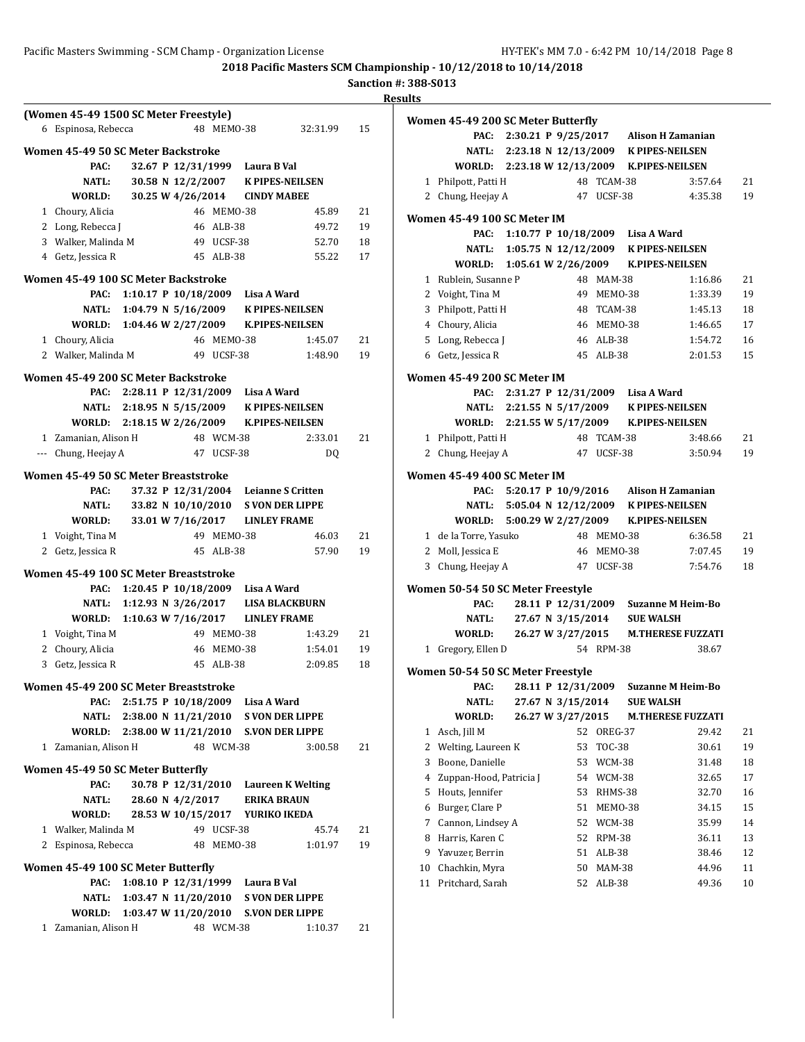**Sanction #: 388-S013**

|                                       |                  |                                 | <b>2018 Pacific Masters SCM Championship</b> |          | Sanction #: 388 |                |
|---------------------------------------|------------------|---------------------------------|----------------------------------------------|----------|-----------------|----------------|
|                                       |                  |                                 |                                              |          |                 | <b>Results</b> |
| (Women 45-49 1500 SC Meter Freestyle) |                  |                                 |                                              |          |                 | Wo:            |
| 6 Espinosa, Rebecca                   |                  |                                 | 48 MEMO-38                                   | 32:31.99 | 15              |                |
| Women 45-49 50 SC Meter Backstroke    |                  |                                 |                                              |          |                 |                |
| PAC:                                  |                  |                                 | 32.67 P 12/31/1999 Laura B Val               |          |                 |                |
| NATL:                                 |                  |                                 | 30.58 N 12/2/2007 K PIPES-NEILSEN            |          |                 |                |
| WORLD:                                |                  |                                 | 30.25 W 4/26/2014 CINDY MABEE                |          |                 |                |
| 1 Choury, Alicia                      |                  | 46 MEMO-38                      |                                              | 45.89    | 21              | Wo:            |
| 2 Long, Rebecca J                     |                  | 46 ALB-38                       |                                              | 49.72    | 19              |                |
| 3 Walker, Malinda M                   |                  | 49 UCSF-38                      |                                              | 52.70    | 18              |                |
| 4 Getz, Jessica R                     |                  | 45 ALB-38                       |                                              | 55.22    | 17              |                |
| Women 45-49 100 SC Meter Backstroke   |                  |                                 |                                              |          |                 |                |
|                                       |                  |                                 | PAC: 1:10.17 P 10/18/2009 Lisa A Ward        |          |                 |                |
| NATL:                                 |                  |                                 | 1:04.79 N 5/16/2009 K PIPES-NEILSEN          |          |                 |                |
|                                       |                  |                                 | WORLD: 1:04.46 W 2/27/2009 K.PIPES-NEILSEN   |          |                 |                |
| 1 Choury, Alicia                      |                  | 46 MEMO-38                      |                                              | 1:45.07  | 21              |                |
| 2 Walker, Malinda M                   |                  | 49 UCSF-38                      |                                              | 1:48.90  | 19              |                |
|                                       |                  |                                 |                                              |          |                 |                |
| Women 45-49 200 SC Meter Backstroke   |                  |                                 |                                              |          |                 | Wo:            |
|                                       |                  |                                 | PAC: 2:28.11 P 12/31/2009 Lisa A Ward        |          |                 |                |
|                                       |                  |                                 | NATL: 2:18.95 N 5/15/2009 K PIPES-NEILSEN    |          |                 |                |
|                                       |                  |                                 | WORLD: 2:18.15 W 2/26/2009 K.PIPES-NEILSEN   |          |                 |                |
| 1 Zamanian, Alison H                  |                  | 48 WCM-38                       |                                              | 2:33.01  | 21              |                |
| --- Chung, Heejay A                   |                  | 47 UCSF-38                      |                                              | DQ       |                 |                |
| Women 45-49 50 SC Meter Breaststroke  |                  |                                 |                                              |          |                 | Wo:            |
| PAC:                                  |                  |                                 | 37.32 P 12/31/2004 Leianne S Critten         |          |                 |                |
| NATL:                                 |                  | 33.82 N 10/10/2010              | <b>S VON DER LIPPE</b>                       |          |                 |                |
| WORLD:                                |                  |                                 | 33.01 W 7/16/2017 LINLEY FRAME               |          |                 |                |
| 1 Voight, Tina M                      |                  | 49 MEMO-38                      |                                              | 46.03    | 21              |                |
| 2 Getz, Jessica R                     |                  | 45 ALB-38                       |                                              | 57.90    | 19              |                |
| Women 45-49 100 SC Meter Breaststroke |                  |                                 |                                              |          |                 |                |
| PAC:                                  |                  |                                 | 1:20.45 P 10/18/2009 Lisa A Ward             |          |                 | Wo:            |
|                                       |                  |                                 | NATL: 1:12.93 N 3/26/2017 LISA BLACKBURN     |          |                 |                |
| WORLD:                                |                  |                                 | 1:10.63 W 7/16/2017 LINLEY FRAME             |          |                 |                |
| 1 Voight, Tina M                      |                  | 49 MEMO-38                      |                                              | 1:43.29  | 21              |                |
| 2<br>Choury, Alicia                   |                  | 46 MEMO-38                      |                                              | 1:54.01  | 19              |                |
| 3 Getz, Jessica R                     |                  | 45 ALB-38                       |                                              | 2:09.85  | 18              |                |
|                                       |                  |                                 |                                              |          |                 | Wo:            |
| Women 45-49 200 SC Meter Breaststroke |                  |                                 |                                              |          |                 |                |
| PAC:                                  |                  |                                 | 2:51.75 P 10/18/2009 Lisa A Ward             |          |                 |                |
| NATL:                                 |                  | $2:38.00 \text{ N } 11/21/2010$ | <b>S VON DER LIPPE</b>                       |          |                 |                |
| WORLD:                                |                  | 2:38.00 W 11/21/2010            | <b>S.VON DER LIPPE</b>                       |          |                 |                |
| 1 Zamanian, Alison H                  |                  | 48 WCM-38                       |                                              | 3:00.58  | 21              |                |
| Women 45-49 50 SC Meter Butterfly     |                  |                                 |                                              |          |                 |                |
| PAC:                                  |                  | 30.78 P 12/31/2010              | <b>Laureen K Welting</b>                     |          |                 |                |
| NATL:                                 | 28.60 N 4/2/2017 |                                 | <b>ERIKA BRAUN</b>                           |          |                 |                |
| WORLD:                                |                  |                                 | 28.53 W 10/15/2017 YURIKO IKEDA              |          |                 |                |
| 1 Walker, Malinda M                   |                  | 49 UCSF-38                      |                                              | 45.74    | 21              |                |
| 2 Espinosa, Rebecca                   |                  | 48 MEMO-38                      |                                              | 1:01.97  | 19              |                |
|                                       |                  |                                 |                                              |          |                 |                |
| Women 45-49 100 SC Meter Butterfly    |                  |                                 |                                              |          |                 | 1              |
| PAC:                                  |                  |                                 | 1:08.10 P 12/31/1999 Laura B Val             |          |                 | 1              |
| NATL:                                 |                  | 1:03.47 N 11/20/2010            | <b>S VON DER LIPPE</b>                       |          |                 |                |
| WORLD:                                |                  | 1:03.47 W 11/20/2010            | <b>S.VON DER LIPPE</b>                       |          |                 |                |
| 1 Zamanian, Alison H                  |                  | 48 WCM-38                       |                                              | 1:10.37  | 21              |                |
|                                       |                  |                                 |                                              |          |                 |                |
|                                       |                  |                                 |                                              |          |                 |                |

|                | Women 45-49 200 SC Meter Butterfly         |                     |                                        |                   |                                             |                                      |    |
|----------------|--------------------------------------------|---------------------|----------------------------------------|-------------------|---------------------------------------------|--------------------------------------|----|
|                | PAC:                                       |                     |                                        |                   | 2:30.21 P 9/25/2017 Alison H Zamanian       |                                      |    |
|                |                                            |                     |                                        |                   | NATL: 2:23.18 N 12/13/2009 K PIPES-NEILSEN  |                                      |    |
|                |                                            |                     |                                        |                   | WORLD: 2:23.18 W 12/13/2009 K.PIPES-NEILSEN |                                      |    |
|                | 1 Philpott, Patti H                        |                     |                                        | 48 TCAM-38        |                                             | 3:57.64                              | 21 |
|                | 2 Chung, Heejay A                          |                     |                                        | 47 UCSF-38        |                                             | 4:35.38                              | 19 |
|                | Women 45-49 100 SC Meter IM                |                     |                                        |                   |                                             |                                      |    |
|                | PAC:                                       |                     |                                        |                   | 1:10.77 P 10/18/2009 Lisa A Ward            |                                      |    |
|                |                                            |                     |                                        |                   | NATL: 1:05.75 N 12/12/2009 K PIPES-NEILSEN  |                                      |    |
|                | WORLD: 1:05.61 W 2/26/2009                 |                     |                                        |                   | <b>K.PIPES-NEILSEN</b>                      |                                      |    |
|                | 1 Rublein, Susanne P                       |                     |                                        | 48 MAM-38         |                                             | 1:16.86                              | 21 |
|                | 2 Voight, Tina M                           |                     |                                        | 49 MEMO-38        |                                             | 1:33.39                              | 19 |
|                | 3 Philpott, Patti H                        |                     |                                        | 48 TCAM-38        |                                             | 1:45.13                              | 18 |
|                | 4 Choury, Alicia                           |                     |                                        | 46 MEM0-38        |                                             | 1:46.65                              | 17 |
|                | 5 Long, Rebecca J                          |                     |                                        | 46 ALB-38         |                                             | 1:54.72                              | 16 |
|                | 6 Getz, Jessica R                          |                     |                                        | 45 ALB-38         |                                             | 2:01.53                              | 15 |
|                | Women 45-49 200 SC Meter IM                |                     |                                        |                   |                                             |                                      |    |
|                |                                            |                     |                                        |                   | 2:31.27 P 12/31/2009 Lisa A Ward            |                                      |    |
|                | PAC:                                       |                     |                                        |                   | NATL: 2:21.55 N 5/17/2009 K PIPES-NEILSEN   |                                      |    |
|                | WORLD: 2:21.55 W 5/17/2009 K.PIPES-NEILSEN |                     |                                        |                   |                                             |                                      |    |
|                | 1 Philpott, Patti H                        |                     |                                        | 48 TCAM-38        |                                             | 3:48.66                              | 21 |
| 2              | Chung, Heejay A                            |                     | 47                                     | UCSF-38           |                                             | 3:50.94                              | 19 |
|                |                                            |                     |                                        |                   |                                             |                                      |    |
|                | Women 45-49 400 SC Meter IM                |                     |                                        |                   |                                             |                                      |    |
|                | PAC:                                       |                     |                                        |                   | 5:20.17 P 10/9/2016 Alison H Zamanian       |                                      |    |
|                | NATL:                                      |                     |                                        |                   | 5:05.04 N 12/12/2009 K PIPES-NEILSEN        |                                      |    |
|                | WORLD:                                     | 5:00.29 W 2/27/2009 |                                        |                   | <b>K.PIPES-NEILSEN</b>                      |                                      |    |
|                | 1 de la Torre, Yasuko                      |                     |                                        | 48 MEMO-38        |                                             | 6:36.58                              | 21 |
|                | 2 Moll, Jessica E                          |                     |                                        | 46 MEM0-38        |                                             | 7:07.45                              | 19 |
| 3              | Chung, Heejay A                            |                     |                                        | 47 UCSF-38        |                                             | 7:54.76                              | 18 |
|                | Women 50-54 50 SC Meter Freestyle          |                     |                                        |                   |                                             |                                      |    |
|                | PAC:                                       |                     |                                        |                   |                                             | 28.11 P 12/31/2009 Suzanne M Heim-Bo |    |
|                | <b>NATL:</b>                               |                     |                                        |                   | 27.67 N 3/15/2014 SUE WALSH                 |                                      |    |
|                | WORLD:                                     |                     |                                        |                   |                                             | 26.27 W 3/27/2015 M.THERESE FUZZATI  |    |
| $\mathbf{1}$   | Gregory, Ellen D                           |                     |                                        | 54 RPM-38         |                                             | 38.67                                |    |
|                |                                            |                     |                                        |                   |                                             |                                      |    |
|                | Women 50-54 50 SC Meter Freestyle          |                     |                                        |                   |                                             |                                      |    |
|                | PAC:<br>NATL:                              |                     | 28.11 P 12/31/2009                     |                   |                                             | <b>Suzanne M Heim-Bo</b>             |    |
|                | WORLD:                                     |                     | 27.67 N 3/15/2014<br>26.27 W 3/27/2015 |                   | <b>SUE WALSH</b>                            |                                      |    |
| 1              | Asch, Jill M                               |                     | 52                                     |                   |                                             | <b>M.THERESE FUZZATI</b><br>29.42    | 21 |
| $\overline{c}$ | Welting, Laureen K                         |                     | 53                                     | OREG-37<br>TOC-38 |                                             | 30.61                                | 19 |
| 3              | Boone, Danielle                            |                     | 53                                     | WCM-38            |                                             | 31.48                                | 18 |
| $\overline{4}$ | Zuppan-Hood, Patricia J                    |                     | 54                                     | WCM-38            |                                             | 32.65                                | 17 |
| 5              | Houts, Jennifer                            |                     | 53                                     | RHMS-38           |                                             | 32.70                                | 16 |
| 6              | Burger, Clare P                            |                     | 51                                     | MEMO-38           |                                             | 34.15                                | 15 |
| 7              | Cannon, Lindsey A                          |                     | 52                                     | WCM-38            |                                             | 35.99                                | 14 |
| 8              | Harris, Karen C                            |                     | 52                                     | <b>RPM-38</b>     |                                             | 36.11                                | 13 |
| 9              | Yavuzer, Berrin                            |                     | 51                                     | ALB-38            |                                             | 38.46                                | 12 |
| 10             | Chachkin, Myra                             |                     | 50                                     | MAM-38            |                                             | 44.96                                | 11 |
| 11             | Pritchard, Sarah                           |                     | 52                                     | ALB-38            |                                             | 49.36                                | 10 |
|                |                                            |                     |                                        |                   |                                             |                                      |    |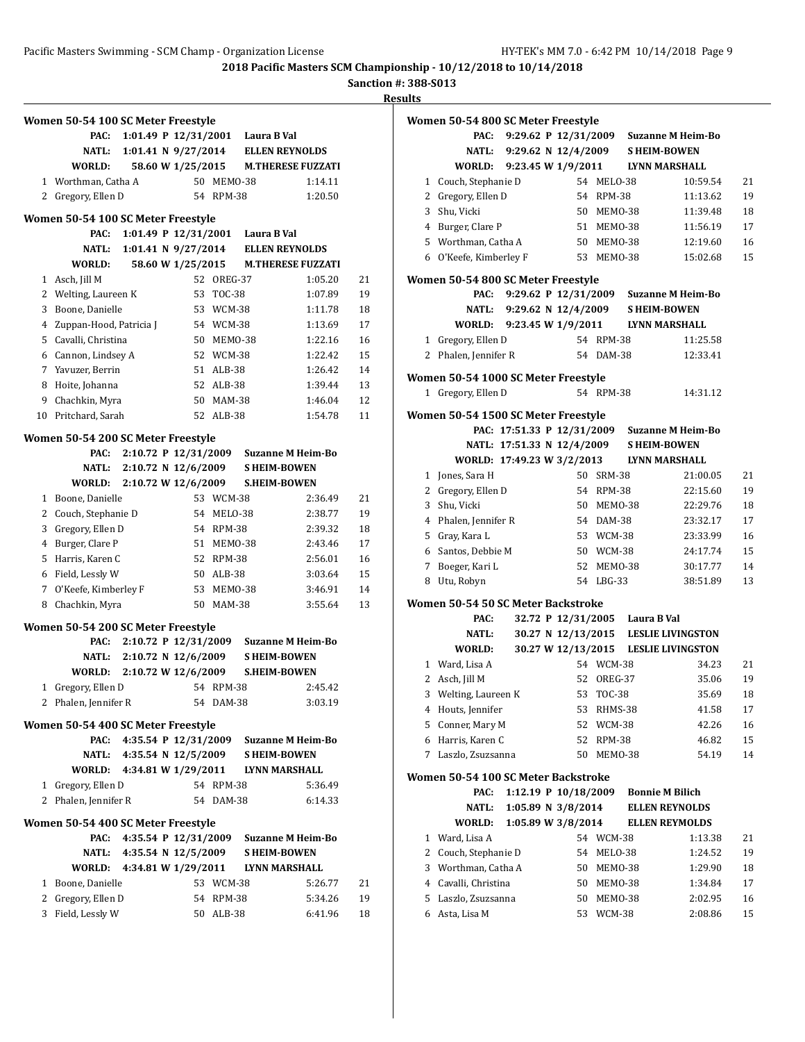**Sanction #: 388-S013**

|              | Women 50-54 100 SC Meter Freestyle |                           |                                  |            |             |                                          |    |
|--------------|------------------------------------|---------------------------|----------------------------------|------------|-------------|------------------------------------------|----|
|              | PAC:                               |                           | 1:01.49 P 12/31/2001 Laura B Val |            |             |                                          |    |
|              | NATL:                              |                           | 1:01.41 N $9/27/2014$            |            |             | <b>ELLEN REYNOLDS</b>                    |    |
|              | WORLD:                             |                           | 58.60 W 1/25/2015                |            |             | <b>M.THERESE FUZZATI</b>                 |    |
|              | 1 Worthman, Catha A                |                           |                                  | 50 MEMO-38 |             | 1:14.11                                  |    |
| 2            | Gregory, Ellen D                   |                           |                                  | 54 RPM-38  |             | 1:20.50                                  |    |
|              | Women 50-54 100 SC Meter Freestyle |                           |                                  |            |             |                                          |    |
|              | PAC:                               |                           | 1:01.49 P 12/31/2001             |            | Laura B Val |                                          |    |
|              | <b>NATL:</b>                       |                           | 1:01.41 N 9/27/2014              |            |             | <b>ELLEN REYNOLDS</b>                    |    |
|              | WORLD:                             |                           |                                  |            |             | 58.60 W 1/25/2015 M.THERESE FUZZATI      |    |
| $\mathbf{1}$ | Asch, Jill M                       |                           |                                  | 52 OREG-37 |             | 1:05.20                                  | 21 |
| 2            | Welting, Laureen K                 |                           |                                  | 53 TOC-38  |             | 1:07.89                                  | 19 |
| 3            | Boone, Danielle                    |                           |                                  | 53 WCM-38  |             | 1:11.78                                  | 18 |
|              | 4 Zuppan-Hood, Patricia J          |                           |                                  | 54 WCM-38  |             | 1:13.69                                  | 17 |
|              | 5 Cavalli, Christina               |                           |                                  | 50 MEMO-38 |             | 1:22.16                                  | 16 |
|              | 6 Cannon, Lindsey A                |                           |                                  | 52 WCM-38  |             | 1:22.42                                  | 15 |
|              | 7 Yavuzer, Berrin                  |                           |                                  | 51 ALB-38  |             | 1:26.42                                  | 14 |
| 8            | Hoite, Johanna                     |                           |                                  | 52 ALB-38  |             | 1:39.44                                  | 13 |
|              | 9 Chachkin, Myra                   |                           |                                  | 50 MAM-38  |             | 1:46.04                                  | 12 |
|              | 10 Pritchard, Sarah                |                           |                                  | 52 ALB-38  |             | 1:54.78                                  | 11 |
|              | Women 50-54 200 SC Meter Freestyle |                           |                                  |            |             |                                          |    |
|              | PAC:                               |                           |                                  |            |             | 2:10.72 P 12/31/2009 Suzanne M Heim-Bo   |    |
|              | NATL:                              | 2:10.72 N 12/6/2009       |                                  |            |             | <b>SHEIM-BOWEN</b>                       |    |
|              | WORLD:                             | 2:10.72 W 12/6/2009       |                                  |            |             | <b>S.HEIM-BOWEN</b>                      |    |
|              | 1 Boone, Danielle                  |                           |                                  | 53 WCM-38  |             | 2:36.49                                  | 21 |
|              | 2 Couch, Stephanie D               |                           |                                  | 54 MELO-38 |             | 2:38.77                                  | 19 |
|              | 3 Gregory, Ellen D                 |                           |                                  | 54 RPM-38  |             | 2:39.32                                  | 18 |
|              | 4 Burger, Clare P                  |                           |                                  | 51 MEMO-38 |             | 2:43.46                                  | 17 |
|              | 5 Harris, Karen C                  |                           |                                  | 52 RPM-38  |             | 2:56.01                                  | 16 |
|              | 6 Field, Lessly W                  |                           |                                  | 50 ALB-38  |             | 3:03.64                                  | 15 |
|              | 7 O'Keefe, Kimberley F             |                           |                                  | 53 MEM0-38 |             | 3:46.91                                  | 14 |
|              | 8 Chachkin, Myra                   |                           |                                  | 50 MAM-38  |             | 3:55.64                                  | 13 |
|              | Women 50-54 200 SC Meter Freestyle |                           |                                  |            |             |                                          |    |
|              | PAC:                               |                           |                                  |            |             | 2:10.72 P 12/31/2009 Suzanne M Heim-Bo   |    |
|              | <b>NATL:</b>                       | 2:10.72 N 12/6/2009       |                                  |            |             | <b>SHEIM-BOWEN</b>                       |    |
|              | WORLD: 2:10.72 W 12/6/2009         |                           |                                  |            |             | <b>S.HEIM-BOWEN</b>                      |    |
| $\mathbf{1}$ | Gregory, Ellen D                   |                           |                                  | 54 RPM-38  |             | 2:45.42                                  |    |
|              | 2 Phalen, Jennifer R               |                           |                                  | 54 DAM-38  |             | 3:03.19                                  |    |
|              | Women 50-54 400 SC Meter Freestyle |                           |                                  |            |             |                                          |    |
|              | PAC:                               |                           |                                  |            |             | 4:35.54 P 12/31/2009 Suzanne M Heim-Bo   |    |
|              |                                    | NATL: 4:35.54 N 12/5/2009 |                                  |            |             | <b>S HEIM-BOWEN</b>                      |    |
|              |                                    |                           |                                  |            |             | WORLD: 4:34.81 W 1/29/2011 LYNN MARSHALL |    |
|              | 1 Gregory, Ellen D                 |                           |                                  | 54 RPM-38  |             | 5:36.49                                  |    |
| $\mathbf{2}$ | Phalen, Jennifer R                 |                           |                                  | 54 DAM-38  |             | 6:14.33                                  |    |
|              | Women 50-54 400 SC Meter Freestyle |                           |                                  |            |             |                                          |    |
|              | PAC:                               |                           |                                  |            |             | 4:35.54 P 12/31/2009 Suzanne M Heim-Bo   |    |
|              |                                    | NATL: 4:35.54 N 12/5/2009 |                                  |            |             | <b>SHEIM-BOWEN</b>                       |    |
|              |                                    |                           |                                  |            |             | WORLD: 4:34.81 W 1/29/2011 LYNN MARSHALL |    |
|              | 1 Boone, Danielle                  |                           |                                  | 53 WCM-38  |             | 5:26.77                                  | 21 |
| 2            | Gregory, Ellen D                   |                           |                                  | 54 RPM-38  |             | 5:34.26                                  | 19 |
|              | 3 Field, Lessly W                  |                           |                                  | 50 ALB-38  |             | 6:41.96                                  | 18 |

|   | Women 50-54 800 SC Meter Freestyle                        |                            |                                |            |                                              |    |
|---|-----------------------------------------------------------|----------------------------|--------------------------------|------------|----------------------------------------------|----|
|   | PAC:                                                      |                            |                                |            | 9:29.62 P 12/31/2009 Suzanne M Heim-Bo       |    |
|   | <b>NATL:</b>                                              | 9:29.62 N 12/4/2009        |                                |            | <b>SHEIM-BOWEN</b>                           |    |
|   | WORLD: 9:23.45 W 1/9/2011                                 |                            |                                |            | <b>LYNN MARSHALL</b>                         |    |
|   | 1 Couch, Stephanie D                                      |                            |                                | 54 MELO-38 | 10:59.54                                     | 21 |
|   | 2 Gregory, Ellen D                                        |                            |                                | 54 RPM-38  | 11:13.62                                     | 19 |
| 3 | Shu, Vicki                                                |                            |                                | 50 MEMO-38 | 11:39.48                                     | 18 |
|   | 4 Burger, Clare P                                         |                            |                                | 51 MEM0-38 | 11:56.19                                     | 17 |
|   | 5 Worthman, Catha A                                       |                            |                                | 50 MEMO-38 | 12:19.60                                     | 16 |
|   | 6 O'Keefe, Kimberley F                                    |                            |                                | 53 MEM0-38 | 15:02.68                                     | 15 |
|   | Women 50-54 800 SC Meter Freestyle                        |                            |                                |            |                                              |    |
|   | PAC:                                                      | 9:29.62 P 12/31/2009       |                                |            | <b>Suzanne M Heim-Bo</b>                     |    |
|   | NATL:                                                     | 9:29.62 N 12/4/2009        |                                |            | <b>SHEIM-BOWEN</b>                           |    |
|   |                                                           |                            |                                |            | WORLD: 9:23.45 W 1/9/2011 LYNN MARSHALL      |    |
|   | 1 Gregory, Ellen D                                        |                            |                                | 54 RPM-38  | 11:25.58                                     |    |
|   | 2 Phalen, Jennifer R                                      |                            |                                | 54 DAM-38  | 12:33.41                                     |    |
|   |                                                           |                            |                                |            |                                              |    |
|   | Women 50-54 1000 SC Meter Freestyle<br>1 Gregory, Ellen D |                            |                                | 54 RPM-38  | 14:31.12                                     |    |
|   | Women 50-54 1500 SC Meter Freestyle                       |                            |                                |            |                                              |    |
|   |                                                           |                            |                                |            | PAC: 17:51.33 P 12/31/2009 Suzanne M Heim-Bo |    |
|   |                                                           | NATL: 17:51.33 N 12/4/2009 |                                |            | <b>SHEIM-BOWEN</b>                           |    |
|   | WORLD: 17:49.23 W 3/2/2013                                |                            |                                |            | LYNN MARSHALL                                |    |
|   |                                                           |                            |                                | 50 SRM-38  |                                              | 21 |
|   | 1 Jones, Sara H                                           |                            |                                |            | 21:00.05                                     |    |
|   | 2 Gregory, Ellen D                                        |                            |                                | 54 RPM-38  | 22:15.60                                     | 19 |
|   | 3 Shu, Vicki                                              |                            |                                | 50 MEMO-38 | 22:29.76                                     | 18 |
|   | 4 Phalen, Jennifer R                                      |                            |                                | 54 DAM-38  | 23:32.17                                     | 17 |
|   | 5 Gray, Kara L                                            |                            |                                | 53 WCM-38  | 23:33.99                                     | 16 |
|   | 6 Santos, Debbie M                                        |                            |                                | 50 WCM-38  | 24:17.74                                     | 15 |
|   | 7 Boeger, Kari L                                          |                            |                                | 52 MEM0-38 | 30:17.77                                     | 14 |
|   | 8 Utu, Robyn                                              |                            |                                | 54 LBG-33  | 38:51.89                                     | 13 |
|   | Women 50-54 50 SC Meter Backstroke                        |                            |                                |            |                                              |    |
|   | PAC:                                                      |                            | 32.72 P 12/31/2005 Laura B Val |            |                                              |    |
|   | NATL:                                                     |                            |                                |            | 30.27 N 12/13/2015 LESLIE LIVINGSTON         |    |
|   | WORLD:                                                    |                            |                                |            | 30.27 W 12/13/2015 LESLIE LIVINGSTON         |    |
|   | 1 Ward, Lisa A                                            |                            |                                | 54 WCM-38  | 34.23                                        | 21 |
|   | 2 Asch, Jill M                                            |                            |                                | 52 OREG-37 | 35.06                                        | 19 |
|   | 3 Welting, Laureen K                                      |                            |                                | 53 TOC-38  | 35.69                                        | 18 |
| 4 | Houts, Jennifer                                           |                            | 53                             | RHMS-38    | 41.58                                        | 17 |
| 5 | Conner, Mary M                                            |                            | 52                             | WCM-38     | 42.26                                        | 16 |
| 6 | Harris, Karen C                                           |                            | 52                             | RPM-38     | 46.82                                        | 15 |
| 7 | Laszlo, Zsuzsanna                                         |                            | 50                             | MEMO-38    | 54.19                                        | 14 |
|   | Women 50-54 100 SC Meter Backstroke                       |                            |                                |            |                                              |    |
|   | PAC:                                                      |                            | 1:12.19 P 10/18/2009           |            | <b>Bonnie M Bilich</b>                       |    |
|   | <b>NATL:</b>                                              |                            | 1:05.89 N 3/8/2014             |            | <b>ELLEN REYNOLDS</b>                        |    |
|   | WORLD:                                                    |                            | 1:05.89 W 3/8/2014             |            | <b>ELLEN REYMOLDS</b>                        |    |
| 1 | Ward, Lisa A                                              |                            |                                | 54 WCM-38  | 1:13.38                                      | 21 |
| 2 | Couch, Stephanie D                                        |                            | 54                             | MELO-38    | 1:24.52                                      | 19 |
| 3 | Worthman, Catha A                                         |                            | 50                             | MEMO-38    | 1:29.90                                      | 18 |
|   | 4 Cavalli, Christina                                      |                            | 50                             | MEMO-38    | 1:34.84                                      | 17 |
| 5 | Laszlo, Zsuzsanna                                         |                            | 50                             | MEMO-38    | 2:02.95                                      | 16 |
| 6 | Asta, Lisa M                                              |                            | 53                             | WCM-38     | 2:08.86                                      | 15 |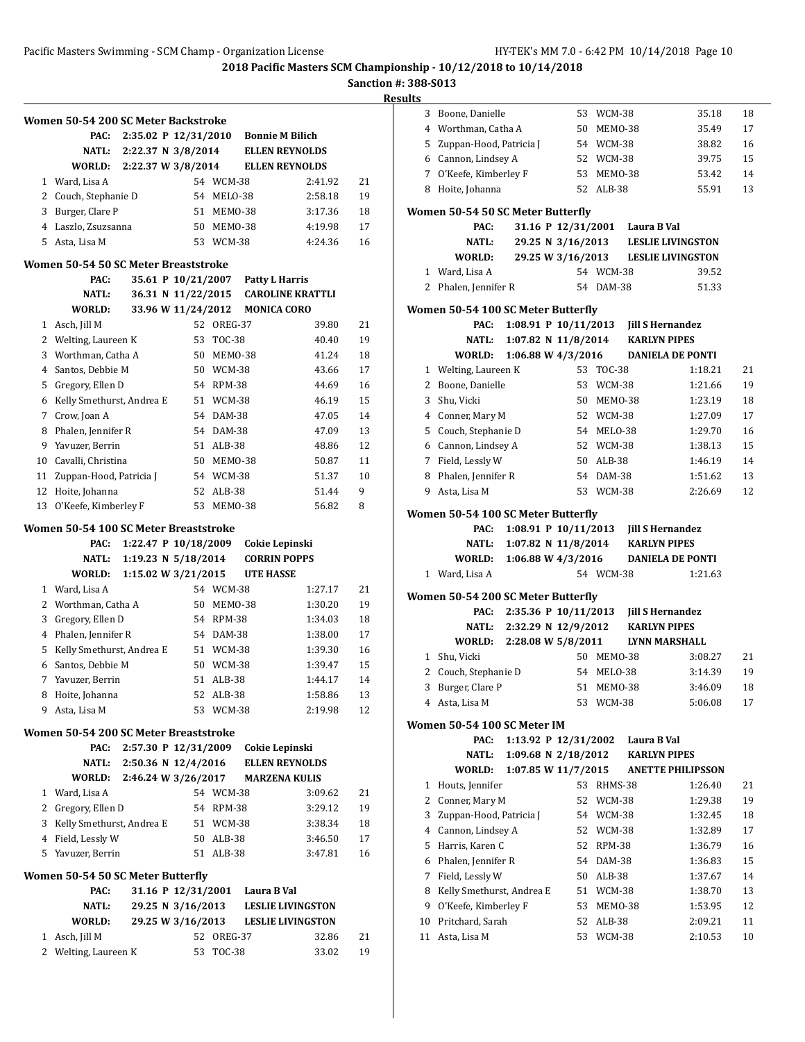**Sanction #: 388-S013**

|              | Women 50-54 200 SC Meter Backstroke          |                           |                       |               |                        |                          |    |
|--------------|----------------------------------------------|---------------------------|-----------------------|---------------|------------------------|--------------------------|----|
|              | PAC:                                         | 2:35.02 P 12/31/2010      |                       |               | <b>Bonnie M Bilich</b> |                          |    |
|              | NATL:                                        | 2:22.37 N 3/8/2014        |                       |               |                        | <b>ELLEN REYNOLDS</b>    |    |
|              | WORLD:                                       | 2:22.37 W 3/8/2014        |                       |               |                        | <b>ELLEN REYNOLDS</b>    |    |
| 1            | Ward, Lisa A                                 |                           |                       | 54 WCM-38     |                        | 2:41.92                  | 21 |
| 2            | Couch, Stephanie D                           |                           | 54                    | MELO-38       |                        | 2:58.18                  | 19 |
| 3            | Burger, Clare P                              |                           | 51                    | MEMO-38       |                        | 3:17.36                  | 18 |
|              | 4 Laszlo, Zsuzsanna                          |                           | 50                    | MEMO-38       |                        | 4:19.98                  | 17 |
|              | 5 Asta, Lisa M                               |                           |                       | 53 WCM-38     |                        | 4:24.36                  | 16 |
|              | Women 50-54 50 SC Meter Breaststroke         |                           |                       |               |                        |                          |    |
|              | PAC:                                         |                           | 35.61 P 10/21/2007    |               | <b>Patty L Harris</b>  |                          |    |
|              | NATL:                                        |                           | 36.31 N 11/22/2015    |               |                        | <b>CAROLINE KRATTLI</b>  |    |
|              | WORLD:                                       |                           | 33.96 W 11/24/2012    |               | <b>MONICA CORO</b>     |                          |    |
| $\mathbf{1}$ | Asch, Jill M                                 |                           |                       | 52 OREG-37    |                        | 39.80                    | 21 |
| 2            | Welting, Laureen K                           |                           |                       | 53 TOC-38     |                        | 40.40                    | 19 |
| 3            | Worthman, Catha A                            |                           | 50                    | MEMO-38       |                        | 41.24                    | 18 |
| 4            | Santos, Debbie M                             |                           |                       | 50 WCM-38     |                        | 43.66                    | 17 |
| 5            | Gregory, Ellen D                             |                           |                       | 54 RPM-38     |                        | 44.69                    | 16 |
| 6            | Kelly Smethurst, Andrea E                    |                           |                       | 51 WCM-38     |                        | 46.19                    | 15 |
| 7            | Crow, Joan A                                 |                           |                       | 54 DAM-38     |                        | 47.05                    | 14 |
| 8            | Phalen, Jennifer R                           |                           |                       | 54 DAM-38     |                        | 47.09                    | 13 |
| 9            | Yavuzer, Berrin                              |                           |                       | 51 ALB-38     |                        | 48.86                    | 12 |
| 10           | Cavalli, Christina                           |                           |                       | 50 MEMO-38    |                        | 50.87                    | 11 |
| 11           | Zuppan-Hood, Patricia J                      |                           |                       | 54 WCM-38     |                        | 51.37                    | 10 |
| 12           | Hoite, Johanna                               |                           |                       | 52 ALB-38     |                        | 51.44                    | 9  |
| 13           | O'Keefe, Kimberley F                         |                           |                       | 53 MEMO-38    |                        | 56.82                    | 8  |
|              |                                              |                           |                       |               |                        |                          |    |
|              | Women 50-54 100 SC Meter Breaststroke        |                           |                       |               |                        |                          |    |
|              | PAC:                                         |                           | 1:22.47 P 10/18/2009  |               | Cokie Lepinski         |                          |    |
|              | NATL:                                        |                           | 1:19.23 N $5/18/2014$ |               | <b>CORRIN POPPS</b>    |                          |    |
|              | WORLD:                                       | 1:15.02 W 3/21/2015       |                       |               | <b>UTE HASSE</b>       |                          |    |
|              | 1 Ward, Lisa A                               |                           |                       | 54 WCM-38     |                        | 1:27.17                  | 21 |
| 2            | Worthman, Catha A                            |                           |                       | 50 MEMO-38    |                        | 1:30.20                  | 19 |
| 3            | Gregory, Ellen D                             |                           |                       | 54 RPM-38     |                        | 1:34.03                  | 18 |
| 4            | Phalen, Jennifer R                           |                           |                       | 54 DAM-38     |                        | 1:38.00                  | 17 |
| 5            | Kelly Smethurst, Andrea E                    |                           |                       | 51 WCM-38     |                        | 1:39.30                  | 16 |
| 6            | Santos, Debbie M                             |                           |                       | 50 WCM-38     |                        | 1:39.47                  | 15 |
| 7            | Yavuzer, Berrin                              |                           |                       | 51 ALB-38     |                        | 1:44.17                  | 14 |
|              | 8 Hoite, Johanna                             |                           |                       | 52 ALB-38     |                        | 1:58.86                  | 13 |
|              | 9 Asta, Lisa M                               |                           |                       | 53 WCM-38     |                        | 2:19.98                  | 12 |
|              | <b>Women 50-54 200 SC Meter Breaststroke</b> |                           |                       |               |                        |                          |    |
|              | PAC:                                         | 2:57.30 P 12/31/2009      |                       |               | Cokie Lepinski         |                          |    |
|              |                                              | NATL: 2:50.36 N 12/4/2016 |                       |               |                        | <b>ELLEN REYNOLDS</b>    |    |
|              | WORLD:                                       | 2:46.24 W 3/26/2017       |                       |               | <b>MARZENA KULIS</b>   |                          |    |
|              | 1 Ward, Lisa A                               |                           |                       | 54 WCM-38     |                        | 3:09.62                  | 21 |
| 2            | Gregory, Ellen D                             |                           |                       | 54 RPM-38     |                        | 3:29.12                  | 19 |
| 3            | Kelly Smethurst, Andrea E                    |                           |                       | 51 WCM-38     |                        | 3:38.34                  | 18 |
|              | 4 Field, Lessly W                            |                           |                       | 50 ALB-38     |                        | 3:46.50                  | 17 |
|              |                                              |                           |                       | 51 ALB-38     |                        | 3:47.81                  | 16 |
|              |                                              |                           |                       |               |                        |                          |    |
| 5            | Yavuzer, Berrin                              |                           |                       |               |                        |                          |    |
|              | Women 50-54 50 SC Meter Butterfly            |                           |                       |               |                        |                          |    |
|              | PAC:                                         |                           | 31.16 P 12/31/2001    |               | Laura B Val            |                          |    |
|              | NATL:                                        |                           | 29.25 N 3/16/2013     |               |                        | <b>LESLIE LIVINGSTON</b> |    |
|              | WORLD:                                       |                           | 29.25 W 3/16/2013     |               |                        | <b>LESLIE LIVINGSTON</b> |    |
| 1            | Asch, Jill M                                 |                           | 52                    | OREG-37       |                        | 32.86                    | 21 |
| 2            | Welting, Laureen K                           |                           | 53                    | <b>TOC-38</b> |                        | 33.02                    | 19 |

| 3  | Boone, Danielle                                   |                        | 53                     | WCM-38     |                                     | 35.18   | 18 |
|----|---------------------------------------------------|------------------------|------------------------|------------|-------------------------------------|---------|----|
| 4  | Worthman, Catha A                                 |                        | 50                     | MEMO-38    |                                     | 35.49   | 17 |
| 5. | Zuppan-Hood, Patricia J                           |                        |                        | 54 WCM-38  |                                     | 38.82   | 16 |
|    | 6 Cannon, Lindsey A                               |                        |                        | 52 WCM-38  |                                     | 39.75   | 15 |
|    | 7 O'Keefe, Kimberley F                            |                        |                        | 53 MEMO-38 |                                     | 53.42   | 14 |
|    | 8 Hoite, Johanna                                  |                        |                        | 52 ALB-38  |                                     | 55.91   | 13 |
|    |                                                   |                        |                        |            |                                     |         |    |
|    | Women 50-54 50 SC Meter Butterfly                 |                        |                        |            |                                     |         |    |
|    | PAC:                                              |                        | 31.16 P 12/31/2001     |            | Laura B Val                         |         |    |
|    | NATL:                                             |                        | 29.25 N 3/16/2013      |            | <b>LESLIE LIVINGSTON</b>            |         |    |
|    | WORLD:                                            |                        |                        |            | 29.25 W 3/16/2013 LESLIE LIVINGSTON |         |    |
| 1  | Ward, Lisa A                                      |                        |                        | 54 WCM-38  |                                     | 39.52   |    |
|    | 2 Phalen, Jennifer R                              |                        |                        | 54 DAM-38  |                                     | 51.33   |    |
|    | Women 50-54 100 SC Meter Butterfly                |                        |                        |            |                                     |         |    |
|    | PAC:                                              | 1:08.91 P $10/11/2013$ |                        |            | <b>Jill S Hernandez</b>             |         |    |
|    | NATL:                                             | 1:07.82 N 11/8/2014    |                        |            | <b>KARLYN PIPES</b>                 |         |    |
|    | WORLD:                                            | 1:06.88 W 4/3/2016     |                        |            | <b>DANIELA DE PONTI</b>             |         |    |
|    | 1 Welting, Laureen K                              |                        | 53                     | TOC-38     |                                     | 1:18.21 | 21 |
| 2  | Boone, Danielle                                   |                        | 53                     | WCM-38     |                                     | 1:21.66 | 19 |
| 3  | Shu, Vicki                                        |                        |                        | 50 MEMO-38 |                                     | 1:23.19 | 18 |
|    | 4 Conner, Mary M                                  |                        |                        | 52 WCM-38  |                                     | 1:27.09 | 17 |
| 5  | Couch, Stephanie D                                |                        |                        | 54 MELO-38 |                                     | 1:29.70 | 16 |
|    | 6 Cannon, Lindsey A                               |                        |                        | 52 WCM-38  |                                     | 1:38.13 | 15 |
|    | 7 Field, Lessly W                                 |                        |                        | 50 ALB-38  |                                     | 1:46.19 | 14 |
| 8  | Phalen, Jennifer R                                |                        |                        | 54 DAM-38  |                                     | 1:51.62 | 13 |
| 9  | Asta, Lisa M                                      |                        |                        | 53 WCM-38  |                                     | 2:26.69 | 12 |
|    |                                                   |                        |                        |            |                                     |         |    |
|    | Women 50-54 100 SC Meter Butterfly                |                        |                        |            |                                     |         |    |
|    |                                                   |                        |                        |            |                                     |         |    |
|    | PAC:                                              |                        | 1:08.91 P $10/11/2013$ |            | <b>Jill S Hernandez</b>             |         |    |
|    | NATL:                                             | 1:07.82 N 11/8/2014    |                        |            | <b>KARLYN PIPES</b>                 |         |    |
|    | <b>WORLD:</b>                                     | 1:06.88 W 4/3/2016     |                        |            | <b>DANIELA DE PONTI</b>             |         |    |
|    | 1 Ward, Lisa A                                    |                        |                        | 54 WCM-38  |                                     | 1:21.63 |    |
|    | Women 50-54 200 SC Meter Butterfly                |                        |                        |            |                                     |         |    |
|    | PAC:                                              |                        | 2:35.36 P 10/11/2013   |            | <b>Jill S Hernandez</b>             |         |    |
|    | NATL:                                             | 2:32.29 N 12/9/2012    |                        |            | <b>KARLYN PIPES</b>                 |         |    |
|    | WORLD:                                            | 2:28.08 W 5/8/2011     |                        |            | <b>LYNN MARSHALL</b>                |         |    |
| 1  | Shu, Vicki                                        |                        |                        | 50 MEMO-38 |                                     | 3:08.27 | 21 |
| 2  | Couch, Stephanie D                                |                        |                        | 54 MELO-38 |                                     | 3:14.39 | 19 |
| 3  | Burger, Clare P                                   |                        | 51                     | MEMO-38    |                                     | 3:46.09 | 18 |
|    | 4 Asta, Lisa M                                    |                        |                        | 53 WCM-38  |                                     | 5:06.08 | 17 |
|    | Women 50-54 100 SC Meter IM                       |                        |                        |            |                                     |         |    |
|    | PAC:                                              |                        | 1:13.92 P 12/31/2002   |            | Laura B Val                         |         |    |
|    | NATL:                                             |                        | 1:09.68 N $2/18/2012$  |            | <b>KARLYN PIPES</b>                 |         |    |
|    | <b>WORLD:</b>                                     |                        | 1:07.85 W 11/7/2015    |            | <b>ANETTE PHILIPSSON</b>            |         |    |
| 1  |                                                   |                        |                        | 53 RHMS-38 |                                     | 1:26.40 | 21 |
| 2  | Houts, Jennifer<br>Conner, Mary M                 |                        | 52                     | WCM-38     |                                     | 1:29.38 | 19 |
| 3  | Zuppan-Hood, Patricia J                           |                        | 54                     | WCM-38     |                                     | 1:32.45 | 18 |
| 4  | Cannon, Lindsey A                                 |                        | 52                     | WCM-38     |                                     | 1:32.89 | 17 |
| 5  | Harris, Karen C                                   |                        | 52                     | RPM-38     |                                     | 1:36.79 | 16 |
| 6  | Phalen, Jennifer R                                |                        | 54                     | DAM-38     |                                     | 1:36.83 | 15 |
| 7  | Field, Lessly W                                   |                        | 50                     | ALB-38     |                                     | 1:37.67 | 14 |
| 8  |                                                   |                        | 51                     | WCM-38     |                                     | 1:38.70 | 13 |
| 9  | Kelly Smethurst, Andrea E<br>O'Keefe, Kimberley F |                        | 53                     | MEMO-38    |                                     | 1:53.95 | 12 |
| 10 | Pritchard, Sarah                                  |                        | 52                     | ALB-38     |                                     | 2:09.21 | 11 |
| 11 | Asta, Lisa M                                      |                        | 53                     | WCM-38     |                                     | 2:10.53 | 10 |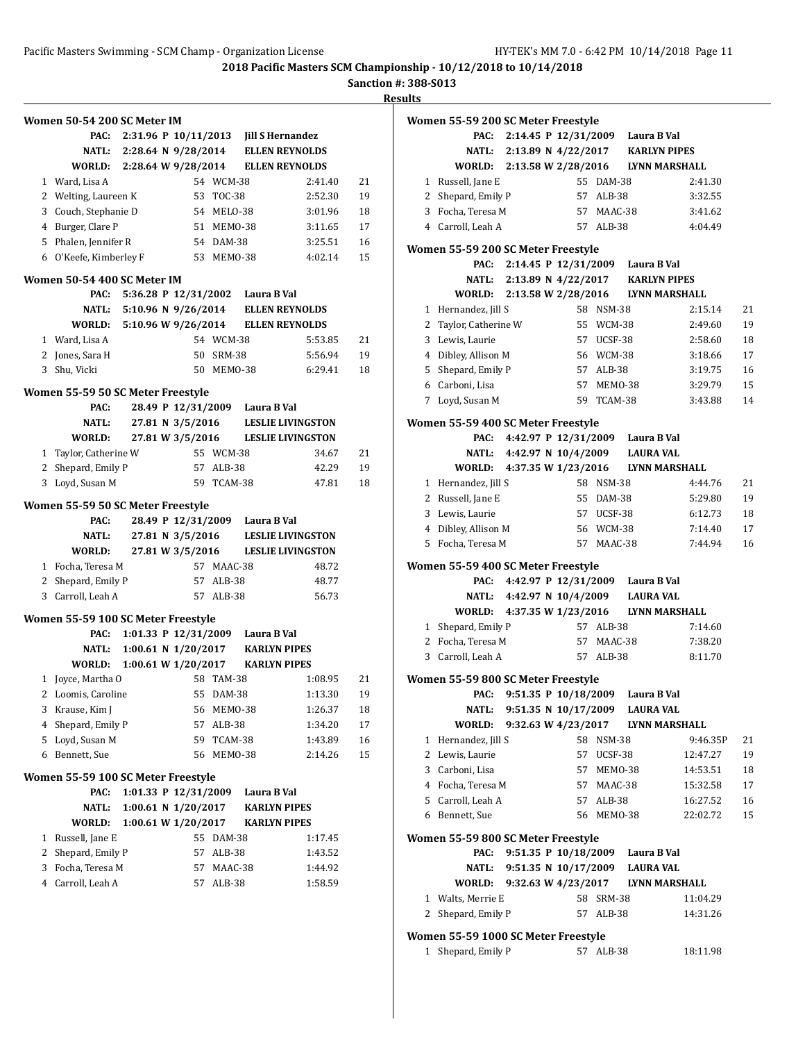**Sanction #: 388-S013**

**Results**

**Women 55-59 200 SC Meter Freestyle**

|   | Women 50-54 200 SC Meter IM        |                      |                       |            |                                       |         |    |
|---|------------------------------------|----------------------|-----------------------|------------|---------------------------------------|---------|----|
|   | PAC:                               |                      |                       |            | 2:31.96 P 10/11/2013 Jill S Hernandez |         |    |
|   | NATL:                              |                      | 2:28.64 N 9/28/2014   |            | <b>ELLEN REYNOLDS</b>                 |         |    |
|   | WORLD: 2:28.64 W 9/28/2014         |                      |                       |            | <b>ELLEN REYNOLDS</b>                 |         |    |
|   | 1 Ward, Lisa A                     |                      |                       | 54 WCM-38  |                                       | 2:41.40 | 21 |
|   | 2 Welting, Laureen K               |                      |                       | 53 TOC-38  |                                       | 2:52.30 | 19 |
| 3 | Couch, Stephanie D                 |                      |                       | 54 MELO-38 |                                       | 3:01.96 | 18 |
|   | 4 Burger, Clare P                  |                      |                       | 51 MEM0-38 |                                       | 3:11.65 | 17 |
|   | 5 Phalen, Jennifer R               |                      |                       | 54 DAM-38  |                                       | 3:25.51 | 16 |
|   | 6 O'Keefe, Kimberley F             |                      |                       | 53 MEM0-38 |                                       | 4:02.14 | 15 |
|   | Women 50-54 400 SC Meter IM        |                      |                       |            |                                       |         |    |
|   | PAC:                               |                      |                       |            | 5:36.28 P 12/31/2002 Laura B Val      |         |    |
|   | NATL:                              |                      | 5:10.96 N 9/26/2014   |            | <b>ELLEN REYNOLDS</b>                 |         |    |
|   | WORLD:                             |                      | 5:10.96 W 9/26/2014   |            | <b>ELLEN REYNOLDS</b>                 |         |    |
|   | 1 Ward, Lisa A                     |                      |                       | 54 WCM-38  |                                       | 5:53.85 | 21 |
|   |                                    |                      |                       |            |                                       |         |    |
|   | 2 Jones, Sara H                    |                      |                       | 50 SRM-38  |                                       | 5:56.94 | 19 |
|   | 3 Shu, Vicki                       |                      |                       | 50 MEMO-38 |                                       | 6:29.41 | 18 |
|   | Women 55-59 50 SC Meter Freestyle  |                      |                       |            |                                       |         |    |
|   | PAC:                               |                      |                       |            | 28.49 P 12/31/2009 Laura B Val        |         |    |
|   | NATL:                              |                      | 27.81 N 3/5/2016      |            | <b>LESLIE LIVINGSTON</b>              |         |    |
|   | WORLD:                             |                      | 27.81 W 3/5/2016      |            | <b>LESLIE LIVINGSTON</b>              |         |    |
|   | 1 Taylor, Catherine W              |                      |                       | 55 WCM-38  |                                       | 34.67   | 21 |
| 2 | Shepard, Emily P                   |                      |                       | 57 ALB-38  |                                       | 42.29   | 19 |
| 3 | Loyd, Susan M                      |                      |                       | 59 TCAM-38 |                                       | 47.81   | 18 |
|   |                                    |                      |                       |            |                                       |         |    |
|   | Women 55-59 50 SC Meter Freestyle  |                      |                       |            |                                       |         |    |
|   | PAC:                               |                      |                       |            | 28.49 P 12/31/2009 Laura B Val        |         |    |
|   | <b>NATL:</b>                       |                      | 27.81 N 3/5/2016      |            | <b>LESLIE LIVINGSTON</b>              |         |    |
|   | WORLD:                             |                      | 27.81 W 3/5/2016      |            | <b>LESLIE LIVINGSTON</b>              |         |    |
|   | 1 Focha, Teresa M                  |                      |                       | 57 MAAC-38 |                                       | 48.72   |    |
|   | 2 Shepard, Emily P                 |                      |                       | 57 ALB-38  |                                       | 48.77   |    |
|   | 3 Carroll, Leah A                  |                      |                       | 57 ALB-38  |                                       | 56.73   |    |
|   | Women 55-59 100 SC Meter Freestyle |                      |                       |            |                                       |         |    |
|   | PAC:                               |                      |                       |            | 1:01.33 P 12/31/2009 Laura B Val      |         |    |
|   | <b>NATL:</b>                       |                      | 1:00.61 N 1/20/2017   |            | <b>KARLYN PIPES</b>                   |         |    |
|   | WORLD:                             |                      | 1:00.61 W $1/20/2017$ |            | <b>KARLYN PIPES</b>                   |         |    |
|   | 1 Joyce, Martha O                  |                      |                       | 58 TAM-38  |                                       | 1:08.95 | 21 |
|   | 2 Loomis, Caroline                 |                      |                       | 55 DAM-38  |                                       | 1:13.30 | 19 |
| 3 | Krause, Kim J                      |                      |                       | 56 MEMO-38 |                                       | 1:26.37 | 18 |
| 4 | Shepard, Emily P                   |                      | 57                    | $ALB-38$   |                                       | 1:34.20 | 17 |
| 5 | Loyd, Susan M                      |                      | 59                    | TCAM-38    |                                       | 1:43.89 | 16 |
|   | 6 Bennett, Sue                     |                      | 56                    | MEMO-38    |                                       | 2:14.26 | 15 |
|   |                                    |                      |                       |            |                                       |         |    |
|   | Women 55-59 100 SC Meter Freestyle |                      |                       |            |                                       |         |    |
|   |                                    |                      |                       |            | Laura B Val                           |         |    |
|   | PAC:                               | 1:01.33 P 12/31/2009 |                       |            |                                       |         |    |
|   | <b>NATL:</b>                       |                      | 1:00.61 N 1/20/2017   |            | <b>KARLYN PIPES</b>                   |         |    |
|   | WORLD:                             |                      | 1:00.61 W 1/20/2017   |            | <b>KARLYN PIPES</b>                   |         |    |
| 1 | Russell, Jane E                    |                      |                       | 55 DAM-38  |                                       | 1:17.45 |    |
| 2 | Shepard, Emily P                   |                      | 57                    | ALB-38     |                                       | 1:43.52 |    |
| 3 | Focha, Teresa M                    |                      | 57                    | MAAC-38    |                                       | 1:44.92 |    |
| 4 | Carroll, Leah A                    |                      | 57                    | ALB-38     |                                       | 1:58.59 |    |
|   |                                    |                      |                       |            |                                       |         |    |

|   | PAC:                               |                        |                     |            | 2:14.45 P 12/31/2009 Laura B Val         |          |    |
|---|------------------------------------|------------------------|---------------------|------------|------------------------------------------|----------|----|
|   |                                    |                        |                     |            | NATL: 2:13.89 N 4/22/2017 KARLYN PIPES   |          |    |
|   | <b>WORLD:</b>                      | 2:13.58 W 2/28/2016    |                     |            | <b>LYNN MARSHALL</b>                     |          |    |
|   | 1 Russell, Jane E                  |                        |                     | 55 DAM-38  |                                          | 2:41.30  |    |
|   | 2 Shepard, Emily P                 |                        |                     | 57 ALB-38  |                                          | 3:32.55  |    |
|   | 3 Focha, Teresa M                  |                        |                     | 57 MAAC-38 |                                          | 3:41.62  |    |
|   | 4 Carroll, Leah A                  |                        |                     | 57 ALB-38  |                                          | 4:04.49  |    |
|   | Women 55-59 200 SC Meter Freestyle |                        |                     |            |                                          |          |    |
|   |                                    |                        |                     |            | PAC: 2:14.45 P 12/31/2009 Laura B Val    |          |    |
|   |                                    |                        |                     |            | NATL: 2:13.89 N 4/22/2017 KARLYN PIPES   |          |    |
|   |                                    |                        |                     |            | WORLD: 2:13.58 W 2/28/2016 LYNN MARSHALL |          |    |
|   | 1 Hernandez, Jill S                |                        |                     | 58 NSM-38  |                                          | 2:15.14  | 21 |
|   | 2 Taylor, Catherine W              |                        |                     | 55 WCM-38  |                                          | 2:49.60  | 19 |
|   | 3 Lewis, Laurie                    |                        |                     | 57 UCSF-38 |                                          | 2:58.60  | 18 |
|   | 4 Dibley, Allison M                |                        |                     | 56 WCM-38  |                                          | 3:18.66  | 17 |
|   | 5 Shepard, Emily P                 |                        |                     | 57 ALB-38  |                                          | 3:19.75  | 16 |
|   | 6 Carboni, Lisa                    |                        |                     | 57 MEM0-38 |                                          | 3:29.79  | 15 |
|   | 7 Loyd, Susan M                    |                        |                     | 59 TCAM-38 |                                          | 3:43.88  | 14 |
|   | Women 55-59 400 SC Meter Freestyle |                        |                     |            |                                          |          |    |
|   |                                    |                        |                     |            | PAC: 4:42.97 P 12/31/2009 Laura B Val    |          |    |
|   |                                    |                        |                     |            | NATL: 4:42.97 N 10/4/2009 LAURA VAL      |          |    |
|   |                                    |                        |                     |            | WORLD: 4:37.35 W 1/23/2016 LYNN MARSHALL |          |    |
|   | 1 Hernandez, Jill S                |                        |                     | 58 NSM-38  |                                          | 4:44.76  | 21 |
|   | 2 Russell, Jane E                  |                        |                     | 55 DAM-38  |                                          | 5:29.80  | 19 |
|   | 3 Lewis, Laurie                    |                        |                     | 57 UCSF-38 |                                          | 6:12.73  | 18 |
|   | 4 Dibley, Allison M                |                        |                     | 56 WCM-38  |                                          | 7:14.40  | 17 |
|   | 5 Focha, Teresa M                  |                        |                     | 57 MAAC-38 |                                          | 7:44.94  | 16 |
|   |                                    |                        |                     |            |                                          |          |    |
|   | Women 55-59 400 SC Meter Freestyle |                        |                     |            | PAC: 4:42.97 P 12/31/2009 Laura B Val    |          |    |
|   |                                    |                        |                     |            |                                          |          |    |
|   |                                    |                        |                     |            | NATL: 4:42.97 N 10/4/2009 LAURA VAL      |          |    |
|   |                                    |                        |                     |            | WORLD: 4:37.35 W 1/23/2016 LYNN MARSHALL |          |    |
|   | 1 Shepard, Emily P                 |                        |                     | 57 ALB-38  |                                          | 7:14.60  |    |
|   | 2 Focha, Teresa M                  |                        | 57                  | MAAC-38    |                                          | 7:38.20  |    |
|   | 3 Carroll, Leah A                  |                        |                     | 57 ALB-38  |                                          | 8:11.70  |    |
|   | Women 55-59 800 SC Meter Freestyle |                        |                     |            |                                          |          |    |
|   |                                    |                        |                     |            | PAC: 9:51.35 P 10/18/2009 Laura B Val    |          |    |
|   | <b>NATL:</b>                       | 9:51.35 N 10/17/2009   |                     |            | <b>LAURA VAL</b>                         |          |    |
|   | WORLD:                             |                        | 9:32.63 W 4/23/2017 |            | LYNN MARSHALL                            |          |    |
| 1 | Hernandez, Jill S                  |                        | 58                  | NSM-38     |                                          | 9:46.35P | 21 |
|   | 2 Lewis, Laurie                    |                        | 57                  | UCSF-38    |                                          | 12:47.27 | 19 |
|   | 3 Carboni, Lisa                    |                        | 57                  | MEMO-38    |                                          | 14:53.51 | 18 |
|   | 4 Focha, Teresa M                  |                        |                     | 57 MAAC-38 |                                          | 15:32.58 | 17 |
|   | 5 Carroll, Leah A                  |                        |                     | 57 ALB-38  |                                          | 16:27.52 | 16 |
|   | 6 Bennett, Sue                     |                        |                     | 56 MEMO-38 |                                          | 22:02.72 | 15 |
|   | Women 55-59 800 SC Meter Freestyle |                        |                     |            |                                          |          |    |
|   | PAC:                               |                        |                     |            | 9:51.35 P 10/18/2009 Laura B Val         |          |    |
|   | NATL:                              | 9:51.35 N $10/17/2009$ |                     |            | <b>LAURA VAL</b>                         |          |    |
|   | WORLD:                             | 9:32.63 W 4/23/2017    |                     |            | LYNN MARSHALL                            |          |    |
|   | 1 Walts, Merrie E                  |                        |                     | 58 SRM-38  |                                          | 11:04.29 |    |
|   | 2 Shepard, Emily P                 |                        | 57                  | ALB-38     |                                          | 14:31.26 |    |

#### **Women 55-59 1000 SC Meter Freestyle**

| 1 Shepard, Emily P | 57 ALB-38 | 18:11.98 |
|--------------------|-----------|----------|
|--------------------|-----------|----------|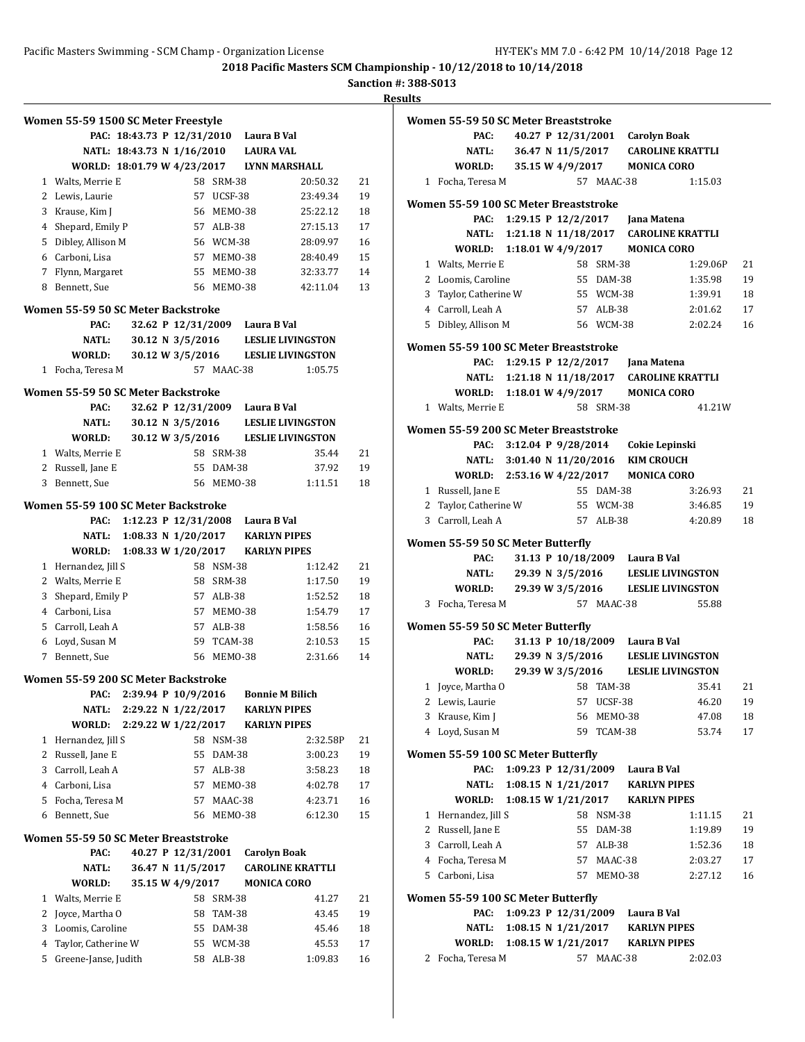**Sanction #: 388-S013**

|              | Women 55-59 1500 SC Meter Freestyle  |                            |                     |               |                                        |                          |    |
|--------------|--------------------------------------|----------------------------|---------------------|---------------|----------------------------------------|--------------------------|----|
|              |                                      |                            |                     |               | PAC: 18:43.73 P 12/31/2010 Laura B Val |                          |    |
|              |                                      | NATL: 18:43.73 N 1/16/2010 |                     |               | <b>LAURA VAL</b>                       |                          |    |
|              | WORLD: 18:01.79 W 4/23/2017          |                            |                     |               | <b>LYNN MARSHALL</b>                   |                          |    |
|              | 1 Walts, Merrie E                    |                            |                     | 58 SRM-38     |                                        | 20:50.32                 | 21 |
|              | 2 Lewis, Laurie                      |                            |                     | 57 UCSF-38    |                                        | 23:49.34                 | 19 |
|              | 3 Krause, Kim J                      |                            |                     | 56 MEM0-38    |                                        | 25:22.12                 | 18 |
|              | 4 Shepard, Emily P                   |                            |                     | 57 ALB-38     |                                        | 27:15.13                 | 17 |
|              | 5 Dibley, Allison M                  |                            |                     | 56 WCM-38     |                                        | 28:09.97                 | 16 |
|              | 6 Carboni, Lisa                      |                            |                     | 57 MEM0-38    |                                        | 28:40.49                 | 15 |
|              | 7 Flynn, Margaret                    |                            |                     | 55 MEMO-38    |                                        | 32:33.77                 | 14 |
| 8            | Bennett, Sue                         |                            |                     | 56 MEM0-38    |                                        | 42:11.04                 | 13 |
|              |                                      |                            |                     |               |                                        |                          |    |
|              | Women 55-59 50 SC Meter Backstroke   |                            |                     |               |                                        |                          |    |
|              | PAC:                                 |                            |                     |               | 32.62 P 12/31/2009 Laura B Val         |                          |    |
|              | NATL:                                |                            | 30.12 N 3/5/2016    |               |                                        | <b>LESLIE LIVINGSTON</b> |    |
|              | WORLD:                               |                            | 30.12 W 3/5/2016    |               |                                        | <b>LESLIE LIVINGSTON</b> |    |
| $\mathbf{1}$ | Focha, Teresa M                      |                            |                     | 57 MAAC-38    |                                        | 1:05.75                  |    |
|              | Women 55-59 50 SC Meter Backstroke   |                            |                     |               |                                        |                          |    |
|              | PAC:                                 |                            | 32.62 P 12/31/2009  |               | Laura B Val                            |                          |    |
|              | <b>NATL:</b>                         |                            | 30.12 N 3/5/2016    |               |                                        | <b>LESLIE LIVINGSTON</b> |    |
|              | WORLD:                               |                            | 30.12 W 3/5/2016    |               |                                        | <b>LESLIE LIVINGSTON</b> |    |
|              | 1 Walts, Merrie E                    |                            |                     | 58 SRM-38     |                                        | 35.44                    | 21 |
|              | 2 Russell, Jane E                    |                            |                     | 55 DAM-38     |                                        | 37.92                    | 19 |
|              | 3 Bennett, Sue                       |                            |                     | 56 MEMO-38    |                                        | 1:11.51                  | 18 |
|              |                                      |                            |                     |               |                                        |                          |    |
|              | Women 55-59 100 SC Meter Backstroke  |                            |                     |               |                                        |                          |    |
|              | PAC:                                 | 1:12.23 P $12/31/2008$     |                     |               | Laura B Val                            |                          |    |
|              | NATL:                                |                            | 1:08.33 N 1/20/2017 |               | <b>KARLYN PIPES</b>                    |                          |    |
|              | WORLD:                               | 1:08.33 W 1/20/2017        |                     |               | <b>KARLYN PIPES</b>                    |                          |    |
|              | 1 Hernandez, Jill S                  |                            |                     | 58 NSM-38     |                                        | 1:12.42                  | 21 |
|              | 2 Walts, Merrie E                    |                            |                     | 58 SRM-38     |                                        | 1:17.50                  | 19 |
| 3            | Shepard, Emily P                     |                            |                     | 57 ALB-38     |                                        | 1:52.52                  | 18 |
|              | 4 Carboni, Lisa                      |                            |                     | 57 MEM0-38    |                                        | 1:54.79                  | 17 |
|              | 5 Carroll, Leah A                    |                            |                     | 57 ALB-38     |                                        | 1:58.56                  | 16 |
| 6            | Loyd, Susan M                        |                            |                     | 59 TCAM-38    |                                        | 2:10.53                  | 15 |
| 7            | Bennett, Sue                         |                            |                     | 56 MEMO-38    |                                        | 2:31.66                  | 14 |
|              | Women 55-59 200 SC Meter Backstroke  |                            |                     |               |                                        |                          |    |
|              | PAC:                                 | 2:39.94 P 10/9/2016        |                     |               | <b>Bonnie M Bilich</b>                 |                          |    |
|              | <b>NATL:</b>                         | 2:29.22 N 1/22/2017        |                     |               | <b>KARLYN PIPES</b>                    |                          |    |
|              | WORLD:                               | 2:29.22 W 1/22/2017        |                     |               | <b>KARLYN PIPES</b>                    |                          |    |
| 1            | Hernandez, Jill S                    |                            | 58                  | <b>NSM-38</b> |                                        | 2:32.58P                 | 21 |
| 2            | Russell, Jane E                      |                            | 55                  | DAM-38        |                                        | 3:00.23                  | 19 |
| 3            | Carroll, Leah A                      |                            | 57                  | ALB-38        |                                        | 3:58.23                  | 18 |
|              | 4 Carboni, Lisa                      |                            | 57                  | MEMO-38       |                                        | 4:02.78                  | 17 |
| 5            | Focha, Teresa M                      |                            | 57                  | MAAC-38       |                                        | 4:23.71                  | 16 |
| 6            | Bennett, Sue                         |                            | 56                  | MEMO-38       |                                        | 6:12.30                  | 15 |
|              | Women 55-59 50 SC Meter Breaststroke |                            |                     |               |                                        |                          |    |
|              | PAC:                                 |                            | 40.27 P 12/31/2001  |               | <b>Carolyn Boak</b>                    |                          |    |
|              | <b>NATL:</b>                         |                            | 36.47 N 11/5/2017   |               |                                        | <b>CAROLINE KRATTLI</b>  |    |
|              | WORLD:                               |                            | 35.15 W 4/9/2017    |               | <b>MONICA CORO</b>                     |                          |    |
|              |                                      |                            |                     |               |                                        |                          |    |
| 1            | Walts, Merrie E                      |                            | 58                  | SRM-38        |                                        | 41.27                    | 21 |
| 2            | Joyce, Martha O                      |                            | 58                  | TAM-38        |                                        | 43.45                    | 19 |
| 3            | Loomis, Caroline                     |                            | 55                  | DAM-38        |                                        | 45.46                    | 18 |
| 4            | Taylor, Catherine W                  |                            | 55                  | WCM-38        |                                        | 45.53                    | 17 |
| 5            | Greene-Janse, Judith                 |                            | 58                  | $ALB-38$      |                                        | 1:09.83                  | 16 |

|   | Women 55-59 50 SC Meter Breaststroke       |  |                  |            |                                         |                                             |    |
|---|--------------------------------------------|--|------------------|------------|-----------------------------------------|---------------------------------------------|----|
|   | PAC:                                       |  |                  |            | 40.27 P 12/31/2001 Carolyn Boak         |                                             |    |
|   | <b>NATL:</b>                               |  |                  |            |                                         | 36.47 N 11/5/2017 CAROLINE KRATTLI          |    |
|   | <b>WORLD:</b>                              |  |                  |            | 35.15 W 4/9/2017 MONICA CORO            |                                             |    |
|   | 1 Focha, Teresa M                          |  |                  | 57 MAAC-38 |                                         | 1:15.03                                     |    |
|   | Women 55-59 100 SC Meter Breaststroke      |  |                  |            |                                         |                                             |    |
|   | PAC:                                       |  |                  |            |                                         |                                             |    |
|   |                                            |  |                  |            |                                         | NATL: 1:21.18 N 11/18/2017 CAROLINE KRATTLI |    |
|   | WORLD: 1:18.01 W 4/9/2017 MONICA CORO      |  |                  |            |                                         |                                             |    |
|   | 1 Walts, Merrie E                          |  |                  | 58 SRM-38  |                                         | 1:29.06P                                    | 21 |
|   | 2 Loomis, Caroline                         |  |                  | 55 DAM-38  |                                         | 1:35.98                                     | 19 |
|   | 3 Taylor, Catherine W                      |  |                  | 55 WCM-38  |                                         | 1:39.91                                     | 18 |
|   | 4 Carroll, Leah A                          |  |                  | 57 ALB-38  |                                         | 2:01.62                                     | 17 |
|   | 5 Dibley, Allison M                        |  |                  | 56 WCM-38  |                                         | 2:02.24                                     | 16 |
|   | Women 55-59 100 SC Meter Breaststroke      |  |                  |            |                                         |                                             |    |
|   |                                            |  |                  |            | PAC: 1:29.15 P 12/2/2017 Jana Matena    |                                             |    |
|   |                                            |  |                  |            |                                         | NATL: 1:21.18 N 11/18/2017 CAROLINE KRATTLI |    |
|   | WORLD: 1:18.01 W 4/9/2017 MONICA CORO      |  |                  |            |                                         |                                             |    |
|   | 1 Walts, Merrie E                          |  |                  | 58 SRM-38  |                                         | 41.21W                                      |    |
|   | Women 55-59 200 SC Meter Breaststroke      |  |                  |            |                                         |                                             |    |
|   |                                            |  |                  |            | PAC: 3:12.04 P 9/28/2014 Cokie Lepinski |                                             |    |
|   |                                            |  |                  |            | NATL: 3:01.40 N 11/20/2016 KIM CROUCH   |                                             |    |
|   | WORLD: 2:53.16 W 4/22/2017 MONICA CORO     |  |                  |            |                                         |                                             |    |
|   | 1 Russell, Jane E                          |  |                  | 55 DAM-38  |                                         | 3:26.93                                     | 21 |
|   | 2 Taylor, Catherine W                      |  |                  | 55 WCM-38  |                                         | 3:46.85                                     | 19 |
|   | 3 Carroll, Leah A                          |  |                  | 57 ALB-38  |                                         | 4:20.89                                     | 18 |
|   | Women 55-59 50 SC Meter Butterfly          |  |                  |            |                                         |                                             |    |
|   | PAC:                                       |  |                  |            | 31.13 P 10/18/2009 Laura B Val          |                                             |    |
|   |                                            |  |                  |            |                                         | NATL: 29.39 N 3/5/2016 LESLIE LIVINGSTON    |    |
|   |                                            |  |                  |            |                                         | WORLD: 29.39 W 3/5/2016 LESLIE LIVINGSTON   |    |
| 3 | Focha, Teresa M                            |  |                  | 57 MAAC-38 |                                         | 55.88                                       |    |
|   | Women 55-59 50 SC Meter Butterfly          |  |                  |            |                                         |                                             |    |
|   | PAC:                                       |  |                  |            | 31.13 P 10/18/2009 Laura B Val          |                                             |    |
|   | NATL:                                      |  |                  |            |                                         | 29.39 N 3/5/2016 LESLIE LIVINGSTON          |    |
|   | WORLD:                                     |  | 29.39 W 3/5/2016 |            |                                         | <b>LESLIE LIVINGSTON</b>                    |    |
|   | 1 Joyce, Martha O                          |  |                  | 58 TAM-38  |                                         | 35.41                                       | 21 |
|   | 2 Lewis, Laurie                            |  |                  | 57 UCSF-38 |                                         | 46.20                                       | 19 |
|   | 3 Krause, Kim J                            |  | 56               | MEMO-38    |                                         | 47.08                                       | 18 |
|   | 4 Loyd, Susan M                            |  |                  | 59 TCAM-38 |                                         | 53.74                                       | 17 |
|   |                                            |  |                  |            |                                         |                                             |    |
|   | Women 55-59 100 SC Meter Butterfly<br>PAC: |  |                  |            | 1:09.23 P 12/31/2009 Laura B Val        |                                             |    |
|   | NATL:                                      |  |                  |            | 1:08.15 N 1/21/2017 KARLYN PIPES        |                                             |    |
|   | WORLD:                                     |  |                  |            | 1:08.15 W 1/21/2017 KARLYN PIPES        |                                             |    |
|   | 1 Hernandez, Jill S                        |  |                  | 58 NSM-38  |                                         | 1:11.15                                     | 21 |
|   | 2 Russell, Jane E                          |  |                  | 55 DAM-38  |                                         | 1:19.89                                     | 19 |
|   | 3 Carroll, Leah A                          |  |                  | 57 ALB-38  |                                         | 1:52.36                                     | 18 |
|   | 4 Focha, Teresa M                          |  |                  | 57 MAAC-38 |                                         | 2:03.27                                     | 17 |
|   | 5 Carboni, Lisa                            |  |                  | 57 MEM0-38 |                                         | 2:27.12                                     | 16 |
|   |                                            |  |                  |            |                                         |                                             |    |
|   | Women 55-59 100 SC Meter Butterfly<br>PAC: |  |                  |            | 1:09.23 P 12/31/2009 Laura B Val        |                                             |    |
|   |                                            |  |                  |            | NATL: 1:08.15 N 1/21/2017 KARLYN PIPES  |                                             |    |
|   | WORLD: 1:08.15 W 1/21/2017 KARLYN PIPES    |  |                  |            |                                         |                                             |    |
|   | 2 Focha, Teresa M                          |  |                  | 57 MAAC-38 |                                         | 2:02.03                                     |    |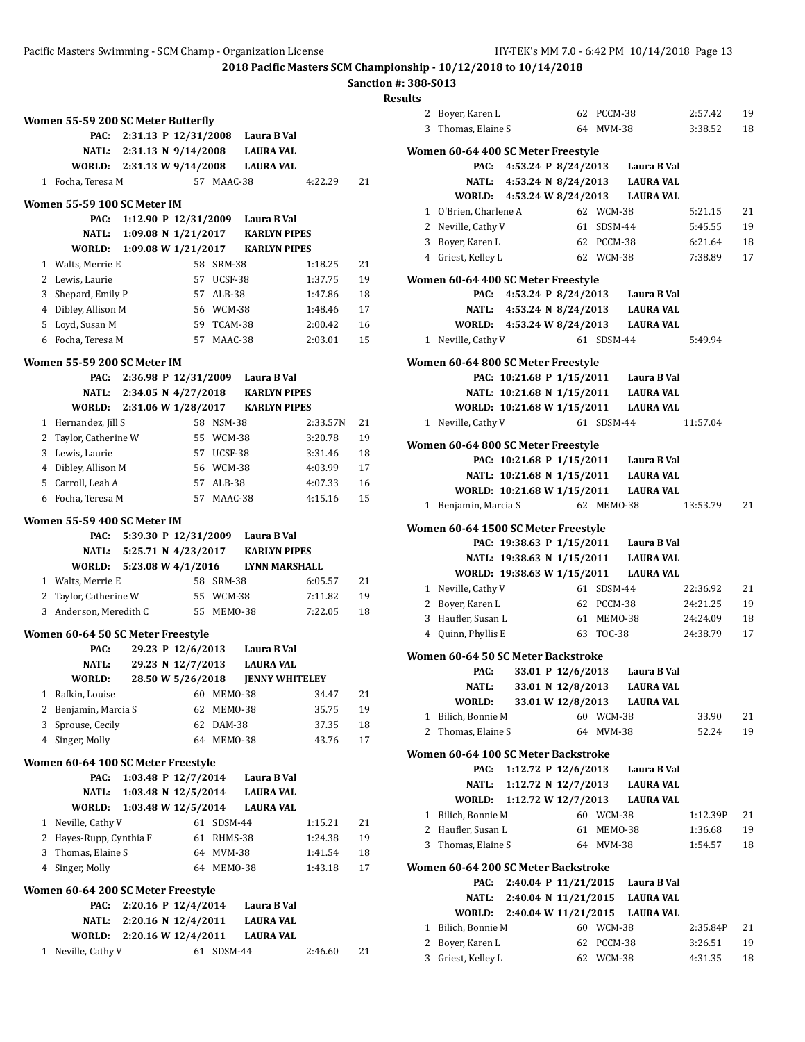|        | Women 55-59 200 SC Meter Butterfly  |                           |                       |                         |                                  |                |                      |
|--------|-------------------------------------|---------------------------|-----------------------|-------------------------|----------------------------------|----------------|----------------------|
|        | PAC:                                |                           | 2:31.13 P 12/31/2008  |                         | Laura B Val                      |                |                      |
|        |                                     | NATL: 2:31.13 N 9/14/2008 |                       |                         | <b>LAURA VAL</b>                 |                |                      |
|        | WORLD: 2:31.13 W 9/14/2008          |                           |                       |                         | <b>LAURA VAL</b>                 |                |                      |
|        | 1 Focha, Teresa M                   |                           |                       | 57 MAAC-38              |                                  | 4:22.29        | 21                   |
|        | Women 55-59 100 SC Meter IM         |                           |                       |                         |                                  |                |                      |
|        | PAC:                                |                           | 1:12.90 P 12/31/2009  |                         | Laura B Val                      |                |                      |
|        | <b>NATL:</b>                        |                           | 1:09.08 N $1/21/2017$ |                         | <b>KARLYN PIPES</b>              |                |                      |
|        | WORLD:                              |                           | 1:09.08 W 1/21/2017   |                         | <b>KARLYN PIPES</b>              |                |                      |
|        | 1 Walts, Merrie E                   |                           |                       | 58 SRM-38               |                                  | 1:18.25        | 21                   |
|        | 2 Lewis, Laurie                     |                           |                       | 57 UCSF-38              |                                  | 1:37.75        | 19                   |
|        | 3 Shepard, Emily P                  |                           |                       | 57 ALB-38               |                                  | 1:47.86        | 18                   |
|        | 4 Dibley, Allison M                 |                           |                       | 56 WCM-38               |                                  | 1:48.46        | 17                   |
|        | 5 Loyd, Susan M                     |                           |                       | 59 TCAM-38              |                                  | 2:00.42        | 16                   |
|        | 6 Focha, Teresa M                   |                           |                       | 57 MAAC-38              |                                  | 2:03.01        | 15                   |
|        | Women 55-59 200 SC Meter IM         |                           |                       |                         |                                  |                |                      |
|        | PAC:                                |                           |                       |                         | 2:36.98 P 12/31/2009 Laura B Val |                |                      |
|        |                                     | NATL: 2:34.05 N 4/27/2018 |                       |                         | <b>KARLYN PIPES</b>              |                |                      |
|        | WORLD:                              |                           | 2:31.06 W 1/28/2017   |                         | <b>KARLYN PIPES</b>              |                |                      |
|        | 1 Hernandez, Jill S                 |                           |                       | 58 NSM-38               |                                  | 2:33.57N       | 21                   |
|        | 2 Taylor, Catherine W               |                           |                       | 55 WCM-38               |                                  | 3:20.78        | 19                   |
|        | 3 Lewis, Laurie                     |                           |                       | 57 UCSF-38              |                                  | 3:31.46        | 18                   |
|        | 4 Dibley, Allison M                 |                           |                       | 56 WCM-38               |                                  | 4:03.99        | 17                   |
|        | 5 Carroll, Leah A                   |                           |                       | 57 ALB-38               |                                  | 4:07.33        | 16                   |
|        | 6 Focha, Teresa M                   |                           |                       | 57 MAAC-38              |                                  | 4:15.16        | 15                   |
|        |                                     |                           |                       |                         |                                  |                |                      |
|        | Women 55-59 400 SC Meter IM<br>PAC: |                           | 5:39.30 P 12/31/2009  |                         | Laura B Val                      |                |                      |
|        |                                     | NATL: 5:25.71 N 4/23/2017 |                       |                         | <b>KARLYN PIPES</b>              |                |                      |
|        | WORLD:                              |                           | 5:23.08 W 4/1/2016    |                         | <b>LYNN MARSHALL</b>             |                |                      |
|        | 1 Walts, Merrie E                   |                           |                       | 58 SRM-38               |                                  | 6:05.57        | 21                   |
|        | 2 Taylor, Catherine W               |                           |                       | 55 WCM-38               |                                  | 7:11.82        | 19                   |
|        | 3 Anderson, Meredith C              |                           |                       | 55 MEMO-38              |                                  | 7:22.05        | 18                   |
|        |                                     |                           |                       |                         |                                  |                |                      |
|        | Women 60-64 50 SC Meter Freestyle   |                           |                       |                         |                                  |                |                      |
|        | PAC:                                |                           | 29.23 P 12/6/2013     |                         | Laura B Val                      |                |                      |
|        | NATL:                               |                           | 29.23 N 12/7/2013     |                         | <b>LAURA VAL</b>                 |                |                      |
|        | WORLD: 28.50 W 5/26/2018            |                           |                       |                         | <b>JENNY WHITELEY</b>            |                |                      |
| 1<br>2 | Rafkin, Louise                      |                           |                       | 60 MEMO-38              |                                  | 34.47          | 21                   |
|        | Benjamin, Marcia S                  |                           |                       | 62 MEM0-38<br>62 DAM-38 |                                  | 35.75<br>37.35 | 19                   |
|        |                                     |                           |                       |                         |                                  |                |                      |
|        | 3 Sprouse, Cecily                   |                           |                       |                         |                                  |                | 18                   |
|        | 4 Singer, Molly                     |                           |                       | 64 MEMO-38              |                                  | 43.76          | 17                   |
|        | Women 60-64 100 SC Meter Freestyle  |                           |                       |                         |                                  |                |                      |
|        | PAC:                                |                           | 1:03.48 P 12/7/2014   |                         | Laura B Val                      |                |                      |
|        | NATL:                               |                           | 1:03.48 N $12/5/2014$ |                         | <b>LAURA VAL</b>                 |                |                      |
|        | WORLD:                              |                           | 1:03.48 W 12/5/2014   |                         | <b>LAURA VAL</b>                 |                |                      |
|        | 1 Neville, Cathy V                  |                           | 61                    | SDSM-44                 |                                  | 1:15.21        |                      |
|        | 2 Hayes-Rupp, Cynthia F             |                           |                       | 61 RHMS-38              |                                  | 1:24.38        |                      |
|        | 3 Thomas, Elaine S                  |                           |                       | 64 MVM-38               |                                  | 1:41.54        |                      |
|        | 4 Singer, Molly                     |                           |                       | 64 MEM0-38              |                                  | 1:43.18        |                      |
|        | Women 60-64 200 SC Meter Freestyle  |                           |                       |                         |                                  |                |                      |
|        | PAC:                                |                           | 2:20.16 P 12/4/2014   |                         | Laura B Val                      |                |                      |
|        | NATL:                               |                           | 2:20.16 N 12/4/2011   |                         | <b>LAURA VAL</b>                 |                | 21<br>19<br>18<br>17 |
|        | WORLD:<br>Neville, Cathy V          |                           | 2:20.16 W 12/4/2011   | SDSM-44                 | <b>LAURA VAL</b>                 |                |                      |

|   | 2 Boyer, Karen L                    |                             |                   | 62 PCCM-38 |                                       | 2:57.42  | 19 |
|---|-------------------------------------|-----------------------------|-------------------|------------|---------------------------------------|----------|----|
|   | 3 Thomas, Elaine S                  |                             |                   | 64 MVM-38  |                                       | 3:38.52  | 18 |
|   | Women 60-64 400 SC Meter Freestyle  |                             |                   |            |                                       |          |    |
|   | PAC:                                |                             |                   |            | 4:53.24 P 8/24/2013 Laura B Val       |          |    |
|   |                                     |                             |                   |            | NATL: 4:53.24 N 8/24/2013 LAURA VAL   |          |    |
|   |                                     |                             |                   |            | WORLD: 4:53.24 W 8/24/2013 LAURA VAL  |          |    |
|   | 1 O'Brien, Charlene A               |                             |                   | 62 WCM-38  |                                       | 5:21.15  | 21 |
|   | 2 Neville, Cathy V                  |                             |                   | 61 SDSM-44 |                                       | 5:45.55  | 19 |
|   | 3 Boyer, Karen L                    |                             |                   | 62 PCCM-38 |                                       | 6:21.64  | 18 |
|   | 4 Griest, Kelley L                  |                             |                   | 62 WCM-38  |                                       | 7:38.89  | 17 |
|   |                                     |                             |                   |            |                                       |          |    |
|   | Women 60-64 400 SC Meter Freestyle  |                             |                   |            |                                       |          |    |
|   | PAC:                                |                             |                   |            | 4:53.24 P 8/24/2013 Laura B Val       |          |    |
|   |                                     |                             |                   |            | NATL: 4:53.24 N 8/24/2013 LAURA VAL   |          |    |
|   |                                     |                             |                   |            | WORLD: 4:53.24 W 8/24/2013 LAURA VAL  |          |    |
|   | 1 Neville, Cathy V                  |                             |                   | 61 SDSM-44 |                                       | 5:49.94  |    |
|   | Women 60-64 800 SC Meter Freestyle  |                             |                   |            |                                       |          |    |
|   |                                     |                             |                   |            | PAC: 10:21.68 P 1/15/2011 Laura B Val |          |    |
|   |                                     |                             |                   |            | NATL: 10:21.68 N 1/15/2011 LAURA VAL  |          |    |
|   |                                     | WORLD: 10:21.68 W 1/15/2011 |                   |            | <b>LAURA VAL</b>                      |          |    |
|   | 1 Neville, Cathy V                  |                             |                   | 61 SDSM-44 |                                       | 11:57.04 |    |
|   |                                     |                             |                   |            |                                       |          |    |
|   | Women 60-64 800 SC Meter Freestyle  |                             |                   |            |                                       |          |    |
|   |                                     |                             |                   |            | PAC: 10:21.68 P 1/15/2011 Laura B Val |          |    |
|   |                                     |                             |                   |            | NATL: 10:21.68 N 1/15/2011 LAURA VAL  |          |    |
|   |                                     | WORLD: 10:21.68 W 1/15/2011 |                   |            | <b>LAURA VAL</b>                      |          |    |
|   | 1 Benjamin, Marcia S                |                             |                   | 62 MEM0-38 |                                       | 13:53.79 | 21 |
|   | Women 60-64 1500 SC Meter Freestyle |                             |                   |            |                                       |          |    |
|   |                                     |                             |                   |            | PAC: 19:38.63 P 1/15/2011 Laura B Val |          |    |
|   |                                     |                             |                   |            | NATL: 19:38.63 N 1/15/2011 LAURA VAL  |          |    |
|   |                                     |                             |                   |            | WORLD: 19:38.63 W 1/15/2011 LAURA VAL |          |    |
|   | 1 Neville, Cathy V                  |                             |                   | 61 SDSM-44 |                                       | 22:36.92 | 21 |
|   | 2 Boyer, Karen L                    |                             |                   | 62 PCCM-38 |                                       | 24:21.25 | 19 |
|   | 3 Haufler, Susan L                  |                             |                   | 61 MEMO-38 |                                       | 24:24.09 | 18 |
|   | 4 Quinn, Phyllis E                  |                             |                   | 63 TOC-38  |                                       | 24:38.79 | 17 |
|   | Women 60-64 50 SC Meter Backstroke  |                             |                   |            |                                       |          |    |
|   | PAC:                                |                             |                   |            | 33.01 P 12/6/2013 Laura B Val         |          |    |
|   | <b>NATL:</b>                        |                             | 33.01 N 12/8/2013 |            | <b>LAURA VAL</b>                      |          |    |
|   | <b>WORLD:</b>                       |                             | 33.01 W 12/8/2013 |            | <b>LAURA VAL</b>                      |          |    |
| 1 | Bilich, Bonnie M                    |                             |                   | 60 WCM-38  |                                       | 33.90    | 21 |
| 2 | Thomas, Elaine S                    |                             |                   | 64 MVM-38  |                                       | 52.24    | 19 |
|   |                                     |                             |                   |            |                                       |          |    |
|   | Women 60-64 100 SC Meter Backstroke |                             |                   |            |                                       |          |    |
|   | PAC:                                | 1:12.72 P 12/6/2013         |                   |            | Laura B Val                           |          |    |
|   | NATL:                               | 1:12.72 N $12/7/2013$       |                   |            | <b>LAURA VAL</b>                      |          |    |
|   | <b>WORLD:</b>                       | 1:12.72 W 12/7/2013         |                   |            | <b>LAURA VAL</b>                      |          |    |
| 1 | Bilich, Bonnie M                    |                             |                   | 60 WCM-38  |                                       | 1:12.39P | 21 |
| 2 | Haufler, Susan L                    |                             | 61                | MEMO-38    |                                       | 1:36.68  | 19 |
| 3 | Thomas, Elaine S                    |                             |                   | 64 MVM-38  |                                       | 1:54.57  | 18 |
|   | Women 60-64 200 SC Meter Backstroke |                             |                   |            |                                       |          |    |
|   | PAC:                                | 2:40.04 P 11/21/2015        |                   |            | Laura B Val                           |          |    |
|   | NATL:                               | 2:40.04 N 11/21/2015        |                   |            | LAURA VAL                             |          |    |
|   |                                     | WORLD: 2:40.04 W 11/21/2015 |                   |            | <b>LAURA VAL</b>                      |          |    |
| 1 | Bilich, Bonnie M                    |                             |                   | 60 WCM-38  |                                       | 2:35.84P | 21 |
| 2 | Boyer, Karen L                      |                             |                   | 62 PCCM-38 |                                       | 3:26.51  | 19 |
| 3 | Griest, Kelley L                    |                             |                   | 62 WCM-38  |                                       | 4:31.35  | 18 |
|   |                                     |                             |                   |            |                                       |          |    |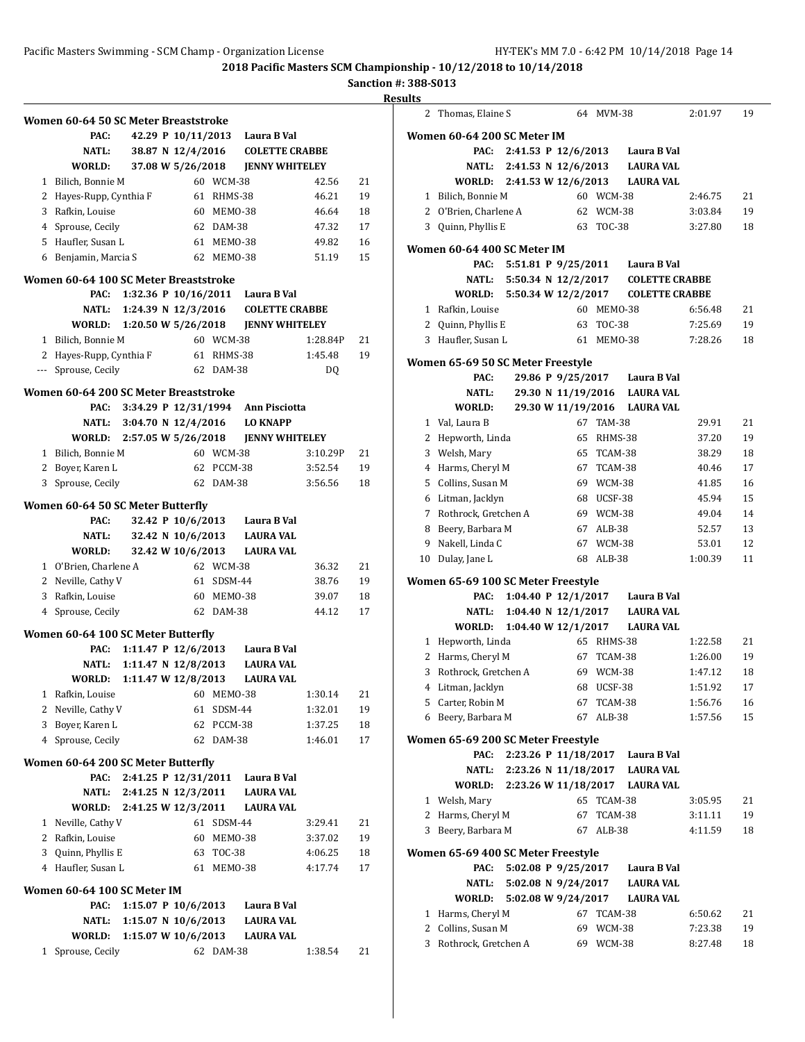**Sanction #: 388-S013**

|      | <b>Results</b> |
|------|----------------|
| ABBE | <b>Wo</b>      |

**Women 60-64 50 SC Meter Breaststroke PAC: 42.29 P 10/11/2013 Laura B Val NATL: 38.87 N**  $12/4/2016$  **COLETTE CR WORLD: 37.08 W 5/26/2018 JENNY WHITELEY** 1 Bilich, Bonnie M 60 WCM-38 42.56 21 2 Hayes-Rupp, Cynthia F 61 RHMS-38 46.21 19 3 Rafkin, Louise 60 MEMO-38 46.64 18 4 Sprouse, Cecily 62 DAM-38 47.32 17 5 Haufler, Susan L 61 MEMO-38 49.82 16 6 Benjamin, Marcia S 62 MEMO-38 51.19 15 **Women 60-64 100 SC Meter Breaststroke PAC: 1:32.36 P 10/16/2011 Laura B Val NATL: 1:24.39 N 12/3/2016 COLETTE CRABBE WORLD: 1:20.50 W 5/26/2018 JENNY WHITELEY** 1 Bilich, Bonnie M 60 WCM-38 1:28.84P 21 2 Hayes-Rupp, Cynthia F 61 RHMS-38 1:45.48 19 --- Sprouse, Cecily 62 DAM-38 DQ **Women 60-64 200 SC Meter Breaststroke PAC: 3:34.29 P 12/31/1994 Ann Pisciotta NATL: 3:04.70 N 12/4/2016 LO KNAPP WORLD: 2:57.05 W 5/26/2018 JENNY WHITELEY** 1 Bilich, Bonnie M 60 WCM-38 3:10.29P 21 2 Boyer, Karen L 62 PCCM-38 3:52.54 19 3 Sprouse, Cecily 62 DAM-38 3:56.56 18 **Women 60-64 50 SC Meter Butterfly PAC: 32.42 P 10/6/2013 Laura B Val NATL: 32.42 N 10/6/2013 LAURA VAL WORLD: 32.42 W 10/6/2013 LAURA VAL** 1 O'Brien, Charlene A 62 WCM-38 36.32 21 2 Neville, Cathy V 61 SDSM-44 38.76 19 3 Rafkin, Louise 60 MEMO-38 39.07 18 4 Sprouse, Cecily 62 DAM-38 44.12 17 **Women 60-64 100 SC Meter Butterfly PAC: 1:11.47 P 12/6/2013 Laura B Val NATL: 1:11.47 N 12/8/2013 LAURA VAL WORLD: 1:11.47 W 12/8/2013 LAURA VAL** 1 Rafkin, Louise 60 MEMO-38 1:30.14 21 2 Neville, Cathy V 61 SDSM-44 1:32.01 19 3 Boyer, Karen L 62 PCCM-38 1:37.25 18 4 Sprouse, Cecily 62 DAM-38 1:46.01 17 **Women 60-64 200 SC Meter Butterfly PAC: 2:41.25 P 12/31/2011 Laura B Val NATL: 2:41.25 N 12/3/2011 LAURA VAL WORLD: 2:41.25 W 12/3/2011 LAURA VAL** 1 Neville, Cathy V 61 SDSM-44 3:29.41 21 2 Rafkin, Louise 60 MEMO-38 3:37.02 19 3 Quinn, Phyllis E 63 TOC-38 4:06.25 18 4 Haufler, Susan L 61 MEMO-38 4:17.74 17 **Women 60-64 100 SC Meter IM PAC: 1:15.07 P 10/6/2013 Laura B Val NATL: 1:15.07 N 10/6/2013 LAURA VAL WORLD: 1:15.07 W 10/6/2013 LAURA VAL** 1 Sprouse, Cecily 62 DAM-38 1:38.54 21

|    | Thomas, Elaine S                           |                     |    | 64 MVM-38              |                                       | 2:01.97            | 19       |
|----|--------------------------------------------|---------------------|----|------------------------|---------------------------------------|--------------------|----------|
|    | Women 60-64 200 SC Meter IM                |                     |    |                        |                                       |                    |          |
|    | PAC:                                       | 2:41.53 P 12/6/2013 |    |                        | Laura B Val                           |                    |          |
|    | NATL:                                      | 2:41.53 N 12/6/2013 |    |                        | <b>LAURA VAL</b>                      |                    |          |
|    | <b>WORLD:</b>                              | 2:41.53 W 12/6/2013 |    |                        | <b>LAURA VAL</b>                      |                    |          |
|    | 1 Bilich, Bonnie M                         |                     |    | 60 WCM-38              |                                       | 2:46.75            | 21       |
|    | 2 O'Brien, Charlene A                      |                     |    | 62 WCM-38              |                                       | 3:03.84            | 19       |
|    | 3 Quinn, Phyllis E                         |                     |    | 63 TOC-38              |                                       | 3:27.80            | 18       |
|    |                                            |                     |    |                        |                                       |                    |          |
|    | Women 60-64 400 SC Meter IM<br>PAC:        |                     |    |                        | 5:51.81 P 9/25/2011 Laura B Val       |                    |          |
|    | NATL:                                      | 5:50.34 N 12/2/2017 |    |                        | <b>COLETTE CRABBE</b>                 |                    |          |
|    | WORLD: 5:50.34 W 12/2/2017                 |                     |    |                        | <b>COLETTE CRABBE</b>                 |                    |          |
|    | 1 Rafkin, Louise                           |                     |    | 60 MEMO-38             |                                       | 6:56.48            | 21       |
|    | 2 Quinn, Phyllis E                         |                     |    | 63 TOC-38              |                                       | 7:25.69            | 19       |
|    | 3 Haufler, Susan L                         |                     |    | 61 MEMO-38             |                                       | 7:28.26            | 18       |
|    |                                            |                     |    |                        |                                       |                    |          |
|    | Women 65-69 50 SC Meter Freestyle          |                     |    |                        |                                       |                    |          |
|    | PAC:                                       |                     |    |                        | 29.86 P 9/25/2017 Laura B Val         |                    |          |
|    | <b>NATL:</b>                               |                     |    |                        | 29.30 N 11/19/2016 LAURA VAL          |                    |          |
|    | WORLD:                                     |                     |    |                        | 29.30 W 11/19/2016 LAURA VAL          |                    |          |
|    | 1 Val, Laura B                             |                     |    | 67 TAM-38              |                                       | 29.91              | 21       |
|    | 2 Hepworth, Linda                          |                     |    | 65 RHMS-38             |                                       | 37.20              | 19       |
|    | 3 Welsh, Mary                              |                     |    | 65 TCAM-38             |                                       | 38.29              | 18       |
|    | 4 Harms, Cheryl M                          |                     |    | 67 TCAM-38             |                                       | 40.46              | 17       |
|    | 5 Collins, Susan M                         |                     |    | 69 WCM-38              |                                       | 41.85              | 16       |
|    | 6 Litman, Jacklyn                          |                     |    | 68 UCSF-38             |                                       | 45.94              | 15       |
|    | 7 Rothrock, Gretchen A                     |                     |    | 69 WCM-38              |                                       | 49.04              | 14       |
| 8  | Beery, Barbara M                           |                     |    | 67 ALB-38              |                                       | 52.57              | 13       |
| 9  | Nakell, Linda C                            |                     |    | 67 WCM-38              |                                       | 53.01              | 12       |
| 10 | Dulay, Jane L                              |                     |    | 68 ALB-38              |                                       | 1:00.39            | 11       |
|    | Women 65-69 100 SC Meter Freestyle         |                     |    |                        |                                       |                    |          |
|    |                                            |                     |    |                        | 1:04.40 P 12/1/2017 Laura B Val       |                    |          |
|    | PAC:                                       |                     |    |                        |                                       |                    |          |
|    | NATL:                                      |                     |    |                        | 1:04.40 N 12/1/2017 LAURA VAL         |                    |          |
|    | WORLD:                                     |                     |    |                        | 1:04.40 W 12/1/2017 LAURA VAL         |                    |          |
|    | 1 Hepworth, Linda                          |                     |    | 65 RHMS-38             |                                       | 1:22.58            | 21       |
|    | 2 Harms, Cheryl M                          |                     |    | 67 TCAM-38             |                                       | 1:26.00            | 19       |
| 3  | Rothrock, Gretchen A                       |                     |    | 69 WCM-38              |                                       | 1:47.12            | 18       |
|    | 4 Litman, Jacklyn                          |                     |    | 68 UCSF-38             |                                       | 1:51.92            | 17       |
|    | 5 Carter, Robin M                          |                     | 67 | TCAM-38                |                                       | 1:56.76            | 16       |
| 6  | Beery, Barbara M                           |                     | 67 | ALB-38                 |                                       | 1:57.56            | 15       |
|    | Women 65-69 200 SC Meter Freestyle         |                     |    |                        |                                       |                    |          |
|    | PAC:                                       |                     |    |                        | 2:23.26 P 11/18/2017 Laura B Val      |                    |          |
|    | NATL:                                      |                     |    |                        | 2:23.26 N 11/18/2017 LAURA VAL        |                    |          |
|    |                                            |                     |    |                        | WORLD: 2:23.26 W 11/18/2017 LAURA VAL |                    |          |
|    | 1 Welsh, Mary                              |                     |    | 65 TCAM-38             |                                       | 3:05.95            | 21       |
|    | 2 Harms, Cheryl M                          |                     |    | 67 TCAM-38             |                                       | 3:11.11            | 19       |
|    | 3 Beery, Barbara M                         |                     |    | 67 ALB-38              |                                       | 4:11.59            | 18       |
|    |                                            |                     |    |                        |                                       |                    |          |
|    | Women 65-69 400 SC Meter Freestyle         |                     |    |                        |                                       |                    |          |
|    | PAC:                                       | 5:02.08 P 9/25/2017 |    |                        | Laura B Val                           |                    |          |
|    | NATL:                                      | 5:02.08 N 9/24/2017 |    |                        | <b>LAURA VAL</b>                      |                    |          |
|    | <b>WORLD:</b>                              | 5:02.08 W 9/24/2017 |    |                        | <b>LAURA VAL</b>                      |                    |          |
|    | 1 Harms, Cheryl M                          |                     |    | 67 TCAM-38             |                                       | 6:50.62            | 21       |
| 3  | 2 Collins, Susan M<br>Rothrock, Gretchen A |                     |    | 69 WCM-38<br>69 WCM-38 |                                       | 7:23.38<br>8:27.48 | 19<br>18 |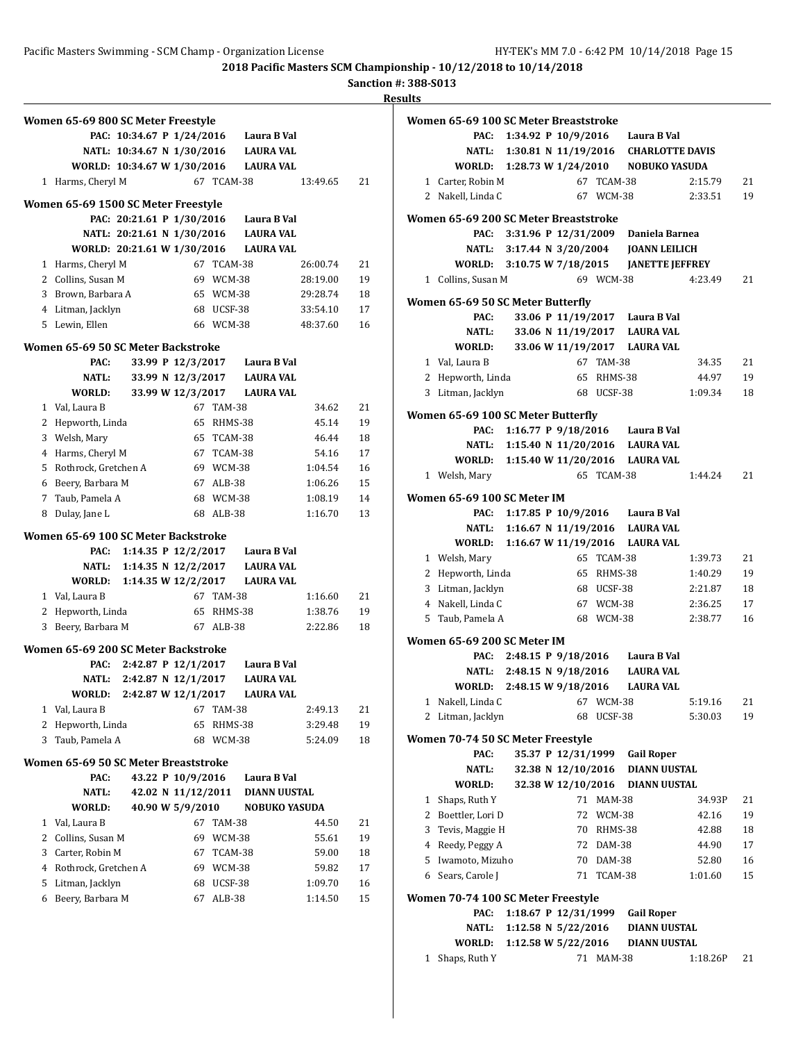**<u>esults</u>** 

|        | Women 65-69 800 SC Meter Freestyle         |                             |                           |                      | PAC: 10:34.67 P 1/24/2016 Laura B Val |                    |          |
|--------|--------------------------------------------|-----------------------------|---------------------------|----------------------|---------------------------------------|--------------------|----------|
|        |                                            |                             |                           |                      | NATL: 10:34.67 N 1/30/2016 LAURA VAL  |                    |          |
|        |                                            | WORLD: 10:34.67 W 1/30/2016 |                           |                      | <b>LAURA VAL</b>                      |                    |          |
|        | 1 Harms, Cheryl M                          |                             |                           |                      | 67 TCAM-38                            | 13:49.65           | 21       |
|        |                                            |                             |                           |                      |                                       |                    |          |
|        | Women 65-69 1500 SC Meter Freestyle        |                             |                           |                      | PAC: 20:21.61 P 1/30/2016 Laura B Val |                    |          |
|        |                                            |                             |                           |                      | NATL: 20:21.61 N 1/30/2016 LAURA VAL  |                    |          |
|        |                                            | WORLD: 20:21.61 W 1/30/2016 |                           |                      | LAURA VAL                             |                    |          |
|        | 1 Harms, Cheryl M                          |                             |                           | 67 TCAM-38           |                                       | 26:00.74           | 21       |
|        | 2 Collins, Susan M                         |                             |                           | 69 WCM-38            |                                       | 28:19.00           | 19       |
|        | 3 Brown, Barbara A                         |                             |                           | 65 WCM-38            |                                       | 29:28.74           | 18       |
|        | 4 Litman, Jacklyn                          |                             |                           | 68 UCSF-38           |                                       | 33:54.10           | 17       |
|        | 5 Lewin, Ellen                             |                             |                           |                      | 66 WCM-38                             | 48:37.60           | 16       |
|        |                                            |                             |                           |                      |                                       |                    |          |
|        | Women 65-69 50 SC Meter Backstroke<br>PAC: |                             | 33.99 P 12/3/2017         |                      | Laura B Val                           |                    |          |
|        | NATL:                                      |                             | 33.99 N 12/3/2017         |                      | LAURA VAL                             |                    |          |
|        | WORLD:                                     |                             | 33.99 W 12/3/2017         |                      | <b>LAURA VAL</b>                      |                    |          |
|        | 1 Val, Laura B                             |                             |                           | 67 TAM-38            |                                       | 34.62              | 21       |
|        | 2 Hepworth, Linda                          |                             |                           | 65 RHMS-38           |                                       | 45.14              | 19       |
|        | 3 Welsh, Mary                              |                             |                           | 65 TCAM-38           |                                       | 46.44              | 18       |
|        | 4 Harms, Cheryl M                          |                             |                           | 67 TCAM-38           |                                       | 54.16              | 17       |
|        | 5 Rothrock, Gretchen A                     |                             |                           | 69 WCM-38            |                                       | 1:04.54            | 16       |
|        | 6 Beery, Barbara M                         |                             |                           | 67 ALB-38            |                                       | 1:06.26            | 15       |
|        | 7 Taub, Pamela A                           |                             |                           | 68 WCM-38            |                                       | 1:08.19            | 14       |
| 8      | Dulay, Jane L                              |                             |                           | 68 ALB-38            |                                       | 1:16.70            | 13       |
|        |                                            |                             |                           |                      |                                       |                    |          |
|        | Women 65-69 100 SC Meter Backstroke        |                             |                           |                      | PAC: 1:14.35 P 12/2/2017 Laura B Val  |                    |          |
|        |                                            | NATL: 1:14.35 N 12/2/2017   |                           |                      | <b>LAURA VAL</b>                      |                    |          |
|        | <b>WORLD:</b>                              |                             | 1:14.35 W 12/2/2017       |                      | <b>LAURA VAL</b>                      |                    |          |
|        | 1 Val, Laura B                             |                             |                           | 67 TAM-38            |                                       | 1:16.60            | 21       |
| 2      | Hepworth, Linda                            |                             |                           |                      | 65 RHMS-38                            | 1:38.76            | 19       |
| 3      | Beery, Barbara M                           |                             |                           | 67 ALB-38            |                                       | 2:22.86            | 18       |
|        |                                            |                             |                           |                      |                                       |                    |          |
|        | Women 65-69 200 SC Meter Backstroke        |                             |                           |                      |                                       |                    |          |
|        | PAC:                                       |                             | 2:42.87 P 12/1/2017       |                      | Laura B Val                           |                    |          |
|        | <b>NATL:</b>                               |                             | 2:42.87 N 12/1/2017       |                      | <b>LAURA VAL</b>                      |                    |          |
|        | WORLD:                                     |                             | 2:42.87 W 12/1/2017<br>67 |                      | <b>LAURA VAL</b>                      |                    |          |
| 1<br>2 | Val, Laura B<br>Hepworth, Linda            |                             | 65                        | <b>TAM-38</b>        | RHMS-38                               | 2:49.13            | 21<br>19 |
|        | Taub, Pamela A                             |                             |                           | 68 WCM-38            |                                       | 3:29.48<br>5:24.09 | 18       |
|        |                                            |                             |                           |                      |                                       |                    |          |
| 3      |                                            |                             |                           |                      |                                       |                    |          |
|        | Women 65-69 50 SC Meter Breaststroke       |                             |                           |                      |                                       |                    |          |
|        | PAC:                                       |                             | 43.22 P 10/9/2016         |                      | Laura B Val                           |                    |          |
|        | <b>NATL:</b>                               |                             | 42.02 N 11/12/2011        |                      | <b>DIANN UUSTAL</b>                   |                    |          |
|        | WORLD:                                     |                             | 40.90 W 5/9/2010          |                      | <b>NOBUKO YASUDA</b>                  |                    |          |
| 1      | Val, Laura B                               |                             |                           | 67 TAM-38            |                                       | 44.50              | 21       |
| 2      | Collins, Susan M                           |                             | 69                        | WCM-38               |                                       | 55.61              | 19       |
| 3      | Carter, Robin M                            |                             | 67                        | TCAM-38              |                                       | 59.00              | 18       |
| 4      | Rothrock, Gretchen A                       |                             | 69                        | WCM-38               |                                       | 59.82              | 17       |
| 5<br>6 | Litman, Jacklyn<br>Beery, Barbara M        |                             | 67                        | 68 UCSF-38<br>ALB-38 |                                       | 1:09.70<br>1:14.50 | 16<br>15 |

|              | Women 65-69 100 SC Meter Breaststroke         |                           |                      |            |                                            |         |    |
|--------------|-----------------------------------------------|---------------------------|----------------------|------------|--------------------------------------------|---------|----|
|              | PAC:                                          |                           |                      |            | 1:34.92 P 10/9/2016 Laura B Val            |         |    |
|              |                                               |                           |                      |            | NATL: 1:30.81 N 11/19/2016 CHARLOTTE DAVIS |         |    |
|              |                                               |                           |                      |            | WORLD: 1:28.73 W 1/24/2010 NOBUKO YASUDA   |         |    |
|              | 1 Carter, Robin M                             |                           | 67                   | TCAM-38    |                                            | 2:15.79 | 21 |
|              | 2 Nakell, Linda C                             |                           |                      | 67 WCM-38  |                                            | 2:33.51 | 19 |
|              |                                               |                           |                      |            |                                            |         |    |
|              | Women 65-69 200 SC Meter Breaststroke<br>PAC: |                           |                      |            | Daniela Barnea                             |         |    |
|              |                                               | 3:31.96 P 12/31/2009      |                      |            |                                            |         |    |
|              | NATL:<br>WORLD: 3:10.75 W 7/18/2015           |                           |                      |            | 3:17.44 N 3/20/2004 JOANN LEILICH          |         |    |
|              |                                               |                           |                      | 69 WCM-38  | <b>JANETTE JEFFREY</b>                     | 4:23.49 |    |
|              | 1 Collins, Susan M                            |                           |                      |            |                                            |         | 21 |
|              | Women 65-69 50 SC Meter Butterfly             |                           |                      |            |                                            |         |    |
|              | PAC:                                          |                           |                      |            | 33.06 P 11/19/2017 Laura B Val             |         |    |
|              | <b>NATL:</b>                                  |                           |                      |            | 33.06 N 11/19/2017 LAURA VAL               |         |    |
|              | WORLD:                                        |                           |                      |            | 33.06 W 11/19/2017 LAURA VAL               |         |    |
|              | 1 Val, Laura B                                |                           |                      | 67 TAM-38  |                                            | 34.35   | 21 |
|              | 2 Hepworth, Linda                             |                           |                      | 65 RHMS-38 |                                            | 44.97   | 19 |
| 3            | Litman, Jacklyn                               |                           |                      | 68 UCSF-38 |                                            | 1:09.34 | 18 |
|              |                                               |                           |                      |            |                                            |         |    |
|              | Women 65-69 100 SC Meter Butterfly            |                           |                      |            |                                            |         |    |
|              |                                               |                           |                      |            | PAC: 1:16.77 P 9/18/2016 Laura B Val       |         |    |
|              |                                               |                           |                      |            | NATL: 1:15.40 N 11/20/2016 LAURA VAL       |         |    |
|              |                                               |                           |                      |            | WORLD: 1:15.40 W 11/20/2016 LAURA VAL      |         |    |
|              | 1 Welsh, Mary                                 |                           |                      | 65 TCAM-38 |                                            | 1:44.24 | 21 |
|              | Women 65-69 100 SC Meter IM                   |                           |                      |            |                                            |         |    |
|              | PAC:                                          |                           |                      |            | 1:17.85 P 10/9/2016 Laura B Val            |         |    |
|              |                                               |                           |                      |            | NATL: 1:16.67 N 11/19/2016 LAURA VAL       |         |    |
|              |                                               |                           |                      |            | WORLD: 1:16.67 W 11/19/2016 LAURA VAL      |         |    |
|              | 1 Welsh, Mary                                 |                           |                      | 65 TCAM-38 |                                            | 1:39.73 | 21 |
|              | 2 Hepworth, Linda                             |                           |                      | 65 RHMS-38 |                                            | 1:40.29 | 19 |
|              | 3 Litman, Jacklyn                             |                           |                      | 68 UCSF-38 |                                            | 2:21.87 | 18 |
|              | 4 Nakell, Linda C                             |                           |                      | 67 WCM-38  |                                            | 2:36.25 | 17 |
| 5            | Taub, Pamela A                                |                           |                      | 68 WCM-38  |                                            | 2:38.77 | 16 |
|              |                                               |                           |                      |            |                                            |         |    |
|              | Women 65-69 200 SC Meter IM                   |                           |                      |            |                                            |         |    |
|              | PAC:                                          |                           |                      |            | 2:48.15 P 9/18/2016 Laura B Val            |         |    |
|              |                                               | NATL: 2:48.15 N 9/18/2016 |                      |            | <b>LAURA VAL</b>                           |         |    |
|              | WORLD: 2:48.15 W 9/18/2016                    |                           |                      |            | <b>LAURA VAL</b>                           |         |    |
|              | 1 Nakell, Linda C 67 WCM-38                   |                           |                      |            |                                            | 5:19.16 | 21 |
| 2            | Litman, Jacklyn                               |                           | 68                   | UCSF-38    |                                            | 5:30.03 | 19 |
|              | Women 70-74 50 SC Meter Freestyle             |                           |                      |            |                                            |         |    |
|              | PAC:                                          |                           | 35.37 P 12/31/1999   |            | <b>Gail Roper</b>                          |         |    |
|              | NATL:                                         |                           | 32.38 N 12/10/2016   |            | <b>DIANN UUSTAL</b>                        |         |    |
|              | WORLD:                                        |                           | 32.38 W 12/10/2016   |            | <b>DIANN UUSTAL</b>                        |         |    |
| $\mathbf{1}$ | Shaps, Ruth Y                                 |                           |                      | 71 MAM-38  |                                            | 34.93P  | 21 |
|              | 2 Boettler, Lori D                            |                           |                      | 72 WCM-38  |                                            | 42.16   | 19 |
| 3            | Tevis, Maggie H                               |                           |                      | 70 RHMS-38 |                                            | 42.88   | 18 |
|              | 4 Reedy, Peggy A                              |                           |                      | 72 DAM-38  |                                            | 44.90   | 17 |
| 5            | Iwamoto, Mizuho                               |                           |                      | 70 DAM-38  |                                            | 52.80   | 16 |
|              | 6 Sears, Carole J                             |                           | 71                   | TCAM-38    |                                            | 1:01.60 | 15 |
|              |                                               |                           |                      |            |                                            |         |    |
|              | Women 70-74 100 SC Meter Freestyle            |                           |                      |            |                                            |         |    |
|              | PAC:                                          |                           | 1:18.67 P 12/31/1999 |            | <b>Gail Roper</b>                          |         |    |
|              | NATL:                                         | 1:12.58 N 5/22/2016       |                      |            | <b>DIANN UUSTAL</b>                        |         |    |
|              | <b>WORLD:</b>                                 | 1:12.58 W 5/22/2016       |                      |            | DIANN UUSTAL                               |         |    |

1 Shaps, Ruth Y 71 MAM-38 1:18.26P 21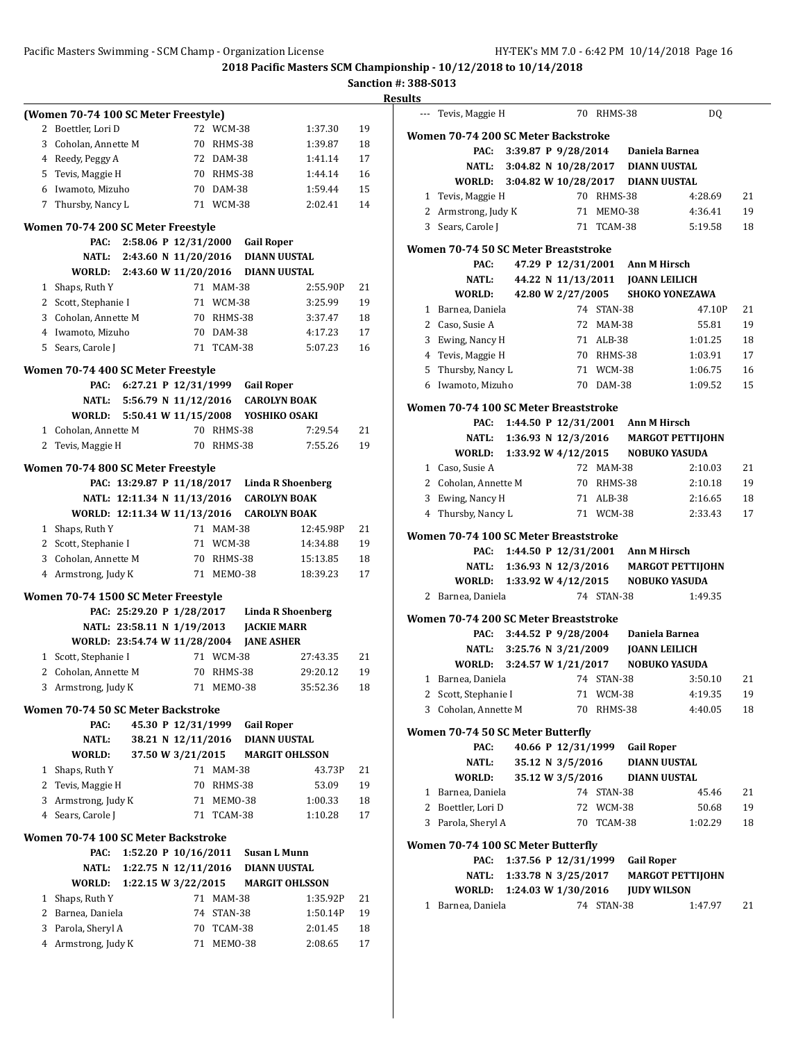#### Pacific Masters Swimming - SCM Champ - Organization License HY-TEK's MM 7.0 - 6:42 PM 10/14/2018 Page 16

**2018 Pacific Masters SCM Championship - 10/12/2018 to 10/14/2018**

|              | (Women 70-74 100 SC Meter Freestyle)       |                                              |                         |                          |                    |          |
|--------------|--------------------------------------------|----------------------------------------------|-------------------------|--------------------------|--------------------|----------|
| 2            | Boettler, Lori D                           |                                              | 72 WCM-38               |                          | 1:37.30            | 19       |
|              | 3 Coholan, Annette M                       | 70                                           | RHMS-38                 |                          | 1:39.87            | 18       |
|              | 4 Reedy, Peggy A                           |                                              | 72 DAM-38               |                          | 1:41.14            | 17       |
|              | 5 Tevis, Maggie H                          |                                              | 70 RHMS-38              |                          | 1:44.14            | 16       |
|              | 6 Iwamoto, Mizuho                          |                                              | 70 DAM-38               |                          | 1:59.44            | 15       |
|              | 7 Thursby, Nancy L                         |                                              | 71 WCM-38               |                          | 2:02.41            | 14       |
|              |                                            |                                              |                         |                          |                    |          |
|              | Women 70-74 200 SC Meter Freestyle         |                                              |                         |                          |                    |          |
|              | PAC:                                       | 2:58.06 P 12/31/2000                         |                         | <b>Gail Roper</b>        |                    |          |
|              |                                            | NATL: 2:43.60 N 11/20/2016                   |                         | DIANN UUSTAL             |                    |          |
|              |                                            | WORLD: 2:43.60 W 11/20/2016 DIANN UUSTAL     |                         |                          |                    |          |
| 1            | Shaps, Ruth Y                              |                                              | 71 MAM-38               |                          | 2:55.90P           | 21       |
|              | 2 Scott, Stephanie I                       |                                              | 71 WCM-38               |                          | 3:25.99<br>3:37.47 | 19       |
|              | 3 Coholan, Annette M                       |                                              | 70 RHMS-38<br>70 DAM-38 |                          | 4:17.23            | 18<br>17 |
|              | 4 Iwamoto, Mizuho<br>5 Sears, Carole J     |                                              | 71 TCAM-38              |                          | 5:07.23            |          |
|              |                                            |                                              |                         |                          |                    | 16       |
|              | Women 70-74 400 SC Meter Freestyle         |                                              |                         |                          |                    |          |
|              |                                            | PAC: 6:27.21 P 12/31/1999                    |                         | <b>Gail Roper</b>        |                    |          |
|              |                                            | NATL: 5:56.79 N 11/12/2016                   |                         | <b>CAROLYN BOAK</b>      |                    |          |
|              |                                            | WORLD: 5:50.41 W 11/15/2008 YOSHIKO OSAKI    |                         |                          |                    |          |
| 1            | Coholan, Annette M                         |                                              | 70 RHMS-38              |                          | 7:29.54            | 21       |
| 2            | Tevis, Maggie H                            |                                              | 70 RHMS-38              |                          | 7:55.26            | 19       |
|              | Women 70-74 800 SC Meter Freestyle         |                                              |                         |                          |                    |          |
|              |                                            | PAC: 13:29.87 P 11/18/2017 Linda R Shoenberg |                         |                          |                    |          |
|              |                                            | NATL: 12:11.34 N 11/13/2016 CAROLYN BOAK     |                         |                          |                    |          |
|              |                                            | WORLD: 12:11.34 W 11/13/2016                 |                         | <b>CAROLYN BOAK</b>      |                    |          |
|              | 1 Shaps, Ruth Y                            |                                              | 71 MAM-38               |                          | 12:45.98P          | 21       |
|              | 2 Scott, Stephanie I                       |                                              | 71 WCM-38               |                          | 14:34.88           | 19       |
|              | 3 Coholan, Annette M                       |                                              | 70 RHMS-38              |                          | 15:13.85           | 18       |
|              | 4 Armstrong, Judy K                        | 71                                           | MEMO-38                 |                          | 18:39.23           | 17       |
|              | Women 70-74 1500 SC Meter Freestyle        |                                              |                         |                          |                    |          |
|              |                                            | PAC: 25:29.20 P 1/28/2017                    |                         | <b>Linda R Shoenberg</b> |                    |          |
|              |                                            |                                              |                         |                          |                    |          |
|              |                                            |                                              |                         |                          |                    |          |
|              |                                            | NATL: 23:58.11 N 1/19/2013                   |                         | <b>JACKIE MARR</b>       |                    |          |
|              |                                            | WORLD: 23:54.74 W 11/28/2004                 |                         | <b>JANE ASHER</b>        |                    |          |
|              | 1 Scott, Stephanie I                       |                                              | 71 WCM-38               |                          | 27:43.35           | 21       |
|              | 2 Coholan, Annette M                       |                                              | 70 RHMS-38              |                          | 29:20.12           | 19       |
|              | 3 Armstrong, Judy K                        |                                              | 71 MEM0-38              |                          | 35:52.36           | 18       |
|              | Women 70-74 50 SC Meter Backstroke         |                                              |                         |                          |                    |          |
|              | PAC:                                       | 45.30 P 12/31/1999                           |                         | <b>Gail Roper</b>        |                    |          |
|              | <b>NATL:</b>                               | 38.21 N 12/11/2016 DIANN UUSTAL              |                         |                          |                    |          |
|              | WORLD:                                     | 37.50 W 3/21/2015 MARGIT OHLSSON             |                         |                          |                    |          |
| 1            | Shaps, Ruth Y                              |                                              | 71 MAM-38               |                          | 43.73P             | 21       |
| 2            | Tevis, Maggie H                            |                                              | 70 RHMS-38              |                          | 53.09              | 19       |
| 3            | Armstrong, Judy K                          |                                              | 71 MEM0-38              |                          | 1:00.33            | 18       |
|              | 4 Sears, Carole J                          |                                              | 71 TCAM-38              |                          | 1:10.28            | 17       |
|              | <b>Women 70-74 100 SC Meter Backstroke</b> |                                              |                         |                          |                    |          |
|              | PAC:                                       | 1:52.20 P 10/16/2011 Susan L Munn            |                         |                          |                    |          |
|              | NATL:                                      | 1:22.75 N 12/11/2016 DIANN UUSTAL            |                         |                          |                    |          |
|              |                                            | WORLD: 1:22.15 W 3/22/2015                   |                         | <b>MARGIT OHLSSON</b>    |                    |          |
| $\mathbf{1}$ | Shaps, Ruth Y                              |                                              | 71 MAM-38               |                          | 1:35.92P           | 21       |
|              | 2 Barnea, Daniela                          |                                              | 74 STAN-38              |                          | 1:50.14P           | 19       |
| 3            | Parola, Sheryl A                           |                                              | 70 TCAM-38              |                          | 2:01.45            | 18       |
| 4            | Armstrong, Judy K                          | 71                                           | MEMO-38                 |                          | 2:08.65            | 17       |

| . |                                          |                                         |                     |            |                                   |                                      |    |
|---|------------------------------------------|-----------------------------------------|---------------------|------------|-----------------------------------|--------------------------------------|----|
|   | --- Tevis, Maggie H                      |                                         |                     | 70 RHMS-38 |                                   | DQ                                   |    |
|   | Women 70-74 200 SC Meter Backstroke      |                                         |                     |            |                                   |                                      |    |
|   | PAC:                                     | 3:39.87 P 9/28/2014 Daniela Barnea      |                     |            |                                   |                                      |    |
|   |                                          | NATL: 3:04.82 N 10/28/2017 DIANN UUSTAL |                     |            |                                   |                                      |    |
|   | WORLD: 3:04.82 W 10/28/2017 DIANN UUSTAL |                                         |                     |            |                                   |                                      |    |
|   | 1 Tevis, Maggie H                        |                                         |                     | 70 RHMS-38 |                                   | 4:28.69                              | 21 |
|   | 2 Armstrong, Judy K                      |                                         |                     | 71 MEM0-38 |                                   | 4:36.41                              | 19 |
| 3 | Sears, Carole J                          |                                         |                     | 71 TCAM-38 |                                   | 5:19.58                              | 18 |
|   | Women 70-74 50 SC Meter Breaststroke     |                                         |                     |            |                                   |                                      |    |
|   | PAC:                                     |                                         |                     |            | 47.29 P 12/31/2001 Ann M Hirsch   |                                      |    |
|   | <b>NATL:</b>                             |                                         |                     |            |                                   | 44.22 N 11/13/2011 JOANN LEILICH     |    |
|   | WORLD:                                   |                                         | 42.80 W 2/27/2005   |            |                                   | <b>SHOKO YONEZAWA</b>                |    |
|   | 1 Barnea, Daniela                        |                                         |                     | 74 STAN-38 |                                   | 47.10P                               | 21 |
|   | 2 Caso, Susie A                          |                                         |                     | 72 MAM-38  |                                   | 55.81                                | 19 |
|   | 3 Ewing, Nancy H                         |                                         |                     | 71 ALB-38  |                                   | 1:01.25                              | 18 |
|   | 4 Tevis, Maggie H                        |                                         |                     | 70 RHMS-38 |                                   | 1:03.91                              | 17 |
|   | 5 Thursby, Nancy L                       |                                         |                     | 71 WCM-38  |                                   | 1:06.75                              | 16 |
|   | 6 Iwamoto, Mizuho                        |                                         |                     | 70 DAM-38  |                                   | 1:09.52                              | 15 |
|   | Women 70-74 100 SC Meter Breaststroke    |                                         |                     |            |                                   |                                      |    |
|   | PAC:                                     |                                         |                     |            | 1:44.50 P 12/31/2001 Ann M Hirsch |                                      |    |
|   | NATL:                                    |                                         |                     |            |                                   | 1:36.93 N 12/3/2016 MARGOT PETTIJOHN |    |
|   | WORLD: 1:33.92 W 4/12/2015               |                                         |                     |            |                                   | <b>NOBUKO YASUDA</b>                 |    |
|   | 1 Caso, Susie A                          |                                         |                     | 72 MAM-38  |                                   | 2:10.03                              | 21 |
|   | 2 Coholan, Annette M                     |                                         |                     | 70 RHMS-38 |                                   | 2:10.18                              | 19 |
|   | 3 Ewing, Nancy H                         |                                         |                     | 71 ALB-38  |                                   | 2:16.65                              | 18 |
| 4 | Thursby, Nancy L                         |                                         |                     | 71 WCM-38  |                                   | 2:33.43                              | 17 |
|   | Women 70-74 100 SC Meter Breaststroke    |                                         |                     |            |                                   |                                      |    |
|   | PAC:                                     | 1:44.50 P 12/31/2001 Ann M Hirsch       |                     |            |                                   |                                      |    |
|   | NATL:                                    | 1:36.93 N 12/3/2016                     |                     |            |                                   | <b>MARGOT PETTIJOHN</b>              |    |
|   | WORLD: 1:33.92 W 4/12/2015               |                                         |                     |            |                                   | <b>NOBUKO YASUDA</b>                 |    |
|   | 2 Barnea, Daniela                        |                                         |                     | 74 STAN-38 |                                   | 1:49.35                              |    |
|   | Women 70-74 200 SC Meter Breaststroke    |                                         |                     |            |                                   |                                      |    |
|   | PAC:                                     | 3:44.52 P 9/28/2004                     |                     |            |                                   | Daniela Barnea                       |    |
|   |                                          | NATL: 3:25.76 N 3/21/2009               |                     |            |                                   | <b>JOANN LEILICH</b>                 |    |
|   | WORLD: 3:24.57 W 1/21/2017               |                                         |                     |            |                                   | <b>NOBUKO YASUDA</b>                 |    |
|   | 1 Barnea, Daniela                        |                                         |                     | 74 STAN-38 |                                   | 3:50.10                              | 21 |
|   | 2 Scott, Stephanie I                     |                                         |                     | 71 WCM-38  |                                   | 4:19.35                              | 19 |
| 3 | Coholan, Annette M                       |                                         | 70                  | RHMS-38    |                                   | 4:40.05                              | 18 |
|   | Women 70-74 50 SC Meter Butterfly        |                                         |                     |            |                                   |                                      |    |
|   | PAC:                                     |                                         |                     |            | 40.66 P 12/31/1999 Gail Roper     |                                      |    |
|   | <b>NATL:</b>                             |                                         | 35.12 N 3/5/2016    |            |                                   | <b>DIANN UUSTAL</b>                  |    |
|   | WORLD:                                   |                                         | 35.12 W 3/5/2016    |            |                                   | <b>DIANN UUSTAL</b>                  |    |
|   | 1 Barnea, Daniela                        |                                         |                     | 74 STAN-38 |                                   | 45.46                                | 21 |
|   | 2 Boettler, Lori D                       |                                         |                     | 72 WCM-38  |                                   | 50.68                                | 19 |
|   | 3 Parola, Sheryl A                       |                                         |                     | 70 TCAM-38 |                                   | 1:02.29                              | 18 |
|   | Women 70-74 100 SC Meter Butterfly       |                                         |                     |            |                                   |                                      |    |
|   | PAC:                                     |                                         |                     |            | 1:37.56 P 12/31/1999 Gail Roper   |                                      |    |
|   | NATL:                                    |                                         | 1:33.78 N 3/25/2017 |            |                                   | <b>MARGOT PETTIJOHN</b>              |    |
|   | WORLD: 1:24.03 W 1/30/2016               |                                         |                     |            | <b>JUDY WILSON</b>                |                                      |    |
| 1 | Barnea, Daniela                          |                                         |                     | 74 STAN-38 |                                   | 1:47.97                              | 21 |
|   |                                          |                                         |                     |            |                                   |                                      |    |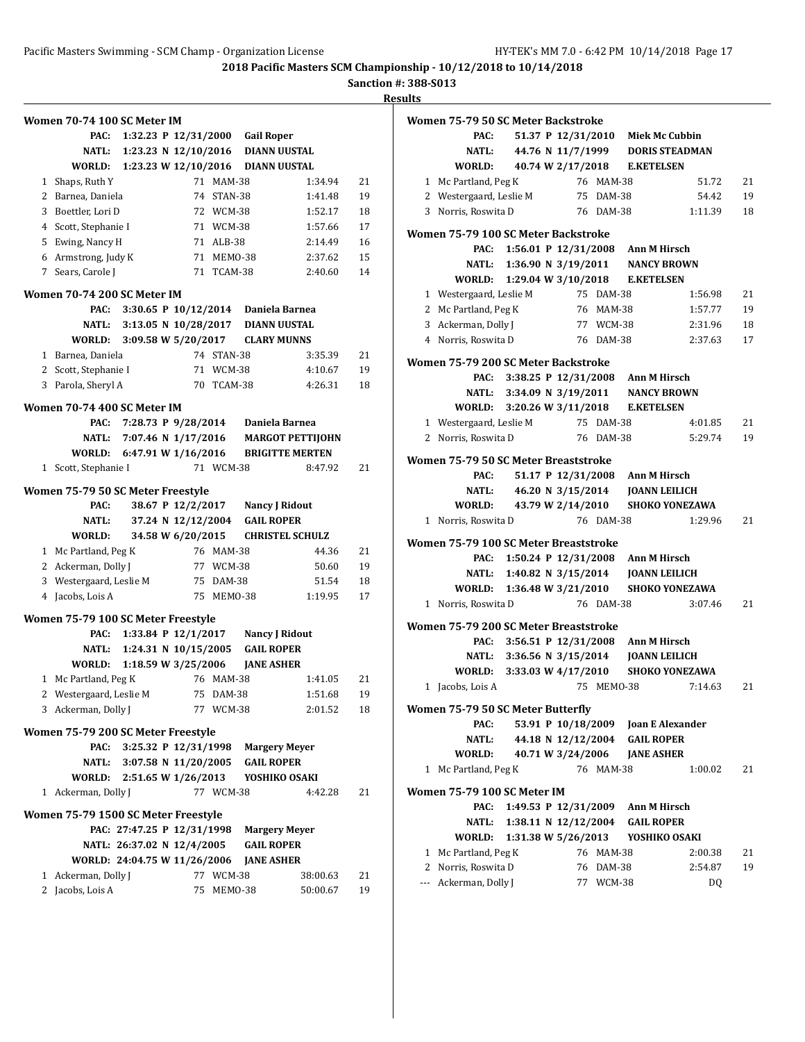**Sanction #: 388-S013**

| 14 | esu B |  |
|----|-------|--|
|    |       |  |

|              | Women 70-74 100 SC Meter IM                |                            |                    |            |                                 |          |    |
|--------------|--------------------------------------------|----------------------------|--------------------|------------|---------------------------------|----------|----|
|              | PAC:                                       |                            |                    |            | 1:32.23 P 12/31/2000 Gail Roper |          |    |
|              | NATL:                                      | 1:23.23 N 12/10/2016       |                    |            | <b>DIANN UUSTAL</b>             |          |    |
|              | WORLD:                                     | 1:23.23 W 12/10/2016       |                    |            | <b>DIANN UUSTAL</b>             |          |    |
| $\mathbf{1}$ | Shaps, Ruth Y                              |                            |                    | 71 MAM-38  |                                 | 1:34.94  | 21 |
| 2            | Barnea, Daniela                            |                            |                    | 74 STAN-38 |                                 | 1:41.48  | 19 |
|              | 3 Boettler, Lori D                         |                            |                    | 72 WCM-38  |                                 | 1:52.17  | 18 |
|              | 4 Scott, Stephanie I                       |                            |                    | 71 WCM-38  |                                 | 1:57.66  | 17 |
|              | 5 Ewing, Nancy H                           |                            |                    | 71 ALB-38  |                                 | 2:14.49  | 16 |
|              | 6 Armstrong, Judy K                        |                            |                    | 71 MEM0-38 |                                 | 2:37.62  | 15 |
|              | 7 Sears, Carole J                          |                            |                    | 71 TCAM-38 |                                 | 2:40.60  | 14 |
|              | Women 70-74 200 SC Meter IM                |                            |                    |            |                                 |          |    |
|              | PAC:                                       | 3:30.65 P $10/12/2014$     |                    |            | Daniela Barnea                  |          |    |
|              | NATL:                                      | 3:13.05 N 10/28/2017       |                    |            | <b>DIANN UUSTAL</b>             |          |    |
|              | WORLD:                                     | 3:09.58 W 5/20/2017        |                    |            | <b>CLARY MUNNS</b>              |          |    |
|              | 1 Barnea, Daniela                          |                            |                    | 74 STAN-38 |                                 | 3:35.39  | 21 |
|              | 2 Scott, Stephanie I                       |                            |                    | 71 WCM-38  |                                 | 4:10.67  | 19 |
|              | 3 Parola, Sheryl A                         |                            |                    | 70 TCAM-38 |                                 | 4:26.31  | 18 |
|              | Women 70-74 400 SC Meter IM                |                            |                    |            |                                 |          |    |
|              | PAC:                                       | 7:28.73 P 9/28/2014        |                    |            | Daniela Barnea                  |          |    |
|              | NATL:                                      | 7:07.46 N 1/17/2016        |                    |            | <b>MARGOT PETTIJOHN</b>         |          |    |
|              | WORLD:                                     | 6:47.91 W 1/16/2016        |                    |            | <b>BRIGITTE MERTEN</b>          |          |    |
| 1            | Scott, Stephanie I                         |                            |                    | 71 WCM-38  |                                 | 8:47.92  | 21 |
|              | Women 75-79 50 SC Meter Freestyle          |                            |                    |            |                                 |          |    |
|              | PAC:                                       |                            | 38.67 P 12/2/2017  |            | <b>Nancy J Ridout</b>           |          |    |
|              | NATL:                                      |                            | 37.24 N 12/12/2004 |            | <b>GAIL ROPER</b>               |          |    |
|              | WORLD:                                     |                            | 34.58 W 6/20/2015  |            | <b>CHRISTEL SCHULZ</b>          |          |    |
|              | 1 Mc Partland, Peg K                       |                            |                    | 76 MAM-38  |                                 | 44.36    | 21 |
|              |                                            |                            |                    |            |                                 |          |    |
|              | 2 Ackerman, Dolly J                        |                            |                    | 77 WCM-38  |                                 | 50.60    | 19 |
| 3            | Westergaard, Leslie M                      |                            |                    | 75 DAM-38  |                                 | 51.54    | 18 |
| 4            | Jacobs, Lois A                             |                            |                    | 75 MEMO-38 |                                 | 1:19.95  | 17 |
|              | Women 75-79 100 SC Meter Freestyle         |                            |                    |            |                                 |          |    |
|              | PAC:                                       | 1:33.84 P $12/1/2017$      |                    |            | Nancy J Ridout                  |          |    |
|              | NATL:                                      | 1:24.31 N 10/15/2005       |                    |            | <b>GAIL ROPER</b>               |          |    |
|              | <b>WORLD:</b>                              | 1:18.59 W 3/25/2006        |                    |            | <b>JANE ASHER</b>               |          |    |
|              | 1 Mc Partland, Peg K                       |                            |                    | 76 MAM-38  |                                 | 1:41.05  | 21 |
|              | 2 Westergaard, Leslie M                    |                            |                    | 75 DAM-38  |                                 | 1:51.68  | 19 |
|              | 3 Ackerman, Dolly J                        |                            |                    | 77 WCM-38  |                                 | 2:01.52  | 18 |
|              |                                            |                            |                    |            |                                 |          |    |
|              | Women 75-79 200 SC Meter Freestyle<br>PAC: | 3:25.32 P 12/31/1998       |                    |            | <b>Margery Meyer</b>            |          |    |
|              |                                            | NATL: 3:07.58 N 11/20/2005 |                    |            | <b>GAIL ROPER</b>               |          |    |
|              | WORLD: 2:51.65 W 1/26/2013                 |                            |                    |            | YOSHIKO OSAKI                   |          |    |
|              | 1 Ackerman, Dolly J                        |                            |                    | 77 WCM-38  |                                 | 4:42.28  | 21 |
|              |                                            |                            |                    |            |                                 |          |    |
|              | Women 75-79 1500 SC Meter Freestyle        | PAC: 27:47.25 P 12/31/1998 |                    |            | <b>Margery Meyer</b>            |          |    |
|              |                                            | NATL: 26:37.02 N 12/4/2005 |                    |            | <b>GAIL ROPER</b>               |          |    |
|              | WORLD: 24:04.75 W 11/26/2006               |                            |                    |            | <b>JANE ASHER</b>               |          |    |
| 1            | Ackerman, Dolly J                          |                            |                    | 77 WCM-38  |                                 | 38:00.63 | 21 |

|   | Women 75-79 50 SC Meter Backstroke          |                            |                      |            |                                                                            |                       |    |
|---|---------------------------------------------|----------------------------|----------------------|------------|----------------------------------------------------------------------------|-----------------------|----|
|   | PAC:                                        |                            |                      |            | 51.37 P 12/31/2010 Miek Mc Cubbin                                          |                       |    |
|   | <b>NATL:</b>                                |                            |                      |            | 44.76 N 11/7/1999 DORIS STEADMAN                                           |                       |    |
|   | <b>WORLD:</b>                               |                            |                      |            | 40.74 W 2/17/2018 E.KETELSEN                                               |                       |    |
|   | 1 Mc Partland, Peg K                        |                            |                      | 76 MAM-38  |                                                                            | 51.72                 | 21 |
|   | 2 Westergaard, Leslie M                     |                            |                      | 75 DAM-38  |                                                                            | 54.42                 | 19 |
|   | 3 Norris, Roswita D                         |                            |                      | 76 DAM-38  |                                                                            | 1:11.39               | 18 |
|   |                                             |                            |                      |            |                                                                            |                       |    |
|   | Women 75-79 100 SC Meter Backstroke<br>PAC: |                            |                      |            |                                                                            |                       |    |
|   |                                             |                            |                      |            | 1:56.01 P 12/31/2008 Ann M Hirsch<br>NATL: 1:36.90 N 3/19/2011 NANCY BROWN |                       |    |
|   |                                             |                            |                      |            | WORLD: 1:29.04 W 3/10/2018 E.KETELSEN                                      |                       |    |
|   |                                             |                            |                      | 75 DAM-38  |                                                                            |                       |    |
|   | 1 Westergaard, Leslie M                     |                            |                      |            |                                                                            | 1:56.98               | 21 |
|   | 2 Mc Partland, Peg K                        |                            |                      | 76 MAM-38  |                                                                            | 1:57.77               | 19 |
|   | 3 Ackerman, Dolly J                         |                            |                      | 77 WCM-38  |                                                                            | 2:31.96               | 18 |
|   | 4 Norris, Roswita D                         |                            |                      | 76 DAM-38  |                                                                            | 2:37.63               | 17 |
|   | Women 75-79 200 SC Meter Backstroke         |                            |                      |            |                                                                            |                       |    |
|   | PAC:                                        |                            |                      |            | 3:38.25 P 12/31/2008 Ann M Hirsch                                          |                       |    |
|   |                                             |                            |                      |            | NATL: 3:34.09 N 3/19/2011 NANCY BROWN                                      |                       |    |
|   |                                             |                            |                      |            | WORLD: 3:20.26 W 3/11/2018 E.KETELSEN                                      |                       |    |
|   | 1 Westergaard, Leslie M                     |                            |                      | 75 DAM-38  |                                                                            | 4:01.85               | 21 |
|   | 2 Norris, Roswita D                         |                            |                      | 76 DAM-38  |                                                                            | 5:29.74               | 19 |
|   |                                             |                            |                      |            |                                                                            |                       |    |
|   | Women 75-79 50 SC Meter Breaststroke        |                            |                      |            |                                                                            |                       |    |
|   | PAC:                                        |                            |                      |            | 51.17 P 12/31/2008 Ann M Hirsch                                            |                       |    |
|   | <b>NATL:</b>                                |                            |                      |            |                                                                            |                       |    |
|   | <b>WORLD:</b>                               |                            | 43.79 W 2/14/2010    |            |                                                                            | <b>SHOKO YONEZAWA</b> |    |
|   | 1 Norris, Roswita D                         |                            |                      | 76 DAM-38  |                                                                            | 1:29.96               | 21 |
|   | Women 75-79 100 SC Meter Breaststroke       |                            |                      |            |                                                                            |                       |    |
|   | PAC:                                        |                            |                      |            | 1:50.24 P 12/31/2008 Ann M Hirsch                                          |                       |    |
|   |                                             | NATL: 1:40.82 N 3/15/2014  |                      |            | <b>JOANN LEILICH</b>                                                       |                       |    |
|   |                                             | WORLD: 1:36.48 W 3/21/2010 |                      |            |                                                                            | <b>SHOKO YONEZAWA</b> |    |
|   | 1 Norris, Roswita D                         |                            |                      | 76 DAM-38  |                                                                            | 3:07.46               | 21 |
|   |                                             |                            |                      |            |                                                                            |                       |    |
|   | Women 75-79 200 SC Meter Breaststroke       |                            |                      |            |                                                                            |                       |    |
|   | PAC:                                        |                            |                      |            | 3:56.51 P 12/31/2008 Ann M Hirsch                                          |                       |    |
|   | NATL:                                       |                            |                      |            |                                                                            |                       |    |
|   |                                             | WORLD: 3:33.03 W 4/17/2010 |                      |            |                                                                            | <b>SHOKO YONEZAWA</b> |    |
|   | 1 Jacobs, Lois A                            |                            |                      | 75 MEMO-38 |                                                                            | 7:14.63               | 21 |
|   | Women 75-79 50 SC Meter Butterfly           |                            |                      |            |                                                                            |                       |    |
|   | PAC:                                        |                            | 53.91 P 10/18/2009   |            | <b>Joan E Alexander</b>                                                    |                       |    |
|   | <b>NATL:</b>                                |                            |                      |            | 44.18 N 12/12/2004 GAIL ROPER                                              |                       |    |
|   | WORLD:                                      |                            | 40.71 W 3/24/2006    |            | <b>JANE ASHER</b>                                                          |                       |    |
| 1 | Mc Partland, Peg K                          |                            |                      | 76 MAM-38  |                                                                            | 1:00.02               | 21 |
|   |                                             |                            |                      |            |                                                                            |                       |    |
|   | Women 75-79 100 SC Meter IM                 |                            |                      |            |                                                                            |                       |    |
|   | PAC:                                        |                            |                      |            | 1:49.53 P 12/31/2009 Ann M Hirsch                                          |                       |    |
|   | NATL:                                       |                            | 1:38.11 N 12/12/2004 |            | <b>GAIL ROPER</b>                                                          |                       |    |
|   | WORLD:                                      | 1:31.38 W 5/26/2013        |                      |            | YOSHIKO OSAKI                                                              |                       |    |
| 1 | Mc Partland, Peg K                          |                            |                      | 76 MAM-38  |                                                                            | 2:00.38               | 21 |
|   | 2 Norris, Roswita D                         |                            |                      | 76 DAM-38  |                                                                            | 2:54.87               | 19 |
|   | --- Ackerman, Dolly J                       |                            |                      | 77 WCM-38  |                                                                            | DQ                    |    |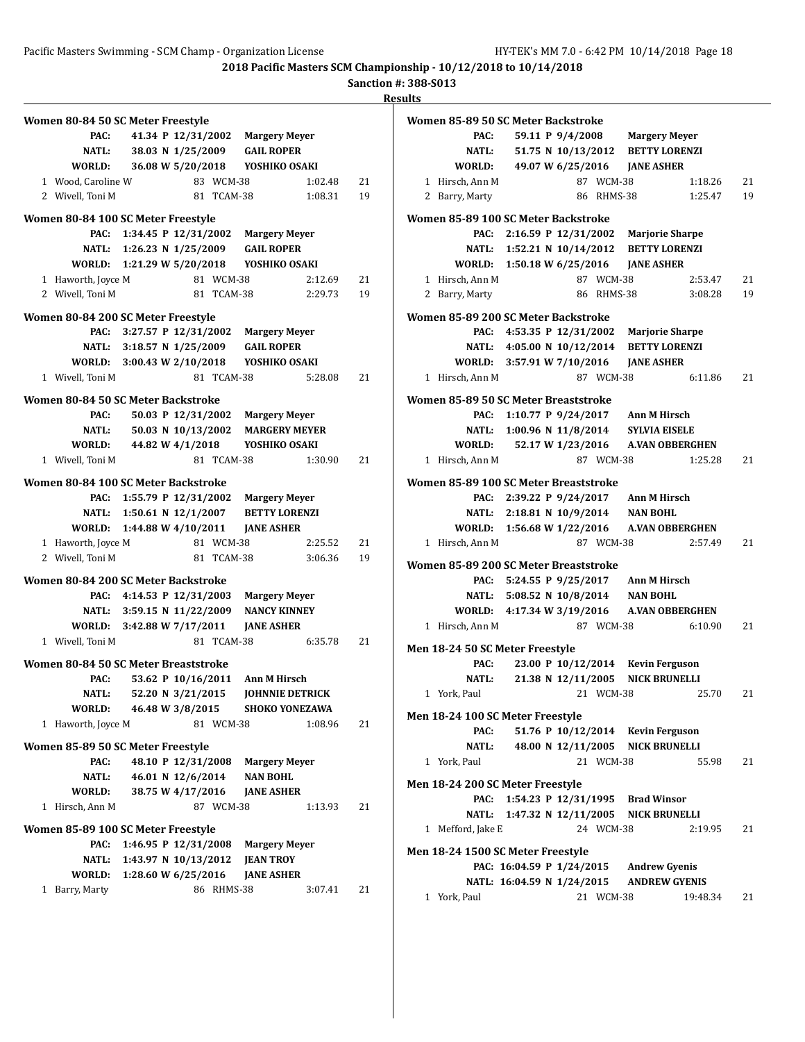**Sanction #: 388-S013**

|                                      |                            |                      |            |                                          |         | ш  |
|--------------------------------------|----------------------------|----------------------|------------|------------------------------------------|---------|----|
| Women 80-84 50 SC Meter Freestyle    |                            |                      |            |                                          |         |    |
| PAC:                                 |                            |                      |            | 41.34 P 12/31/2002 Margery Meyer         |         |    |
|                                      |                            |                      |            | NATL: 38.03 N 1/25/2009 GAIL ROPER       |         |    |
|                                      |                            |                      |            | WORLD: 36.08 W 5/20/2018 YOSHIKO OSAKI   |         |    |
| 1 Wood, Caroline W                   |                            |                      | 83 WCM-38  |                                          | 1:02.48 | 21 |
| 2 Wivell, Toni M                     |                            |                      | 81 TCAM-38 |                                          | 1:08.31 | 19 |
| Women 80-84 100 SC Meter Freestyle   |                            |                      |            |                                          |         |    |
| PAC:                                 |                            |                      |            | 1:34.45 P 12/31/2002 Margery Meyer       |         |    |
|                                      | NATL: 1:26.23 N 1/25/2009  |                      |            | <b>GAIL ROPER</b>                        |         |    |
|                                      |                            |                      |            |                                          |         |    |
| 1 Haworth, Joyce M                   |                            |                      | 81 WCM-38  |                                          | 2:12.69 | 21 |
| 2 Wivell, Toni M                     |                            |                      | 81 TCAM-38 |                                          | 2:29.73 | 19 |
| Women 80-84 200 SC Meter Freestyle   |                            |                      |            |                                          |         |    |
| PAC:                                 | 3:27.57 P 12/31/2002       |                      |            | <b>Margery Meyer</b>                     |         |    |
|                                      |                            |                      |            | NATL: 3:18.57 N 1/25/2009 GAIL ROPER     |         |    |
|                                      |                            |                      |            | WORLD: 3:00.43 W 2/10/2018 YOSHIKO OSAKI |         |    |
| 1 Wivell, Toni M                     |                            |                      | 81 TCAM-38 |                                          | 5:28.08 | 21 |
| Women 80-84 50 SC Meter Backstroke   |                            |                      |            |                                          |         |    |
| PAC:                                 |                            |                      |            | 50.03 P 12/31/2002 Margery Meyer         |         |    |
| <b>NATL:</b>                         |                            | 50.03 N 10/13/2002   |            | <b>MARGERY MEYER</b>                     |         |    |
| WORLD:                               |                            | 44.82 W 4/1/2018     |            | YOSHIKO OSAKI                            |         |    |
| 1 Wivell, Toni M                     |                            |                      | 81 TCAM-38 |                                          | 1:30.90 | 21 |
| Women 80-84 100 SC Meter Backstroke  |                            |                      |            |                                          |         |    |
| PAC:                                 |                            |                      |            | 1:55.79 P 12/31/2002 Margery Meyer       |         |    |
|                                      | NATL: 1:50.61 N 12/1/2007  |                      |            | <b>BETTY LORENZI</b>                     |         |    |
| WORLD: 1:44.88 W 4/10/2011           |                            |                      |            | <b>JANE ASHER</b>                        |         |    |
| 1 Haworth, Joyce M                   |                            |                      | 81 WCM-38  |                                          | 2:25.52 | 21 |
| 2 Wivell, Toni M                     |                            |                      | 81 TCAM-38 |                                          | 3:06.36 | 19 |
| Women 80-84 200 SC Meter Backstroke  |                            |                      |            |                                          |         |    |
|                                      |                            |                      |            | PAC: 4:14.53 P 12/31/2003 Margery Meyer  |         |    |
|                                      | NATL: 3:59.15 N 11/22/2009 |                      |            | <b>NANCY KINNEY</b>                      |         |    |
| WORLD: 3:42.88 W 7/17/2011           |                            |                      |            | <b>JANE ASHER</b>                        |         |    |
| 1 Wivell, Toni M                     |                            |                      | 81 TCAM-38 |                                          | 6:35.78 | 21 |
| Women 80-84 50 SC Meter Breaststroke |                            |                      |            |                                          |         |    |
| PAC:                                 |                            |                      |            | 53.62 P 10/16/2011 Ann M Hirsch          |         |    |
| NATL:                                |                            | 52.20 N 3/21/2015    |            | <b>JOHNNIE DETRICK</b>                   |         |    |
| WORLD:                               |                            | 46.48 W 3/8/2015     |            | <b>SHOKO YONEZAWA</b>                    |         |    |
| 1 Haworth, Joyce M                   |                            |                      | 81 WCM-38  |                                          | 1:08.96 | 21 |
| Women 85-89 50 SC Meter Freestyle    |                            |                      |            |                                          |         |    |
| PAC:                                 |                            | 48.10 P 12/31/2008   |            | <b>Margery Meyer</b>                     |         |    |
| NATL:                                |                            | 46.01 N 12/6/2014    |            | <b>NAN BOHL</b>                          |         |    |
| WORLD:                               |                            | 38.75 W 4/17/2016    |            | <b>JANE ASHER</b>                        |         |    |
| 1 Hirsch, Ann M                      |                            |                      | 87 WCM-38  |                                          | 1:13.93 | 21 |
| Women 85-89 100 SC Meter Freestyle   |                            |                      |            |                                          |         |    |
| PAC:                                 |                            | 1:46.95 P 12/31/2008 |            | <b>Margery Meyer</b>                     |         |    |
| NATL:                                |                            | 1:43.97 N 10/13/2012 |            | <b>JEAN TROY</b>                         |         |    |
| WORLD:                               | 1:28.60 W 6/25/2016        |                      |            | <b>JANE ASHER</b>                        |         |    |
| 1 Barry, Marty                       |                            |                      | 86 RHMS-38 |                                          | 3:07.41 | 21 |

|  | Women 85-89 50 SC Meter Backstroke    |                            |                    |            |                                            |                |
|--|---------------------------------------|----------------------------|--------------------|------------|--------------------------------------------|----------------|
|  | PAC:                                  |                            |                    |            | 59.11 P 9/4/2008 Margery Meyer             |                |
|  | <b>NATL:</b>                          |                            |                    |            | 51.75 N 10/13/2012 BETTY LORENZI           |                |
|  | <b>WORLD:</b>                         |                            |                    |            | 49.07 W 6/25/2016 JANE ASHER               |                |
|  | 1 Hirsch. Ann M                       |                            |                    | 87 WCM-38  |                                            | 1:18.26<br>21  |
|  | 2 Barry, Marty                        |                            |                    | 86 RHMS-38 |                                            | 1:25.47<br>19  |
|  |                                       |                            |                    |            |                                            |                |
|  | Women 85-89 100 SC Meter Backstroke   |                            |                    |            |                                            |                |
|  | PAC:                                  |                            |                    |            | 2:16.59 P 12/31/2002 Marjorie Sharpe       |                |
|  |                                       |                            |                    |            | NATL: 1:52.21 N 10/14/2012 BETTY LORENZI   |                |
|  |                                       |                            |                    |            |                                            |                |
|  | 1 Hirsch, Ann M                       |                            |                    | 87 WCM-38  |                                            | 2:53.47<br>21  |
|  | 2 Barry, Marty                        |                            |                    | 86 RHMS-38 |                                            | 19<br>3:08.28  |
|  | Women 85-89 200 SC Meter Backstroke   |                            |                    |            |                                            |                |
|  | PAC:                                  |                            |                    |            | 4:53.35 P 12/31/2002 Marjorie Sharpe       |                |
|  |                                       |                            |                    |            | NATL: 4:05.00 N 10/12/2014 BETTY LORENZI   |                |
|  |                                       |                            |                    |            | WORLD: 3:57.91 W 7/10/2016 JANE ASHER      |                |
|  | 1 Hirsch, Ann M                       |                            |                    | 87 WCM-38  |                                            | 21<br>6:11.86  |
|  |                                       |                            |                    |            |                                            |                |
|  | Women 85-89 50 SC Meter Breaststroke  |                            |                    |            |                                            |                |
|  | PAC:                                  |                            |                    |            | 1:10.77 P 9/24/2017 Ann M Hirsch           |                |
|  |                                       |                            |                    |            | NATL: 1:00.96 N 11/8/2014 SYLVIA EISELE    |                |
|  | WORLD: 52.17 W 1/23/2016              |                            |                    |            | A.VAN OBBERGHEN                            |                |
|  | 1 Hirsch, Ann M                       |                            |                    | 87 WCM-38  |                                            | 1:25.28<br>21  |
|  | Women 85-89 100 SC Meter Breaststroke |                            |                    |            |                                            |                |
|  | PAC:                                  |                            |                    |            | 2:39.22 P 9/24/2017 Ann M Hirsch           |                |
|  |                                       | NATL: 2:18.81 N 10/9/2014  |                    |            | <b>NAN BOHL</b>                            |                |
|  | WORLD: 1:56.68 W 1/22/2016            |                            |                    |            | <b>A.VAN OBBERGHEN</b>                     |                |
|  | 1 Hirsch, Ann M                       |                            |                    | 87 WCM-38  |                                            | 21<br>2:57.49  |
|  |                                       |                            |                    |            |                                            |                |
|  | Women 85-89 200 SC Meter Breaststroke |                            |                    |            |                                            |                |
|  |                                       |                            |                    |            | PAC: 5:24.55 P 9/25/2017 Ann M Hirsch      |                |
|  |                                       |                            |                    |            | NATL: 5:08.52 N 10/8/2014 NAN BOHL         |                |
|  |                                       |                            |                    |            | WORLD: 4:17.34 W 3/19/2016 A.VAN OBBERGHEN |                |
|  | 1 Hirsch, Ann M                       |                            |                    | 87 WCM-38  |                                            | 6:10.90<br>21  |
|  | Men 18-24 50 SC Meter Freestyle       |                            |                    |            |                                            |                |
|  | PAC:                                  |                            |                    |            | 23.00 P 10/12/2014 Kevin Ferguson          |                |
|  | <b>NATL:</b>                          |                            | 21.38 N 12/11/2005 |            | <b>NICK BRUNELLI</b>                       |                |
|  | 1 York, Paul                          |                            |                    | 21 WCM-38  |                                            | 25.70<br>21    |
|  |                                       |                            |                    |            |                                            |                |
|  | Men 18-24 100 SC Meter Freestyle      |                            |                    |            |                                            |                |
|  | PAC:                                  |                            |                    |            | 51.76 P 10/12/2014 Kevin Ferguson          |                |
|  | NATL:                                 |                            |                    |            | 48.00 N 12/11/2005 NICK BRUNELLI           |                |
|  | 1 York, Paul                          |                            |                    | 21 WCM-38  |                                            | 55.98<br>21    |
|  |                                       |                            |                    |            |                                            |                |
|  | Men 18-24 200 SC Meter Freestyle      |                            |                    |            |                                            |                |
|  | PAC:                                  |                            |                    |            | 1:54.23 P 12/31/1995 Brad Winsor           |                |
|  | NATL:                                 | 1:47.32 N 12/11/2005       |                    |            | <b>NICK BRUNELLI</b>                       |                |
|  | 1 Mefford, Jake E                     |                            |                    | 24 WCM-38  |                                            | 21<br>2:19.95  |
|  | Men 18-24 1500 SC Meter Freestyle     |                            |                    |            |                                            |                |
|  |                                       | PAC: 16:04.59 P 1/24/2015  |                    |            | <b>Andrew Gyenis</b>                       |                |
|  |                                       | NATL: 16:04.59 N 1/24/2015 |                    |            | <b>ANDREW GYENIS</b>                       |                |
|  | 1 York, Paul                          |                            |                    | 21 WCM-38  |                                            | 19:48.34<br>21 |
|  |                                       |                            |                    |            |                                            |                |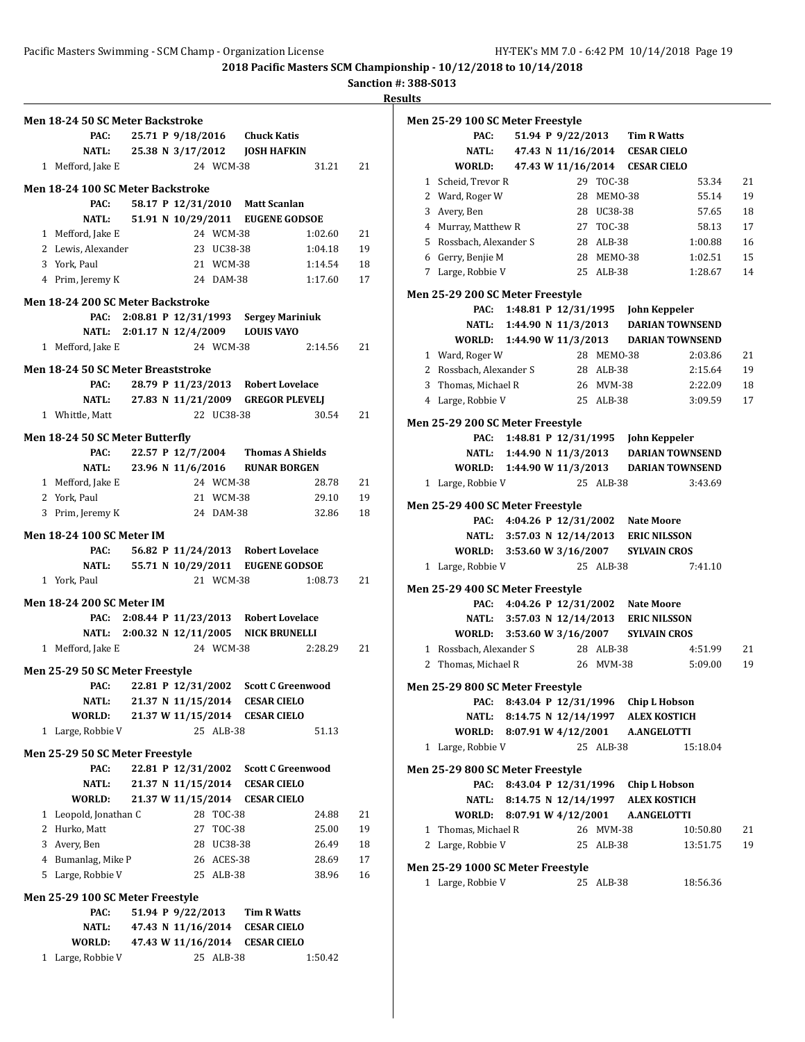**Sanction #: 388-S013**

| Men 18-24 50 SC Meter Backstroke          |                            |            |            |                                      |         |    |
|-------------------------------------------|----------------------------|------------|------------|--------------------------------------|---------|----|
| PAC:                                      | 25.71 P 9/18/2016          |            |            | <b>Chuck Katis</b>                   |         |    |
| <b>NATL:</b>                              |                            |            |            | 25.38 N 3/17/2012 JOSH HAFKIN        |         |    |
| 1 Mefford, Jake E                         |                            |            | 24 WCM-38  |                                      | 31.21   | 21 |
|                                           |                            |            |            |                                      |         |    |
| Men 18-24 100 SC Meter Backstroke<br>PAC: |                            |            |            | 58.17 P 12/31/2010 Matt Scanlan      |         |    |
|                                           |                            |            |            | 51.91 N 10/29/2011 EUGENE GODSOE     |         |    |
| NATL:                                     |                            |            |            |                                      |         |    |
| 1 Mefford, Jake E                         |                            |            | 24 WCM-38  |                                      | 1:02.60 | 21 |
| 2 Lewis, Alexander                        |                            | 23 UC38-38 |            |                                      | 1:04.18 | 19 |
| 3 York, Paul                              |                            |            | 21 WCM-38  |                                      | 1:14.54 | 18 |
| 4 Prim, Jeremy K                          |                            |            | 24 DAM-38  |                                      | 1:17.60 | 17 |
| Men 18-24 200 SC Meter Backstroke         |                            |            |            |                                      |         |    |
| PAC:                                      |                            |            |            | 2:08.81 P 12/31/1993 Sergey Mariniuk |         |    |
|                                           |                            |            |            | NATL: 2:01.17 N 12/4/2009 LOUIS VAYO |         |    |
| 1 Mefford, Jake E                         |                            |            | 24 WCM-38  |                                      | 2:14.56 | 21 |
| Men 18-24 50 SC Meter Breaststroke        |                            |            |            |                                      |         |    |
| PAC:                                      |                            |            |            | 28.79 P 11/23/2013 Robert Lovelace   |         |    |
|                                           | NATL: 27.83 N 11/21/2009   |            |            | <b>GREGOR PLEVELJ</b>                |         |    |
| 1 Whittle, Matt                           |                            |            | 22 UC38-38 |                                      | 30.54   | 21 |
|                                           |                            |            |            |                                      |         |    |
| Men 18-24 50 SC Meter Butterfly           |                            |            |            |                                      |         |    |
| PAC:                                      | 22.57 P 12/7/2004          |            |            | <b>Thomas A Shields</b>              |         |    |
|                                           |                            |            |            | NATL: 23.96 N 11/6/2016 RUNAR BORGEN |         |    |
| 1 Mefford, Jake E                         |                            |            | 24 WCM-38  |                                      | 28.78   | 21 |
| 2 York, Paul                              |                            |            | 21 WCM-38  |                                      | 29.10   | 19 |
| 3 Prim, Jeremy K                          |                            |            | 24 DAM-38  |                                      | 32.86   | 18 |
| <b>Men 18-24 100 SC Meter IM</b>          |                            |            |            |                                      |         |    |
| PAC:                                      | 56.82 P 11/24/2013         |            |            | <b>Robert Lovelace</b>               |         |    |
| NATL:                                     | 55.71 N 10/29/2011         |            |            | <b>EUGENE GODSOE</b>                 |         |    |
| 1 York, Paul                              |                            |            | 21 WCM-38  |                                      | 1:08.73 | 21 |
|                                           |                            |            |            |                                      |         |    |
| <b>Men 18-24 200 SC Meter IM</b>          |                            |            |            |                                      |         |    |
| PAC:                                      |                            |            |            | 2:08.44 P 11/23/2013 Robert Lovelace |         |    |
|                                           | NATL: 2:00.32 N 12/11/2005 |            |            | <b>NICK BRUNELLI</b>                 |         |    |
| 1 Mefford, Jake E                         |                            |            | 24 WCM-38  |                                      | 2:28.29 | 21 |
| Men 25-29 50 SC Meter Freestyle           |                            |            |            |                                      |         |    |
| PAC:                                      | 22.81 P 12/31/2002         |            |            | <b>Scott C Greenwood</b>             |         |    |
| <b>NATL:</b>                              | 21.37 N 11/15/2014         |            |            | <b>CESAR CIELO</b>                   |         |    |
| WORLD:                                    | 21.37 W 11/15/2014         |            |            | <b>CESAR CIELO</b>                   |         |    |
| Large, Robbie V<br>1                      |                            |            | 25 ALB-38  |                                      | 51.13   |    |
|                                           |                            |            |            |                                      |         |    |
| Men 25-29 50 SC Meter Freestyle           | 22.81 P 12/31/2002         |            |            | <b>Scott C Greenwood</b>             |         |    |
| PAC:<br>NATL:                             | 21.37 N 11/15/2014         |            |            | <b>CESAR CIELO</b>                   |         |    |
| WORLD:                                    | 21.37 W 11/15/2014         |            |            | <b>CESAR CIELO</b>                   |         |    |
| 1 Leopold, Jonathan C                     |                            |            | 28 TOC-38  |                                      | 24.88   | 21 |
| 2 Hurko, Matt                             |                            |            | 27 TOC-38  |                                      | 25.00   | 19 |
| 3 Avery, Ben                              |                            |            | 28 UC38-38 |                                      | 26.49   | 18 |
| 4 Bumanlag, Mike P                        |                            |            | 26 ACES-38 |                                      | 28.69   | 17 |
| 5 Large, Robbie V                         |                            |            | 25 ALB-38  |                                      | 38.96   | 16 |
|                                           |                            |            |            |                                      |         |    |
| Men 25-29 100 SC Meter Freestyle          |                            |            |            |                                      |         |    |
| PAC:                                      | 51.94 P 9/22/2013          |            |            | <b>Tim R Watts</b>                   |         |    |
| NATL:                                     | 47.43 N 11/16/2014         |            |            | <b>CESAR CIELO</b>                   |         |    |
| WORLD:                                    | 47.43 W 11/16/2014         |            |            | <b>CESAR CIELO</b>                   |         |    |
| Large, Robbie V<br>$\mathbf{1}$           |                            |            | 25 ALB-38  |                                      | 1:50.42 |    |

|   | Men 25-29 100 SC Meter Freestyle  |                            |    |            |                                                                              |          |    |
|---|-----------------------------------|----------------------------|----|------------|------------------------------------------------------------------------------|----------|----|
|   | PAC:                              |                            |    |            | 51.94 P 9/22/2013 Tim R Watts                                                |          |    |
|   | <b>NATL:</b>                      |                            |    |            | 47.43 N 11/16/2014 CESAR CIELO                                               |          |    |
|   | <b>WORLD:</b>                     |                            |    |            | 47.43 W 11/16/2014 CESAR CIELO                                               |          |    |
|   | 1 Scheid, Trevor R                |                            |    | 29 TOC-38  |                                                                              | 53.34    | 21 |
|   | 2 Ward, Roger W                   |                            |    | 28 MEMO-38 |                                                                              | 55.14    | 19 |
|   | 3 Avery, Ben                      |                            |    | 28 UC38-38 |                                                                              | 57.65    | 18 |
|   | 4 Murray, Matthew R               |                            |    | 27 TOC-38  |                                                                              | 58.13    | 17 |
|   | 5 Rossbach, Alexander S           |                            |    | 28 ALB-38  |                                                                              | 1:00.88  | 16 |
|   | 6 Gerry, Benjie M                 |                            |    | 28 MEM0-38 |                                                                              | 1:02.51  | 15 |
|   | 7 Large, Robbie V                 |                            |    | 25 ALB-38  |                                                                              | 1:28.67  | 14 |
|   | Men 25-29 200 SC Meter Freestyle  |                            |    |            |                                                                              |          |    |
|   | PAC:                              |                            |    |            | 1:48.81 P 12/31/1995 John Keppeler                                           |          |    |
|   |                                   |                            |    |            | NATL: 1:44.90 N 11/3/2013 DARIAN TOWNSEND                                    |          |    |
|   |                                   |                            |    |            | WORLD: 1:44.90 W 11/3/2013 DARIAN TOWNSEND                                   |          |    |
|   | 1 Ward, Roger W                   |                            |    | 28 MEM0-38 |                                                                              | 2:03.86  | 21 |
|   | 2 Rossbach, Alexander S           |                            |    | 28 ALB-38  |                                                                              | 2:15.64  | 19 |
|   | 3 Thomas, Michael R               |                            |    | 26 MVM-38  |                                                                              | 2:22.09  | 18 |
|   | 4 Large, Robbie V                 |                            |    | 25 ALB-38  |                                                                              | 3:09.59  | 17 |
|   | Men 25-29 200 SC Meter Freestyle  |                            |    |            |                                                                              |          |    |
|   | PAC:                              |                            |    |            | 1:48.81 P 12/31/1995 John Keppeler                                           |          |    |
|   |                                   |                            |    |            | NATL: 1:44.90 N 11/3/2013 DARIAN TOWNSEND                                    |          |    |
|   |                                   |                            |    |            | WORLD: 1:44.90 W 11/3/2013 DARIAN TOWNSEND                                   |          |    |
|   | 1 Large, Robbie V                 |                            |    | 25 ALB-38  |                                                                              | 3:43.69  |    |
|   | Men 25-29 400 SC Meter Freestyle  |                            |    |            |                                                                              |          |    |
|   |                                   |                            |    |            | PAC: 4:04.26 P 12/31/2002 Nate Moore                                         |          |    |
|   |                                   |                            |    |            | NATL: 3:57.03 N 12/14/2013 ERIC NILSSON                                      |          |    |
|   | WORLD: 3:53.60 W 3/16/2007        |                            |    |            | <b>SYLVAIN CROS</b>                                                          |          |    |
|   | 1 Large, Robbie V                 |                            |    | 25 ALB-38  |                                                                              | 7:41.10  |    |
|   | Men 25-29 400 SC Meter Freestyle  |                            |    |            |                                                                              |          |    |
|   |                                   |                            |    |            | PAC: 4:04.26 P 12/31/2002 Nate Moore                                         |          |    |
|   |                                   |                            |    |            | NATL: 3:57.03 N 12/14/2013 ERIC NILSSON                                      |          |    |
|   | WORLD: 3:53.60 W 3/16/2007        |                            |    |            | <b>SYLVAIN CROS</b>                                                          |          |    |
|   | 1 Rossbach, Alexander S           |                            |    | 28 ALB-38  |                                                                              | 4:51.99  | 21 |
|   | 2 Thomas, Michael R               |                            |    | 26 MVM-38  |                                                                              | 5:09.00  | 19 |
|   |                                   |                            |    |            |                                                                              |          |    |
|   | Men 25-29 800 SC Meter Freestyle  |                            |    |            |                                                                              |          |    |
|   |                                   |                            |    |            | PAC: 8:43.04 P 12/31/1996 Chip L Hobson<br>8:14.75 N 12/14/1997 ALEX KOSTICH |          |    |
|   | NATL:                             |                            |    |            |                                                                              |          |    |
|   | WORLD:                            |                            |    | 25 ALB-38  | 8:07.91 W 4/12/2001 A.ANGELOTTI                                              |          |    |
| 1 | Large, Robbie V                   |                            |    |            |                                                                              | 15:18.04 |    |
|   | Men 25-29 800 SC Meter Freestyle  |                            |    |            |                                                                              |          |    |
|   | PAC:                              |                            |    |            | 8:43.04 P 12/31/1996 Chip L Hobson                                           |          |    |
|   |                                   | NATL: 8:14.75 N 12/14/1997 |    |            | <b>ALEX KOSTICH</b>                                                          |          |    |
|   | WORLD:                            | 8:07.91 W 4/12/2001        |    |            | <b>A.ANGELOTTI</b>                                                           |          |    |
| 1 | Thomas, Michael R                 |                            |    | 26 MVM-38  |                                                                              | 10:50.80 | 21 |
| 2 | Large, Robbie V                   |                            |    | 25 ALB-38  |                                                                              | 13:51.75 | 19 |
|   | Men 25-29 1000 SC Meter Freestyle |                            |    |            |                                                                              |          |    |
|   | 1 Large, Robbie V                 |                            | 25 | ALB-38     |                                                                              | 18:56.36 |    |
|   |                                   |                            |    |            |                                                                              |          |    |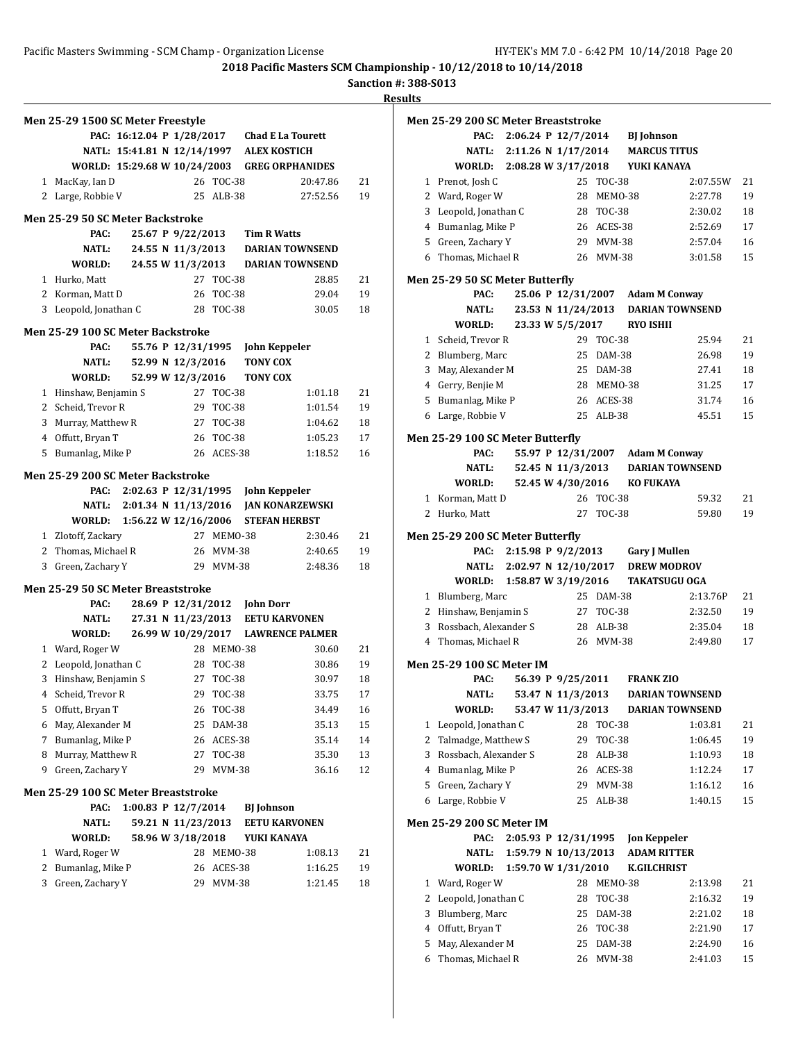**Sanction #: 388-S013**

|              | Men 25-29 1500 SC Meter Freestyle           |                              |                                           |               |                      |                          |          |
|--------------|---------------------------------------------|------------------------------|-------------------------------------------|---------------|----------------------|--------------------------|----------|
|              |                                             | PAC: 16:12.04 P 1/28/2017    |                                           |               |                      | <b>Chad E La Tourett</b> |          |
|              |                                             | NATL: 15:41.81 N 12/14/1997  |                                           |               | <b>ALEX KOSTICH</b>  |                          |          |
|              |                                             | WORLD: 15:29.68 W 10/24/2003 |                                           |               |                      | <b>GREG ORPHANIDES</b>   |          |
| $\mathbf{1}$ | MacKay, Ian D                               |                              |                                           | 26 TOC-38     |                      | 20:47.86                 | 21       |
|              | 2 Large, Robbie V                           |                              |                                           | 25 ALB-38     |                      | 27:52.56                 | 19       |
|              | <b>Men 25-29 50 SC Meter Backstroke</b>     |                              |                                           |               |                      |                          |          |
|              | PAC:                                        |                              | 25.67 P 9/22/2013                         |               | <b>Tim R Watts</b>   |                          |          |
|              | <b>NATL:</b>                                |                              | 24.55 N 11/3/2013                         |               |                      | <b>DARIAN TOWNSEND</b>   |          |
|              | WORLD:                                      |                              | 24.55 W 11/3/2013                         |               |                      | <b>DARIAN TOWNSEND</b>   |          |
|              | 1 Hurko, Matt                               |                              | 27                                        | <b>TOC-38</b> |                      | 28.85                    | 21       |
|              | 2 Korman, Matt D                            |                              | 26                                        | TOC-38        |                      | 29.04                    | 19       |
|              | 3 Leopold, Jonathan C                       |                              |                                           | 28 TOC-38     |                      | 30.05                    | 18       |
|              | Men 25-29 100 SC Meter Backstroke           |                              |                                           |               |                      |                          |          |
|              | PAC:                                        |                              | 55.76 P 12/31/1995                        |               | <b>John Keppeler</b> |                          |          |
|              | NATL:                                       |                              | 52.99 N 12/3/2016                         |               | <b>TONY COX</b>      |                          |          |
|              | WORLD:                                      |                              | 52.99 W 12/3/2016                         |               | <b>TONY COX</b>      |                          |          |
|              | 1 Hinshaw, Benjamin S                       |                              | 27                                        | <b>TOC-38</b> |                      | 1:01.18                  | 21       |
|              | 2 Scheid, Trevor R                          |                              | 29                                        | TOC-38        |                      | 1:01.54                  | 19       |
|              | 3 Murray, Matthew R                         |                              | 27                                        | <b>TOC-38</b> |                      | 1:04.62                  | 18       |
|              | 4 Offutt, Bryan T                           |                              |                                           | 26 TOC-38     |                      | 1:05.23                  | 17       |
| 5            | Bumanlag, Mike P                            |                              |                                           | 26 ACES-38    |                      | 1:18.52                  | 16       |
|              | Men 25-29 200 SC Meter Backstroke           |                              |                                           |               |                      |                          |          |
|              | PAC:                                        |                              | 2:02.63 P 12/31/1995                      |               | John Keppeler        |                          |          |
|              | NATL:                                       |                              | 2:01.34 N 11/13/2016                      |               |                      | <b>JAN KONARZEWSKI</b>   |          |
|              | WORLD:                                      |                              | 1:56.22 W 12/16/2006                      |               |                      | <b>STEFAN HERBST</b>     |          |
|              | 1 Zlotoff, Zackary                          |                              | 27                                        | MEMO-38       |                      | 2:30.46                  | 21       |
|              | 2 Thomas, Michael R                         |                              | 26                                        | MVM-38        |                      | 2:40.65                  | 19       |
|              | 3 Green, Zachary Y                          |                              |                                           | 29 MVM-38     |                      | 2:48.36                  | 18       |
|              | Men 25-29 50 SC Meter Breaststroke          |                              |                                           |               |                      |                          |          |
|              | PAC:                                        |                              | 28.69 P 12/31/2012                        |               | <b>John Dorr</b>     |                          |          |
|              | <b>NATL:</b>                                |                              | 27.31 N 11/23/2013                        |               |                      | <b>EETU KARVONEN</b>     |          |
|              | WORLD:                                      |                              | 26.99 W 10/29/2017                        |               |                      | <b>LAWRENCE PALMER</b>   |          |
|              | 1 Ward, Roger W                             |                              |                                           | 28 MEM0-38    |                      | 30.60                    | 21       |
|              | 2 Leopold, Jonathan C                       |                              | 28                                        | TOC-38        |                      | 30.86                    | 19       |
|              | 3 Hinshaw, Benjamin S                       |                              | 27                                        | <b>TOC-38</b> |                      | 30.97                    | 18       |
| 4            | Scheid, Trevor R                            |                              | 29                                        | <b>TOC-38</b> |                      | 33.75                    | 17       |
| 5            | Offutt, Bryan T                             |                              | 26                                        | TOC-38        |                      | 34.49                    | 16       |
|              | May, Alexander M                            |                              | 25                                        | DAM-38        |                      | 35.13                    | 15       |
| 6            |                                             |                              |                                           | ACES-38       |                      | 35.14                    | 14       |
| 7            | Bumanlag, Mike P                            |                              | 26                                        |               |                      |                          |          |
| 8            | Murray, Matthew R                           |                              | 27                                        | <b>TOC-38</b> |                      | 35.30                    |          |
| 9            | Green, Zachary Y                            |                              | 29                                        | <b>MVM-38</b> |                      | 36.16                    |          |
|              |                                             |                              |                                           |               |                      |                          | 13<br>12 |
|              | Men 25-29 100 SC Meter Breaststroke<br>PAC: |                              |                                           |               |                      |                          |          |
|              | <b>NATL:</b>                                |                              | 1:00.83 P 12/7/2014<br>59.21 N 11/23/2013 |               | <b>BJ</b> Johnson    | <b>EETU KARVONEN</b>     |          |
|              | WORLD:                                      |                              | 58.96 W 3/18/2018                         |               | YUKI KANAYA          |                          |          |
| 1            | Ward, Roger W                               |                              | 28                                        | MEMO-38       |                      | 1:08.13                  |          |
| 2            | Bumanlag, Mike P                            |                              | 26                                        | ACES-38       |                      | 1:16.25                  | 21<br>19 |

|   | Men 25-29 200 SC Meter Breaststroke      |                       |                  |                                  |                        |    |
|---|------------------------------------------|-----------------------|------------------|----------------------------------|------------------------|----|
|   | PAC:                                     | 2:06.24 P $12/7/2014$ |                  | <b>BJ</b> Johnson                |                        |    |
|   | NATL:                                    | 2:11.26 N 1/17/2014   |                  | <b>MARCUS TITUS</b>              |                        |    |
|   | WORLD: 2:08.28 W 3/17/2018               |                       |                  | YUKI KANAYA                      |                        |    |
|   | 1 Prenot, Josh C                         | 25                    | <b>TOC-38</b>    |                                  | 2:07.55W               | 21 |
|   | 2 Ward, Roger W                          |                       | 28 MEMO-38       |                                  | 2:27.78                | 19 |
|   | 3 Leopold, Jonathan C                    |                       | 28 TOC-38        |                                  | 2:30.02                | 18 |
|   | 4 Bumanlag, Mike P                       |                       | 26 ACES-38       |                                  | 2:52.69                | 17 |
|   | 5 Green, Zachary Y                       |                       | 29 MVM-38        |                                  | 2:57.04                | 16 |
|   | 6 Thomas, Michael R                      |                       | 26 MVM-38        |                                  | 3:01.58                | 15 |
|   | Men 25-29 50 SC Meter Butterfly          |                       |                  |                                  |                        |    |
|   | PAC:                                     |                       |                  | 25.06 P 12/31/2007 Adam M Conway |                        |    |
|   | NATL:                                    | 23.53 N 11/24/2013    |                  |                                  | <b>DARIAN TOWNSEND</b> |    |
|   | <b>WORLD:</b>                            | 23.33 W 5/5/2017      |                  | <b>RYO ISHII</b>                 |                        |    |
|   | 1 Scheid, Trevor R                       |                       | 29 TOC-38        |                                  | 25.94                  | 21 |
|   | 2 Blumberg, Marc                         |                       | 25 DAM-38        |                                  | 26.98                  | 19 |
|   | 3 May, Alexander M                       |                       | 25 DAM-38        |                                  | 27.41                  | 18 |
|   | 4 Gerry, Benjie M                        |                       | 28 MEM0-38       |                                  | 31.25                  | 17 |
|   | 5 Bumanlag, Mike P                       |                       | 26 ACES-38       |                                  | 31.74                  | 16 |
|   | 6 Large, Robbie V                        |                       | 25 ALB-38        |                                  | 45.51                  | 15 |
|   |                                          |                       |                  |                                  |                        |    |
|   | Men 25-29 100 SC Meter Butterfly         |                       |                  |                                  |                        |    |
|   | PAC:                                     |                       |                  | 55.97 P 12/31/2007 Adam M Conway |                        |    |
|   | NATL:                                    | 52.45 N 11/3/2013     |                  |                                  | <b>DARIAN TOWNSEND</b> |    |
|   | <b>WORLD:</b>                            | 52.45 W 4/30/2016     |                  | <b>KO FUKAYA</b>                 |                        |    |
|   | 1 Korman, Matt D                         |                       | 26 TOC-38        |                                  | 59.32                  | 21 |
|   | 2 Hurko, Matt                            | 27                    | <b>TOC-38</b>    |                                  | 59.80                  | 19 |
|   | Men 25-29 200 SC Meter Butterfly         |                       |                  |                                  |                        |    |
|   | PAC:                                     | 2:15.98 P 9/2/2013    |                  | <b>Gary J Mullen</b>             |                        |    |
|   | NATL:                                    | 2:02.97 N 12/10/2017  |                  | <b>DREW MODROV</b>               |                        |    |
|   | WORLD: 1:58.87 W 3/19/2016               |                       |                  | <b>TAKATSUGU OGA</b>             |                        |    |
|   | 1 Blumberg, Marc                         |                       | 25 DAM-38        |                                  | 2:13.76P               | 21 |
|   | 2 Hinshaw, Benjamin S                    |                       | 27 TOC-38        |                                  | 2:32.50                | 19 |
|   | 3 Rossbach, Alexander S                  |                       | 28 ALB-38        |                                  | 2:35.04                | 18 |
|   | 4 Thomas, Michael R                      |                       | 26 MVM-38        |                                  | 2:49.80                | 17 |
|   | <b>Men 25-29 100 SC Meter IM</b>         |                       |                  |                                  |                        |    |
|   | PAC:                                     | 56.39 P 9/25/2011     |                  | <b>FRANK ZIO</b>                 |                        |    |
|   | <b>NATL:</b>                             | 53.47 N 11/3/2013     |                  |                                  | <b>DARIAN TOWNSEND</b> |    |
|   | WORLD:                                   | 53.47 W 11/3/2013     |                  |                                  | <b>DARIAN TOWNSEND</b> |    |
| 1 | Leopold, Jonathan C                      | 28                    | <b>TOC-38</b>    |                                  | 1:03.81                | 21 |
| 2 | Talmadge, Matthew S                      | 29                    | <b>TOC-38</b>    |                                  | 1:06.45                | 19 |
| 3 | Rossbach, Alexander S                    | 28                    | $ALB-38$         |                                  | 1:10.93                | 18 |
|   | 4 Bumanlag, Mike P                       |                       | 26 ACES-38       |                                  | 1:12.24                | 17 |
| 5 | Green, Zachary Y                         | 29                    | <b>MVM-38</b>    |                                  | 1:16.12                | 16 |
| 6 | Large, Robbie V                          | 25                    | $ALB-38$         |                                  | 1:40.15                | 15 |
|   |                                          |                       |                  |                                  |                        |    |
|   | <b>Men 25-29 200 SC Meter IM</b><br>PAC: | 2:05.93 P 12/31/1995  |                  | <b>Jon Keppeler</b>              |                        |    |
|   | <b>NATL:</b>                             | 1:59.79 N 10/13/2013  |                  | <b>ADAM RITTER</b>               |                        |    |
|   | WORLD:                                   | 1:59.70 W 1/31/2010   |                  | <b>K.GILCHRIST</b>               |                        |    |
| 1 | Ward, Roger W                            | 28                    | MEMO-38          |                                  | 2:13.98                | 21 |
| 2 | Leopold, Jonathan C                      | 28                    |                  |                                  |                        | 19 |
| 3 | Blumberg, Marc                           | 25                    | TOC-38<br>DAM-38 |                                  | 2:16.32<br>2:21.02     | 18 |
| 4 | Offutt, Bryan T                          | 26                    | <b>TOC-38</b>    |                                  | 2:21.90                | 17 |
| 5 |                                          |                       |                  |                                  |                        |    |
|   | May, Alexander M                         | 25                    | DAM-38           |                                  | 2:24.90                | 16 |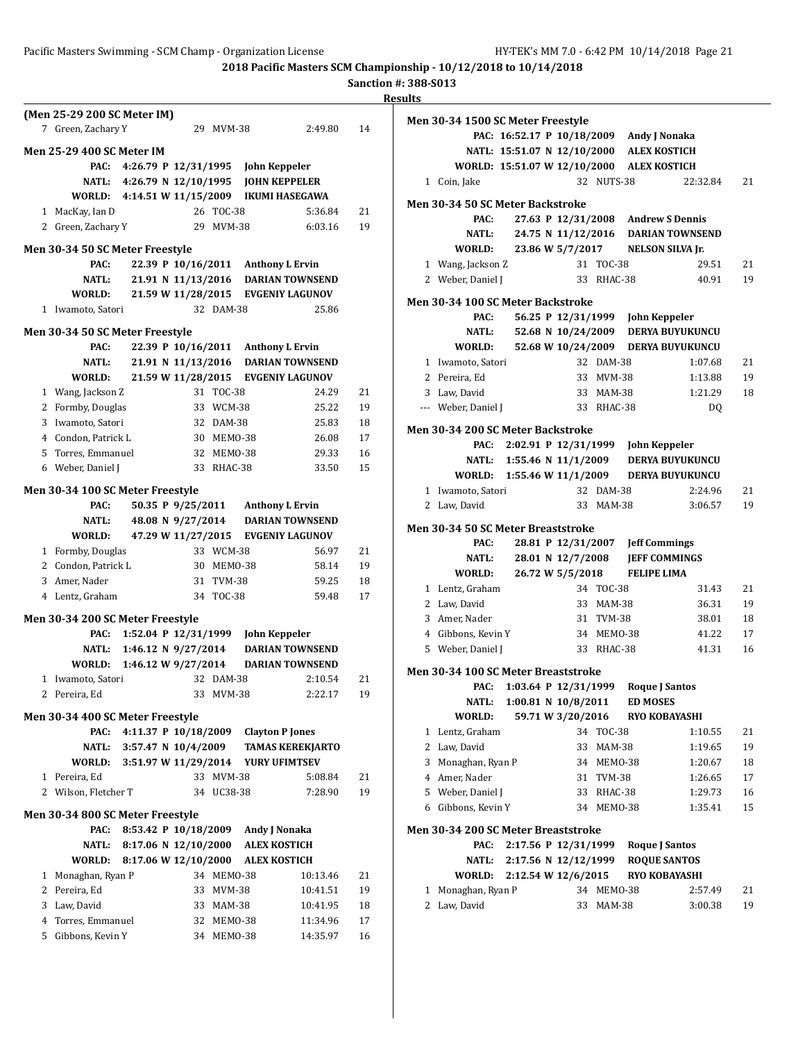#### **Sanction #: 388-S013 Results**

**(Men 25-29 200 SC Meter IM)** 7 Green, Zachary Y 29 MVM-38 2:49.80 14 **Men 25-29 400 SC Meter IM PAC: 4:26.79 P 12/31/1995 John Keppeler NATL: 4:26.79 N 12/10/1995 JOHN KEPPELER WORLD: 4:14.51 W 11/15/2009 IKUMI HASEGAWA** 1 MacKay, Ian D 26 TOC-38 5:36.84 21 2 Green, Zachary Y 29 MVM-38 6:03.16 19 **Men 30-34 50 SC Meter Freestyle PAC: 22.39 P 10/16/2011 Anthony L Ervin NATL: 21.91 N 11/13/2016 DARIAN TOWNSEND WORLD: 21.59 W 11/28/2015 EVGENIY LAGUNOV** 1 Iwamoto, Satori 32 DAM-38 25.86 **Men 30-34 50 SC Meter Freestyle PAC: 22.39 P 10/16/2011 Anthony L Ervin NATL: 21.91 N 11/13/2016 DARIAN TOWNSEND WORLD: 21.59 W 11/28/2015 EVGENIY LAGUNOV** 1 Wang, Jackson Z 31 TOC-38 24.29 21 2 Formby, Douglas 33 WCM-38 25.22 19 3 Iwamoto, Satori 32 DAM-38 25.83 18 4 Condon, Patrick L 30 MEMO-38 26.08 17 5 Torres, Emmanuel 32 MEMO-38 29.33 16 6 Weber, Daniel J 33 RHAC-38 33.50 15 **Men 30-34 100 SC Meter Freestyle PAC: 50.35 P 9/25/2011 Anthony L Ervin NATL: 48.08 N 9/27/2014 DARIAN TOWNSEND WORLD: 47.29 W 11/27/2015 EVGENIY LAGUNOV** 1 Formby, Douglas 33 WCM-38 56.97 21 2 Condon, Patrick L 30 MEMO-38 58.14 19 3 Amer, Nader 31 TVM-38 59.25 18 4 Lentz, Graham 34 TOC-38 59.48 17 **Men 30-34 200 SC Meter Freestyle PAC: 1:52.04 P 12/31/1999 John Keppeler NATL: 1:46.12 N 9/27/2014 DARIAN TOWNSEND WORLD: 1:46.12 W 9/27/2014 DARIAN TOWNSEND** 1 Iwamoto, Satori 32 DAM-38 2:10.54 21 2 Pereira, Ed 33 MVM-38 2:22.17 19 **Men 30-34 400 SC Meter Freestyle PAC: 4:11.37 P 10/18/2009 Clayton P Jones NATL: 3:57.47 N 10/4/2009 TAMAS KEREKJARTO WORLD: 3:51.97 W 11/29/2014 YURY UFIMTSEV** 1 Pereira, Ed 33 MVM-38 5:08.84 21 2 Wilson, Fletcher T 34 UC38-38 7:28.90 19 **Men 30-34 800 SC Meter Freestyle PAC: 8:53.42 P 10/18/2009 Andy J Nonaka NATL: 8:17.06 N 12/10/2000 ALEX KOSTICH WORLD: 8:17.06 W 12/10/2000 ALEX KOSTICH** 1 Monaghan, Ryan P 34 MEMO-38 10:13.46 21 2 Pereira, Ed 33 MVM-38 10:41.51 19 3 Law, David 33 MAM-38 10:41.95 18 4 Torres, Emmanuel 32 MEMO-38 11:34.96 17 5 Gibbons, Kevin Y 34 MEMO-38 14:35.97 16

|   | Men 30-34 1500 SC Meter Freestyle         |                         |                   |                        |                                          |                                            |          |
|---|-------------------------------------------|-------------------------|-------------------|------------------------|------------------------------------------|--------------------------------------------|----------|
|   |                                           |                         |                   |                        | PAC: 16:52.17 P 10/18/2009 Andy J Nonaka |                                            |          |
|   |                                           |                         |                   |                        | NATL: 15:51.07 N 12/10/2000 ALEX KOSTICH |                                            |          |
|   | WORLD: 15:51.07 W 12/10/2000 ALEX KOSTICH |                         |                   |                        |                                          |                                            |          |
|   | 1 Coin, Jake                              |                         |                   | 32 NUTS-38             |                                          | 22:32.84                                   | 21       |
|   | <b>Men 30-34 50 SC Meter Backstroke</b>   |                         |                   |                        |                                          |                                            |          |
|   | PAC:                                      |                         |                   |                        | 27.63 P 12/31/2008 Andrew S Dennis       |                                            |          |
|   | NATL:                                     |                         |                   |                        |                                          | 24.75 N 11/12/2016 DARIAN TOWNSEND         |          |
|   | WORLD:                                    |                         |                   |                        | 23.86 W 5/7/2017 NELSON SILVA Jr.        |                                            |          |
|   | 1 Wang, Jackson Z                         |                         |                   | 31 TOC-38              |                                          | 29.51                                      | 21       |
|   | 2 Weber, Daniel J                         |                         |                   | 33 RHAC-38             |                                          | 40.91                                      | 19       |
|   |                                           |                         |                   |                        |                                          |                                            |          |
|   | <b>Men 30-34 100 SC Meter Backstroke</b>  |                         |                   |                        |                                          |                                            |          |
|   | PAC:<br><b>NATL:</b>                      |                         |                   |                        | 56.25 P 12/31/1999 John Keppeler         | 52.68 N 10/24/2009 DERYA BUYUKUNCU         |          |
|   | WORLD:                                    |                         |                   |                        |                                          | 52.68 W 10/24/2009 DERYA BUYUKUNCU         |          |
|   | 1 Iwamoto, Satori                         |                         |                   | 32 DAM-38              |                                          | 1:07.68                                    | 21       |
|   | 2 Pereira, Ed                             |                         |                   | 33 MVM-38              |                                          | 1:13.88                                    | 19       |
|   | 3 Law, David                              |                         |                   | 33 MAM-38              |                                          | 1:21.29                                    | 18       |
|   | --- Weber, Daniel J                       |                         |                   | 33 RHAC-38             |                                          | DQ                                         |          |
|   |                                           |                         |                   |                        |                                          |                                            |          |
|   | Men 30-34 200 SC Meter Backstroke         |                         |                   |                        |                                          |                                            |          |
|   | PAC:                                      |                         |                   |                        | 2:02.91 P 12/31/1999 John Keppeler       |                                            |          |
|   |                                           |                         |                   |                        |                                          | NATL: 1:55.46 N 11/1/2009 DERYA BUYUKUNCU  |          |
|   |                                           |                         |                   |                        |                                          | WORLD: 1:55.46 W 11/1/2009 DERYA BUYUKUNCU |          |
|   | 1 Iwamoto, Satori<br>2 Law, David         |                         |                   | 32 DAM-38<br>33 MAM-38 |                                          | 2:24.96<br>3:06.57                         | 21<br>19 |
|   |                                           |                         |                   |                        |                                          |                                            |          |
|   | Men 30-34 50 SC Meter Breaststroke        |                         |                   |                        |                                          |                                            |          |
|   |                                           |                         |                   |                        |                                          |                                            |          |
|   | PAC:                                      |                         |                   |                        | 28.81 P 12/31/2007 Jeff Commings         |                                            |          |
|   | NATL:                                     |                         | 28.01 N 12/7/2008 |                        | <b>JEFF COMMINGS</b>                     |                                            |          |
|   | WORLD:                                    |                         | 26.72 W 5/5/2018  |                        | <b>FELIPE LIMA</b>                       |                                            |          |
|   | 1 Lentz, Graham                           |                         |                   | 34 TOC-38              |                                          | 31.43                                      | 21       |
|   | 2 Law, David                              |                         |                   | 33 MAM-38              |                                          | 36.31                                      | 19       |
|   | 3 Amer, Nader                             |                         |                   | 31 TVM-38              |                                          | 38.01                                      | 18       |
|   | 4 Gibbons, Kevin Y                        |                         |                   | 34 MEM0-38             |                                          | 41.22                                      | 17       |
|   | 5 Weber, Daniel J                         |                         |                   | 33 RHAC-38             |                                          | 41.31                                      | 16       |
|   | Men 30-34 100 SC Meter Breaststroke       |                         |                   |                        |                                          |                                            |          |
|   |                                           |                         |                   |                        | PAC: 1:03.64 P 12/31/1999 Roque J Santos |                                            |          |
|   | <b>NATL:</b>                              | $1:00.81$ N $10/8/2011$ |                   |                        | <b>ED MOSES</b>                          |                                            |          |
|   | WORLD:                                    |                         | 59.71 W 3/20/2016 |                        | <b>RYO KOBAYASHI</b>                     |                                            |          |
|   | 1 Lentz, Graham                           |                         |                   | 34 TOC-38              |                                          | 1:10.55                                    | 21       |
|   | 2 Law, David                              |                         |                   | 33 MAM-38              |                                          | 1:19.65                                    | 19       |
| 3 | Monaghan, Ryan P                          |                         |                   | 34 MEMO-38             |                                          | 1:20.67                                    | 18       |
|   | 4 Amer, Nader                             |                         |                   | 31 TVM-38              |                                          | 1:26.65                                    | 17       |
|   | 5 Weber, Daniel J                         |                         |                   | 33 RHAC-38             |                                          | 1:29.73                                    | 16       |
|   | 6 Gibbons, Kevin Y                        |                         |                   | 34 MEM0-38             |                                          | 1:35.41                                    | 15       |
|   | Men 30-34 200 SC Meter Breaststroke       |                         |                   |                        |                                          |                                            |          |
|   | PAC:                                      |                         |                   |                        | 2:17.56 P 12/31/1999 Roque J Santos      |                                            |          |
|   | NATL:                                     | 2:17.56 N 12/12/1999    |                   |                        | <b>ROQUE SANTOS</b>                      |                                            |          |
|   | WORLD:                                    | 2:12.54 W 12/6/2015     |                   |                        | <b>RYO KOBAYASHI</b>                     |                                            |          |
| 1 | Monaghan, Ryan P                          |                         |                   | 34 MEMO-38             |                                          | 2:57.49                                    | 21       |
| 2 | Law, David                                |                         | 33                | <b>MAM-38</b>          |                                          | 3:00.38                                    | 19       |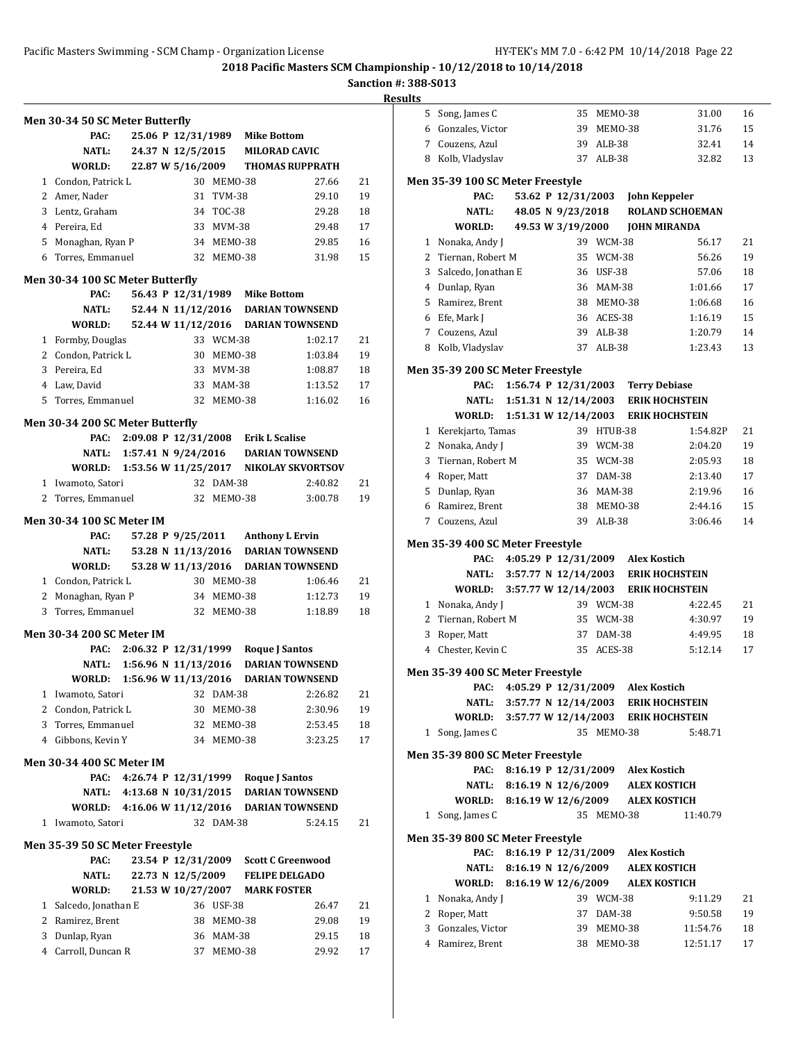# **Sanction #: 388-S013**

|              | Men 30-34 50 SC Meter Butterfly  |                           |                    |            |                                     |                                               |    |
|--------------|----------------------------------|---------------------------|--------------------|------------|-------------------------------------|-----------------------------------------------|----|
|              | PAC:                             |                           |                    |            | 25.06 P 12/31/1989 Mike Bottom      |                                               |    |
|              | NATL:                            |                           |                    |            | 24.37 N 12/5/2015 MILORAD CAVIC     |                                               |    |
|              | WORLD:                           | 22.87 W 5/16/2009         |                    |            |                                     | <b>THOMAS RUPPRATH</b>                        |    |
|              | 1 Condon, Patrick L              |                           |                    | 30 MEMO-38 |                                     | 27.66                                         | 21 |
|              | 2 Amer. Nader                    |                           |                    | 31 TVM-38  |                                     | 29.10                                         | 19 |
|              | 3 Lentz, Graham                  |                           |                    | 34 TOC-38  |                                     | 29.28                                         | 18 |
|              | 4 Pereira, Ed                    |                           |                    | 33 MVM-38  |                                     | 29.48                                         | 17 |
|              | 5 Monaghan, Ryan P               |                           |                    | 34 MEMO-38 |                                     | 29.85                                         | 16 |
|              | 6 Torres. Emmanuel               |                           |                    | 32 MEMO-38 |                                     | 31.98                                         | 15 |
|              | Men 30-34 100 SC Meter Butterfly |                           |                    |            |                                     |                                               |    |
|              | PAC:                             |                           |                    |            | 56.43 P 12/31/1989 Mike Bottom      |                                               |    |
|              | NATL:                            |                           |                    |            |                                     | 52.44 N 11/12/2016 DARIAN TOWNSEND            |    |
|              | WORLD:                           |                           |                    |            |                                     | 52.44 W 11/12/2016 DARIAN TOWNSEND            |    |
|              | 1 Formby, Douglas                |                           |                    | 33 WCM-38  |                                     | 1:02.17                                       | 21 |
|              | 2 Condon, Patrick L              |                           |                    | 30 MEMO-38 |                                     | 1:03.84                                       | 19 |
|              | 3 Pereira. Ed                    |                           |                    | 33 MVM-38  |                                     | 1:08.87                                       | 18 |
|              | 4 Law, David                     |                           |                    | 33 MAM-38  |                                     | 1:13.52                                       | 17 |
| 5            | Torres, Emmanuel                 |                           |                    | 32 MEMO-38 |                                     | 1:16.02                                       | 16 |
|              | Men 30-34 200 SC Meter Butterfly |                           |                    |            |                                     |                                               |    |
|              | PAC:                             |                           |                    |            | 2:09.08 P 12/31/2008 Erik L Scalise |                                               |    |
|              |                                  | NATL: 1:57.41 N 9/24/2016 |                    |            |                                     | <b>DARIAN TOWNSEND</b>                        |    |
|              |                                  |                           |                    |            |                                     | WORLD: 1:53.56 W 11/25/2017 NIKOLAY SKVORTSOV |    |
|              | 1 Iwamoto, Satori                |                           |                    | 32 DAM-38  |                                     | 2:40.82                                       | 21 |
| 2            | Torres, Emmanuel                 |                           |                    | 32 MEM0-38 |                                     | 3:00.78                                       | 19 |
|              | <b>Men 30-34 100 SC Meter IM</b> |                           |                    |            |                                     |                                               |    |
|              | PAC:                             |                           |                    |            | 57.28 P 9/25/2011 Anthony L Ervin   |                                               |    |
|              | <b>NATL:</b>                     |                           |                    |            |                                     | 53.28 N 11/13/2016 DARIAN TOWNSEND            |    |
|              | WORLD:                           |                           |                    |            |                                     | 53.28 W 11/13/2016 DARIAN TOWNSEND            |    |
|              | 1 Condon, Patrick L              |                           |                    | 30 MEMO-38 |                                     | 1:06.46                                       | 21 |
|              | 2 Monaghan, Ryan P               |                           |                    | 34 MEM0-38 |                                     | 1:12.73                                       | 19 |
| 3            | Torres, Emmanuel                 |                           |                    | 32 MEMO-38 |                                     | 1:18.89                                       | 18 |
|              | <b>Men 30-34 200 SC Meter IM</b> |                           |                    |            |                                     |                                               |    |
|              | PAC:                             | 2:06.32 P 12/31/1999      |                    |            | <b>Roque J Santos</b>               |                                               |    |
|              | <b>NATL:</b>                     | 1:56.96 N 11/13/2016      |                    |            |                                     | <b>DARIAN TOWNSEND</b>                        |    |
|              | WORLD:                           | 1:56.96 W 11/13/2016      |                    |            |                                     | <b>DARIAN TOWNSEND</b>                        |    |
| 1            | Iwamoto, Satori                  |                           |                    | 32 DAM-38  |                                     | 2:26.82                                       | 21 |
|              | 2 Condon, Patrick L              |                           |                    | 30 MEMO-38 |                                     | 2:30.96                                       | 19 |
| 3            | Torres, Emmanuel                 |                           |                    | 32 MEMO-38 |                                     | 2:53.45                                       | 18 |
|              | 4 Gibbons, Kevin Y               |                           |                    | 34 MEMO-38 |                                     | 3:23.25                                       | 17 |
|              |                                  |                           |                    |            |                                     |                                               |    |
|              | <b>Men 30-34 400 SC Meter IM</b> |                           |                    |            |                                     |                                               |    |
|              | PAC:<br>NATL:                    | 4:13.68 N 10/31/2015      |                    |            | 4:26.74 P 12/31/1999 Roque J Santos | <b>DARIAN TOWNSEND</b>                        |    |
|              | WORLD:                           | 4:16.06 W 11/12/2016      |                    |            |                                     | <b>DARIAN TOWNSEND</b>                        |    |
| $\mathbf{1}$ | Iwamoto, Satori                  |                           |                    | 32 DAM-38  |                                     | 5:24.15                                       | 21 |
|              |                                  |                           |                    |            |                                     |                                               |    |
|              | Men 35-39 50 SC Meter Freestyle  |                           |                    |            |                                     |                                               |    |
|              | PAC:                             |                           | 23.54 P 12/31/2009 |            | <b>Scott C Greenwood</b>            |                                               |    |
|              | NATL:                            |                           | 22.73 N 12/5/2009  |            | <b>FELIPE DELGADO</b>               |                                               |    |
|              | WORLD:                           |                           | 21.53 W 10/27/2007 |            | <b>MARK FOSTER</b>                  |                                               |    |
| 1            | Salcedo, Jonathan E              |                           |                    | 36 USF-38  |                                     | 26.47                                         | 21 |
|              | 2 Ramirez, Brent                 |                           |                    | 38 MEMO-38 |                                     | 29.08                                         | 19 |
| 3            | Dunlap, Ryan                     |                           |                    | 36 MAM-38  |                                     | 29.15                                         | 18 |
|              | 4 Carroll, Duncan R              |                           |                    | 37 MEMO-38 |                                     | 29.92                                         | 17 |

| 5            | Song, James C                    |                      | 35                 | MEMO-38    |                                        | 31.00                  | 16 |
|--------------|----------------------------------|----------------------|--------------------|------------|----------------------------------------|------------------------|----|
|              | 6 Gonzales, Victor               |                      |                    | 39 MEMO-38 |                                        | 31.76                  | 15 |
|              |                                  |                      |                    |            |                                        |                        |    |
|              | 7 Couzens, Azul                  |                      |                    | 39 ALB-38  |                                        | 32.41                  | 14 |
|              | 8 Kolb, Vladyslav                |                      | 37                 | ALB-38     |                                        | 32.82                  | 13 |
|              | Men 35-39 100 SC Meter Freestyle |                      |                    |            |                                        |                        |    |
|              | PAC:                             |                      | 53.62 P 12/31/2003 |            | <b>John Keppeler</b>                   |                        |    |
|              | <b>NATL:</b>                     |                      | 48.05 N 9/23/2018  |            |                                        | <b>ROLAND SCHOEMAN</b> |    |
|              | WORLD:                           |                      | 49.53 W 3/19/2000  |            | <b>JOHN MIRANDA</b>                    |                        |    |
| 1            | Nonaka, Andy J                   |                      |                    | 39 WCM-38  |                                        | 56.17                  | 21 |
| 2            | Tiernan, Robert M                |                      | 35                 | WCM-38     |                                        | 56.26                  | 19 |
| 3            | Salcedo, Jonathan E              |                      |                    | 36 USF-38  |                                        | 57.06                  | 18 |
|              | 4 Dunlap, Ryan                   |                      |                    | 36 MAM-38  |                                        | 1:01.66                | 17 |
|              | 5 Ramirez, Brent                 |                      |                    | 38 MEM0-38 |                                        | 1:06.68                | 16 |
|              | 6 Efe, Mark J                    |                      |                    | 36 ACES-38 |                                        | 1:16.19                | 15 |
|              | 7 Couzens, Azul                  |                      |                    | 39 ALB-38  |                                        |                        | 14 |
|              |                                  |                      |                    |            |                                        | 1:20.79                |    |
|              | 8 Kolb, Vladyslav                |                      | 37                 | ALB-38     |                                        | 1:23.43                | 13 |
|              | Men 35-39 200 SC Meter Freestyle |                      |                    |            |                                        |                        |    |
|              | PAC:                             | 1:56.74 P 12/31/2003 |                    |            | <b>Terry Debiase</b>                   |                        |    |
|              | NATL:                            | 1:51.31 N 12/14/2003 |                    |            |                                        | <b>ERIK HOCHSTEIN</b>  |    |
|              | <b>WORLD:</b>                    | 1:51.31 W 12/14/2003 |                    |            |                                        | <b>ERIK HOCHSTEIN</b>  |    |
|              | 1 Kerekjarto, Tamas              |                      |                    | 39 HTUB-38 |                                        | 1:54.82P               | 21 |
|              | 2 Nonaka, Andy J                 |                      |                    | 39 WCM-38  |                                        | 2:04.20                | 19 |
| 3            | Tiernan, Robert M                |                      |                    | 35 WCM-38  |                                        | 2:05.93                | 18 |
|              | 4 Roper, Matt                    |                      |                    | 37 DAM-38  |                                        | 2:13.40                | 17 |
|              | 5 Dunlap, Ryan                   |                      |                    | 36 MAM-38  |                                        | 2:19.96                | 16 |
|              | 6 Ramirez, Brent                 |                      |                    | 38 MEM0-38 |                                        | 2:44.16                | 15 |
|              | 7 Couzens, Azul                  |                      | 39                 | $ALB-38$   |                                        | 3:06.46                | 14 |
|              |                                  |                      |                    |            |                                        |                        |    |
|              | Men 35-39 400 SC Meter Freestyle |                      |                    |            |                                        |                        |    |
|              | PAC:                             |                      |                    |            | 4:05.29 P 12/31/2009 Alex Kostich      |                        |    |
|              | NATL:                            | 3:57.77 N 12/14/2003 |                    |            |                                        | <b>ERIK HOCHSTEIN</b>  |    |
|              | WORLD:                           | 3:57.77 W 12/14/2003 |                    |            |                                        | <b>ERIK HOCHSTEIN</b>  |    |
|              | 1 Nonaka, Andy J                 |                      |                    | 39 WCM-38  |                                        | 4:22.45                | 21 |
| 2            | Tiernan, Robert M                |                      |                    | 35 WCM-38  |                                        | 4:30.97                | 19 |
| 3            | Roper, Matt                      |                      |                    | 37 DAM-38  |                                        | 4:49.95                | 18 |
|              | 4 Chester, Kevin C               |                      | 35                 | ACES-38    |                                        | 5:12.14                | 17 |
|              |                                  |                      |                    |            |                                        |                        |    |
|              | Men 35-39 400 SC Meter Freestyle |                      |                    |            |                                        |                        |    |
|              | PAC:                             | 4:05.29 P 12/31/2009 |                    |            | <b>Alex Kostich</b>                    |                        |    |
|              | NATL:                            | 3:57.77 N 12/14/2003 |                    |            |                                        | <b>ERIK HOCHSTEIN</b>  |    |
|              | WORLD:                           | 3:57.77 W 12/14/2003 |                    |            |                                        | <b>ERIK HOCHSTEIN</b>  |    |
| 1            | Song, James C                    |                      |                    | 35 MEMO-38 |                                        | 5:48.71                |    |
|              | Men 35-39 800 SC Meter Freestyle |                      |                    |            |                                        |                        |    |
|              | PAC:                             |                      |                    |            | 8:16.19 P 12/31/2009 Alex Kostich      |                        |    |
|              | <b>NATL:</b>                     | 8:16.19 N 12/6/2009  |                    |            | <b>ALEX KOSTICH</b>                    |                        |    |
|              | <b>WORLD:</b>                    | 8:16.19 W 12/6/2009  |                    |            | <b>ALEX KOSTICH</b>                    |                        |    |
| $\mathbf{1}$ | Song, James C                    |                      |                    | 35 MEMO-38 |                                        | 11:40.79               |    |
|              |                                  |                      |                    |            |                                        |                        |    |
|              | Men 35-39 800 SC Meter Freestyle |                      |                    |            |                                        |                        |    |
|              | PAC:                             |                      |                    |            | 8:16.19 P 12/31/2009 Alex Kostich      |                        |    |
|              |                                  |                      |                    |            | NATL: 8:16.19 N 12/6/2009 ALEX KOSTICH |                        |    |
|              | WORLD: 8:16.19 W 12/6/2009       |                      |                    |            | <b>ALEX KOSTICH</b>                    |                        |    |
| 1            | Nonaka, Andy J                   |                      |                    | 39 WCM-38  |                                        | 9:11.29                | 21 |
| 2            | Roper, Matt                      |                      | 37                 | DAM-38     |                                        | 9:50.58                | 19 |
| 3            | Gonzales, Victor                 |                      |                    | 39 MEMO-38 |                                        | 11:54.76               | 18 |
|              | 4 Ramirez, Brent                 |                      |                    | 38 MEMO-38 |                                        | 12:51.17               | 17 |
|              |                                  |                      |                    |            |                                        |                        |    |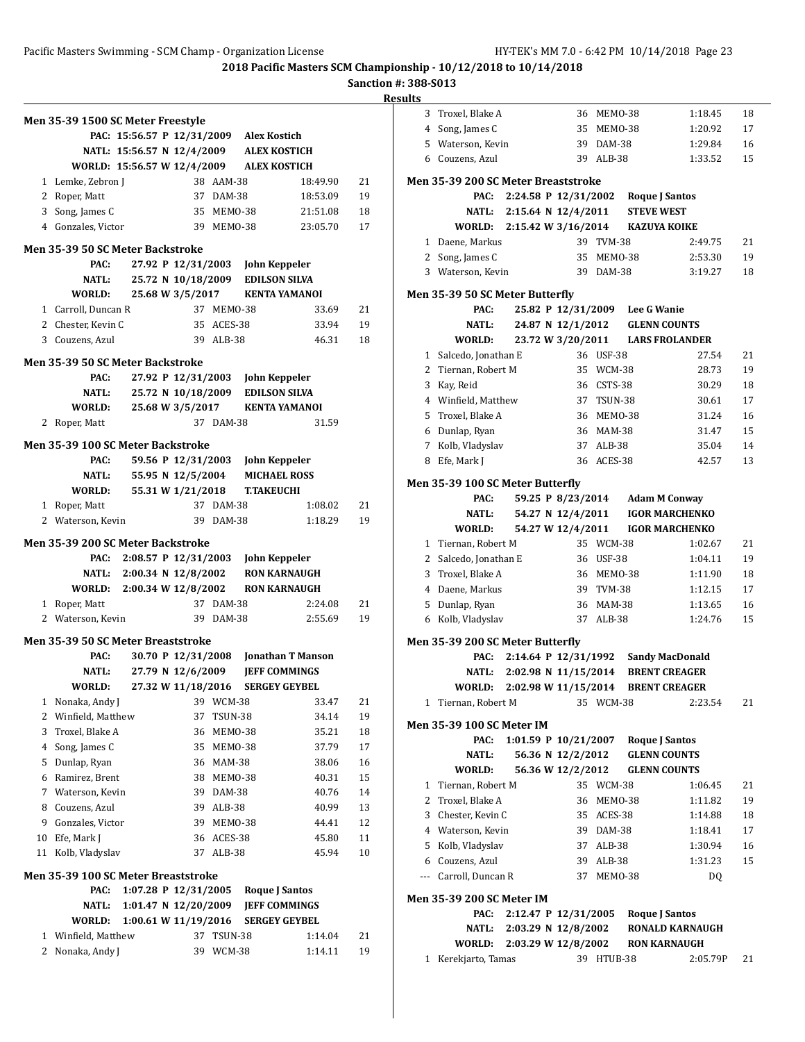**Sanction #: 388-S013**

|    | Men 35-39 1500 SC Meter Freestyle        |                            |                    |            |                                         |                          |    |
|----|------------------------------------------|----------------------------|--------------------|------------|-----------------------------------------|--------------------------|----|
|    |                                          |                            |                    |            | PAC: 15:56.57 P 12/31/2009 Alex Kostich |                          |    |
|    |                                          | NATL: 15:56.57 N 12/4/2009 |                    |            | <b>ALEX KOSTICH</b>                     |                          |    |
|    | WORLD: 15:56.57 W 12/4/2009              |                            |                    |            | <b>ALEX KOSTICH</b>                     |                          |    |
|    | 1 Lemke, Zebron J                        |                            |                    | 38 AAM-38  |                                         | 18:49.90                 | 21 |
|    | 2 Roper, Matt                            |                            |                    | 37 DAM-38  |                                         | 18:53.09                 | 19 |
|    | 3 Song, James C                          |                            |                    | 35 MEMO-38 |                                         | 21:51.08                 | 18 |
|    | 4 Gonzales, Victor                       |                            |                    |            | 39 MEMO-38                              | 23:05.70                 | 17 |
|    | <b>Men 35-39 50 SC Meter Backstroke</b>  |                            |                    |            |                                         |                          |    |
|    | PAC:                                     |                            | 27.92 P 12/31/2003 |            | <b>John Keppeler</b>                    |                          |    |
|    | <b>NATL:</b>                             |                            | 25.72 N 10/18/2009 |            | <b>EDILSON SILVA</b>                    |                          |    |
|    | WORLD:                                   |                            | 25.68 W 3/5/2017   |            | KENTA YAMANOI                           |                          |    |
|    | 1 Carroll, Duncan R                      |                            |                    | 37 MEMO-38 |                                         | 33.69                    | 21 |
|    | 2 Chester, Kevin C                       |                            |                    | 35 ACES-38 |                                         | 33.94                    | 19 |
|    | 3 Couzens, Azul                          |                            |                    | 39 ALB-38  |                                         | 46.31                    | 18 |
|    | <b>Men 35-39 50 SC Meter Backstroke</b>  |                            |                    |            |                                         |                          |    |
|    | PAC:                                     |                            | 27.92 P 12/31/2003 |            | John Keppeler                           |                          |    |
|    | <b>NATL:</b>                             |                            | 25.72 N 10/18/2009 |            | <b>EDILSON SILVA</b>                    |                          |    |
|    | WORLD:                                   |                            | 25.68 W 3/5/2017   |            | <b>KENTA YAMANOI</b>                    |                          |    |
|    | 2 Roper, Matt                            |                            |                    | 37 DAM-38  |                                         | 31.59                    |    |
|    |                                          |                            |                    |            |                                         |                          |    |
|    | Men 35-39 100 SC Meter Backstroke        |                            |                    |            |                                         |                          |    |
|    | PAC:                                     |                            | 59.56 P 12/31/2003 |            | John Keppeler                           |                          |    |
|    | <b>NATL:</b>                             |                            | 55.95 N 12/5/2004  |            | <b>MICHAEL ROSS</b>                     |                          |    |
|    | <b>WORLD:</b>                            |                            | 55.31 W 1/21/2018  |            | <b>T.TAKEUCHI</b>                       |                          |    |
|    | 1 Roper, Matt                            |                            |                    | 37 DAM-38  |                                         | 1:08.02                  | 21 |
|    | 2 Waterson, Kevin                        |                            |                    | 39 DAM-38  |                                         | 1:18.29                  | 19 |
|    | <b>Men 35-39 200 SC Meter Backstroke</b> |                            |                    |            |                                         |                          |    |
|    |                                          | PAC: 2:08.57 P 12/31/2003  |                    |            | <b>John Keppeler</b>                    |                          |    |
|    |                                          | NATL: 2:00.34 N 12/8/2002  |                    |            | <b>RON KARNAUGH</b>                     |                          |    |
|    | WORLD: 2:00.34 W 12/8/2002               |                            |                    |            | <b>RON KARNAUGH</b>                     |                          |    |
|    | 1 Roper, Matt                            |                            |                    | 37 DAM-38  |                                         | 2:24.08                  | 21 |
|    | 2 Waterson, Kevin                        |                            |                    | 39 DAM-38  |                                         | 2:55.69                  | 19 |
|    | Men 35-39 50 SC Meter Breaststroke       |                            |                    |            |                                         |                          |    |
|    | PAC:                                     |                            | 30.70 P 12/31/2008 |            |                                         | <b>Jonathan T Manson</b> |    |
|    |                                          | NATL: 27.79 N 12/6/2009    |                    |            | <b>JEFF COMMINGS</b>                    |                          |    |
|    | <b>WORLD:</b>                            |                            | 27.32 W 11/18/2016 |            | <b>SERGEY GEYBEL</b>                    |                          |    |
| 1  | Nonaka, Andy J                           |                            |                    | 39 WCM-38  |                                         | 33.47                    | 21 |
| 2  | Winfield, Matthew                        |                            | 37                 | TSUN-38    |                                         | 34.14                    | 19 |
| 3  | Troxel, Blake A                          |                            | 36                 | MEMO-38    |                                         | 35.21                    | 18 |
|    | 4 Song, James C                          |                            | 35                 | MEMO-38    |                                         | 37.79                    | 17 |
| 5  | Dunlap, Ryan                             |                            | 36                 | MAM-38     |                                         | 38.06                    | 16 |
|    | 6 Ramirez, Brent                         |                            | 38                 | MEMO-38    |                                         | 40.31                    | 15 |
|    | 7 Waterson, Kevin                        |                            | 39                 | DAM-38     |                                         | 40.76                    | 14 |
|    | 8 Couzens, Azul                          |                            | 39                 | ALB-38     |                                         | 40.99                    | 13 |
| 9  | Gonzales, Victor                         |                            | 39                 | MEMO-38    |                                         | 44.41                    | 12 |
| 10 | Efe, Mark J                              |                            | 36                 | ACES-38    |                                         | 45.80                    | 11 |
| 11 | Kolb, Vladyslav                          |                            | 37                 | ALB-38     |                                         | 45.94                    | 10 |
|    | Men 35-39 100 SC Meter Breaststroke      |                            |                    |            |                                         |                          |    |
|    | PAC:                                     | 1:07.28 P 12/31/2005       |                    |            | Roque J Santos                          |                          |    |
|    | NATL:                                    | 1:01.47 N $12/20/2009$     |                    |            | <b>JEFF COMMINGS</b>                    |                          |    |
|    | WORLD:                                   | 1:00.61 W 11/19/2016       |                    |            | <b>SERGEY GEYBEL</b>                    |                          |    |
|    | 1 Winfield, Matthew                      |                            | 37                 | TSUN-38    |                                         | 1:14.04                  | 21 |
| 2  | Nonaka, Andy J                           |                            | 39                 | WCM-38     |                                         | 1:14.11                  | 19 |
|    |                                          |                            |                    |            |                                         |                          |    |

| 16J |              |                                            |                            |                                |            |                   |                                      |    |
|-----|--------------|--------------------------------------------|----------------------------|--------------------------------|------------|-------------------|--------------------------------------|----|
|     | 3            | Troxel, Blake A                            |                            |                                | 36 MEMO-38 |                   | 1:18.45                              | 18 |
|     |              | 4 Song, James C                            |                            |                                | 35 MEMO-38 |                   | 1:20.92                              | 17 |
|     |              | 5 Waterson, Kevin                          |                            |                                | 39 DAM-38  |                   | 1:29.84                              | 16 |
|     |              | 6 Couzens, Azul                            |                            |                                | 39 ALB-38  |                   | 1:33.52                              | 15 |
|     |              |                                            |                            |                                |            |                   |                                      |    |
|     |              | <b>Men 35-39 200 SC Meter Breaststroke</b> |                            |                                |            |                   |                                      |    |
|     |              | PAC:                                       |                            |                                |            |                   | 2:24.58 P 12/31/2002 Roque J Santos  |    |
|     |              | <b>NATL:</b>                               | 2:15.64 N 12/4/2011        |                                |            | <b>STEVE WEST</b> |                                      |    |
|     |              | WORLD:                                     | 2:15.42 W 3/16/2014        |                                |            |                   | <b>KAZUYA KOIKE</b>                  |    |
|     |              | 1 Daene, Markus                            |                            |                                | 39 TVM-38  |                   | 2:49.75                              | 21 |
|     |              | 2 Song, James C                            |                            |                                | 35 MEMO-38 |                   | 2:53.30                              | 19 |
|     |              | 3 Waterson, Kevin                          |                            |                                | 39 DAM-38  |                   | 3:19.27                              | 18 |
|     |              | Men 35-39 50 SC Meter Butterfly            |                            |                                |            |                   |                                      |    |
|     |              | PAC:                                       |                            | 25.82 P 12/31/2009 Lee G Wanie |            |                   |                                      |    |
|     |              | NATL:                                      |                            |                                |            |                   | 24.87 N 12/1/2012 GLENN COUNTS       |    |
|     |              | WORLD:                                     |                            |                                |            |                   | 23.72 W 3/20/2011 LARS FROLANDER     |    |
|     | 1            | Salcedo, Jonathan E                        |                            |                                | 36 USF-38  |                   | 27.54                                | 21 |
|     | 2            | Tiernan, Robert M                          |                            |                                | 35 WCM-38  |                   | 28.73                                | 19 |
|     | 3            | Kay, Reid                                  |                            |                                | 36 CSTS-38 |                   | 30.29                                | 18 |
|     |              | 4 Winfield, Matthew                        |                            |                                | 37 TSUN-38 |                   | 30.61                                | 17 |
|     | 5            | Troxel, Blake A                            |                            |                                | 36 MEMO-38 |                   | 31.24                                | 16 |
|     |              | 6 Dunlap, Ryan                             |                            |                                | 36 MAM-38  |                   | 31.47                                | 15 |
|     |              | 7 Kolb, Vladyslav                          |                            |                                | 37 ALB-38  |                   | 35.04                                | 14 |
|     | 8            | Efe, Mark J                                |                            |                                | 36 ACES-38 |                   | 42.57                                | 13 |
|     |              |                                            |                            |                                |            |                   |                                      |    |
|     |              | Men 35-39 100 SC Meter Butterfly           |                            |                                |            |                   |                                      |    |
|     |              | PAC:                                       |                            |                                |            |                   | 59.25 P 8/23/2014 Adam M Conway      |    |
|     |              | NATL:                                      |                            | 54.27 N 12/4/2011              |            |                   | <b>IGOR MARCHENKO</b>                |    |
|     |              | WORLD:                                     |                            | 54.27 W 12/4/2011              |            |                   | <b>IGOR MARCHENKO</b>                |    |
|     | $\mathbf{1}$ | Tiernan, Robert M                          |                            |                                | 35 WCM-38  |                   | 1:02.67                              | 21 |
|     |              | 2 Salcedo, Jonathan E                      |                            |                                | 36 USF-38  |                   | 1:04.11                              | 19 |
|     | 3            | Troxel, Blake A                            |                            |                                | 36 MEMO-38 |                   | 1:11.90                              | 18 |
|     |              | 4 Daene, Markus                            |                            |                                | 39 TVM-38  |                   | 1:12.15                              | 17 |
|     | 5            | Dunlap, Ryan                               |                            |                                | 36 MAM-38  |                   | 1:13.65                              | 16 |
|     |              | 6 Kolb, Vladyslav                          |                            |                                | 37 ALB-38  |                   | 1:24.76                              | 15 |
|     |              | Men 35-39 200 SC Meter Butterfly           |                            |                                |            |                   |                                      |    |
|     |              | PAC:                                       |                            |                                |            |                   | 2:14.64 P 12/31/1992 Sandy MacDonald |    |
|     |              |                                            | NATL: 2:02.98 N 11/15/2014 |                                |            |                   | <b>BRENT CREAGER</b>                 |    |
|     |              | WORLD: 2:02.98 W 11/15/2014                |                            |                                |            |                   | <b>BRENT CREAGER</b>                 |    |
|     | $1 \quad$    | Tiernan, Robert M                          |                            |                                | 35 WCM-38  |                   | 2:23.54                              | 21 |
|     |              | Men 35-39 100 SC Meter IM                  |                            |                                |            |                   |                                      |    |
|     |              | PAC:                                       |                            |                                |            |                   | 1:01.59 P 10/21/2007 Roque J Santos  |    |
|     |              | NATL:                                      |                            | 56.36 N 12/2/2012              |            |                   | <b>GLENN COUNTS</b>                  |    |
|     |              | WORLD:                                     |                            | 56.36 W 12/2/2012              |            |                   | <b>GLENN COUNTS</b>                  |    |
|     | $\mathbf{1}$ | Tiernan, Robert M                          |                            |                                | 35 WCM-38  |                   | 1:06.45                              | 21 |
|     |              | 2 Troxel, Blake A                          |                            |                                | 36 MEM0-38 |                   | 1:11.82                              | 19 |
|     |              | 3 Chester, Kevin C                         |                            |                                | 35 ACES-38 |                   | 1:14.88                              | 18 |
|     |              | 4 Waterson, Kevin                          |                            |                                | 39 DAM-38  |                   | 1:18.41                              | 17 |
|     |              | 5 Kolb, Vladyslav                          |                            |                                | 37 ALB-38  |                   | 1:30.94                              | 16 |
|     |              | 6 Couzens, Azul                            |                            |                                | 39 ALB-38  |                   | 1:31.23                              | 15 |
|     |              | --- Carroll, Duncan R                      |                            |                                | 37 MEM0-38 |                   | DQ                                   |    |
|     |              |                                            |                            |                                |            |                   |                                      |    |
|     |              | <b>Men 35-39 200 SC Meter IM</b>           |                            |                                |            |                   |                                      |    |
|     |              | PAC:                                       |                            |                                |            |                   | 2:12.47 P 12/31/2005 Roque J Santos  |    |
|     |              | NATL:                                      |                            | 2:03.29 N 12/8/2002            |            |                   | <b>RONALD KARNAUGH</b>               |    |
|     |              | <b>WORLD:</b>                              | 2:03.29 W 12/8/2002        |                                |            |                   | <b>RON KARNAUGH</b>                  |    |
|     |              | 1 Kerekjarto, Tamas                        |                            |                                | 39 HTUB-38 |                   | 2:05.79P                             | 21 |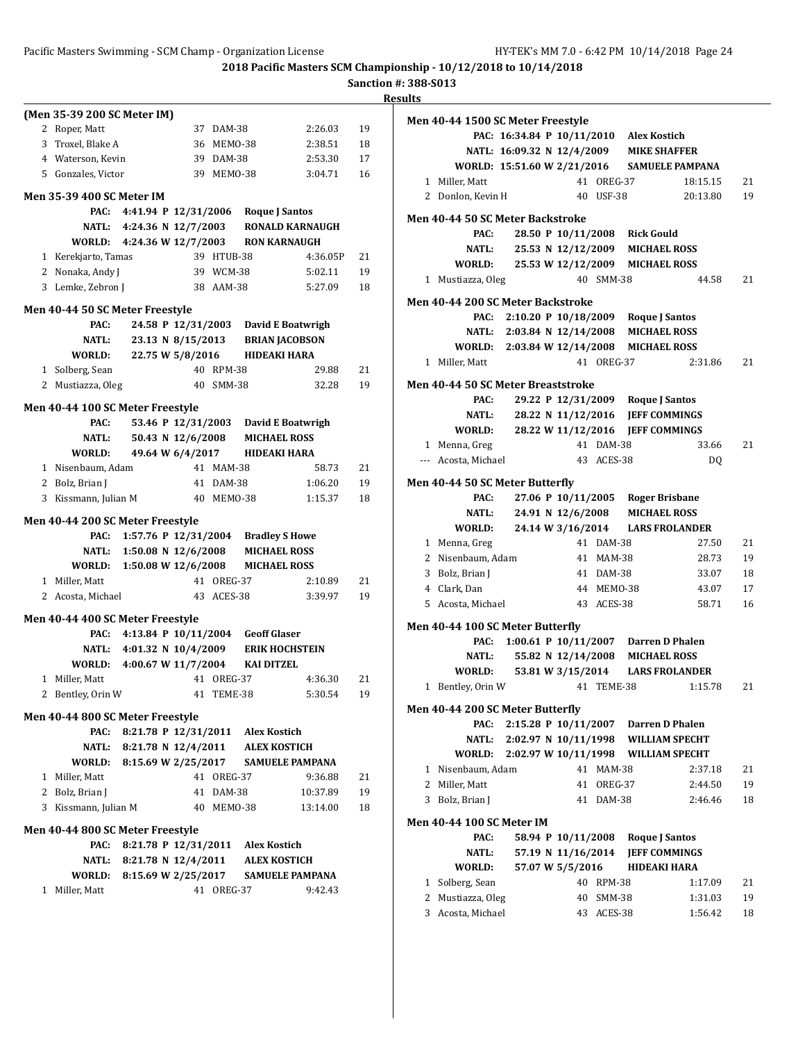### Pacific Masters Swimming - SCM Champ - Organization License HY-TEK's MM 7.0 - 6:42 PM 10/14/2018 Page 24

**2018 Pacific Masters SCM Championship - 10/12/2018 to 10/14/2018**

|                                  |                                                                             |            |            |                                           |    | <b>Results</b> |
|----------------------------------|-----------------------------------------------------------------------------|------------|------------|-------------------------------------------|----|----------------|
| (Men 35-39 200 SC Meter IM)      |                                                                             |            |            |                                           |    | Mei            |
| 2 Roper, Matt                    |                                                                             |            | 37 DAM-38  | 2:26.03                                   | 19 |                |
| 3 Troxel, Blake A                |                                                                             |            | 36 MEMO-38 | 2:38.51                                   | 18 |                |
| 4 Waterson, Kevin                |                                                                             |            | 39 DAM-38  | 2:53.30                                   | 17 |                |
| 5 Gonzales, Victor               |                                                                             |            | 39 MEM0-38 | 3:04.71                                   | 16 |                |
| <b>Men 35-39 400 SC Meter IM</b> |                                                                             |            |            |                                           |    |                |
| PAC:                             | 4:41.94 P 12/31/2006 Roque J Santos                                         |            |            |                                           |    | Mei            |
|                                  |                                                                             |            |            | NATL: 4:24.36 N 12/7/2003 RONALD KARNAUGH |    |                |
|                                  | WORLD: 4:24.36 W 12/7/2003 RON KARNAUGH                                     |            |            |                                           |    |                |
| 1 Kerekjarto, Tamas              |                                                                             |            | 39 HTUB-38 | 4:36.05P                                  | 21 |                |
| 2 Nonaka, Andy J                 |                                                                             |            | 39 WCM-38  | 5:02.11                                   | 19 |                |
| 3 Lemke, Zebron J                |                                                                             |            | 38 AAM-38  | 5:27.09                                   | 18 |                |
| Men 40-44 50 SC Meter Freestyle  |                                                                             |            |            |                                           |    | Mei            |
| PAC:                             |                                                                             |            |            | 24.58 P 12/31/2003 David E Boatwrigh      |    |                |
| NATL:                            |                                                                             |            |            | 23.13 N 8/15/2013 BRIAN JACOBSON          |    |                |
| WORLD:                           | 22.75 W 5/8/2016                                                            |            |            | HIDEAKI HARA                              |    |                |
| 1 Solberg, Sean                  |                                                                             |            | 40 RPM-38  | 29.88                                     | 21 |                |
| 2 Mustiazza, Oleg                |                                                                             |            | 40 SMM-38  | 32.28                                     | 19 | Mei            |
|                                  |                                                                             |            |            |                                           |    |                |
| Men 40-44 100 SC Meter Freestyle |                                                                             |            |            |                                           |    |                |
| PAC:                             |                                                                             |            |            | 53.46 P 12/31/2003 David E Boatwrigh      |    |                |
|                                  | NATL: 50.43 N 12/6/2008                                                     |            |            | <b>MICHAEL ROSS</b>                       |    |                |
| WORLD:                           | 49.64 W 6/4/2017 HIDEAKI HARA                                               |            |            |                                           |    |                |
| 1 Nisenbaum, Adam                |                                                                             |            | 41 MAM-38  | 58.73                                     | 21 |                |
| 2 Bolz, Brian J                  |                                                                             |            | 41 DAM-38  | 1:06.20                                   | 19 | Mei            |
| 3 Kissmann, Julian M             |                                                                             |            | 40 MEMO-38 | 1:15.37                                   | 18 |                |
| Men 40-44 200 SC Meter Freestyle |                                                                             |            |            |                                           |    |                |
| PAC:                             | 1:57.76 P 12/31/2004 Bradley S Howe                                         |            |            |                                           |    |                |
|                                  | NATL: 1:50.08 N 12/6/2008 MICHAEL ROSS                                      |            |            |                                           |    |                |
|                                  | WORLD: 1:50.08 W 12/6/2008                                                  |            |            | <b>MICHAEL ROSS</b>                       |    |                |
| 1 Miller, Matt                   |                                                                             |            | 41 OREG-37 | 2:10.89                                   | 21 |                |
| 2 Acosta, Michael                |                                                                             |            | 43 ACES-38 | 3:39.97                                   | 19 |                |
| Men 40-44 400 SC Meter Freestyle |                                                                             |            |            |                                           |    |                |
| PAC:                             | 4:13.84 P 10/11/2004 Geoff Glaser                                           |            |            |                                           |    | Mer            |
| <b>NATL:</b>                     |                                                                             |            |            |                                           |    |                |
|                                  | 4:01.32 N 10/4/2009 ERIK HOCHSTEIN<br>WORLD: 4:00.67 W 11/7/2004 KAI DITZEL |            |            |                                           |    |                |
| 1 Miller, Matt                   |                                                                             | 41 OREG-37 |            | 4:36.30                                   | 21 |                |
| 2 Bentley, Orin W                |                                                                             |            | 41 TEME-38 | 5:30.54                                   | 19 |                |
|                                  |                                                                             |            |            |                                           |    | Mei            |
| Men 40-44 800 SC Meter Freestyle |                                                                             |            |            |                                           |    |                |
| PAC:                             | 8:21.78 P 12/31/2011 Alex Kostich                                           |            |            |                                           |    |                |
| <b>NATL:</b>                     | 8:21.78 N 12/4/2011 ALEX KOSTICH                                            |            |            |                                           |    |                |
| <b>WORLD:</b>                    | 8:15.69 W 2/25/2017                                                         |            |            | <b>SAMUELE PAMPANA</b>                    |    |                |
| 1 Miller, Matt                   |                                                                             |            | 41 OREG-37 | 9:36.88                                   | 21 |                |
| 2 Bolz, Brian J                  |                                                                             |            | 41 DAM-38  | 10:37.89                                  | 19 |                |
| 3 Kissmann, Julian M             |                                                                             |            | 40 MEMO-38 | 13:14.00                                  | 18 |                |
| Men 40-44 800 SC Meter Freestyle |                                                                             |            |            |                                           |    | Mei            |
| PAC:                             | 8:21.78 P 12/31/2011 Alex Kostich                                           |            |            |                                           |    |                |
|                                  | NATL: 8:21.78 N 12/4/2011 ALEX KOSTICH                                      |            |            |                                           |    |                |
|                                  | WORLD: 8:15.69 W 2/25/2017                                                  |            |            | <b>SAMUELE PAMPANA</b>                    |    |                |
| 1 Miller, Matt                   |                                                                             |            | 41 OREG-37 | 9:42.43                                   |    |                |
|                                  |                                                                             |            |            |                                           |    |                |

|              | Men 40-44 1500 SC Meter Freestyle  |                      |                    |               |                                                                       |          |    |
|--------------|------------------------------------|----------------------|--------------------|---------------|-----------------------------------------------------------------------|----------|----|
|              |                                    |                      |                    |               | PAC: 16:34.84 P 10/11/2010 Alex Kostich                               |          |    |
|              |                                    |                      |                    |               | NATL: 16:09.32 N 12/4/2009 MIKE SHAFFER                               |          |    |
|              |                                    |                      |                    |               | WORLD: 15:51.60 W 2/21/2016 SAMUELE PAMPANA                           |          |    |
|              | 1 Miller. Matt                     |                      |                    | 41 OREG-37    |                                                                       | 18:15.15 | 21 |
|              | 2 Donlon, Kevin H                  |                      |                    | 40 USF-38     |                                                                       | 20:13.80 | 19 |
|              |                                    |                      |                    |               |                                                                       |          |    |
|              | Men 40-44 50 SC Meter Backstroke   |                      |                    |               |                                                                       |          |    |
|              | PAC:                               |                      |                    |               | 28.50 P 10/11/2008 Rick Gould                                         |          |    |
|              | NATL:                              |                      |                    |               | 25.53 N 12/12/2009 MICHAEL ROSS                                       |          |    |
|              |                                    |                      |                    |               | WORLD: 25.53 W 12/12/2009 MICHAEL ROSS                                |          |    |
|              | 1 Mustiazza, Oleg                  |                      |                    | 40 SMM-38     |                                                                       | 44.58    | 21 |
|              | Men 40-44 200 SC Meter Backstroke  |                      |                    |               |                                                                       |          |    |
|              |                                    |                      |                    |               | PAC: 2:10.20 P 10/18/2009 Roque J Santos                              |          |    |
|              |                                    |                      |                    |               | NATL: 2:03.84 N 12/14/2008 MICHAEL ROSS                               |          |    |
|              |                                    |                      |                    |               | WORLD: 2:03.84 W 12/14/2008 MICHAEL ROSS                              |          |    |
|              | 1 Miller, Matt                     |                      |                    | 41 OREG-37    |                                                                       | 2:31.86  | 21 |
|              |                                    |                      |                    |               |                                                                       |          |    |
|              | Men 40-44 50 SC Meter Breaststroke |                      |                    |               |                                                                       |          |    |
|              | PAC:<br><b>NATL:</b>               |                      |                    |               | 29.22 P 12/31/2009 Roque J Santos<br>28.22 N 11/12/2016 JEFF COMMINGS |          |    |
|              | <b>WORLD:</b>                      |                      |                    |               | 28.22 W 11/12/2016 JEFF COMMINGS                                      |          |    |
|              | 1 Menna, Greg                      |                      |                    | 41 DAM-38     |                                                                       | 33.66    | 21 |
|              | --- Acosta, Michael                |                      |                    | 43 ACES-38    |                                                                       | DQ       |    |
|              |                                    |                      |                    |               |                                                                       |          |    |
|              | Men 40-44 50 SC Meter Butterfly    |                      |                    |               |                                                                       |          |    |
|              | PAC:                               |                      |                    |               | 27.06 P 10/11/2005 Roger Brisbane                                     |          |    |
|              |                                    |                      |                    |               | NATL: 24.91 N 12/6/2008 MICHAEL ROSS                                  |          |    |
|              |                                    |                      |                    |               | WORLD: 24.14 W 3/16/2014 LARS FROLANDER                               |          |    |
|              | 1 Menna, Greg                      |                      |                    | 41 DAM-38     |                                                                       | 27.50    | 21 |
|              | 2 Nisenbaum, Adam                  |                      |                    | 41 MAM-38     |                                                                       | 28.73    | 19 |
|              | 3 Bolz, Brian J                    |                      |                    | 41 DAM-38     |                                                                       | 33.07    | 18 |
|              | 4 Clark, Dan                       |                      |                    | 44 MEMO-38    |                                                                       | 43.07    | 17 |
|              | 5 Acosta, Michael                  |                      |                    | 43 ACES-38    |                                                                       | 58.71    | 16 |
|              | Men 40-44 100 SC Meter Butterfly   |                      |                    |               |                                                                       |          |    |
|              |                                    |                      |                    |               | PAC: 1:00.61 P 10/11/2007 Darren D Phalen                             |          |    |
|              | <b>NATL:</b>                       |                      |                    |               | 55.82 N 12/14/2008 MICHAEL ROSS                                       |          |    |
|              | WORLD:                             |                      |                    |               | 53.81 W 3/15/2014 LARS FROLANDER                                      |          |    |
|              | 1 Bentley, Orin W                  |                      |                    | 41 TEME-38    |                                                                       | 1:15.78  | 21 |
|              |                                    |                      |                    |               |                                                                       |          |    |
|              | Men 40-44 200 SC Meter Butterfly   |                      |                    |               |                                                                       |          |    |
|              | PAC:                               |                      |                    |               | 2:15.28 P 10/11/2007 Darren D Phalen                                  |          |    |
|              | <b>NATL:</b>                       | 2:02.97 N 10/11/1998 |                    |               | <b>WILLIAM SPECHT</b>                                                 |          |    |
|              | WORLD:                             | 2:02.97 W 10/11/1998 |                    |               | <b>WILLIAM SPECHT</b>                                                 |          |    |
| 1            | Nisenbaum, Adam                    |                      | 41                 | <b>MAM-38</b> |                                                                       | 2:37.18  | 21 |
| 2            | Miller, Matt                       |                      | 41                 | OREG-37       |                                                                       | 2:44.50  | 19 |
| 3            | Bolz, Brian J                      |                      | 41                 | DAM-38        |                                                                       | 2:46.46  | 18 |
|              | Men 40-44 100 SC Meter IM          |                      |                    |               |                                                                       |          |    |
|              | PAC:                               |                      | 58.94 P 10/11/2008 |               | <b>Roque J Santos</b>                                                 |          |    |
|              | NATL:                              |                      | 57.19 N 11/16/2014 |               | <b>JEFF COMMINGS</b>                                                  |          |    |
|              | WORLD:                             |                      | 57.07 W 5/5/2016   |               | <b>HIDEAKI HARA</b>                                                   |          |    |
| $\mathbf{1}$ | Solberg, Sean                      |                      | 40                 | RPM-38        |                                                                       | 1:17.09  | 21 |
| 2            | Mustiazza, Oleg                    |                      | 40                 | SMM-38        |                                                                       | 1:31.03  | 19 |
| 3            | Acosta, Michael                    |                      |                    | 43 ACES-38    |                                                                       | 1:56.42  | 18 |
|              |                                    |                      |                    |               |                                                                       |          |    |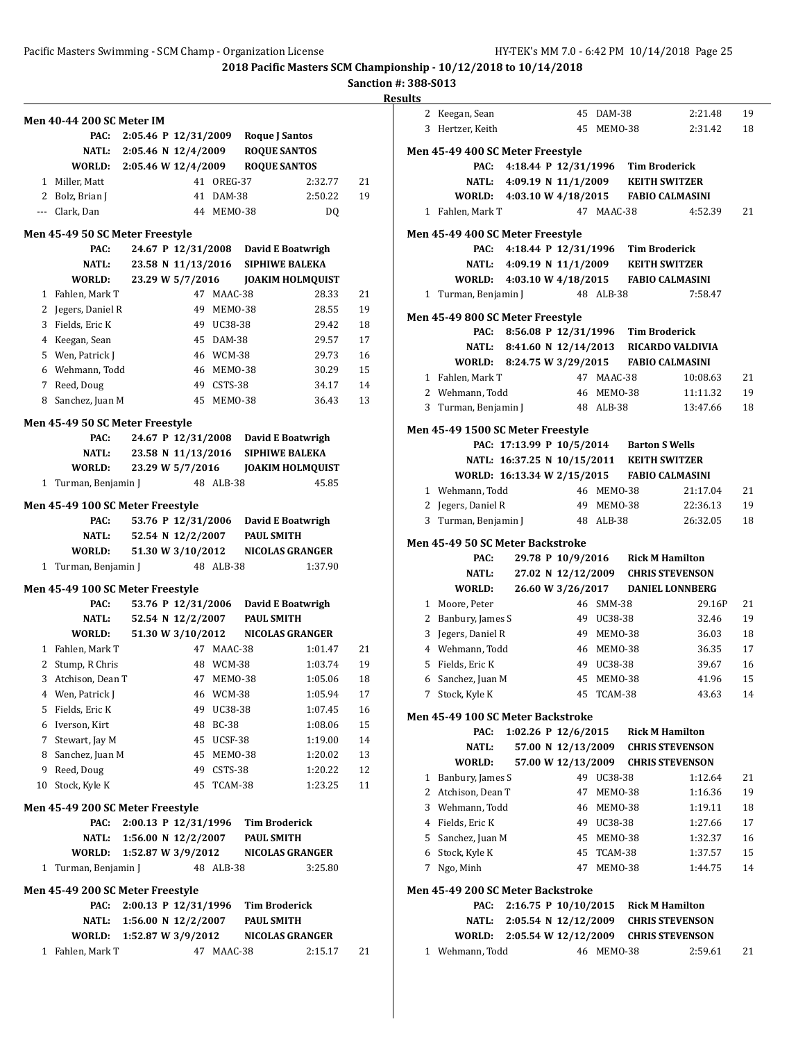**Sanction #: 388-S013**

|    |                                         |  |                       |            |                   |                                        | R  |
|----|-----------------------------------------|--|-----------------------|------------|-------------------|----------------------------------------|----|
|    | <b>Men 40-44 200 SC Meter IM</b>        |  |                       |            |                   |                                        |    |
|    | PAC:                                    |  |                       |            |                   | 2:05.46 P 12/31/2009 Roque J Santos    |    |
|    |                                         |  |                       |            |                   | NATL: 2:05.46 N 12/4/2009 ROQUE SANTOS |    |
|    | WORLD: 2:05.46 W 12/4/2009 ROQUE SANTOS |  |                       |            |                   |                                        |    |
|    | 1 Miller, Matt                          |  |                       | 41 OREG-37 |                   | 2:32.77                                | 21 |
|    | 2 Bolz, Brian J                         |  |                       | 41 DAM-38  |                   | 2:50.22                                | 19 |
|    | --- Clark, Dan                          |  |                       | 44 MEMO-38 |                   | DQ                                     |    |
|    |                                         |  |                       |            |                   |                                        |    |
|    | Men 45-49 50 SC Meter Freestyle<br>PAC: |  |                       |            |                   | 24.67 P 12/31/2008 David E Boatwrigh   |    |
|    | NATL:                                   |  |                       |            |                   | 23.58 N 11/13/2016 SIPHIWE BALEKA      |    |
|    | WORLD:                                  |  |                       |            |                   |                                        |    |
|    | 1 Fahlen, Mark T                        |  |                       | 47 MAAC-38 |                   | 28.33                                  | 21 |
|    | 2 Jegers, Daniel R                      |  |                       | 49 MEM0-38 |                   | 28.55                                  | 19 |
|    | 3 Fields, Eric K                        |  |                       | 49 UC38-38 |                   | 29.42                                  | 18 |
|    | 4 Keegan, Sean                          |  |                       | 45 DAM-38  |                   | 29.57                                  | 17 |
|    | 5 Wen, Patrick J                        |  |                       | 46 WCM-38  |                   | 29.73                                  | 16 |
|    | 6 Wehmann, Todd                         |  |                       | 46 MEMO-38 |                   | 30.29                                  | 15 |
|    | 7 Reed, Doug                            |  |                       | 49 CSTS-38 |                   | 34.17                                  | 14 |
|    | 8 Sanchez, Juan M                       |  |                       | 45 MEMO-38 |                   | 36.43                                  | 13 |
|    |                                         |  |                       |            |                   |                                        |    |
|    | Men 45-49 50 SC Meter Freestyle         |  |                       |            |                   |                                        |    |
|    | PAC:                                    |  |                       |            |                   | 24.67 P 12/31/2008 David E Boatwrigh   |    |
|    | NATL:                                   |  |                       |            |                   | 23.58 N 11/13/2016 SIPHIWE BALEKA      |    |
|    | WORLD:                                  |  |                       |            |                   |                                        |    |
|    | 1 Turman, Benjamin J                    |  | 48 ALB-38             |            |                   | 45.85                                  |    |
|    | Men 45-49 100 SC Meter Freestyle        |  |                       |            |                   |                                        |    |
|    | PAC:                                    |  |                       |            |                   | 53.76 P 12/31/2006 David E Boatwrigh   |    |
|    | NATL:                                   |  | 52.54 N 12/2/2007     |            | <b>PAUL SMITH</b> |                                        |    |
|    | WORLD:                                  |  | 51.30 W 3/10/2012     |            |                   | <b>NICOLAS GRANGER</b>                 |    |
|    | 1 Turman, Benjamin J                    |  |                       | 48 ALB-38  |                   | 1:37.90                                |    |
|    | Men 45-49 100 SC Meter Freestyle        |  |                       |            |                   |                                        |    |
|    | PAC:                                    |  | 53.76 P 12/31/2006    |            |                   | <b>David E Boatwrigh</b>               |    |
|    | NATL:                                   |  | 52.54 N 12/2/2007     |            | <b>PAUL SMITH</b> |                                        |    |
|    | WORLD:                                  |  | 51.30 W 3/10/2012     |            |                   | <b>NICOLAS GRANGER</b>                 |    |
|    | 1 Fahlen, Mark T                        |  |                       | 47 MAAC-38 |                   | 1:01.47                                | 21 |
|    | 2 Stump, R Chris                        |  |                       | 48 WCM-38  |                   | 1:03.74                                | 19 |
| 3  | Atchison, Dean T                        |  |                       | 47 MEMO-38 |                   | 1:05.06                                | 18 |
|    | 4 Wen, Patrick J                        |  |                       | 46 WCM-38  |                   | 1:05.94                                | 17 |
|    | 5 Fields, Eric K                        |  |                       | 49 UC38-38 |                   | 1:07.45                                | 16 |
|    | 6 Iverson, Kirt                         |  |                       | 48 BC-38   |                   | 1:08.06                                | 15 |
|    | 7 Stewart, Jay M                        |  |                       | 45 UCSF-38 |                   | 1:19.00                                | 14 |
|    | 8 Sanchez, Juan M                       |  |                       | 45 MEM0-38 |                   | 1:20.02                                | 13 |
|    | 9 Reed, Doug                            |  |                       | 49 CSTS-38 |                   | 1:20.22                                | 12 |
| 10 | Stock, Kyle K                           |  |                       | 45 TCAM-38 |                   | 1:23.25                                | 11 |
|    | Men 45-49 200 SC Meter Freestyle        |  |                       |            |                   |                                        |    |
|    | PAC:                                    |  | 2:00.13 P 12/31/1996  |            |                   | <b>Tim Broderick</b>                   |    |
|    | NATL:                                   |  | 1:56.00 N 12/2/2007   |            | <b>PAUL SMITH</b> |                                        |    |
|    | WORLD: 1:52.87 W 3/9/2012               |  |                       |            |                   | <b>NICOLAS GRANGER</b>                 |    |
|    | 1 Turman, Benjamin J                    |  |                       | 48 ALB-38  |                   | 3:25.80                                |    |
|    |                                         |  |                       |            |                   |                                        |    |
|    | Men 45-49 200 SC Meter Freestyle        |  |                       |            |                   |                                        |    |
|    | PAC:                                    |  | 2:00.13 P 12/31/1996  |            |                   | <b>Tim Broderick</b>                   |    |
|    | NATL:                                   |  | 1:56.00 N $12/2/2007$ |            | <b>PAUL SMITH</b> |                                        |    |
|    | WORLD: 1:52.87 W 3/9/2012               |  |                       |            |                   | <b>NICOLAS GRANGER</b>                 |    |
| 1  | Fahlen, Mark T                          |  |                       | 47 MAAC-38 |                   | 2:15.17                                | 21 |

| 2            | Keegan, Sean                                 |                      |    | 45 DAM-38  |                                                                          | 2:21.48                                     | 19 |
|--------------|----------------------------------------------|----------------------|----|------------|--------------------------------------------------------------------------|---------------------------------------------|----|
|              | 3 Hertzer, Keith                             |                      | 45 | MEMO-38    |                                                                          | 2:31.42                                     | 18 |
|              |                                              |                      |    |            |                                                                          |                                             |    |
|              | Men 45-49 400 SC Meter Freestyle             |                      |    |            |                                                                          |                                             |    |
|              | PAC:                                         |                      |    |            | 4:18.44 P 12/31/1996 Tim Broderick                                       |                                             |    |
|              |                                              |                      |    |            | NATL: 4:09.19 N 11/1/2009 KEITH SWITZER                                  |                                             |    |
|              | WORLD: 4:03.10 W 4/18/2015                   |                      |    |            | FABIO CALMASINI                                                          |                                             |    |
|              | 1 Fahlen, Mark T                             |                      |    | 47 MAAC-38 |                                                                          | 4:52.39                                     | 21 |
|              |                                              |                      |    |            |                                                                          |                                             |    |
|              | Men 45-49 400 SC Meter Freestyle             |                      |    |            |                                                                          |                                             |    |
|              |                                              |                      |    |            | PAC: 4:18.44 P 12/31/1996 Tim Broderick                                  |                                             |    |
|              | NATL: 4:09.19 N 11/1/2009                    |                      |    |            | <b>KEITH SWITZER</b>                                                     |                                             |    |
|              | WORLD: 4:03.10 W 4/18/2015   FABIO CALMASINI |                      |    |            |                                                                          |                                             |    |
| 1            | Turman, Benjamin J                           |                      |    | 48 ALB-38  |                                                                          | 7:58.47                                     |    |
|              |                                              |                      |    |            |                                                                          |                                             |    |
|              | Men 45-49 800 SC Meter Freestyle             |                      |    |            |                                                                          |                                             |    |
|              |                                              |                      |    |            | PAC: 8:56.08 P 12/31/1996 Tim Broderick                                  |                                             |    |
|              |                                              |                      |    |            |                                                                          | NATL: 8:41.60 N 12/14/2013 RICARDO VALDIVIA |    |
|              | WORLD: 8:24.75 W 3/29/2015                   |                      |    |            | <b>FABIO CALMASINI</b>                                                   |                                             |    |
|              | 1 Fahlen, Mark T                             |                      |    | 47 MAAC-38 |                                                                          | 10:08.63                                    | 21 |
|              | 2 Wehmann, Todd                              |                      |    | 46 MEMO-38 |                                                                          | 11:11.32                                    | 19 |
| 3            | Turman, Benjamin J                           |                      |    | 48 ALB-38  |                                                                          | 13:47.66                                    | 18 |
|              |                                              |                      |    |            |                                                                          |                                             |    |
|              | Men 45-49 1500 SC Meter Freestyle            |                      |    |            |                                                                          |                                             |    |
|              |                                              |                      |    |            | PAC: 17:13.99 P 10/5/2014 Barton S Wells                                 |                                             |    |
|              |                                              |                      |    |            | NATL: 16:37.25 N 10/15/2011 KEITH SWITZER                                |                                             |    |
|              | WORLD: 16:13.34 W 2/15/2015 FABIO CALMASINI  |                      |    |            |                                                                          |                                             |    |
|              | 1 Wehmann, Todd                              |                      |    | 46 MEMO-38 |                                                                          | 21:17.04                                    | 21 |
|              | 2 Jegers, Daniel R                           |                      |    | 49 MEMO-38 |                                                                          | 22:36.13                                    | 19 |
| 3            | Turman, Benjamin J                           |                      |    | 48 ALB-38  |                                                                          | 26:32.05                                    | 18 |
|              |                                              |                      |    |            |                                                                          |                                             |    |
|              |                                              |                      |    |            |                                                                          |                                             |    |
|              | Men 45-49 50 SC Meter Backstroke             |                      |    |            |                                                                          |                                             |    |
|              | PAC:                                         |                      |    |            | 29.78 P 10/9/2016 Rick M Hamilton                                        |                                             |    |
|              | NATL:                                        |                      |    |            | 27.02 N 12/12/2009 CHRIS STEVENSON                                       |                                             |    |
|              | WORLD:                                       |                      |    |            | 26.60 W 3/26/2017 DANIEL LONNBERG                                        |                                             |    |
|              | 1 Moore, Peter                               |                      |    | 46 SMM-38  |                                                                          | 29.16P                                      | 21 |
|              | 2 Banbury, James S                           |                      |    | 49 UC38-38 |                                                                          | 32.46                                       | 19 |
|              |                                              |                      |    | 49 MEM0-38 |                                                                          | 36.03                                       | 18 |
|              | 3 Jegers, Daniel R                           |                      |    |            |                                                                          |                                             |    |
|              | 4 Wehmann, Todd                              |                      |    | 46 MEMO-38 |                                                                          | 36.35                                       | 17 |
|              | 5 Fields, Eric K                             |                      |    | 49 UC38-38 |                                                                          | 39.67                                       | 16 |
|              | 6 Sanchez, Juan M                            |                      |    | 45 MEMO-38 |                                                                          | 41.96                                       | 15 |
| 7            | Stock, Kyle K                                |                      | 45 | TCAM-38    |                                                                          | 43.63                                       | 14 |
|              | Men 45-49 100 SC Meter Backstroke            |                      |    |            |                                                                          |                                             |    |
|              | PAC:                                         | 1:02.26 P 12/6/2015  |    |            | <b>Rick M Hamilton</b>                                                   |                                             |    |
|              | NATL:                                        |                      |    |            |                                                                          |                                             |    |
|              | WORLD:                                       |                      |    |            | 57.00 N 12/13/2009 CHRIS STEVENSON<br>57.00 W 12/13/2009 CHRIS STEVENSON |                                             |    |
|              |                                              |                      |    |            |                                                                          |                                             |    |
| 1            | Banbury, James S                             |                      |    | 49 UC38-38 |                                                                          | 1:12.64                                     | 21 |
| 2            | Atchison, Dean T                             |                      |    | 47 MEM0-38 |                                                                          | 1:16.36                                     | 19 |
|              | 3 Wehmann, Todd                              |                      |    | 46 MEMO-38 |                                                                          | 1:19.11                                     | 18 |
|              | 4 Fields, Eric K                             |                      |    | 49 UC38-38 |                                                                          | 1:27.66                                     | 17 |
|              | 5 Sanchez, Juan M                            |                      |    | 45 MEMO-38 |                                                                          | 1:32.37                                     | 16 |
|              | 6 Stock, Kyle K                              |                      |    | 45 TCAM-38 |                                                                          | 1:37.57                                     | 15 |
|              | 7 Ngo, Minh                                  |                      | 47 | MEMO-38    |                                                                          | 1:44.75                                     | 14 |
|              |                                              |                      |    |            |                                                                          |                                             |    |
|              | Men 45-49 200 SC Meter Backstroke            |                      |    |            |                                                                          |                                             |    |
|              | PAC:                                         |                      |    |            | 2:16.75 P 10/10/2015 Rick M Hamilton                                     |                                             |    |
|              | NATL:                                        | 2:05.54 N 12/12/2009 |    |            | <b>CHRIS STEVENSON</b>                                                   |                                             |    |
|              | WORLD: 2:05.54 W 12/12/2009                  |                      |    |            | <b>CHRIS STEVENSON</b>                                                   |                                             |    |
| $\mathbf{1}$ | Wehmann, Todd                                |                      |    | 46 MEMO-38 |                                                                          | 2:59.61                                     | 21 |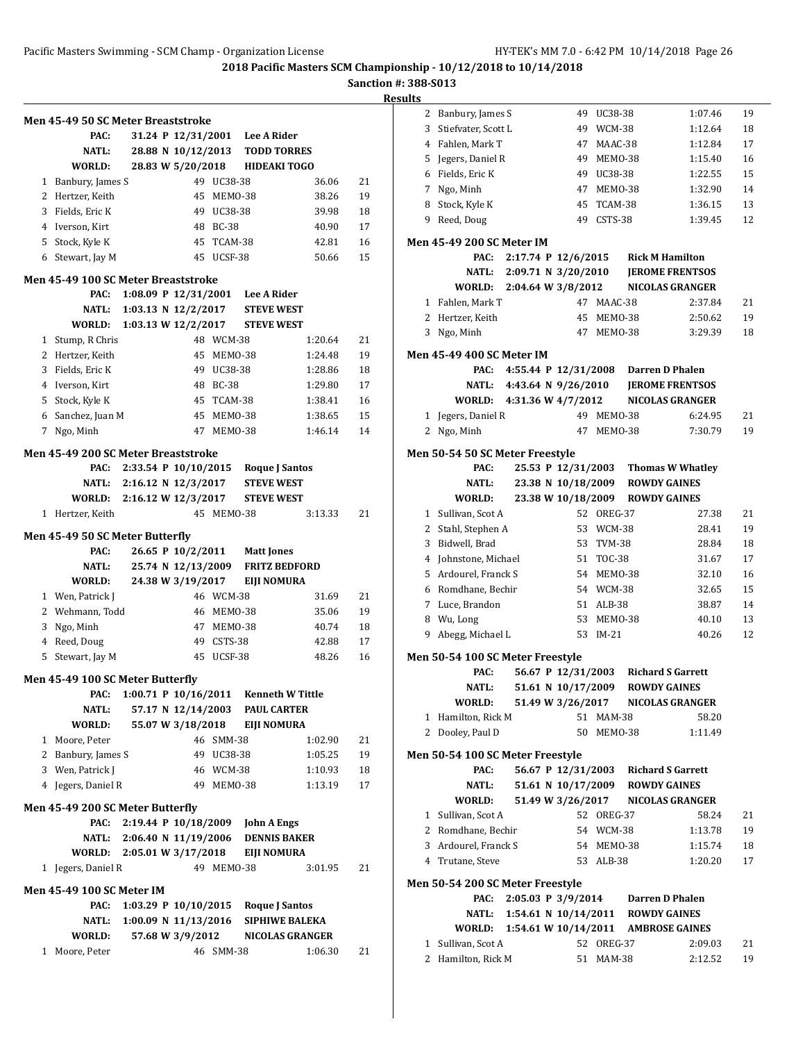**Sanction #: 388-S013**

|   | Men 45-49 50 SC Meter Breaststroke<br>PAC: |                                              |                                            |            | 31.24 P 12/31/2001 Lee A Rider         |         |    |
|---|--------------------------------------------|----------------------------------------------|--------------------------------------------|------------|----------------------------------------|---------|----|
|   | NATL:                                      |                                              |                                            |            | 28.88 N 10/12/2013 TODD TORRES         |         |    |
|   | WORLD:                                     |                                              |                                            |            | 28.83 W 5/20/2018 HIDEAKI TOGO         |         |    |
|   | 1 Banbury, James S                         |                                              |                                            | 49 UC38-38 |                                        | 36.06   | 21 |
|   | 2 Hertzer, Keith                           |                                              |                                            | 45 MEM0-38 |                                        | 38.26   | 19 |
|   | 3 Fields, Eric K                           |                                              |                                            | 49 UC38-38 |                                        | 39.98   | 18 |
|   | 4 Iverson, Kirt                            |                                              |                                            | 48 BC-38   |                                        | 40.90   | 17 |
|   | 5 Stock, Kyle K                            |                                              |                                            | 45 TCAM-38 |                                        | 42.81   | 16 |
|   | 6 Stewart, Jay M                           |                                              |                                            | 45 UCSF-38 |                                        | 50.66   | 15 |
|   | Men 45-49 100 SC Meter Breaststroke        |                                              |                                            |            |                                        |         |    |
|   | PAC:                                       |                                              |                                            |            | 1:08.09 P 12/31/2001 Lee A Rider       |         |    |
|   | NATL:                                      |                                              |                                            |            | 1:03.13 N 12/2/2017 STEVE WEST         |         |    |
|   | WORLD:                                     |                                              |                                            |            | 1:03.13 W 12/2/2017 STEVE WEST         |         |    |
|   | 1 Stump, R Chris                           |                                              |                                            | 48 WCM-38  |                                        | 1:20.64 | 21 |
|   | 2 Hertzer, Keith                           |                                              |                                            | 45 MEMO-38 |                                        | 1:24.48 | 19 |
|   | 3 Fields, Eric K                           |                                              |                                            | 49 UC38-38 |                                        | 1:28.86 | 18 |
|   | 4 Iverson, Kirt                            |                                              |                                            | 48 BC-38   |                                        | 1:29.80 | 17 |
|   | 5 Stock, Kyle K                            |                                              |                                            | 45 TCAM-38 |                                        | 1:38.41 | 16 |
|   | 6 Sanchez, Juan M                          |                                              |                                            | 45 MEM0-38 |                                        | 1:38.65 | 15 |
|   | 7 Ngo, Minh                                |                                              |                                            | 47 MEM0-38 |                                        | 1:46.14 | 14 |
|   | Men 45-49 200 SC Meter Breaststroke        |                                              |                                            |            |                                        |         |    |
|   | PAC:                                       |                                              |                                            |            | 2:33.54 P 10/10/2015 Roque J Santos    |         |    |
|   |                                            |                                              |                                            |            | NATL: 2:16.12 N 12/3/2017 STEVE WEST   |         |    |
|   |                                            |                                              |                                            |            | WORLD: 2:16.12 W 12/3/2017 STEVE WEST  |         |    |
| 1 | Hertzer, Keith                             |                                              |                                            | 45 MEM0-38 |                                        | 3:13.33 | 21 |
|   |                                            |                                              |                                            |            |                                        |         |    |
|   | Men 45-49 50 SC Meter Butterfly<br>PAC:    |                                              |                                            |            | 26.65 P 10/2/2011 Matt Jones           |         |    |
|   | <b>NATL:</b>                               |                                              | 25.74 N 12/13/2009                         |            | <b>FRITZ BEDFORD</b>                   |         |    |
|   | WORLD:                                     |                                              | 24.38 W 3/19/2017                          |            | <b>EIJI NOMURA</b>                     |         |    |
|   | 1 Wen, Patrick J                           |                                              |                                            | 46 WCM-38  |                                        | 31.69   | 21 |
|   | 2 Wehmann, Todd                            |                                              |                                            | 46 MEMO-38 |                                        | 35.06   | 19 |
| 3 | Ngo, Minh                                  |                                              |                                            | 47 MEMO-38 |                                        | 40.74   | 18 |
|   | 4 Reed, Doug                               |                                              |                                            | 49 CSTS-38 |                                        | 42.88   | 17 |
|   | 5 Stewart, Jay M                           |                                              | 45                                         | UCSF-38    |                                        | 48.26   | 16 |
|   |                                            |                                              |                                            |            |                                        |         |    |
|   | Men 45-49 100 SC Meter Butterfly           |                                              |                                            |            |                                        |         |    |
|   | PAC:<br>NATL:                              |                                              | 1:00.71 P 10/16/2011<br>57.17 N 12/14/2003 |            | Kenneth W Tittle<br><b>PAUL CARTER</b> |         |    |
|   | WORLD:                                     |                                              | 55.07 W 3/18/2018                          |            | <b>EIJI NOMURA</b>                     |         |    |
|   | 1 Moore, Peter                             |                                              |                                            | 46 SMM-38  |                                        | 1:02.90 | 21 |
|   | 2 Banbury, James S                         |                                              |                                            | 49 UC38-38 |                                        | 1:05.25 | 19 |
|   | 3 Wen, Patrick J                           |                                              |                                            | 46 WCM-38  |                                        | 1:10.93 | 18 |
|   | 4 Jegers, Daniel R                         |                                              | 49                                         | MEMO-38    |                                        | 1:13.19 | 17 |
|   |                                            |                                              |                                            |            |                                        |         |    |
|   | Men 45-49 200 SC Meter Butterfly           |                                              |                                            |            |                                        |         |    |
|   | PAC:                                       | 2:19.44 P 10/18/2009<br>2:06.40 N 11/19/2006 |                                            |            | <b>John A Engs</b>                     |         |    |
|   | NATL:                                      | $2:05.01 \text{ W } 3/17/2018$               |                                            |            | <b>DENNIS BAKER</b>                    |         |    |
|   | WORLD:<br>1 Jegers, Daniel R               |                                              |                                            | 49 MEMO-38 | EIJI NOMURA                            | 3:01.95 | 21 |
|   |                                            |                                              |                                            |            |                                        |         |    |
|   | <b>Men 45-49 100 SC Meter IM</b>           |                                              |                                            |            |                                        |         |    |
|   | PAC:                                       | 1:03.29 P $10/10/2015$                       |                                            |            | <b>Roque J Santos</b>                  |         |    |
|   | NATL:                                      | 1:00.09 N 11/13/2016                         |                                            |            | <b>SIPHIWE BALEKA</b>                  |         |    |
|   | WORLD:                                     |                                              | 57.68 W 3/9/2012                           |            | <b>NICOLAS GRANGER</b>                 |         |    |
| 1 | Moore, Peter                               |                                              |                                            | 46 SMM-38  |                                        | 1:06.30 | 21 |

| 2 | Banbury, James S                           |  | 49                  | UC38-38    |                                 | 1:07.46                                          | 19 |
|---|--------------------------------------------|--|---------------------|------------|---------------------------------|--------------------------------------------------|----|
| 3 | Stiefvater, Scott L                        |  | 49                  | WCM-38     |                                 | 1:12.64                                          | 18 |
|   | 4 Fahlen, Mark T                           |  |                     | 47 MAAC-38 |                                 | 1:12.84                                          | 17 |
| 5 | Jegers, Daniel R                           |  |                     | 49 MEMO-38 |                                 | 1:15.40                                          | 16 |
|   | 6 Fields, Eric K                           |  |                     | 49 UC38-38 |                                 | 1:22.55                                          | 15 |
|   | 7 Ngo, Minh                                |  |                     | 47 MEM0-38 |                                 | 1:32.90                                          | 14 |
| 8 | Stock, Kyle K                              |  |                     | 45 TCAM-38 |                                 | 1:36.15                                          | 13 |
|   | 9 Reed, Doug                               |  |                     | 49 CSTS-38 |                                 | 1:39.45                                          | 12 |
|   | <b>Men 45-49 200 SC Meter IM</b>           |  |                     |            |                                 |                                                  |    |
|   | PAC:                                       |  | 2:17.74 P 12/6/2015 |            |                                 | <b>Rick M Hamilton</b>                           |    |
|   | NATL: 2:09.71 N 3/20/2010                  |  |                     |            |                                 | <b>JEROME FRENTSOS</b>                           |    |
|   | WORLD: 2:04.64 W 3/8/2012                  |  |                     |            |                                 | <b>NICOLAS GRANGER</b>                           |    |
| 1 | Fahlen, Mark T                             |  |                     | 47 MAAC-38 |                                 | 2:37.84                                          | 21 |
| 2 | Hertzer, Keith                             |  |                     | 45 MEMO-38 |                                 | 2:50.62                                          | 19 |
| 3 | Ngo, Minh                                  |  |                     | 47 MEM0-38 |                                 | 3:29.39                                          | 18 |
|   |                                            |  |                     |            |                                 |                                                  |    |
|   | <b>Men 45-49 400 SC Meter IM</b>           |  |                     |            |                                 |                                                  |    |
|   | PAC:                                       |  |                     |            |                                 | 4:55.44 P 12/31/2008 Darren D Phalen             |    |
|   | NATL: 4:43.64 N 9/26/2010<br>WORLD:        |  | 4:31.36 W 4/7/2012  |            |                                 | <b>JEROME FRENTSOS</b><br><b>NICOLAS GRANGER</b> |    |
|   | 1 Jegers, Daniel R                         |  |                     | 49 MEM0-38 |                                 | 6:24.95                                          | 21 |
|   | 2 Ngo, Minh                                |  | 47                  | MEMO-38    |                                 | 7:30.79                                          | 19 |
|   |                                            |  |                     |            |                                 |                                                  |    |
|   | Men 50-54 50 SC Meter Freestyle            |  |                     |            |                                 |                                                  |    |
|   | PAC:                                       |  |                     |            |                                 | 25.53 P 12/31/2003 Thomas W Whatley              |    |
|   | NATL:                                      |  |                     |            | 23.38 N 10/18/2009 ROWDY GAINES |                                                  |    |
|   | WORLD:                                     |  |                     |            | 23.38 W 10/18/2009 ROWDY GAINES |                                                  |    |
|   | 1 Sullivan, Scot A                         |  |                     | 52 OREG-37 |                                 | 27.38                                            | 21 |
|   | 2 Stahl, Stephen A                         |  |                     | 53 WCM-38  |                                 | 28.41                                            | 19 |
| 3 | Bidwell, Brad                              |  |                     | 53 TVM-38  |                                 | 28.84                                            | 18 |
|   | 4 Johnstone, Michael                       |  |                     | 51 TOC-38  |                                 | 31.67                                            | 17 |
|   | 5 Ardourel, Franck S                       |  |                     | 54 MEMO-38 |                                 | 32.10                                            | 16 |
|   | 6 Romdhane, Bechir                         |  |                     | 54 WCM-38  |                                 | 32.65                                            | 15 |
|   | 7 Luce, Brandon                            |  |                     | 51 ALB-38  |                                 | 38.87                                            | 14 |
|   | 8 Wu, Long                                 |  |                     | 53 MEM0-38 |                                 | 40.10                                            | 13 |
| 9 | Abegg, Michael L                           |  |                     | 53 IM-21   |                                 | 40.26                                            | 12 |
|   | Men 50-54 100 SC Meter Freestyle           |  |                     |            |                                 |                                                  |    |
|   | PAC:                                       |  |                     |            |                                 | 56.67 P 12/31/2003 Richard S Garrett             |    |
|   | <b>NATL:</b>                               |  | 51.61 N 10/17/2009  |            |                                 | <b>ROWDY GAINES</b>                              |    |
|   | WORLD:                                     |  | 51.49 W 3/26/2017   |            |                                 | <b>NICOLAS GRANGER</b>                           |    |
|   | 1 Hamilton, Rick M                         |  |                     | 51 MAM-38  |                                 | 58.20                                            |    |
|   | 2 Dooley, Paul D                           |  |                     | 50 MEMO-38 |                                 | 1:11.49                                          |    |
|   | Men 50-54 100 SC Meter Freestyle           |  |                     |            |                                 |                                                  |    |
|   | PAC:                                       |  |                     |            |                                 | 56.67 P 12/31/2003 Richard S Garrett             |    |
|   | NATL:                                      |  |                     |            | 51.61 N 10/17/2009 ROWDY GAINES |                                                  |    |
|   | <b>WORLD:</b>                              |  |                     |            |                                 | 51.49 W 3/26/2017 NICOLAS GRANGER                |    |
|   | 1 Sullivan, Scot A                         |  |                     | 52 OREG-37 |                                 | 58.24                                            | 21 |
|   | 2 Romdhane, Bechir                         |  |                     | 54 WCM-38  |                                 | 1:13.78                                          | 19 |
|   | 3 Ardourel, Franck S                       |  |                     | 54 MEMO-38 |                                 | 1:15.74                                          | 18 |
|   | 4 Trutane, Steve                           |  |                     | 53 ALB-38  |                                 | 1:20.20                                          | 17 |
|   |                                            |  |                     |            |                                 |                                                  |    |
|   | Men 50-54 200 SC Meter Freestyle           |  |                     |            |                                 |                                                  |    |
|   | PAC:                                       |  |                     |            |                                 | 2:05.03 P 3/9/2014 Darren D Phalen               |    |
|   | NATL: 1:54.61 N 10/14/2011 ROWDY GAINES    |  |                     |            |                                 |                                                  |    |
|   | WORLD: 1:54.61 W 10/14/2011 AMBROSE GAINES |  |                     |            |                                 |                                                  |    |
|   | 1 Sullivan, Scot A                         |  |                     | 52 OREG-37 |                                 | 2:09.03                                          | 21 |
|   | 2 Hamilton, Rick M                         |  |                     | 51 MAM-38  |                                 | 2:12.52                                          | 19 |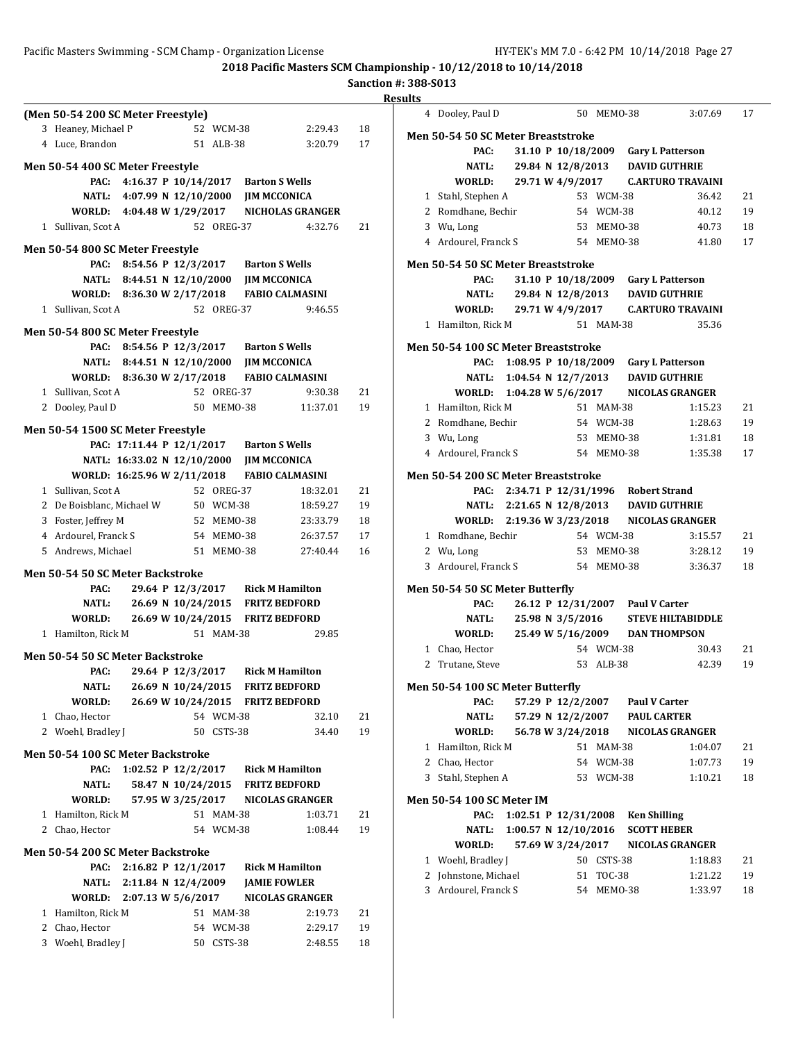## Pacific Masters Swimming - SCM Champ - Organization License HY-TEK's MM 7.0 - 6:42 PM 10/14/2018 Page 27

**2018 Pacific Masters SCM Championship - 10/12/2018 to 10/14/2018**

**Sanction #: 388-S013**

|                                                                   |                                  |                                                |    | <b>Results</b>                                                |    |
|-------------------------------------------------------------------|----------------------------------|------------------------------------------------|----|---------------------------------------------------------------|----|
| (Men 50-54 200 SC Meter Freestyle)                                |                                  |                                                |    | 4 Dooley, Paul D<br>50 MEMO-38<br>3:07.69                     | 17 |
| 3 Heaney, Michael P                                               | 52 WCM-38                        | 2:29.43                                        | 18 | Men 50-54 50 SC Meter Breaststroke                            |    |
| 4 Luce, Brandon                                                   | 51 ALB-38                        | 3:20.79                                        | 17 | PAC:<br>31.10 P 10/18/2009<br><b>Gary L Patterson</b>         |    |
| Men 50-54 400 SC Meter Freestyle                                  |                                  |                                                |    | <b>NATL:</b><br>29.84 N 12/8/2013<br><b>DAVID GUTHRIE</b>     |    |
| PAC:<br>4:16.37 P 10/14/2017                                      | <b>Barton S Wells</b>            |                                                |    | WORLD:<br>29.71 W 4/9/2017<br><b>C.ARTURO TRAVAINI</b>        |    |
| <b>NATL:</b><br>4:07.99 N 12/10/2000                              | <b>JIM MCCONICA</b>              |                                                |    | 53 WCM-38<br>1 Stahl, Stephen A<br>36.42                      | 21 |
| WORLD:<br>4:04.48 W 1/29/2017                                     |                                  | NICHOLAS GRANGER                               |    | 2 Romdhane, Bechir<br>54 WCM-38<br>40.12                      | 19 |
| 1 Sullivan, Scot A                                                | 52 OREG-37                       | 4:32.76                                        | 21 | 3<br>Wu, Long<br>53 MEMO-38<br>40.73                          | 18 |
| Men 50-54 800 SC Meter Freestyle                                  |                                  |                                                |    | 4 Ardourel, Franck S<br>54 MEMO-38<br>41.80                   | 17 |
| PAC: 8:54.56 P 12/3/2017                                          | <b>Barton S Wells</b>            |                                                |    | Men 50-54 50 SC Meter Breaststroke                            |    |
| <b>NATL:</b><br>8:44.51 N 12/10/2000                              | <b>JIM MCCONICA</b>              |                                                |    | PAC:<br>31.10 P 10/18/2009<br><b>Gary L Patterson</b>         |    |
| WORLD: 8:36.30 W 2/17/2018                                        |                                  | <b>FABIO CALMASINI</b>                         |    | <b>NATL:</b><br><b>DAVID GUTHRIE</b><br>29.84 N 12/8/2013     |    |
| 1 Sullivan, Scot A                                                | 52 OREG-37                       | 9:46.55                                        |    | WORLD:<br>29.71 W 4/9/2017<br><b>C.ARTURO TRAVAINI</b>        |    |
| Men 50-54 800 SC Meter Freestyle                                  |                                  |                                                |    | 51 MAM-38<br>35.36<br>1 Hamilton, Rick M                      |    |
| PAC: 8:54.56 P 12/3/2017                                          | <b>Barton S Wells</b>            |                                                |    | Men 50-54 100 SC Meter Breaststroke                           |    |
| <b>NATL:</b><br>8:44.51 N 12/10/2000                              | <b>JIM MCCONICA</b>              |                                                |    | PAC: 1:08.95 P 10/18/2009<br><b>Gary L Patterson</b>          |    |
| WORLD:<br>8:36.30 W 2/17/2018                                     |                                  | <b>FABIO CALMASINI</b>                         |    | <b>DAVID GUTHRIE</b><br><b>NATL:</b><br>1:04.54 N $12/7/2013$ |    |
| 1 Sullivan, Scot A                                                | 52 OREG-37                       | 9:30.38                                        | 21 | 1:04.28 W 5/6/2017<br>WORLD:<br><b>NICOLAS GRANGER</b>        |    |
| 2 Dooley, Paul D                                                  | 50 MEMO-38                       | 11:37.01                                       | 19 | 1 Hamilton, Rick M<br>51 MAM-38<br>1:15.23                    | 21 |
|                                                                   |                                  |                                                |    | Romdhane, Bechir<br>54 WCM-38<br>2<br>1:28.63                 | 19 |
| Men 50-54 1500 SC Meter Freestyle<br>PAC: 17:11.44 P 12/1/2017    | <b>Barton S Wells</b>            |                                                |    | Wu, Long<br>53 MEMO-38<br>3<br>1:31.81                        | 18 |
| NATL: 16:33.02 N 12/10/2000                                       | <b>JIM MCCONICA</b>              |                                                |    | 54 MEMO-38<br>4 Ardourel, Franck S<br>1:35.38                 | 17 |
| WORLD: 16:25.96 W 2/11/2018                                       |                                  | <b>FABIO CALMASINI</b>                         |    | Men 50-54 200 SC Meter Breaststroke                           |    |
| 1 Sullivan, Scot A                                                | 52 OREG-37                       | 18:32.01                                       | 21 | PAC: 2:34.71 P 12/31/1996<br><b>Robert Strand</b>             |    |
| 2 De Boisblanc, Michael W                                         | 50 WCM-38                        | 18:59.27                                       | 19 | NATL:<br>2:21.65 N 12/8/2013<br><b>DAVID GUTHRIE</b>          |    |
| 3 Foster, Jeffrey M                                               | 52 MEMO-38                       | 23:33.79                                       | 18 | WORLD: 2:19.36 W 3/23/2018<br><b>NICOLAS GRANGER</b>          |    |
| 4 Ardourel, Franck S                                              | 54 MEMO-38                       | 26:37.57                                       | 17 | 1 Romdhane, Bechir<br>54 WCM-38<br>3:15.57                    | 21 |
| 5 Andrews, Michael                                                | 51 MEMO-38                       | 27:40.44                                       | 16 | 53 MEMO-38<br>2 Wu, Long<br>3:28.12                           | 19 |
| Men 50-54 50 SC Meter Backstroke                                  |                                  |                                                |    | 3 Ardourel, Franck S<br>54 MEMO-38<br>3:36.37                 | 18 |
| PAC:<br>29.64 P 12/3/2017                                         |                                  | <b>Rick M Hamilton</b>                         |    | Men 50-54 50 SC Meter Butterfly                               |    |
| <b>NATL:</b><br>26.69 N 10/24/2015                                |                                  | <b>FRITZ BEDFORD</b>                           |    | PAC:<br>26.12 P 12/31/2007<br><b>Paul V Carter</b>            |    |
| <b>WORLD:</b><br>26.69 W 10/24/2015                               |                                  | <b>FRITZ BEDFORD</b>                           |    | <b>NATL:</b><br>25.98 N 3/5/2016<br><b>STEVE HILTABIDDLE</b>  |    |
| 1 Hamilton, Rick M                                                | 51 MAM-38                        | 29.85                                          |    | WORLD:<br><b>DAN THOMPSON</b><br>25.49 W 5/16/2009            |    |
|                                                                   |                                  |                                                |    | 54 WCM-38<br>1 Chao, Hector<br>30.43                          | 21 |
| Men 50-54 50 SC Meter Backstroke<br>PAC:<br>29.64 P 12/3/2017     |                                  | <b>Rick M Hamilton</b>                         |    | 2 Trutane, Steve<br>42.39<br>53 ALB-38                        | 19 |
| <b>NATL:</b>                                                      | 26.69 N 10/24/2015 FRITZ BEDFORD |                                                |    | Men 50-54 100 SC Meter Butterfly                              |    |
| WORLD:                                                            | 26.69 W 10/24/2015 FRITZ BEDFORD |                                                |    | <b>Paul V Carter</b><br>PAC:<br>57.29 P 12/2/2007             |    |
| 1 Chao, Hector                                                    | 54 WCM-38                        | 32.10                                          | 21 | <b>NATL:</b><br><b>PAUL CARTER</b><br>57.29 N 12/2/2007       |    |
| 2 Woehl, Bradley J                                                | 50 CSTS-38                       | 34.40                                          | 19 | WORLD:<br>56.78 W 3/24/2018<br><b>NICOLAS GRANGER</b>         |    |
|                                                                   |                                  |                                                |    | 1 Hamilton, Rick M<br>51 MAM-38<br>1:04.07                    | 21 |
| Men 50-54 100 SC Meter Backstroke                                 |                                  |                                                |    | Chao, Hector<br>54 WCM-38<br>1:07.73<br>2                     | 19 |
| PAC:<br>1:02.52 P 12/2/2017<br><b>NATL:</b><br>58.47 N 10/24/2015 |                                  | <b>Rick M Hamilton</b><br><b>FRITZ BEDFORD</b> |    | Stahl, Stephen A<br>53 WCM-38<br>1:10.21<br>3                 | 18 |
| WORLD:<br>57.95 W 3/25/2017                                       |                                  | <b>NICOLAS GRANGER</b>                         |    | <b>Men 50-54 100 SC Meter IM</b>                              |    |
| 1 Hamilton, Rick M                                                | 51 MAM-38                        | 1:03.71                                        | 21 | 1:02.51 P 12/31/2008<br><b>Ken Shilling</b><br>PAC:           |    |
| 2 Chao, Hector                                                    | 54 WCM-38                        | 1:08.44                                        | 19 | 1:00.57 N 12/10/2016<br><b>SCOTT HEBER</b><br><b>NATL:</b>    |    |
|                                                                   |                                  |                                                |    | WORLD:<br>57.69 W 3/24/2017<br><b>NICOLAS GRANGER</b>         |    |
| Men 50-54 200 SC Meter Backstroke                                 |                                  |                                                |    | 1 Woehl, Bradley J<br>50 CSTS-38<br>1:18.83                   | 21 |
| PAC: 2:16.82 P 12/1/2017                                          |                                  | <b>Rick M Hamilton</b>                         |    | Johnstone, Michael<br>51 TOC-38<br>1:21.22<br>2               | 19 |
| <b>NATL:</b><br>2:11.84 N 12/4/2009<br>WORLD: 2:07.13 W 5/6/2017  | <b>JAMIE FOWLER</b>              | <b>NICOLAS GRANGER</b>                         |    | 3 Ardourel, Franck S<br>54 MEMO-38<br>1:33.97                 | 18 |
| 1 Hamilton, Rick M                                                | 51 MAM-38                        | 2:19.73                                        | 21 |                                                               |    |
| 2 Chao, Hector                                                    | 54 WCM-38                        | 2:29.17                                        | 19 |                                                               |    |
| 3 Woehl, Bradley J                                                | 50 CSTS-38                       | 2:48.55                                        | 18 |                                                               |    |
|                                                                   |                                  |                                                |    |                                                               |    |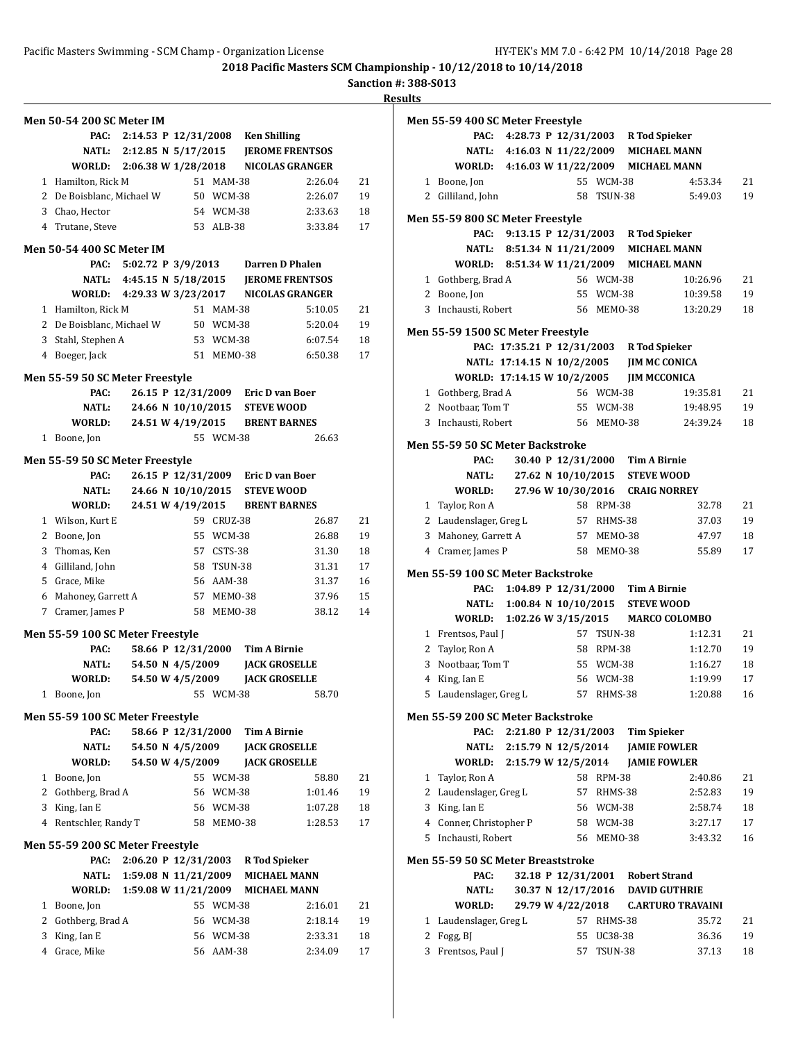**Sanction #: 388-S013**

|              | <b>Men 50-54 200 SC Meter IM</b>         |                           |                      |            |                                         |                                            |    |
|--------------|------------------------------------------|---------------------------|----------------------|------------|-----------------------------------------|--------------------------------------------|----|
|              |                                          |                           |                      |            | PAC: 2:14.53 P 12/31/2008 Ken Shilling  |                                            |    |
|              |                                          |                           |                      |            |                                         | NATL: 2:12.85 N 5/17/2015 JEROME FRENTSOS  |    |
|              |                                          |                           |                      |            |                                         | WORLD: 2:06.38 W 1/28/2018 NICOLAS GRANGER |    |
|              | 1 Hamilton, Rick M                       |                           |                      | 51 MAM-38  |                                         | 2:26.04                                    | 21 |
|              | 2 De Boisblanc, Michael W                |                           |                      | 50 WCM-38  |                                         | 2:26.07                                    | 19 |
|              | 3 Chao, Hector                           |                           |                      | 54 WCM-38  |                                         | 2:33.63                                    | 18 |
|              | 4 Trutane, Steve                         |                           |                      | 53 ALB-38  |                                         | 3:33.84                                    | 17 |
|              |                                          |                           |                      |            |                                         |                                            |    |
|              | <b>Men 50-54 400 SC Meter IM</b>         |                           |                      |            |                                         |                                            |    |
|              |                                          | NATL: 4:45.15 N 5/18/2015 |                      |            | PAC: 5:02.72 P 3/9/2013 Darren D Phalen |                                            |    |
|              |                                          |                           |                      |            |                                         | <b>JEROME FRENTSOS</b>                     |    |
|              |                                          |                           |                      |            |                                         | WORLD: 4:29.33 W 3/23/2017 NICOLAS GRANGER |    |
|              | 1 Hamilton, Rick M                       |                           |                      | 51 MAM-38  |                                         | 5:10.05                                    | 21 |
|              | 2 De Boisblanc, Michael W                |                           |                      | 50 WCM-38  |                                         | 5:20.04                                    | 19 |
|              | 3 Stahl, Stephen A                       |                           |                      | 53 WCM-38  |                                         | 6:07.54                                    | 18 |
|              | 4 Boeger, Jack                           |                           |                      | 51 MEMO-38 |                                         | 6:50.38                                    | 17 |
|              | Men 55-59 50 SC Meter Freestyle          |                           |                      |            |                                         |                                            |    |
|              | PAC:                                     |                           |                      |            | 26.15 P 12/31/2009 Eric D van Boer      |                                            |    |
|              | NATL:                                    |                           |                      |            | 24.66 N 10/10/2015 STEVE WOOD           |                                            |    |
|              | WORLD:                                   |                           |                      |            | 24.51 W 4/19/2015 BRENT BARNES          |                                            |    |
|              | 1 Boone, Jon                             |                           |                      | 55 WCM-38  |                                         | 26.63                                      |    |
|              | Men 55-59 50 SC Meter Freestyle          |                           |                      |            |                                         |                                            |    |
|              | PAC:                                     |                           |                      |            | 26.15 P 12/31/2009 Eric D van Boer      |                                            |    |
|              | NATL:                                    |                           |                      |            | 24.66 N 10/10/2015 STEVE WOOD           |                                            |    |
|              | <b>WORLD:</b>                            |                           | 24.51 W 4/19/2015    |            | <b>BRENT BARNES</b>                     |                                            |    |
|              | 1 Wilson, Kurt E                         |                           |                      | 59 CRUZ-38 |                                         | 26.87                                      | 21 |
|              | 2 Boone, Jon                             |                           |                      | 55 WCM-38  |                                         | 26.88                                      | 19 |
|              | 3 Thomas, Ken                            |                           |                      | 57 CSTS-38 |                                         | 31.30                                      | 18 |
|              | 4 Gilliland, John                        |                           |                      | 58 TSUN-38 |                                         | 31.31                                      | 17 |
|              | 5 Grace, Mike                            |                           |                      | 56 AAM-38  |                                         | 31.37                                      | 16 |
|              | 6 Mahoney, Garrett A                     |                           |                      | 57 MEM0-38 |                                         | 37.96                                      | 15 |
|              | 7 Cramer, James P                        |                           |                      | 58 MEMO-38 |                                         | 38.12                                      | 14 |
|              | Men 55-59 100 SC Meter Freestyle         |                           |                      |            |                                         |                                            |    |
|              | PAC:                                     |                           | 58.66 P 12/31/2000   |            | <b>Tim A Birnie</b>                     |                                            |    |
|              | NATL:                                    |                           | 54.50 N 4/5/2009     |            | <b>JACK GROSELLE</b>                    |                                            |    |
|              | WORLD:                                   |                           | 54.50 W 4/5/2009     |            | <b>JACK GROSELLE</b>                    |                                            |    |
| $\mathbf{1}$ | Boone, Jon                               |                           | 55                   | WCM-38     |                                         | 58.70                                      |    |
|              |                                          |                           |                      |            |                                         |                                            |    |
|              | Men 55-59 100 SC Meter Freestyle<br>PAC: |                           | 58.66 P 12/31/2000   |            | <b>Tim A Birnie</b>                     |                                            |    |
|              | <b>NATL:</b>                             |                           | 54.50 N 4/5/2009     |            | <b>JACK GROSELLE</b>                    |                                            |    |
|              | WORLD:                                   |                           | 54.50 W 4/5/2009     |            | <b>JACK GROSELLE</b>                    |                                            |    |
| 1            | Boone, Jon                               |                           |                      | 55 WCM-38  |                                         | 58.80                                      | 21 |
|              | 2 Gothberg, Brad A                       |                           |                      | 56 WCM-38  |                                         | 1:01.46                                    | 19 |
|              | 3 King, Ian E                            |                           |                      | 56 WCM-38  |                                         | 1:07.28                                    | 18 |
|              | 4 Rentschler, Randy T                    |                           |                      | 58 MEM0-38 |                                         | 1:28.53                                    | 17 |
|              |                                          |                           |                      |            |                                         |                                            |    |
|              | Men 55-59 200 SC Meter Freestyle         |                           |                      |            |                                         |                                            |    |
|              | PAC:                                     | 2:06.20 P 12/31/2003      |                      |            | R Tod Spieker                           |                                            |    |
|              | NATL:                                    | 1:59.08 N 11/21/2009      |                      |            | <b>MICHAEL MANN</b>                     |                                            |    |
|              | WORLD:                                   |                           | 1:59.08 W 11/21/2009 |            | <b>MICHAEL MANN</b>                     |                                            |    |
| 1            | Boone, Jon                               |                           |                      | 55 WCM-38  |                                         | 2:16.01                                    | 21 |
| 2            | Gothberg, Brad A                         |                           |                      | 56 WCM-38  |                                         | 2:18.14                                    | 19 |
| 3            | King, Ian E                              |                           |                      | 56 WCM-38  |                                         | 2:33.31                                    | 18 |
| 4            | Grace, Mike                              |                           |                      | 56 AAM-38  |                                         | 2:34.09                                    | 17 |

|                | Men 55-59 400 SC Meter Freestyle         |                            |                    |                |                                    |                                  |    |
|----------------|------------------------------------------|----------------------------|--------------------|----------------|------------------------------------|----------------------------------|----|
|                | PAC:                                     |                            |                    |                | 4:28.73 P 12/31/2003 R Tod Spieker |                                  |    |
|                | <b>NATL:</b>                             | 4:16.03 N 11/22/2009       |                    |                |                                    | <b>MICHAEL MANN</b>              |    |
|                | WORLD:                                   | 4:16.03 W 11/22/2009       |                    |                |                                    | <b>MICHAEL MANN</b>              |    |
| 1              | Boone, Jon                               |                            |                    | 55 WCM-38      |                                    | 4:53.34                          | 21 |
| $\overline{c}$ | Gilliland, John                          |                            |                    | 58 TSUN-38     |                                    | 5:49.03                          | 19 |
|                | Men 55-59 800 SC Meter Freestyle         |                            |                    |                |                                    |                                  |    |
|                | PAC:                                     | 9:13.15 P $12/31/2003$     |                    |                | R Tod Spieker                      |                                  |    |
|                | <b>NATL:</b>                             | 8:51.34 N 11/21/2009       |                    |                |                                    | <b>MICHAEL MANN</b>              |    |
|                | WORLD:                                   | 8:51.34 W 11/21/2009       |                    |                |                                    | <b>MICHAEL MANN</b>              |    |
|                | 1 Gothberg, Brad A                       |                            |                    | 56 WCM-38      |                                    | 10:26.96                         | 21 |
| 2              | Boone, Jon                               |                            | 55                 | WCM-38         |                                    | 10:39.58                         | 19 |
|                | 3 Inchausti, Robert                      |                            |                    | 56 MEMO-38     |                                    | 13:20.29                         | 18 |
|                | Men 55-59 1500 SC Meter Freestyle        |                            |                    |                |                                    |                                  |    |
|                |                                          | PAC: 17:35.21 P 12/31/2003 |                    |                | R Tod Spieker                      |                                  |    |
|                | NATL: 17:14.15 N 10/2/2005               |                            |                    |                | <b>JIM MC CONICA</b>               |                                  |    |
|                | WORLD: 17:14.15 W 10/2/2005              |                            |                    |                | <b>JIM MCCONICA</b>                |                                  |    |
|                | 1 Gothberg, Brad A                       |                            |                    | 56 WCM-38      |                                    | 19:35.81                         | 21 |
|                | 2 Nootbaar, Tom T                        |                            |                    | 55 WCM-38      |                                    | 19:48.95                         | 19 |
|                | 3 Inchausti, Robert                      |                            |                    | 56 MEM0-38     |                                    | 24:39.24                         | 18 |
|                | Men 55-59 50 SC Meter Backstroke         |                            |                    |                |                                    |                                  |    |
|                | PAC:                                     |                            |                    |                | 30.40 P 12/31/2000 Tim A Birnie    |                                  |    |
|                | NATL:                                    |                            | 27.62 N 10/10/2015 |                | <b>STEVE WOOD</b>                  |                                  |    |
|                | WORLD:                                   |                            | 27.96 W 10/30/2016 |                |                                    | <b>CRAIG NORREY</b>              |    |
|                | 1 Taylor, Ron A                          |                            |                    | 58 RPM-38      |                                    | 32.78                            | 21 |
|                | 2 Laudenslager, Greg L                   |                            |                    | 57 RHMS-38     |                                    | 37.03                            | 19 |
|                | 3 Mahoney, Garrett A                     |                            |                    | 57 MEMO-38     |                                    | 47.97                            | 18 |
|                | 4 Cramer, James P                        |                            |                    | 58 MEMO-38     |                                    | 55.89                            | 17 |
|                | <b>Men 55-59 100 SC Meter Backstroke</b> |                            |                    |                |                                    |                                  |    |
|                | PAC:                                     |                            |                    |                | 1:04.89 P 12/31/2000 Tim A Birnie  |                                  |    |
|                | NATL:                                    | 1:00.84 N 10/10/2015       |                    |                | <b>STEVE WOOD</b>                  |                                  |    |
|                | WORLD:                                   | 1:02.26 W 3/15/2015        |                    |                |                                    | <b>MARCO COLOMBO</b>             |    |
|                | 1 Frentsos, Paul J                       |                            | 57                 | <b>TSUN-38</b> |                                    | 1:12.31                          | 21 |
| 2              | Taylor, Ron A                            |                            |                    | 58 RPM-38      |                                    | 1:12.70                          | 19 |
| 3              | Nootbaar, Tom T                          |                            |                    | 55 WCM-38      |                                    | 1:16.27                          | 18 |
| 4              | King, Ian E                              |                            |                    | 56 WCM-38      |                                    | 1:19.99                          | 17 |
| 5              | Laudenslager, Greg L                     |                            | 57                 | RHMS-38        |                                    | 1:20.88                          | 16 |
|                | Men 55-59 200 SC Meter Backstroke        |                            |                    |                |                                    |                                  |    |
|                | PAC:                                     | 2:21.80 P 12/31/2003       |                    |                | <b>Tim Spieker</b>                 |                                  |    |
|                | NATL:                                    | 2:15.79 N 12/5/2014        |                    |                | <b>JAMIE FOWLER</b>                |                                  |    |
|                | WORLD: 2:15.79 W 12/5/2014               |                            |                    |                |                                    | <b>JAMIE FOWLER</b>              |    |
| $\mathbf{1}$   | Taylor, Ron A                            |                            |                    | 58 RPM-38      |                                    | 2:40.86                          | 21 |
|                | 2 Laudenslager, Greg L                   |                            |                    | 57 RHMS-38     |                                    | 2:52.83                          | 19 |
|                | 3 King, Ian E                            |                            |                    | 56 WCM-38      |                                    | 2:58.74                          | 18 |
|                | 4 Conner, Christopher P                  |                            |                    | 58 WCM-38      |                                    | 3:27.17                          | 17 |
|                | 5 Inchausti, Robert                      |                            |                    | 56 MEMO-38     |                                    | 3:43.32                          | 16 |
|                | Men 55-59 50 SC Meter Breaststroke       |                            |                    |                |                                    |                                  |    |
|                | PAC:                                     |                            |                    |                | 32.18 P 12/31/2001 Robert Strand   |                                  |    |
|                | <b>NATL:</b>                             |                            |                    |                |                                    | 30.37 N 12/17/2016 DAVID GUTHRIE |    |
|                | WORLD:                                   |                            | 29.79 W 4/22/2018  |                |                                    | <b>C.ARTURO TRAVAINI</b>         |    |
|                | 1 Laudenslager, Greg L                   |                            |                    | 57 RHMS-38     |                                    | 35.72                            | 21 |
|                |                                          |                            |                    |                |                                    |                                  |    |
| 2              | Fogg, BJ                                 |                            |                    | 55 UC38-38     |                                    | 36.36                            | 19 |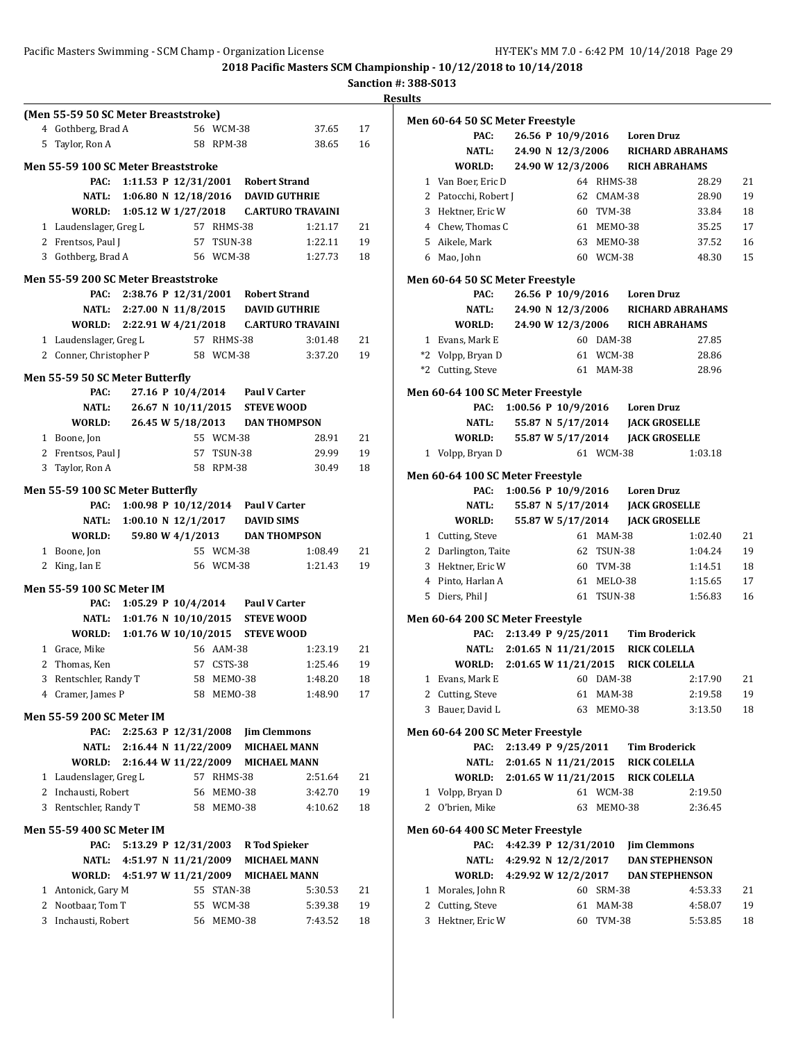|   | (Men 55-59 50 SC Meter Breaststroke)     |                            |                    |                      |                                            |                                              |          |
|---|------------------------------------------|----------------------------|--------------------|----------------------|--------------------------------------------|----------------------------------------------|----------|
|   | 4 Gothberg, Brad A                       |                            |                    | 56 WCM-38            |                                            | 37.65                                        | 17       |
|   | 5 Taylor, Ron A                          |                            |                    | 58 RPM-38            |                                            | 38.65                                        | 16       |
|   | Men 55-59 100 SC Meter Breaststroke      |                            |                    |                      |                                            |                                              |          |
|   | PAC:                                     |                            |                    |                      | 1:11.53 P 12/31/2001 Robert Strand         |                                              |          |
|   | NATL:                                    | 1:06.80 N 12/18/2016       |                    |                      | <b>DAVID GUTHRIE</b>                       |                                              |          |
|   | WORLD:                                   | 1:05.12 W 1/27/2018        |                    |                      |                                            | <b>C.ARTURO TRAVAINI</b>                     |          |
|   | 1 Laudenslager, Greg L                   |                            | 57 RHMS-38         |                      |                                            | 1:21.17                                      | 21       |
|   | 2 Frentsos, Paul J                       |                            |                    | 57 TSUN-38           |                                            | 1:22.11                                      | 19       |
|   | 3 Gothberg, Brad A                       |                            |                    | 56 WCM-38            |                                            | 1:27.73                                      | 18       |
|   | Men 55-59 200 SC Meter Breaststroke      |                            |                    |                      |                                            |                                              |          |
|   |                                          |                            |                    |                      | PAC: 2:38.76 P 12/31/2001 Robert Strand    |                                              |          |
|   |                                          | NATL: 2:27.00 N 11/8/2015  |                    |                      | <b>DAVID GUTHRIE</b>                       |                                              |          |
|   |                                          |                            |                    |                      |                                            | WORLD: 2:22.91 W 4/21/2018 C.ARTURO TRAVAINI |          |
|   | 1 Laudenslager, Greg L                   |                            |                    | 57 RHMS-38           |                                            | 3:01.48                                      | 21       |
|   | 2 Conner, Christopher P                  |                            |                    | 58 WCM-38            |                                            | 3:37.20                                      | 19       |
|   |                                          |                            |                    |                      |                                            |                                              |          |
|   | Men 55-59 50 SC Meter Butterfly<br>PAC:  |                            | 27.16 P 10/4/2014  |                      | <b>Paul V Carter</b>                       |                                              |          |
|   | <b>NATL:</b>                             |                            | 26.67 N 10/11/2015 |                      | <b>STEVE WOOD</b>                          |                                              |          |
|   | WORLD:                                   | 26.45 W 5/18/2013          |                    |                      | <b>DAN THOMPSON</b>                        |                                              |          |
|   | 1 Boone, Jon                             |                            |                    | 55 WCM-38            |                                            | 28.91                                        | 21       |
|   | 2 Frentsos, Paul J                       |                            |                    | 57 TSUN-38           |                                            | 29.99                                        | 19       |
|   | 3 Taylor, Ron A                          |                            |                    | 58 RPM-38            |                                            | 30.49                                        | 18       |
|   |                                          |                            |                    |                      |                                            |                                              |          |
|   | Men 55-59 100 SC Meter Butterfly         |                            |                    |                      |                                            |                                              |          |
|   | PAC:                                     |                            |                    |                      | 1:00.98 P 10/12/2014 Paul V Carter         |                                              |          |
|   |                                          | NATL: 1:00.10 N 12/1/2017  |                    |                      | <b>DAVID SIMS</b>                          |                                              |          |
|   | WORLD:                                   |                            | 59.80 W 4/1/2013   |                      | <b>DAN THOMPSON</b>                        |                                              |          |
|   |                                          |                            |                    |                      |                                            |                                              |          |
|   | 1 Boone, Jon                             |                            | 55 WCM-38          |                      |                                            | 1:08.49                                      | 21       |
| 2 | King, Ian E                              |                            |                    | 56 WCM-38            |                                            | 1:21.43                                      | 19       |
|   | <b>Men 55-59 100 SC Meter IM</b>         |                            |                    |                      |                                            |                                              |          |
|   | PAC:                                     | 1:05.29 P 10/4/2014        |                    |                      | <b>Paul V Carter</b>                       |                                              |          |
|   |                                          | NATL: 1:01.76 N 10/10/2015 |                    |                      | <b>STEVE WOOD</b>                          |                                              |          |
|   | WORLD:                                   | 1:01.76 W 10/10/2015       |                    |                      | <b>STEVE WOOD</b>                          |                                              |          |
|   | 1 Grace, Mike                            |                            |                    | 56 AAM-38            |                                            | 1:23.19                                      | 21       |
|   | 2 Thomas, Ken                            |                            |                    | 57 CSTS-38           |                                            | 1:25.46                                      | 19       |
|   | 3 Rentschler, Randy T                    |                            |                    | 58 MEMO-38           |                                            | 1:48.20                                      | 18       |
|   | 4 Cramer, James P                        |                            |                    | 58 MEMO-38           |                                            | 1:48.90                                      | 17       |
|   | <b>Men 55-59 200 SC Meter IM</b>         |                            |                    |                      |                                            |                                              |          |
|   | PAC:                                     | 2:25.63 P 12/31/2008       |                    |                      |                                            |                                              |          |
|   | NATL:                                    | 2:16.44 N 11/22/2009       |                    |                      | <b>Jim Clemmons</b><br><b>MICHAEL MANN</b> |                                              |          |
|   | WORLD:                                   | 2:16.44 W 11/22/2009       |                    |                      | <b>MICHAEL MANN</b>                        |                                              |          |
|   | 1 Laudenslager, Greg L                   |                            |                    | 57 RHMS-38           |                                            | 2:51.64                                      | 21       |
|   | 2 Inchausti, Robert                      |                            |                    | 56 MEMO-38           |                                            | 3:42.70                                      | 19       |
|   | 3 Rentschler, Randy T                    |                            |                    | 58 MEMO-38           |                                            | 4:10.62                                      | 18       |
|   |                                          |                            |                    |                      |                                            |                                              |          |
|   | <b>Men 55-59 400 SC Meter IM</b>         |                            |                    |                      |                                            |                                              |          |
|   | PAC:                                     | 5:13.29 P 12/31/2003       |                    |                      | <b>R</b> Tod Spieker                       |                                              |          |
|   | NATL:                                    | 4:51.97 N $11/21/2009$     |                    |                      | <b>MICHAEL MANN</b>                        |                                              |          |
|   | WORLD:                                   | 4:51.97 W 11/21/2009       |                    |                      | <b>MICHAEL MANN</b>                        |                                              |          |
|   | 1 Antonick, Gary M                       |                            |                    | 55 STAN-38           |                                            | 5:30.53                                      | 21       |
|   | 2 Nootbaar, Tom T<br>3 Inchausti, Robert |                            | 56                 | 55 WCM-38<br>MEMO-38 |                                            | 5:39.38<br>7:43.52                           | 19<br>18 |

|              | Men 60-64 50 SC Meter Freestyle          |  |                      |               |                                         |                         |    |
|--------------|------------------------------------------|--|----------------------|---------------|-----------------------------------------|-------------------------|----|
|              | PAC:                                     |  |                      |               | 26.56 P 10/9/2016 Loren Druz            |                         |    |
|              | <b>NATL:</b>                             |  | 24.90 N 12/3/2006    |               |                                         | <b>RICHARD ABRAHAMS</b> |    |
|              | WORLD:                                   |  | 24.90 W 12/3/2006    |               | <b>RICH ABRAHAMS</b>                    |                         |    |
|              | 1 Van Boer, Eric D                       |  |                      | 64 RHMS-38    |                                         | 28.29                   | 21 |
|              | 2 Patocchi, Robert J                     |  |                      | 62 CMAM-38    |                                         | 28.90                   | 19 |
|              | 3 Hektner, Eric W                        |  |                      | 60 TVM-38     |                                         | 33.84                   | 18 |
|              | 4 Chew, Thomas C                         |  |                      | 61 MEMO-38    |                                         | 35.25                   | 17 |
|              | 5 Aikele, Mark                           |  |                      | 63 MEM0-38    |                                         | 37.52                   | 16 |
|              | 6 Mao, John                              |  |                      | 60 WCM-38     |                                         | 48.30                   | 15 |
|              | Men 60-64 50 SC Meter Freestyle          |  |                      |               |                                         |                         |    |
|              | PAC:                                     |  |                      |               | 26.56 P 10/9/2016 Loren Druz            |                         |    |
|              | NATL:                                    |  | 24.90 N 12/3/2006    |               |                                         | <b>RICHARD ABRAHAMS</b> |    |
|              | WORLD:                                   |  | 24.90 W 12/3/2006    |               | RICH ABRAHAMS                           |                         |    |
| $\mathbf{1}$ | Evans, Mark E                            |  |                      | 60 DAM-38     |                                         | 27.85                   |    |
|              | *2 Volpp, Bryan D                        |  |                      | 61 WCM-38     |                                         | 28.86                   |    |
|              | *2 Cutting, Steve                        |  |                      | 61 MAM-38     |                                         | 28.96                   |    |
|              |                                          |  |                      |               |                                         |                         |    |
|              | Men 60-64 100 SC Meter Freestyle         |  |                      |               |                                         |                         |    |
|              | PAC:                                     |  |                      |               | 1:00.56 P 10/9/2016 Loren Druz          |                         |    |
|              | NATL:                                    |  |                      |               | 55.87 N 5/17/2014 JACK GROSELLE         |                         |    |
|              | WORLD:                                   |  | 55.87 W 5/17/2014    |               | <b>JACK GROSELLE</b>                    |                         |    |
|              | 1 Volpp, Bryan D                         |  |                      | 61 WCM-38     |                                         | 1:03.18                 |    |
|              | Men 60-64 100 SC Meter Freestyle         |  |                      |               |                                         |                         |    |
|              | PAC:                                     |  |                      |               | 1:00.56 P 10/9/2016 Loren Druz          |                         |    |
|              | NATL:                                    |  | 55.87 N 5/17/2014    |               | <b>JACK GROSELLE</b>                    |                         |    |
|              | WORLD:                                   |  | 55.87 W 5/17/2014    |               | <b>JACK GROSELLE</b>                    |                         |    |
|              | 1 Cutting, Steve                         |  |                      | 61 MAM-38     |                                         | 1:02.40                 | 21 |
|              | 2 Darlington, Taite                      |  |                      | 62 TSUN-38    |                                         | 1:04.24                 | 19 |
| 3            | Hektner, Eric W                          |  |                      | 60 TVM-38     |                                         | 1:14.51                 | 18 |
|              | 4 Pinto, Harlan A                        |  |                      | 61 MELO-38    |                                         | 1:15.65                 | 17 |
|              | 5 Diers, Phil J                          |  |                      | 61 TSUN-38    |                                         | 1:56.83                 | 16 |
|              |                                          |  |                      |               |                                         |                         |    |
|              | Men 60-64 200 SC Meter Freestyle         |  |                      |               |                                         |                         |    |
|              | PAC:                                     |  |                      |               | 2:13.49 P 9/25/2011 Tim Broderick       |                         |    |
|              |                                          |  |                      |               | NATL: 2:01.65 N 11/21/2015 RICK COLELLA |                         |    |
|              | WORLD: 2:01.65 W 11/21/2015              |  |                      |               | <b>RICK COLELLA</b>                     |                         |    |
| $\mathbf{1}$ | Evans, Mark E                            |  |                      | 60 DAM-38     |                                         | 2:17.90                 | 21 |
| 2            | Cutting, Steve                           |  | 61                   | <b>MAM-38</b> |                                         | 2:19.58                 | 19 |
| 3            | Bauer, David L                           |  | 63                   | MEMO-38       |                                         | 3:13.50                 | 18 |
|              | Men 60-64 200 SC Meter Freestyle         |  |                      |               |                                         |                         |    |
|              | PAC:                                     |  |                      |               | 2:13.49 P 9/25/2011 Tim Broderick       |                         |    |
|              |                                          |  |                      |               | NATL: 2:01.65 N 11/21/2015 RICK COLELLA |                         |    |
|              | WORLD: 2:01.65 W 11/21/2015 RICK COLELLA |  |                      |               |                                         |                         |    |
| 1            | Volpp, Bryan D                           |  |                      | 61 WCM-38     |                                         | 2:19.50                 |    |
|              | 2 O'brien, Mike                          |  | 63                   | MEMO-38       |                                         | 2:36.45                 |    |
|              |                                          |  |                      |               |                                         |                         |    |
|              | Men 60-64 400 SC Meter Freestyle         |  |                      |               |                                         |                         |    |
|              | PAC:                                     |  | 4:42.39 P 12/31/2010 |               | <b>Jim Clemmons</b>                     |                         |    |
|              | NATL: 4:29.92 N 12/2/2017                |  |                      |               | <b>DAN STEPHENSON</b>                   |                         |    |
|              | WORLD: 4:29.92 W 12/2/2017               |  |                      |               | <b>DAN STEPHENSON</b>                   |                         |    |
|              | 1 Morales, John R                        |  |                      | 60 SRM-38     |                                         | 4:53.33                 | 21 |
|              | 2 Cutting, Steve                         |  |                      | 61 MAM-38     |                                         | 4:58.07                 | 19 |
|              | 3 Hektner, Eric W                        |  |                      | 60 TVM-38     |                                         | 5:53.85                 | 18 |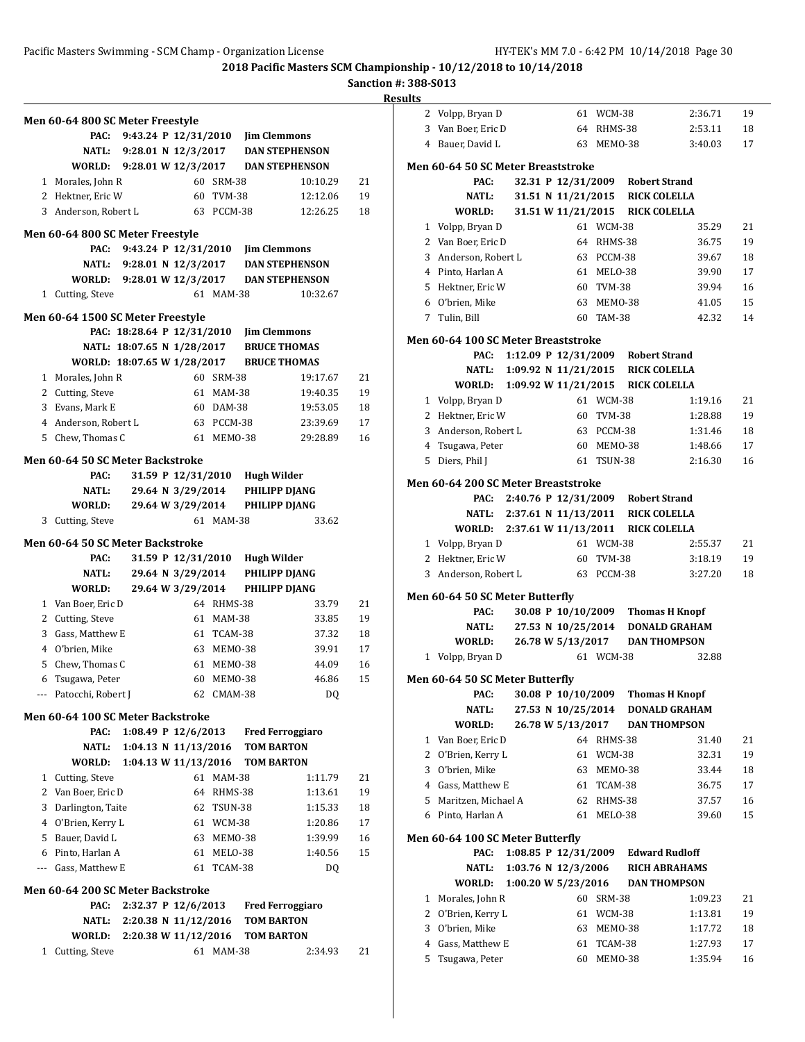**Sanction #: 388-S013**

| <b>Results</b> |
|----------------|
|----------------|

|                | Men 60-64 800 SC Meter Freestyle<br>PAC: | 9:43.24 P 12/31/2010 Jim Clemmons |                                 |               |                   |                                           |    |
|----------------|------------------------------------------|-----------------------------------|---------------------------------|---------------|-------------------|-------------------------------------------|----|
|                |                                          |                                   |                                 |               |                   | NATL: 9:28.01 N 12/3/2017 DAN STEPHENSON  |    |
|                |                                          |                                   |                                 |               |                   | WORLD: 9:28.01 W 12/3/2017 DAN STEPHENSON |    |
|                | 1 Morales, John R                        |                                   |                                 | 60 SRM-38     |                   | 10:10.29                                  | 21 |
|                | 2 Hektner, Eric W                        |                                   |                                 | 60 TVM-38     |                   | 12:12.06                                  | 19 |
|                | 3 Anderson, Robert L                     |                                   |                                 | 63 PCCM-38    |                   | 12:26.25                                  | 18 |
|                |                                          |                                   |                                 |               |                   |                                           |    |
|                | Men 60-64 800 SC Meter Freestyle         |                                   |                                 |               |                   |                                           |    |
|                | PAC:                                     | 9:43.24 P 12/31/2010              |                                 |               |                   | <b>Jim Clemmons</b>                       |    |
|                |                                          | NATL: 9:28.01 N 12/3/2017         |                                 |               |                   | <b>DAN STEPHENSON</b>                     |    |
|                | WORLD: 9:28.01 W 12/3/2017               |                                   |                                 |               |                   | <b>DAN STEPHENSON</b>                     |    |
|                | 1 Cutting, Steve                         |                                   |                                 | 61 MAM-38     |                   | 10:32.67                                  |    |
|                | Men 60-64 1500 SC Meter Freestyle        |                                   |                                 |               |                   |                                           |    |
|                |                                          | PAC: 18:28.64 P 12/31/2010        |                                 |               |                   | <b>Jim Clemmons</b>                       |    |
|                |                                          | NATL: 18:07.65 N 1/28/2017        |                                 |               |                   | <b>BRUCE THOMAS</b>                       |    |
|                | WORLD: 18:07.65 W 1/28/2017              |                                   |                                 |               |                   | <b>BRUCE THOMAS</b>                       |    |
|                | 1 Morales, John R                        |                                   |                                 | 60 SRM-38     |                   | 19:17.67                                  | 21 |
|                | 2 Cutting, Steve                         |                                   | 61                              | MAM-38        |                   | 19:40.35                                  | 19 |
|                | 3 Evans, Mark E                          |                                   |                                 | 60 DAM-38     |                   | 19:53.05                                  | 18 |
|                | 4 Anderson, Robert L                     |                                   |                                 | 63 PCCM-38    |                   | 23:39.69                                  | 17 |
|                | 5 Chew, Thomas C                         |                                   |                                 | 61 MEMO-38    |                   | 29:28.89                                  | 16 |
|                | <b>Men 60-64 50 SC Meter Backstroke</b>  |                                   |                                 |               |                   |                                           |    |
|                | PAC:                                     |                                   | 31.59 P 12/31/2010              |               | Hugh Wilder       |                                           |    |
|                | NATL:                                    |                                   | 29.64 N 3/29/2014               |               |                   | PHILIPP DJANG                             |    |
|                | WORLD:                                   |                                   | 29.64 W 3/29/2014               |               |                   | PHILIPP DJANG                             |    |
|                | 3 Cutting, Steve                         |                                   |                                 | 61 MAM-38     |                   | 33.62                                     |    |
|                |                                          |                                   |                                 |               |                   |                                           |    |
|                | <b>Men 60-64 50 SC Meter Backstroke</b>  |                                   |                                 |               |                   |                                           |    |
|                | PAC:                                     |                                   | 31.59 P 12/31/2010              |               | Hugh Wilder       |                                           |    |
|                | NATL:                                    |                                   | 29.64 N 3/29/2014               |               |                   | PHILIPP DJANG                             |    |
|                | WORLD:                                   |                                   | 29.64 W 3/29/2014               |               |                   | PHILIPP DJANG                             |    |
|                | 1 Van Boer, Eric D                       |                                   |                                 | 64 RHMS-38    |                   | 33.79                                     | 21 |
|                | 2 Cutting, Steve                         |                                   |                                 | 61 MAM-38     |                   | 33.85                                     | 19 |
|                | 3 Gass, Matthew E                        |                                   |                                 | 61 TCAM-38    |                   | 37.32                                     | 18 |
|                | 4 O'brien, Mike                          |                                   |                                 | 63 MEMO-38    |                   | 39.91                                     | 17 |
|                | 5 Chew, Thomas C                         |                                   |                                 | 61 MEMO-38    |                   | 44.09                                     | 16 |
|                | 6 Tsugawa, Peter                         |                                   |                                 | 60 MEMO-38    |                   | 46.86                                     | 15 |
| ---            | Patocchi, Robert J                       |                                   |                                 | 62 CMAM-38    |                   | DQ                                        |    |
|                | Men 60-64 100 SC Meter Backstroke        |                                   |                                 |               |                   |                                           |    |
|                | PAC:                                     |                                   | 1:08.49 P $12/6/2013$           |               |                   | <b>Fred Ferroggiaro</b>                   |    |
|                | NATL:                                    |                                   | $1:04.13 \text{ N } 11/13/2016$ |               | <b>TOM BARTON</b> |                                           |    |
|                | <b>WORLD:</b>                            | 1:04.13 W 11/13/2016 TOM BARTON   |                                 |               |                   |                                           |    |
| 1              | Cutting, Steve                           |                                   | 61                              | <b>MAM-38</b> |                   | 1:11.79                                   | 21 |
| $\overline{2}$ | Van Boer, Eric D                         |                                   | 64                              | RHMS-38       |                   | 1:13.61                                   | 19 |
|                | 3 Darlington, Taite                      |                                   |                                 | 62 TSUN-38    |                   | 1:15.33                                   | 18 |
|                | 4 O'Brien, Kerry L                       |                                   |                                 | 61 WCM-38     |                   | 1:20.86                                   | 17 |
|                | 5 Bauer, David L                         |                                   |                                 | 63 MEM0-38    |                   | 1:39.99                                   | 16 |
|                | 6 Pinto, Harlan A                        |                                   |                                 | 61 MELO-38    |                   | 1:40.56                                   | 15 |
|                | --- Gass, Matthew E                      |                                   | 61                              | TCAM-38       |                   | DQ                                        |    |
|                | Men 60-64 200 SC Meter Backstroke        |                                   |                                 |               |                   |                                           |    |
|                | PAC:                                     | 2:32.37 P 12/6/2013               |                                 |               |                   | <b>Fred Ferroggiaro</b>                   |    |
|                | NATL:                                    | 2:20.38 N 11/12/2016              |                                 |               |                   | <b>TOM BARTON</b>                         |    |
|                | <b>WORLD:</b>                            | 2:20.38 W 11/12/2016              |                                 |               | <b>TOM BARTON</b> |                                           |    |
| 1              | Cutting, Steve                           |                                   |                                 | 61 MAM-38     |                   | 2:34.93                                   | 21 |
|                |                                          |                                   |                                 |               |                   |                                           |    |

| 2      |                                         |  |                      |                    |                                     |                                               |          |
|--------|-----------------------------------------|--|----------------------|--------------------|-------------------------------------|-----------------------------------------------|----------|
|        | Volpp, Bryan D                          |  |                      | 61 WCM-38          |                                     | 2:36.71                                       | 19       |
| 3      | Van Boer, Eric D                        |  | 64                   | RHMS-38            |                                     | 2:53.11                                       | 18       |
|        | 4 Bauer, David L                        |  | 63                   | MEMO-38            |                                     | 3:40.03                                       | 17       |
|        | Men 60-64 50 SC Meter Breaststroke      |  |                      |                    |                                     |                                               |          |
|        | PAC:                                    |  | 32.31 P 12/31/2009   |                    | <b>Robert Strand</b>                |                                               |          |
|        | NATL:                                   |  |                      |                    | 31.51 N 11/21/2015 RICK COLELLA     |                                               |          |
|        | WORLD:                                  |  |                      |                    |                                     |                                               |          |
|        |                                         |  |                      |                    | 31.51 W 11/21/2015 RICK COLELLA     |                                               |          |
| 1      | Volpp, Bryan D                          |  |                      | 61 WCM-38          |                                     | 35.29                                         | 21       |
|        | 2 Van Boer, Eric D                      |  | 64                   | RHMS-38            |                                     | 36.75                                         | 19       |
| 3      | Anderson, Robert L                      |  |                      | 63 PCCM-38         |                                     | 39.67                                         | 18       |
|        | 4 Pinto, Harlan A                       |  | 61                   | MELO-38            |                                     | 39.90                                         | 17       |
| 5      | Hektner, Eric W                         |  |                      | 60 TVM-38          |                                     | 39.94                                         | 16       |
| 6      | O'brien, Mike                           |  | 63                   | MEMO-38            |                                     | 41.05                                         | 15       |
|        | 7 Tulin, Bill                           |  |                      | 60 TAM-38          |                                     | 42.32                                         | 14       |
|        | Men 60-64 100 SC Meter Breaststroke     |  |                      |                    |                                     |                                               |          |
|        | PAC:                                    |  | 1:12.09 P 12/31/2009 |                    | Robert Strand                       |                                               |          |
|        | NATL:                                   |  |                      |                    | 1:09.92 N 11/21/2015 RICK COLELLA   |                                               |          |
|        | WORLD:                                  |  |                      |                    | 1:09.92 W 11/21/2015 RICK COLELLA   |                                               |          |
| 1      | Volpp, Bryan D                          |  |                      | 61 WCM-38          |                                     | 1:19.16                                       | 21       |
|        | 2 Hektner, Eric W                       |  | 60                   | <b>TVM-38</b>      |                                     | 1:28.88                                       | 19       |
| 3      | Anderson, Robert L                      |  | 63                   | PCCM-38            |                                     | 1:31.46                                       | 18       |
| 4      | Tsugawa, Peter                          |  | 60                   | MEMO-38            |                                     | 1:48.66                                       | 17       |
| 5      | Diers, Phil J                           |  |                      | 61 TSUN-38         |                                     | 2:16.30                                       | 16       |
|        |                                         |  |                      |                    |                                     |                                               |          |
|        | Men 60-64 200 SC Meter Breaststroke     |  |                      |                    |                                     |                                               |          |
|        | PAC:                                    |  |                      |                    | 2:40.76 P 12/31/2009 Robert Strand  |                                               |          |
|        | NATL: 2:37.61 N 11/13/2011              |  |                      |                    | RICK COLELLA                        |                                               |          |
|        | WORLD: 2:37.61 W 11/13/2011             |  |                      |                    | <b>RICK COLELLA</b>                 |                                               |          |
|        |                                         |  |                      |                    |                                     |                                               |          |
|        | 1 Volpp, Bryan D                        |  |                      | 61 WCM-38          |                                     | 2:55.37                                       | 21       |
|        | 2 Hektner, Eric W                       |  | 60                   | TVM-38             |                                     | 3:18.19                                       | 19       |
| 3      | Anderson, Robert L                      |  |                      | 63 PCCM-38         |                                     | 3:27.20                                       | 18       |
|        |                                         |  |                      |                    |                                     |                                               |          |
|        | Men 60-64 50 SC Meter Butterfly<br>PAC: |  | 30.08 P 10/10/2009   |                    |                                     |                                               |          |
|        | NATL:                                   |  |                      |                    |                                     | <b>Thomas H Knopf</b><br><b>DONALD GRAHAM</b> |          |
|        | WORLD:                                  |  | 27.53 N 10/25/2014   |                    |                                     |                                               |          |
|        |                                         |  | 26.78 W 5/13/2017    |                    |                                     | <b>DAN THOMPSON</b>                           |          |
|        | 1 Volpp, Bryan D                        |  |                      | 61 WCM-38          |                                     | 32.88                                         |          |
|        | Men 60-64 50 SC Meter Butterfly         |  |                      |                    |                                     |                                               |          |
|        |                                         |  |                      |                    |                                     | PAC: 30.08 P 10/10/2009 Thomas H Knopf        |          |
|        | NATL:                                   |  |                      |                    |                                     | 27.53 N 10/25/2014 DONALD GRAHAM              |          |
|        | WORLD:                                  |  | 26.78 W 5/13/2017    |                    |                                     | <b>DAN THOMPSON</b>                           |          |
| 1      | Van Boer, Eric D                        |  |                      | 64 RHMS-38         |                                     | 31.40                                         | 21       |
| 2      | O'Brien, Kerry L                        |  | 61                   | WCM-38             |                                     | 32.31                                         | 19       |
| 3      | O'brien, Mike                           |  | 63                   | MEMO-38            |                                     | 33.44                                         | 18       |
| 4      | Gass, Matthew E                         |  | 61                   | TCAM-38            |                                     | 36.75                                         | 17       |
| 5      | Maritzen, Michael A                     |  | 62                   | RHMS-38            |                                     | 37.57                                         | 16       |
| 6      | Pinto, Harlan A                         |  | 61                   | MELO-38            |                                     | 39.60                                         | 15       |
|        |                                         |  |                      |                    |                                     |                                               |          |
|        | Men 60-64 100 SC Meter Butterfly        |  |                      |                    |                                     |                                               |          |
|        | PAC:                                    |  |                      |                    | 1:08.85 P 12/31/2009 Edward Rudloff |                                               |          |
|        | NATL:                                   |  | 1:03.76 N 12/3/2006  |                    |                                     | <b>RICH ABRAHAMS</b>                          |          |
|        | WORLD:                                  |  | 1:00.20 W 5/23/2016  |                    |                                     | <b>DAN THOMPSON</b>                           |          |
| 1      | Morales, John R                         |  | 60                   | SRM-38             |                                     | 1:09.23                                       | 21       |
| 2      | O'Brien, Kerry L                        |  | 61                   | WCM-38             |                                     | 1:13.81                                       | 19       |
| 3      | O'brien, Mike                           |  | 63                   | MEMO-38            |                                     | 1:17.72                                       | 18       |
| 4<br>5 | Gass, Matthew E<br>Tsugawa, Peter       |  | 61<br>60             | TCAM-38<br>MEMO-38 |                                     | 1:27.93<br>1:35.94                            | 17<br>16 |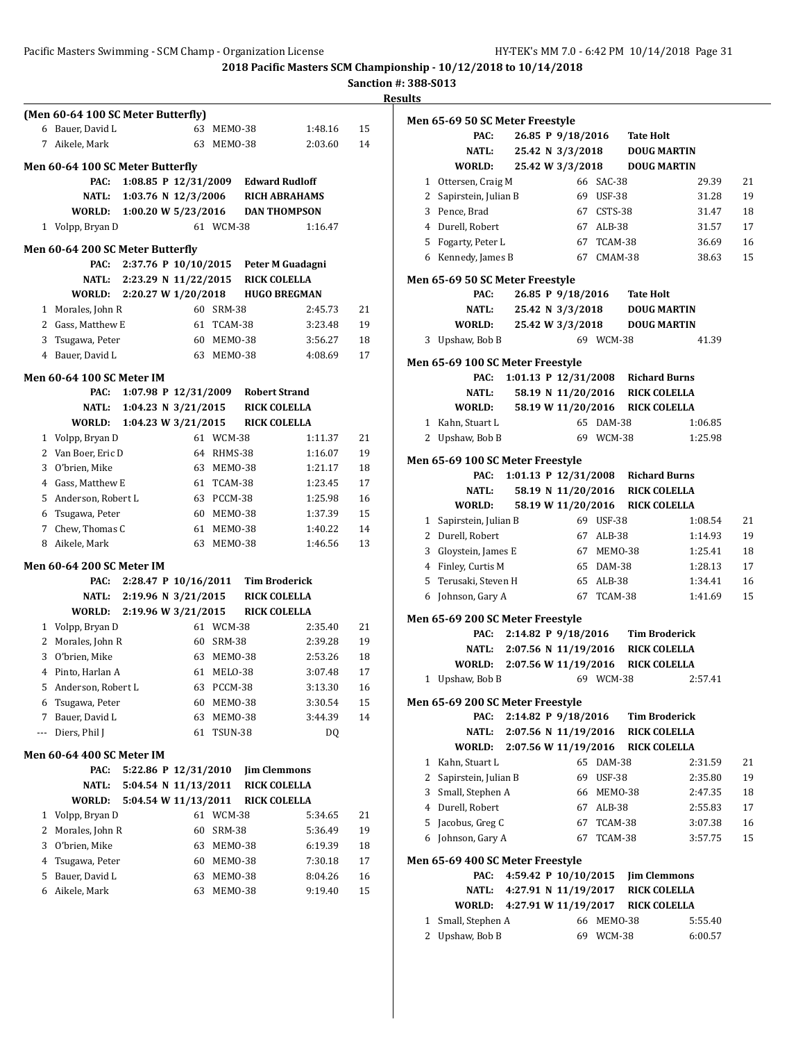|     | (Men 60-64 100 SC Meter Butterfly)<br>6 Bauer. David L |                       |                        |                |                      | 1:48.16               |    |
|-----|--------------------------------------------------------|-----------------------|------------------------|----------------|----------------------|-----------------------|----|
|     |                                                        |                       |                        | 63 MEMO-38     |                      |                       | 15 |
| 7   | Aikele, Mark                                           |                       | 63                     | MEMO-38        |                      | 2:03.60               | 14 |
|     | Men 60-64 100 SC Meter Butterfly                       |                       |                        |                |                      |                       |    |
|     | PAC:                                                   |                       | 1:08.85 P $12/31/2009$ |                |                      | <b>Edward Rudloff</b> |    |
|     | NATL:                                                  |                       | 1:03.76 N 12/3/2006    |                |                      | <b>RICH ABRAHAMS</b>  |    |
|     | WORLD:                                                 | 1:00.20 W $5/23/2016$ |                        |                |                      | <b>DAN THOMPSON</b>   |    |
|     | 1 Volpp, Bryan D                                       |                       |                        | 61 WCM-38      |                      | 1:16.47               |    |
|     | Men 60-64 200 SC Meter Butterfly                       |                       |                        |                |                      |                       |    |
|     | PAC:                                                   | 2:37.76 P 10/10/2015  |                        |                |                      | Peter M Guadagni      |    |
|     | NATL:                                                  | 2:23.29 N 11/22/2015  |                        |                | <b>RICK COLELLA</b>  |                       |    |
|     | WORLD:                                                 | 2:20.27 W 1/20/2018   |                        |                |                      | <b>HUGO BREGMAN</b>   |    |
|     | 1 Morales, John R                                      |                       |                        | 60 SRM-38      |                      | 2:45.73               | 21 |
| 2   | Gass, Matthew E                                        |                       | 61                     | TCAM-38        |                      | 3:23.48               | 19 |
| 3   | Tsugawa, Peter                                         |                       |                        | 60 MEMO-38     |                      | 3:56.27               | 18 |
|     | 4 Bauer, David L                                       |                       |                        | 63 MEM0-38     |                      | 4:08.69               | 17 |
|     | Men 60-64 100 SC Meter IM                              |                       |                        |                |                      |                       |    |
|     | PAC:                                                   |                       | 1:07.98 P $12/31/2009$ |                | <b>Robert Strand</b> |                       |    |
|     | NATL:                                                  |                       | 1:04.23 N $3/21/2015$  |                | <b>RICK COLELLA</b>  |                       |    |
|     | WORLD:                                                 | 1:04.23 W 3/21/2015   |                        |                | <b>RICK COLELLA</b>  |                       |    |
|     | 1 Volpp, Bryan D                                       |                       |                        | 61 WCM-38      |                      | 1:11.37               | 21 |
|     | 2 Van Boer, Eric D                                     |                       |                        | 64 RHMS-38     |                      | 1:16.07               | 19 |
| 3   | O'brien, Mike                                          |                       |                        | 63 MEMO-38     |                      | 1:21.17               | 18 |
|     | 4 Gass, Matthew E                                      |                       |                        | 61 TCAM-38     |                      | 1:23.45               | 17 |
|     | 5 Anderson, Robert L                                   |                       |                        | 63 PCCM-38     |                      | 1:25.98               | 16 |
|     | 6 Tsugawa, Peter                                       |                       |                        | 60 MEMO-38     |                      | 1:37.39               | 15 |
| 7   | Chew, Thomas C                                         |                       |                        | 61 MEM0-38     |                      | 1:40.22               | 14 |
|     | 8 Aikele, Mark                                         |                       |                        | 63 MEMO-38     |                      | 1:46.56               | 13 |
|     | Men 60-64 200 SC Meter IM                              |                       |                        |                |                      |                       |    |
|     | PAC:                                                   |                       | 2:28.47 P 10/16/2011   |                | <b>Tim Broderick</b> |                       |    |
|     | NATL:                                                  | 2:19.96 N 3/21/2015   |                        |                | <b>RICK COLELLA</b>  |                       |    |
|     | WORLD:                                                 | 2:19.96 W 3/21/2015   |                        |                | <b>RICK COLELLA</b>  |                       |    |
|     | 1 Volpp, Bryan D                                       |                       |                        | 61 WCM-38      |                      | 2:35.40               | 21 |
|     | 2 Morales, John R                                      |                       |                        | 60 SRM-38      |                      | 2:39.28               | 19 |
| 3   | O'brien, Mike                                          |                       |                        | 63 MEMO-38     |                      | 2:53.26               | 18 |
|     | 4 Pinto, Harlan A                                      |                       | 61                     | MELO-38        |                      | 3:07.48               | 17 |
| 5   | Anderson, Robert L                                     |                       | 63                     | PCCM-38        |                      | 3:13.30               | 16 |
| 6   | Tsugawa, Peter                                         |                       | 60                     | MEMO-38        |                      | 3:30.54               | 15 |
| 7   | Bauer, David L                                         |                       | 63                     | MEMO-38        |                      | 3:44.39               | 14 |
| --- | Diers, Phil J                                          |                       | 61                     | <b>TSUN-38</b> |                      | DQ                    |    |
|     | <b>Men 60-64 400 SC Meter IM</b>                       |                       |                        |                |                      |                       |    |
|     | PAC:                                                   |                       | 5:22.86 P 12/31/2010   |                | <b>Jim Clemmons</b>  |                       |    |
|     | NATL:                                                  |                       | 5:04.54 N 11/13/2011   |                | <b>RICK COLELLA</b>  |                       |    |
|     | WORLD:                                                 |                       | 5:04.54 W 11/13/2011   |                | <b>RICK COLELLA</b>  |                       |    |
| 1   | Volpp, Bryan D                                         |                       | 61                     | <b>WCM-38</b>  |                      | 5:34.65               | 21 |
| 2   | Morales, John R                                        |                       | 60                     | SRM-38         |                      | 5:36.49               | 19 |
| 3   | O'brien, Mike                                          |                       | 63                     | MEMO-38        |                      | 6:19.39               | 18 |
| 4   | Tsugawa, Peter                                         |                       | 60                     | MEMO-38        |                      | 7:30.18               | 17 |
| 5   | Bauer, David L                                         |                       | 63                     | MEMO-38        |                      | 8:04.26               | 16 |
| 6   | Aikele, Mark                                           |                       | 63                     | MEMO-38        |                      | 9:19.40               | 15 |
|     |                                                        |                       |                        |                |                      |                       |    |
|     |                                                        |                       |                        |                |                      |                       |    |

|   | Men 65-69 50 SC Meter Freestyle          |                      |                      |            |                                         |         |    |
|---|------------------------------------------|----------------------|----------------------|------------|-----------------------------------------|---------|----|
|   | PAC:                                     |                      | 26.85 P 9/18/2016    |            | <b>Tate Holt</b>                        |         |    |
|   | NATL:                                    |                      | 25.42 N 3/3/2018     |            | <b>DOUG MARTIN</b>                      |         |    |
|   | WORLD:                                   |                      | 25.42 W 3/3/2018     |            | <b>DOUG MARTIN</b>                      |         |    |
|   | 1 Ottersen, Craig M                      |                      |                      | 66 SAC-38  |                                         | 29.39   | 21 |
|   | 2 Sapirstein, Julian B                   |                      |                      | 69 USF-38  |                                         | 31.28   | 19 |
|   | 3 Pence, Brad                            |                      |                      | 67 CSTS-38 |                                         | 31.47   | 18 |
|   | 4 Durell, Robert                         |                      |                      | 67 ALB-38  |                                         | 31.57   | 17 |
|   | 5 Fogarty, Peter L                       |                      |                      | 67 TCAM-38 |                                         | 36.69   | 16 |
|   | 6 Kennedy, James B                       |                      |                      | 67 CMAM-38 |                                         | 38.63   | 15 |
|   | Men 65-69 50 SC Meter Freestyle          |                      |                      |            |                                         |         |    |
|   | PAC:                                     |                      | 26.85 P 9/18/2016    |            | Tate Holt                               |         |    |
|   | <b>NATL:</b>                             |                      | 25.42 N 3/3/2018     |            | <b>DOUG MARTIN</b>                      |         |    |
|   | WORLD:                                   |                      | 25.42 W 3/3/2018     |            | <b>DOUG MARTIN</b>                      |         |    |
|   | 3 Upshaw, Bob B                          |                      |                      | 69 WCM-38  |                                         | 41.39   |    |
|   | Men 65-69 100 SC Meter Freestyle         |                      |                      |            |                                         |         |    |
|   | PAC:                                     |                      |                      |            | 1:01.13 P 12/31/2008 Richard Burns      |         |    |
|   | <b>NATL:</b>                             |                      |                      |            | 58.19 N 11/20/2016 RICK COLELLA         |         |    |
|   | <b>WORLD:</b>                            |                      |                      |            | 58.19 W 11/20/2016 RICK COLELLA         |         |    |
|   | 1 Kahn, Stuart L                         |                      |                      | 65 DAM-38  |                                         | 1:06.85 |    |
| 2 | Upshaw, Bob B                            |                      |                      | 69 WCM-38  |                                         | 1:25.98 |    |
|   |                                          |                      |                      |            |                                         |         |    |
|   | Men 65-69 100 SC Meter Freestyle         |                      |                      |            |                                         |         |    |
|   | PAC:                                     |                      |                      |            | 1:01.13 P 12/31/2008 Richard Burns      |         |    |
|   | NATL:                                    |                      |                      |            | 58.19 N 11/20/2016 RICK COLELLA         |         |    |
|   | WORLD:                                   |                      |                      |            | 58.19 W 11/20/2016 RICK COLELLA         |         |    |
|   | 1 Sapirstein, Julian B                   |                      |                      | 69 USF-38  |                                         | 1:08.54 | 21 |
|   | 2 Durell, Robert                         |                      |                      | 67 ALB-38  |                                         | 1:14.93 | 19 |
|   | 3 Gloystein, James E                     |                      |                      | 67 MEM0-38 |                                         | 1:25.41 | 18 |
|   | 4 Finley, Curtis M                       |                      |                      | 65 DAM-38  |                                         | 1:28.13 | 17 |
|   | 5 Terusaki, Steven H                     |                      |                      | 65 ALB-38  |                                         | 1:34.41 | 16 |
| 6 | Johnson, Gary A                          |                      |                      | 67 TCAM-38 |                                         | 1:41.69 | 15 |
|   | Men 65-69 200 SC Meter Freestyle         |                      |                      |            |                                         |         |    |
|   | PAC:                                     |                      |                      |            | 2:14.82 P 9/18/2016 Tim Broderick       |         |    |
|   |                                          |                      |                      |            | NATL: 2:07.56 N 11/19/2016 RICK COLELLA |         |    |
|   | WORLD: 2:07.56 W 11/19/2016              |                      |                      |            | <b>RICK COLELLA</b>                     |         |    |
|   | 1 Upshaw, Bob B                          |                      |                      | 69 WCM-38  |                                         | 2:57.41 |    |
|   |                                          |                      |                      |            |                                         |         |    |
|   | Men 65-69 200 SC Meter Freestyle<br>PAC: |                      | 2:14.82 P 9/18/2016  |            | <b>Tim Broderick</b>                    |         |    |
|   | <b>NATL:</b>                             |                      | 2:07.56 N 11/19/2016 |            | <b>RICK COLELLA</b>                     |         |    |
|   | WORLD:                                   | 2:07.56 W 11/19/2016 |                      |            | <b>RICK COLELLA</b>                     |         |    |
| 1 |                                          |                      |                      |            |                                         |         |    |
|   | Kahn, Stuart L                           |                      |                      | 65 DAM-38  |                                         | 2:31.59 | 21 |
| 2 | Sapirstein, Julian B                     |                      |                      | 69 USF-38  |                                         | 2:35.80 | 19 |
| 3 | Small, Stephen A                         |                      |                      | 66 MEMO-38 |                                         | 2:47.35 | 18 |
|   | 4 Durell, Robert                         |                      |                      | 67 ALB-38  |                                         | 2:55.83 | 17 |
| 5 | Jacobus, Greg C                          |                      |                      | 67 TCAM-38 |                                         | 3:07.38 | 16 |
| 6 | Johnson, Gary A                          |                      | 67                   | TCAM-38    |                                         | 3:57.75 | 15 |
|   | Men 65-69 400 SC Meter Freestyle         |                      |                      |            |                                         |         |    |
|   | PAC:                                     |                      | 4:59.42 P 10/10/2015 |            | <b>Jim Clemmons</b>                     |         |    |
|   | NATL:                                    | 4:27.91 N 11/19/2017 |                      |            | <b>RICK COLELLA</b>                     |         |    |
|   | WORLD:                                   | 4:27.91 W 11/19/2017 |                      |            | <b>RICK COLELLA</b>                     |         |    |
| 1 | Small, Stephen A                         |                      | 66                   | MEMO-38    |                                         | 5:55.40 |    |
| 2 | Upshaw, Bob B                            |                      | 69                   | WCM-38     |                                         | 6:00.57 |    |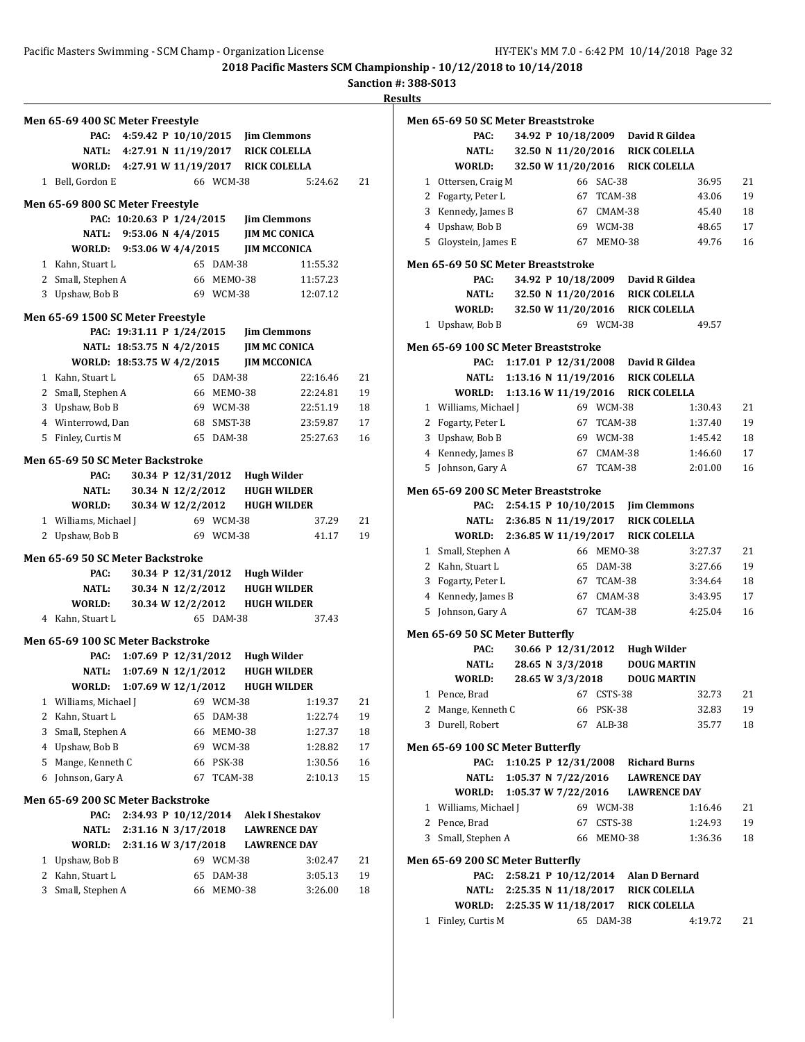**Sanction #: 388-S013**

|   | Men 65-69 400 SC Meter Freestyle         |                                         |                                |               |                    |                               |    |
|---|------------------------------------------|-----------------------------------------|--------------------------------|---------------|--------------------|-------------------------------|----|
|   | PAC:                                     | 4:59.42 P 10/10/2015 Jim Clemmons       |                                |               |                    |                               |    |
|   |                                          | NATL: 4:27.91 N 11/19/2017 RICK COLELLA |                                |               |                    |                               |    |
|   | WORLD: 4:27.91 W 11/19/2017 RICK COLELLA |                                         |                                |               |                    |                               |    |
|   | 1 Bell, Gordon E                         |                                         |                                | 66 WCM-38     |                    | 5:24.62                       | 21 |
|   |                                          |                                         |                                |               |                    |                               |    |
|   | Men 65-69 800 SC Meter Freestyle         |                                         |                                |               |                    |                               |    |
|   |                                          | PAC: 10:20.63 P 1/24/2015               |                                |               |                    | <b>Jim Clemmons</b>           |    |
|   | <b>NATL:</b>                             | 9:53.06 N $4/4/2015$                    |                                |               |                    | <b>JIM MC CONICA</b>          |    |
|   | WORLD: 9:53.06 W 4/4/2015                |                                         |                                |               |                    | <b>JIM MCCONICA</b>           |    |
|   | 1 Kahn, Stuart L                         |                                         |                                | 65 DAM-38     |                    | 11:55.32                      |    |
|   | 2 Small, Stephen A                       |                                         |                                | 66 MEMO-38    |                    | 11:57.23                      |    |
|   | 3 Upshaw, Bob B                          |                                         |                                | 69 WCM-38     |                    | 12:07.12                      |    |
|   | Men 65-69 1500 SC Meter Freestyle        |                                         |                                |               |                    |                               |    |
|   |                                          | PAC: 19:31.11 P 1/24/2015               |                                |               |                    | <b>Jim Clemmons</b>           |    |
|   |                                          | NATL: 18:53.75 N 4/2/2015               |                                |               |                    | <b>JIM MC CONICA</b>          |    |
|   | WORLD: 18:53.75 W 4/2/2015               |                                         |                                |               |                    | <b>JIM MCCONICA</b>           |    |
|   | 1 Kahn, Stuart L                         |                                         |                                | 65 DAM-38     |                    | 22:16.46                      | 21 |
|   | 2 Small, Stephen A                       |                                         |                                | 66 MEMO-38    |                    | 22:24.81                      | 19 |
|   | 3 Upshaw, Bob B                          |                                         |                                | 69 WCM-38     |                    | 22:51.19                      | 18 |
|   | 4 Winterrowd, Dan                        |                                         |                                | 68 SMST-38    |                    | 23:59.87                      | 17 |
|   | 5 Finley, Curtis M                       |                                         |                                | 65 DAM-38     |                    | 25:27.63                      | 16 |
|   | Men 65-69 50 SC Meter Backstroke         |                                         |                                |               |                    |                               |    |
|   | PAC:                                     |                                         | 30.34 P 12/31/2012 Hugh Wilder |               |                    |                               |    |
|   | NATL:                                    |                                         |                                |               |                    | 30.34 N 12/2/2012 HUGH WILDER |    |
|   | WORLD:                                   |                                         | 30.34 W 12/2/2012              |               |                    | <b>HUGH WILDER</b>            |    |
|   | 1 Williams, Michael J                    |                                         |                                | 69 WCM-38     |                    | 37.29                         | 21 |
|   | 2 Upshaw, Bob B                          |                                         |                                | 69 WCM-38     |                    | 41.17                         | 19 |
|   |                                          |                                         |                                |               |                    |                               |    |
|   | Men 65-69 50 SC Meter Backstroke<br>PAC: |                                         | 30.34 P 12/31/2012 Hugh Wilder |               |                    |                               |    |
|   | NATL:                                    |                                         | 30.34 N 12/2/2012              |               |                    | <b>HUGH WILDER</b>            |    |
|   |                                          |                                         | 30.34 W 12/2/2012              |               |                    |                               |    |
|   | WORLD:<br>4 Kahn, Stuart L               |                                         |                                | 65 DAM-38     |                    | <b>HUGH WILDER</b><br>37.43   |    |
|   |                                          |                                         |                                |               |                    |                               |    |
|   | Men 65-69 100 SC Meter Backstroke        |                                         |                                |               |                    |                               |    |
|   | PAC:                                     | 1:07.69 P 12/31/2012                    |                                |               | <b>Hugh Wilder</b> |                               |    |
|   | NATL:                                    | 1:07.69 N 12/1/2012                     |                                |               |                    | <b>HUGH WILDER</b>            |    |
|   | WORLD: 1:07.69 W 12/1/2012               |                                         |                                |               |                    | <b>HUGH WILDER</b>            |    |
| 1 | Williams, Michael J                      |                                         | 69                             | WCM-38        |                    | 1:19.37                       | 21 |
| 2 | Kahn, Stuart L                           |                                         | 65                             | DAM-38        |                    | 1:22.74                       | 19 |
| 3 | Small, Stephen A                         |                                         | 66                             | MEMO-38       |                    | 1:27.37                       | 18 |
| 4 | Upshaw, Bob B                            |                                         | 69                             | WCM-38        |                    | 1:28.82                       | 17 |
| 5 | Mange, Kenneth C                         |                                         | 66                             | <b>PSK-38</b> |                    | 1:30.56                       | 16 |
| 6 | Johnson, Gary A                          |                                         | 67                             | TCAM-38       |                    | 2:10.13                       | 15 |
|   | <b>Men 65-69 200 SC Meter Backstroke</b> |                                         |                                |               |                    |                               |    |
|   | PAC:                                     |                                         | 2:34.93 P 10/12/2014           |               |                    | <b>Alek I Shestakov</b>       |    |
|   | NATL:                                    | 2:31.16 N 3/17/2018                     |                                |               |                    | <b>LAWRENCE DAY</b>           |    |
|   | <b>WORLD:</b>                            | 2:31.16 W 3/17/2018                     |                                |               |                    | <b>LAWRENCE DAY</b>           |    |
| 1 | Upshaw, Bob B                            |                                         |                                | 69 WCM-38     |                    | 3:02.47                       | 21 |
| 2 | Kahn, Stuart L                           |                                         | 65                             | DAM-38        |                    | 3:05.13                       | 19 |
|   |                                          |                                         |                                |               |                    |                               |    |
| 3 | Small, Stephen A                         |                                         | 66                             | MEMO-38       |                    | 3:26.00                       | 18 |

|              | Men 65-69 50 SC Meter Breaststroke  |                      |                  |            |                                          |         |    |
|--------------|-------------------------------------|----------------------|------------------|------------|------------------------------------------|---------|----|
|              | PAC:                                |                      |                  |            | 34.92 P 10/18/2009 David R Gildea        |         |    |
|              | NATL:                               |                      |                  |            | 32.50 N 11/20/2016 RICK COLELLA          |         |    |
|              | WORLD:                              |                      |                  |            | 32.50 W 11/20/2016 RICK COLELLA          |         |    |
| 1            | Ottersen, Craig M                   |                      |                  | 66 SAC-38  |                                          | 36.95   | 21 |
|              | 2 Fogarty, Peter L                  |                      |                  | 67 TCAM-38 |                                          | 43.06   | 19 |
|              | 3 Kennedy, James B                  |                      |                  | 67 CMAM-38 |                                          | 45.40   | 18 |
|              | 4 Upshaw, Bob B                     |                      |                  | 69 WCM-38  |                                          | 48.65   | 17 |
|              | 5 Gloystein, James E                |                      |                  | 67 MEM0-38 |                                          | 49.76   | 16 |
|              | Men 65-69 50 SC Meter Breaststroke  |                      |                  |            |                                          |         |    |
|              | PAC:                                |                      |                  |            | 34.92 P 10/18/2009 David R Gildea        |         |    |
|              | NATL:                               |                      |                  |            | 32.50 N 11/20/2016 RICK COLELLA          |         |    |
|              | <b>WORLD:</b>                       |                      |                  |            | 32.50 W 11/20/2016 RICK COLELLA          |         |    |
| 1            | Upshaw, Bob B                       |                      |                  | 69 WCM-38  |                                          | 49.57   |    |
|              | Men 65-69 100 SC Meter Breaststroke |                      |                  |            |                                          |         |    |
|              | PAC:                                |                      |                  |            | 1:17.01 P 12/31/2008 David R Gildea      |         |    |
|              | NATL:                               |                      |                  |            | 1:13.16 N 11/19/2016 RICK COLELLA        |         |    |
|              | WORLD:                              | 1:13.16 W 11/19/2016 |                  |            | <b>RICK COLELLA</b>                      |         |    |
|              | 1 Williams, Michael J               |                      |                  | 69 WCM-38  |                                          | 1:30.43 | 21 |
|              | 2 Fogarty, Peter L                  |                      |                  | 67 TCAM-38 |                                          | 1:37.40 | 19 |
| 3            | Upshaw, Bob B                       |                      |                  | 69 WCM-38  |                                          | 1:45.42 | 18 |
|              | 4 Kennedy, James B                  |                      |                  | 67 CMAM-38 |                                          | 1:46.60 | 17 |
|              | 5 Johnson, Gary A                   |                      |                  | 67 TCAM-38 |                                          | 2:01.00 | 16 |
|              | Men 65-69 200 SC Meter Breaststroke |                      |                  |            |                                          |         |    |
|              | PAC:                                |                      |                  |            | 2:54.15 P 10/10/2015 Jim Clemmons        |         |    |
|              |                                     |                      |                  |            | NATL: 2:36.85 N 11/19/2017 RICK COLELLA  |         |    |
|              | WORLD:                              | 2:36.85 W 11/19/2017 |                  |            | <b>RICK COLELLA</b>                      |         |    |
|              | 1 Small, Stephen A                  |                      |                  | 66 MEMO-38 |                                          | 3:27.37 | 21 |
|              | 2 Kahn, Stuart L                    |                      |                  | 65 DAM-38  |                                          | 3:27.66 | 19 |
| 3            | Fogarty, Peter L                    |                      |                  | 67 TCAM-38 |                                          | 3:34.64 | 18 |
|              | 4 Kennedy, James B                  |                      |                  | 67 CMAM-38 |                                          | 3:43.95 | 17 |
| 5            | Johnson, Gary A                     |                      |                  | 67 TCAM-38 |                                          | 4:25.04 | 16 |
|              | Men 65-69 50 SC Meter Butterfly     |                      |                  |            |                                          |         |    |
|              | PAC:                                |                      |                  |            | 30.66 P 12/31/2012 Hugh Wilder           |         |    |
|              | NATL:                               |                      | 28.65 N 3/3/2018 |            | <b>DOUG MARTIN</b>                       |         |    |
|              | WORLD:                              |                      | 28.65 W 3/3/2018 |            | <b>DOUG MARTIN</b>                       |         |    |
| 1            | Pence, Brad                         |                      | 67               | CSTS-38    |                                          | 32.73   | 21 |
|              | 2 Mange, Kenneth C                  |                      |                  | 66 PSK-38  |                                          | 32.83   | 19 |
| 3            | Durell, Robert                      |                      |                  | 67 ALB-38  |                                          | 35.77   | 18 |
|              | Men 65-69 100 SC Meter Butterfly    |                      |                  |            |                                          |         |    |
|              | PAC:                                |                      |                  |            | 1:10.25 P 12/31/2008 Richard Burns       |         |    |
|              | NATL:                               |                      |                  |            | 1:05.37 N 7/22/2016 LAWRENCE DAY         |         |    |
|              |                                     |                      |                  |            | WORLD: 1:05.37 W 7/22/2016 LAWRENCE DAY  |         |    |
|              | 1 Williams, Michael J               |                      |                  | 69 WCM-38  |                                          | 1:16.46 | 21 |
|              | 2 Pence, Brad                       |                      |                  | 67 CSTS-38 |                                          | 1:24.93 | 19 |
|              | 3 Small, Stephen A                  |                      |                  | 66 MEM0-38 |                                          | 1:36.36 | 18 |
|              | Men 65-69 200 SC Meter Butterfly    |                      |                  |            |                                          |         |    |
|              | PAC:                                |                      |                  |            | 2:58.21 P 10/12/2014 Alan D Bernard      |         |    |
|              |                                     |                      |                  |            | NATL: 2:25.35 N 11/18/2017 RICK COLELLA  |         |    |
|              |                                     |                      |                  |            | WORLD: 2:25.35 W 11/18/2017 RICK COLELLA |         |    |
| $\mathbf{1}$ | Finley, Curtis M                    |                      |                  | 65 DAM-38  |                                          | 4:19.72 | 21 |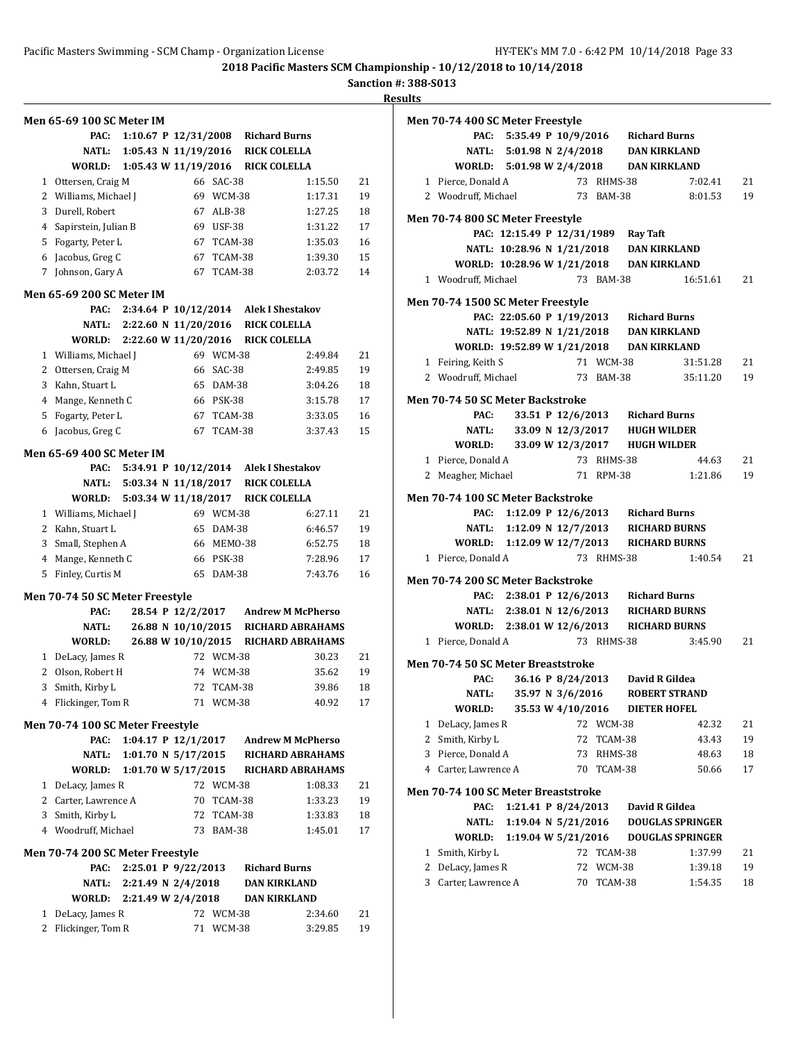**Sanction #: 388-S013**

|              | <b>Men 65-69 100 SC Meter IM</b>        |                        |                    |               |                          |         |    |
|--------------|-----------------------------------------|------------------------|--------------------|---------------|--------------------------|---------|----|
|              | PAC:                                    | 1:10.67 P $12/31/2008$ |                    |               | <b>Richard Burns</b>     |         |    |
|              | <b>NATL:</b>                            | 1:05.43 N 11/19/2016   |                    |               | <b>RICK COLELLA</b>      |         |    |
|              | WORLD:                                  | 1:05.43 W 11/19/2016   |                    |               | <b>RICK COLELLA</b>      |         |    |
|              | 1 Ottersen, Craig M                     |                        |                    | 66 SAC-38     |                          | 1:15.50 | 21 |
|              | 2 Williams, Michael J                   |                        |                    | 69 WCM-38     |                          | 1:17.31 | 19 |
|              | 3 Durell, Robert                        |                        |                    | 67 ALB-38     |                          | 1:27.25 | 18 |
|              | 4 Sapirstein, Julian B                  |                        |                    | 69 USF-38     |                          | 1:31.22 | 17 |
|              | 5 Fogarty, Peter L                      |                        |                    | 67 TCAM-38    |                          | 1:35.03 | 16 |
|              | 6 Jacobus, Greg C                       |                        |                    | 67 TCAM-38    |                          | 1:39.30 | 15 |
| 7            | Johnson, Gary A                         |                        |                    | 67 TCAM-38    |                          | 2:03.72 | 14 |
|              | Men 65-69 200 SC Meter IM               |                        |                    |               |                          |         |    |
|              | PAC:                                    | 2:34.64 P 10/12/2014   |                    |               | <b>Alek I Shestakov</b>  |         |    |
|              | <b>NATL:</b>                            | 2:22.60 N 11/20/2016   |                    |               | <b>RICK COLELLA</b>      |         |    |
|              | WORLD:                                  | 2:22.60 W 11/20/2016   |                    |               | <b>RICK COLELLA</b>      |         |    |
|              | 1 Williams, Michael J                   |                        |                    | 69 WCM-38     |                          | 2:49.84 | 21 |
|              | 2 Ottersen, Craig M                     |                        |                    | 66 SAC-38     |                          | 2:49.85 | 19 |
|              | 3 Kahn, Stuart L                        |                        |                    | 65 DAM-38     |                          | 3:04.26 | 18 |
|              | 4 Mange, Kenneth C                      |                        |                    | 66 PSK-38     |                          | 3:15.78 | 17 |
|              | 5 Fogarty, Peter L                      |                        |                    | 67 TCAM-38    |                          | 3:33.05 | 16 |
| 6            | Jacobus, Greg C                         |                        |                    | 67 TCAM-38    |                          | 3:37.43 | 15 |
|              | <b>Men 65-69 400 SC Meter IM</b>        |                        |                    |               |                          |         |    |
|              | PAC:                                    | 5:34.91 P 10/12/2014   |                    |               | <b>Alek I Shestakov</b>  |         |    |
|              | <b>NATL:</b>                            | 5:03.34 N 11/18/2017   |                    |               | <b>RICK COLELLA</b>      |         |    |
|              | WORLD:                                  | 5:03.34 W 11/18/2017   |                    |               | <b>RICK COLELLA</b>      |         |    |
|              | 1 Williams, Michael J                   |                        |                    | 69 WCM-38     |                          | 6:27.11 | 21 |
|              | 2 Kahn, Stuart L                        |                        |                    | 65 DAM-38     |                          | 6:46.57 | 19 |
|              | 3 Small, Stephen A                      |                        |                    | 66 MEMO-38    |                          | 6:52.75 | 18 |
|              | 4 Mange, Kenneth C                      |                        |                    | 66 PSK-38     |                          | 7:28.96 | 17 |
| 5            | Finley, Curtis M                        |                        | 65                 | <b>DAM-38</b> |                          | 7:43.76 | 16 |
|              |                                         |                        |                    |               |                          |         |    |
|              | Men 70-74 50 SC Meter Freestyle<br>PAC: |                        | 28.54 P 12/2/2017  |               | <b>Andrew M McPherso</b> |         |    |
|              | NATL:                                   |                        | 26.88 N 10/10/2015 |               | <b>RICHARD ABRAHAMS</b>  |         |    |
|              | WORLD:                                  |                        | 26.88 W 10/10/2015 |               | <b>RICHARD ABRAHAMS</b>  |         |    |
|              | 1 DeLacy, James R                       |                        |                    | 72 WCM-38     |                          | 30.23   | 21 |
| $\mathbf{2}$ | Olson, Robert H                         |                        |                    | 74 WCM-38     |                          | 35.62   | 19 |
|              | 3 Smith, Kirby L                        |                        |                    | 72 TCAM-38    |                          | 39.86   | 18 |
|              | 4 Flickinger, Tom R                     |                        |                    | 71 WCM-38     |                          | 40.92   | 17 |
|              |                                         |                        |                    |               |                          |         |    |
|              | Men 70-74 100 SC Meter Freestyle        |                        |                    |               |                          |         |    |
|              | PAC:                                    | 1:04.17 P 12/1/2017    |                    |               | <b>Andrew M McPherso</b> |         |    |
|              | <b>NATL:</b>                            | 1:01.70 N $5/17/2015$  |                    |               | <b>RICHARD ABRAHAMS</b>  |         |    |
|              | WORLD:                                  | 1:01.70 W 5/17/2015    |                    |               | RICHARD ABRAHAMS         |         |    |
|              | 1 DeLacy, James R                       |                        |                    | 72 WCM-38     |                          | 1:08.33 | 21 |
|              | 2 Carter, Lawrence A                    |                        |                    | 70 TCAM-38    |                          | 1:33.23 | 19 |
|              | 3 Smith, Kirby L                        |                        |                    | 72 TCAM-38    |                          | 1:33.83 | 18 |
|              | 4 Woodruff, Michael                     |                        |                    | 73 BAM-38     |                          | 1:45.01 | 17 |
|              | Men 70-74 200 SC Meter Freestyle        |                        |                    |               |                          |         |    |
|              | PAC:                                    | 2:25.01 P 9/22/2013    |                    |               | <b>Richard Burns</b>     |         |    |
|              | NATL:                                   | 2:21.49 N 2/4/2018     |                    |               | <b>DAN KIRKLAND</b>      |         |    |
|              | WORLD:                                  | 2:21.49 W 2/4/2018     |                    |               | <b>DAN KIRKLAND</b>      |         |    |
| 1            | DeLacy, James R                         |                        |                    | 72 WCM-38     |                          | 2:34.60 | 21 |
| 2            | Flickinger, Tom R                       |                        | 71                 | WCM-38        |                          | 3:29.85 | 19 |

|   | Men 70-74 400 SC Meter Freestyle          |                                     |                     |            |                                                                                     |                         |    |
|---|-------------------------------------------|-------------------------------------|---------------------|------------|-------------------------------------------------------------------------------------|-------------------------|----|
|   |                                           |                                     |                     |            | PAC: 5:35.49 P 10/9/2016 Richard Burns                                              |                         |    |
|   |                                           | NATL: 5:01.98 N 2/4/2018            |                     |            | <b>DAN KIRKLAND</b>                                                                 |                         |    |
|   |                                           |                                     |                     |            | WORLD: $5:01.98 \text{ W } 2/4/2018$ DAN KIRKLAND                                   |                         |    |
|   | 1 Pierce, Donald A                        |                                     |                     | 73 RHMS-38 |                                                                                     | 7:02.41                 | 21 |
|   | 2 Woodruff, Michael                       |                                     |                     | 73 BAM-38  |                                                                                     | 8:01.53                 | 19 |
|   | Men 70-74 800 SC Meter Freestyle          |                                     |                     |            |                                                                                     |                         |    |
|   |                                           | PAC: 12:15.49 P 12/31/1989 Ray Taft |                     |            |                                                                                     |                         |    |
|   |                                           |                                     |                     |            | NATL: 10:28.96 N 1/21/2018 DAN KIRKLAND                                             |                         |    |
|   |                                           |                                     |                     |            | WORLD: 10:28.96 W 1/21/2018 DAN KIRKLAND                                            |                         |    |
|   | 1 Woodruff, Michael                       |                                     |                     | 73 BAM-38  |                                                                                     | 16:51.61                | 21 |
|   |                                           |                                     |                     |            |                                                                                     |                         |    |
|   | Men 70-74 1500 SC Meter Freestyle         |                                     |                     |            |                                                                                     |                         |    |
|   |                                           |                                     |                     |            | PAC: 22:05.60 P 1/19/2013 Richard Burns<br>NATL: 19:52.89 N 1/21/2018 DAN KIRKLAND  |                         |    |
|   |                                           |                                     |                     |            |                                                                                     |                         |    |
|   |                                           |                                     |                     |            | WORLD: 19:52.89 W 1/21/2018 DAN KIRKLAND                                            |                         |    |
|   | 1 Feiring, Keith S                        |                                     |                     | 71 WCM-38  |                                                                                     | 31:51.28                | 21 |
|   | 2 Woodruff, Michael                       |                                     |                     | 73 BAM-38  |                                                                                     | 35:11.20                | 19 |
|   | Men 70-74 50 SC Meter Backstroke          |                                     |                     |            |                                                                                     |                         |    |
|   | PAC:                                      |                                     |                     |            | 33.51 P 12/6/2013 Richard Burns                                                     |                         |    |
|   |                                           |                                     |                     |            | NATL: 33.09 N 12/3/2017 HUGH WILDER                                                 |                         |    |
|   |                                           |                                     |                     |            | WORLD: 33.09 W 12/3/2017 HUGH WILDER                                                |                         |    |
|   | 1 Pierce, Donald A                        |                                     |                     | 73 RHMS-38 |                                                                                     | 44.63                   | 21 |
|   | 2 Meagher, Michael                        |                                     |                     | 71 RPM-38  |                                                                                     | 1:21.86                 | 19 |
|   | Men 70-74 100 SC Meter Backstroke         |                                     |                     |            |                                                                                     |                         |    |
|   |                                           |                                     |                     |            | PAC: 1:12.09 P 12/6/2013 Richard Burns                                              |                         |    |
|   |                                           |                                     |                     |            | NATL: 1:12.09 N 12/7/2013 RICHARD BURNS                                             |                         |    |
|   |                                           |                                     |                     |            | WORLD: 1:12.09 W 12/7/2013 RICHARD BURNS                                            |                         |    |
|   | 1 Pierce, Donald A                        |                                     |                     | 73 RHMS-38 |                                                                                     | 1:40.54                 | 21 |
|   |                                           |                                     |                     |            |                                                                                     |                         |    |
|   | Men 70-74 200 SC Meter Backstroke         |                                     |                     |            |                                                                                     |                         |    |
|   |                                           |                                     |                     |            | PAC: 2:38.01 P 12/6/2013 Richard Burns                                              |                         |    |
|   |                                           |                                     |                     |            | NATL: 2:38.01 N 12/6/2013 RICHARD BURNS<br>WORLD: 2:38.01 W 12/6/2013 RICHARD BURNS |                         |    |
|   | 1 Pierce, Donald A                        |                                     |                     | 73 RHMS-38 |                                                                                     | 3:45.90                 | 21 |
|   |                                           |                                     |                     |            |                                                                                     |                         |    |
|   | <b>Men 70-74 50 SC Meter Breaststroke</b> |                                     |                     |            |                                                                                     |                         |    |
|   |                                           |                                     |                     |            | PAC: 36.16 P 8/24/2013 David R Gildea                                               |                         |    |
|   |                                           |                                     |                     |            | NATL: 35.97 N 3/6/2016 ROBERT STRAND                                                |                         |    |
|   | WORLD:                                    |                                     | 35.53 W 4/10/2016   |            | <b>DIETER HOFEL</b>                                                                 |                         |    |
| 1 | DeLacy, James R                           |                                     |                     | 72 WCM-38  |                                                                                     | 42.32                   | 21 |
| 2 | Smith, Kirby L                            |                                     | 72                  | TCAM-38    |                                                                                     | 43.43                   | 19 |
| 3 | Pierce, Donald A                          |                                     | 73                  | RHMS-38    |                                                                                     | 48.63                   | 18 |
|   | 4 Carter, Lawrence A                      |                                     | 70                  | TCAM-38    |                                                                                     | 50.66                   | 17 |
|   | Men 70-74 100 SC Meter Breaststroke       |                                     |                     |            |                                                                                     |                         |    |
|   | PAC:                                      |                                     | 1:21.41 P 8/24/2013 |            | David R Gildea                                                                      |                         |    |
|   | NATL:                                     |                                     | 1:19.04 N 5/21/2016 |            |                                                                                     | <b>DOUGLAS SPRINGER</b> |    |
|   | <b>WORLD:</b>                             |                                     | 1:19.04 W 5/21/2016 |            |                                                                                     | <b>DOUGLAS SPRINGER</b> |    |
| 1 | Smith, Kirby L                            |                                     | 72                  | TCAM-38    |                                                                                     | 1:37.99                 | 21 |
| 2 | DeLacy, James R                           |                                     | 72                  | WCM-38     |                                                                                     | 1:39.18                 | 19 |
| 3 | Carter, Lawrence A                        |                                     | 70                  | TCAM-38    |                                                                                     | 1:54.35                 | 18 |
|   |                                           |                                     |                     |            |                                                                                     |                         |    |
|   |                                           |                                     |                     |            |                                                                                     |                         |    |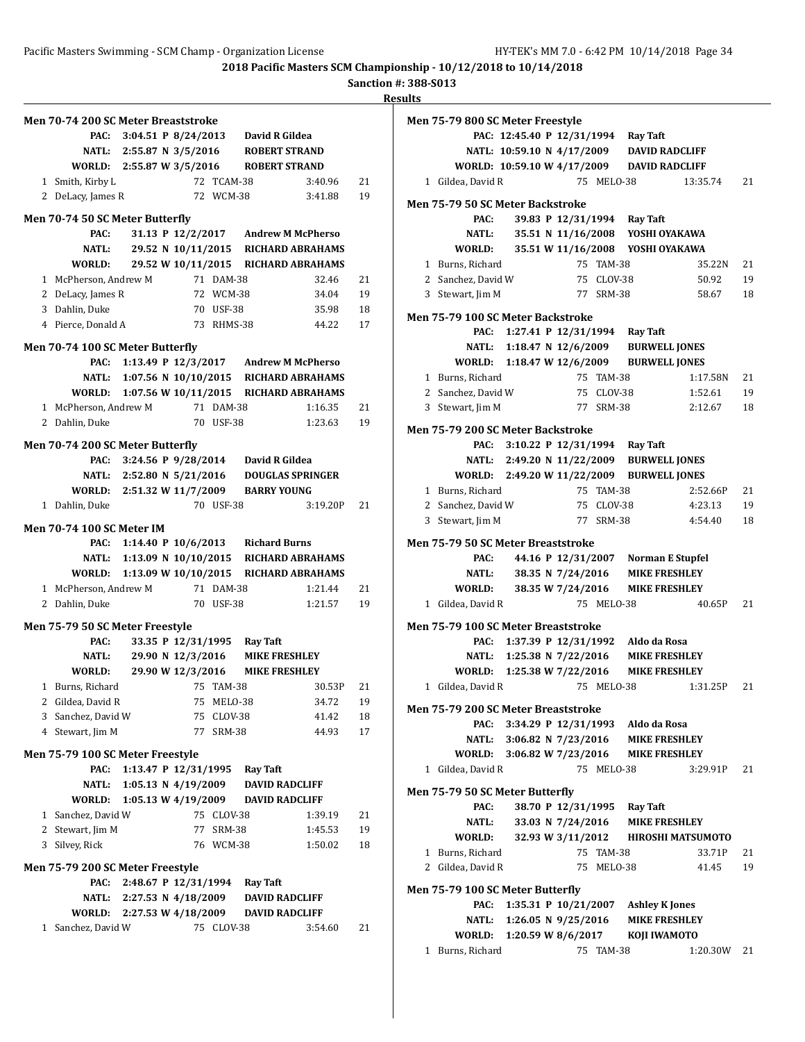## **Sanction #: 388-S013**

| Men 70-74 200 SC Meter Breaststroke |                           |                       |            |                                              |          |    |
|-------------------------------------|---------------------------|-----------------------|------------|----------------------------------------------|----------|----|
| PAC:                                |                           |                       |            | 3:04.51 P 8/24/2013 David R Gildea           |          |    |
|                                     | NATL: 2:55.87 N 3/5/2016  |                       |            | <b>ROBERT STRAND</b>                         |          |    |
| WORLD: 2:55.87 W 3/5/2016           |                           |                       |            | <b>ROBERT STRAND</b>                         |          |    |
| 1 Smith, Kirby L                    |                           |                       | 72 TCAM-38 |                                              | 3:40.96  | 21 |
| 2 DeLacy, James R                   |                           |                       | 72 WCM-38  |                                              | 3:41.88  | 19 |
| Men 70-74 50 SC Meter Butterfly     |                           |                       |            |                                              |          |    |
| PAC:                                |                           |                       |            | 31.13 P 12/2/2017 Andrew M McPherso          |          |    |
| <b>NATL:</b>                        |                           |                       |            | 29.52 N 10/11/2015 RICHARD ABRAHAMS          |          |    |
| WORLD:                              |                           |                       |            | 29.52 W 10/11/2015 RICHARD ABRAHAMS          |          |    |
| 1 McPherson, Andrew M               |                           |                       | 71 DAM-38  |                                              | 32.46    | 21 |
| 2 DeLacy, James R                   |                           |                       | 72 WCM-38  |                                              | 34.04    | 19 |
| 3 Dahlin, Duke                      |                           |                       | 70 USF-38  |                                              | 35.98    | 18 |
| 4 Pierce, Donald A                  |                           |                       | 73 RHMS-38 |                                              | 44.22    | 17 |
| Men 70-74 100 SC Meter Butterfly    |                           |                       |            |                                              |          |    |
| PAC:                                |                           |                       |            | 1:13.49 P 12/3/2017 Andrew M McPherso        |          |    |
|                                     |                           |                       |            | NATL: 1:07.56 N 10/10/2015 RICHARD ABRAHAMS  |          |    |
|                                     |                           |                       |            | WORLD: 1:07.56 W 10/11/2015 RICHARD ABRAHAMS |          |    |
| 1 McPherson, Andrew M               |                           |                       | 71 DAM-38  |                                              | 1:16.35  | 21 |
| 2 Dahlin, Duke                      |                           |                       | 70 USF-38  |                                              | 1:23.63  | 19 |
| Men 70-74 200 SC Meter Butterfly    |                           |                       |            |                                              |          |    |
| PAC:                                | 3:24.56 P 9/28/2014       |                       |            | David R Gildea                               |          |    |
|                                     | NATL: 2:52.80 N 5/21/2016 |                       |            | <b>DOUGLAS SPRINGER</b>                      |          |    |
| WORLD: 2:51.32 W 11/7/2009          |                           |                       |            | <b>BARRY YOUNG</b>                           |          |    |
| 1 Dahlin, Duke                      |                           |                       | 70 USF-38  |                                              | 3:19.20P | 21 |
| <b>Men 70-74 100 SC Meter IM</b>    |                           |                       |            |                                              |          |    |
|                                     |                           |                       |            | PAC: 1:14.40 P 10/6/2013 Richard Burns       |          |    |
|                                     |                           |                       |            | NATL: 1:13.09 N 10/10/2015 RICHARD ABRAHAMS  |          |    |
| WORLD:                              |                           |                       |            | 1:13.09 W 10/10/2015 RICHARD ABRAHAMS        |          |    |
| 1 McPherson, Andrew M               |                           |                       | 71 DAM-38  |                                              | 1:21.44  | 21 |
| 2 Dahlin, Duke                      |                           |                       | 70 USF-38  |                                              | 1:21.57  | 19 |
| Men 75-79 50 SC Meter Freestyle     |                           |                       |            |                                              |          |    |
| PAC:                                |                           | 33.35 P 12/31/1995    |            | Ray Taft                                     |          |    |
| NATL:                               |                           | 29.90 N 12/3/2016     |            | <b>MIKE FRESHLEY</b>                         |          |    |
| WORLD:                              | 29.90 W 12/3/2016         |                       |            | <b>MIKE FRESHLEY</b>                         |          |    |
| 1 Burns, Richard                    |                           |                       | 75 TAM-38  |                                              | 30.53P   | 21 |
| 2 Gildea, David R                   |                           | 75                    | MELO-38    |                                              | 34.72    | 19 |
| 3 Sanchez, David W                  |                           | 75                    | CLOV-38    |                                              | 41.42    | 18 |
| 4 Stewart, Jim M                    |                           | 77                    | SRM-38     |                                              | 44.93    | 17 |
| Men 75-79 100 SC Meter Freestyle    |                           |                       |            |                                              |          |    |
| PAC:                                |                           | 1:13.47 P 12/31/1995  |            | <b>Ray Taft</b>                              |          |    |
| NATL:                               |                           | 1:05.13 N $4/19/2009$ |            | <b>DAVID RADCLIFF</b>                        |          |    |
| WORLD:                              |                           | 1:05.13 W $4/19/2009$ |            | <b>DAVID RADCLIFF</b>                        |          |    |
| 1 Sanchez, David W                  |                           |                       | 75 CLOV-38 |                                              | 1:39.19  | 21 |
| 2 Stewart, Jim M                    |                           | 77                    | SRM-38     |                                              | 1:45.53  | 19 |
| 3 Silvey, Rick                      |                           |                       | 76 WCM-38  |                                              | 1:50.02  | 18 |
| Men 75-79 200 SC Meter Freestyle    |                           |                       |            |                                              |          |    |
| PAC:                                |                           | 2:48.67 P 12/31/1994  |            | <b>Ray Taft</b>                              |          |    |
|                                     | NATL: 2:27.53 N 4/18/2009 |                       |            | <b>DAVID RADCLIFF</b>                        |          |    |
| WORLD: 2:27.53 W 4/18/2009          |                           |                       |            | <b>DAVID RADCLIFF</b>                        |          |    |
| 1 Sanchez, David W                  |                           |                       | 75 CLOV-38 |                                              | 3:54.60  | 21 |
|                                     |                           |                       |            |                                              |          |    |

|   | Men 75-79 800 SC Meter Freestyle    |                                     |                    |               |                                                                              |    |
|---|-------------------------------------|-------------------------------------|--------------------|---------------|------------------------------------------------------------------------------|----|
|   |                                     | PAC: 12:45.40 P 12/31/1994 Ray Taft |                    |               |                                                                              |    |
|   |                                     |                                     |                    |               | NATL: 10:59.10 N 4/17/2009 DAVID RADCLIFF                                    |    |
|   |                                     |                                     |                    |               | WORLD: 10:59.10 W 4/17/2009 DAVID RADCLIFF                                   |    |
|   | 1 Gildea, David R                   |                                     |                    | 75 MELO-38    | 13:35.74                                                                     | 21 |
|   | Men 75-79 50 SC Meter Backstroke    |                                     |                    |               |                                                                              |    |
|   | PAC:                                |                                     |                    |               | 39.83 P 12/31/1994 Ray Taft                                                  |    |
|   | NATL:                               |                                     |                    |               | 35.51 N 11/16/2008 YOSHI OYAKAWA                                             |    |
|   | <b>WORLD:</b>                       |                                     |                    |               | 35.51 W 11/16/2008 YOSHI OYAKAWA                                             |    |
|   | 1 Burns, Richard                    |                                     |                    | 75 TAM-38     | 35.22N                                                                       | 21 |
|   | 2 Sanchez, David W                  |                                     |                    | 75 CLOV-38    | 50.92                                                                        | 19 |
|   | 3 Stewart, Jim M                    |                                     |                    | 77 SRM-38     | 58.67                                                                        | 18 |
|   |                                     |                                     |                    |               |                                                                              |    |
|   | Men 75-79 100 SC Meter Backstroke   |                                     |                    |               |                                                                              |    |
|   | PAC:                                | 1:27.41 P 12/31/1994 Ray Taft       |                    |               |                                                                              |    |
|   |                                     |                                     |                    |               | NATL: 1:18.47 N 12/6/2009 BURWELL JONES                                      |    |
|   |                                     |                                     |                    |               | WORLD: 1:18.47 W 12/6/2009 BURWELL JONES                                     |    |
|   | 1 Burns, Richard                    |                                     |                    | 75 TAM-38     | 1:17.58N                                                                     | 21 |
|   | 2 Sanchez, David W                  |                                     |                    | 75 CLOV-38    | 1:52.61<br>2:12.67                                                           | 19 |
|   | 3 Stewart, Jim M                    |                                     |                    | 77 SRM-38     |                                                                              | 18 |
|   | Men 75-79 200 SC Meter Backstroke   |                                     |                    |               |                                                                              |    |
|   | PAC:                                |                                     |                    |               | 3:10.22 P 12/31/1994 Ray Taft                                                |    |
|   |                                     |                                     |                    |               | NATL: 2:49.20 N 11/22/2009 BURWELL JONES                                     |    |
|   |                                     |                                     |                    |               | WORLD: 2:49.20 W 11/22/2009 BURWELL JONES                                    |    |
|   | 1 Burns, Richard                    |                                     |                    | 75 TAM-38     | 2:52.66P                                                                     | 21 |
|   | 2 Sanchez, David W                  |                                     |                    | 75 CLOV-38    | 4:23.13                                                                      | 19 |
|   | 3 Stewart, Jim M                    |                                     |                    | 77 SRM-38     | 4:54.40                                                                      | 18 |
|   | Men 75-79 50 SC Meter Breaststroke  |                                     |                    |               |                                                                              |    |
|   | PAC:                                |                                     |                    |               | 44.16 P 12/31/2007 Norman E Stupfel                                          |    |
|   | NATL:                               |                                     |                    |               | 38.35 N 7/24/2016 MIKE FRESHLEY                                              |    |
|   | <b>WORLD:</b>                       |                                     |                    |               | 38.35 W 7/24/2016 MIKE FRESHLEY                                              |    |
|   | 1 Gildea, David R                   |                                     |                    | 75 MELO-38    | 40.65P                                                                       | 21 |
|   |                                     |                                     |                    |               |                                                                              |    |
|   | Men 75-79 100 SC Meter Breaststroke |                                     |                    |               |                                                                              |    |
|   | PAC:                                |                                     |                    |               | 1:37.39 P 12/31/1992 Aldo da Rosa<br>NATL: 1:25.38 N 7/22/2016 MIKE FRESHLEY |    |
|   |                                     |                                     |                    |               | WORLD: 1:25.38 W 7/22/2016 MIKE FRESHLEY                                     |    |
|   | 1 Gildea, David R                   |                                     |                    |               |                                                                              | 21 |
|   |                                     |                                     |                    | 75 MELO-38    | 1:31.25P                                                                     |    |
|   | Men 75-79 200 SC Meter Breaststroke |                                     |                    |               |                                                                              |    |
|   | PAC:                                | 3:34.29 P 12/31/1993                |                    |               | Aldo da Rosa                                                                 |    |
|   | <b>NATL:</b>                        | 3:06.82 N $7/23/2016$               |                    |               | <b>MIKE FRESHLEY</b>                                                         |    |
|   | <b>WORLD:</b>                       | 3:06.82 W 7/23/2016                 |                    |               | <b>MIKE FRESHLEY</b>                                                         |    |
|   | 1 Gildea, David R                   |                                     |                    | 75 MELO-38    | 3:29.91P                                                                     | 21 |
|   | Men 75-79 50 SC Meter Butterfly     |                                     |                    |               |                                                                              |    |
|   | PAC:                                |                                     | 38.70 P 12/31/1995 |               | <b>Ray Taft</b>                                                              |    |
|   | NATL:                               |                                     | 33.03 N 7/24/2016  |               | <b>MIKE FRESHLEY</b>                                                         |    |
|   | WORLD:                              |                                     | 32.93 W 3/11/2012  |               | HIROSHI MATSUMOTO                                                            |    |
|   | 1 Burns, Richard                    |                                     | 75                 | <b>TAM-38</b> | 33.71P                                                                       | 21 |
|   |                                     |                                     | 75                 | MELO-38       | 41.45                                                                        | 19 |
|   | 2 Gildea, David R                   |                                     |                    |               |                                                                              |    |
|   |                                     |                                     |                    |               |                                                                              |    |
|   | Men 75-79 100 SC Meter Butterfly    |                                     |                    |               |                                                                              |    |
|   | PAC:                                | 1:35.31 P 10/21/2007                |                    |               | <b>Ashley K Jones</b>                                                        |    |
|   | <b>NATL:</b>                        | 1:26.05 N 9/25/2016                 |                    |               | <b>MIKE FRESHLEY</b>                                                         |    |
| 1 | WORLD:<br>Burns, Richard            | 1:20.59 W 8/6/2017                  | 75                 | <b>TAM-38</b> | <b>KOJI IWAMOTO</b><br>1:20.30W                                              | 21 |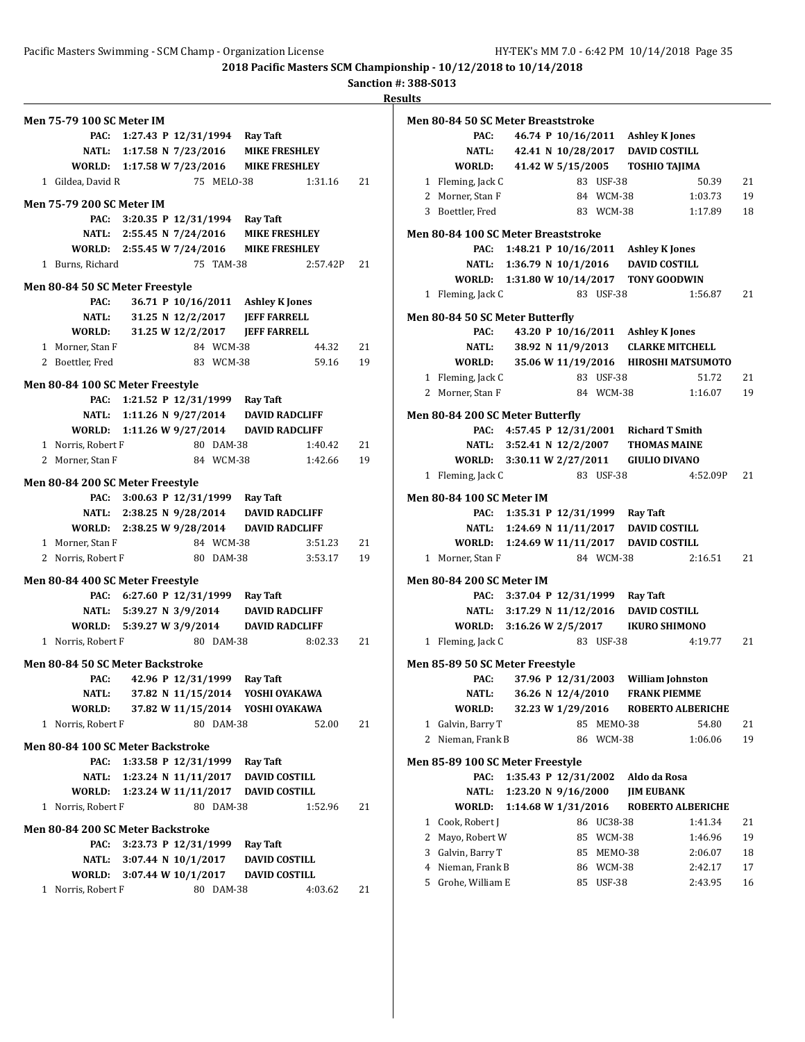**Sanction #: 388-S013**

| <b>Men 75-79 100 SC Meter IM</b>  |                                    |            |                                           |          |    |
|-----------------------------------|------------------------------------|------------|-------------------------------------------|----------|----|
| PAC:                              | 1:27.43 P 12/31/1994 Ray Taft      |            |                                           |          |    |
|                                   |                                    |            | NATL: 1:17.58 N 7/23/2016 MIKE FRESHLEY   |          |    |
|                                   |                                    |            | WORLD: 1:17.58 W 7/23/2016 MIKE FRESHLEY  |          |    |
| 1 Gildea, David R                 |                                    | 75 MELO-38 |                                           | 1:31.16  | 21 |
| <b>Men 75-79 200 SC Meter IM</b>  |                                    |            |                                           |          |    |
|                                   | PAC: 3:20.35 P 12/31/1994 Ray Taft |            |                                           |          |    |
|                                   | NATL: 2:55.45 N 7/24/2016          |            | <b>MIKE FRESHLEY</b>                      |          |    |
|                                   |                                    |            | WORLD: 2:55.45 W 7/24/2016 MIKE FRESHLEY  |          |    |
| 1 Burns, Richard                  |                                    | 75 TAM-38  |                                           | 2:57.42P | 21 |
| Men 80-84 50 SC Meter Freestyle   |                                    |            |                                           |          |    |
| PAC:                              |                                    |            | 36.71 P 10/16/2011 Ashley K Jones         |          |    |
|                                   | NATL: 31.25 N 12/2/2017            |            | <b>JEFF FARRELL</b>                       |          |    |
| WORLD:                            | 31.25 W 12/2/2017                  |            | <b>JEFF FARRELL</b>                       |          |    |
| 1 Morner, Stan F                  |                                    | 84 WCM-38  |                                           | 44.32    | 21 |
| 2 Boettler, Fred                  |                                    | 83 WCM-38  |                                           | 59.16    | 19 |
| Men 80-84 100 SC Meter Freestyle  |                                    |            |                                           |          |    |
|                                   | PAC: 1:21.52 P 12/31/1999 Ray Taft |            |                                           |          |    |
|                                   |                                    |            | NATL: 1:11.26 N 9/27/2014 DAVID RADCLIFF  |          |    |
|                                   |                                    |            | WORLD: 1:11.26 W 9/27/2014 DAVID RADCLIFF |          |    |
| 1 Norris, Robert F                |                                    | 80 DAM-38  |                                           | 1:40.42  | 21 |
| 2 Morner, Stan F                  |                                    | 84 WCM-38  |                                           | 1:42.66  | 19 |
|                                   |                                    |            |                                           |          |    |
| Men 80-84 200 SC Meter Freestyle  |                                    |            |                                           |          |    |
|                                   | PAC: 3:00.63 P 12/31/1999 Ray Taft |            |                                           |          |    |
|                                   |                                    |            | NATL: 2:38.25 N 9/28/2014 DAVID RADCLIFF  |          |    |
|                                   |                                    |            | WORLD: 2:38.25 W 9/28/2014 DAVID RADCLIFF |          |    |
| 1 Morner, Stan F                  |                                    | 84 WCM-38  |                                           | 3:51.23  | 21 |
| 2 Norris, Robert F                |                                    | 80 DAM-38  |                                           | 3:53.17  | 19 |
| Men 80-84 400 SC Meter Freestyle  |                                    |            |                                           |          |    |
|                                   | PAC: 6:27.60 P 12/31/1999 Ray Taft |            |                                           |          |    |
|                                   | NATL: 5:39.27 N 3/9/2014           |            | <b>DAVID RADCLIFF</b>                     |          |    |
|                                   | WORLD: 5:39.27 W 3/9/2014          |            | <b>DAVID RADCLIFF</b>                     |          |    |
| 1 Norris, Robert F                |                                    | 80 DAM-38  |                                           | 8:02.33  | 21 |
| Men 80-84 50 SC Meter Backstroke  |                                    |            |                                           |          |    |
| PAC:                              | 42.96 P 12/31/1999 Ray Taft        |            |                                           |          |    |
| NATL:                             |                                    |            | 37.82 N 11/15/2014 YOSHI OYAKAWA          |          |    |
| WORLD:                            | 37.82 W 11/15/2014                 |            | YOSHI OYAKAWA                             |          |    |
| 1 Norris, Robert F                |                                    | 80 DAM-38  |                                           | 52.00    | 21 |
| Men 80-84 100 SC Meter Backstroke |                                    |            |                                           |          |    |
| PAC:                              | 1:33.58 P 12/31/1999               |            | Ray Taft                                  |          |    |
| NATL:                             | 1:23.24 N 11/11/2017               |            | <b>DAVID COSTILL</b>                      |          |    |
| WORLD:                            | 1:23.24 W 11/11/2017               |            | <b>DAVID COSTILL</b>                      |          |    |
| 1 Norris, Robert F                |                                    | 80 DAM-38  |                                           | 1:52.96  | 21 |
| Men 80-84 200 SC Meter Backstroke |                                    |            |                                           |          |    |
| PAC:                              | 3:23.73 P 12/31/1999               |            | <b>Ray Taft</b>                           |          |    |
| NATL:                             | $3:07.44 \text{ N } 10/1/2017$     |            | <b>DAVID COSTILL</b>                      |          |    |
| WORLD:                            | 3:07.44 W 10/1/2017                |            | <b>DAVID COSTILL</b>                      |          |    |
| Norris, Robert F<br>1             |                                    | 80 DAM-38  |                                           | 4:03.62  | 21 |

|   | Men 80-84 50 SC Meter Breaststroke       |                        |                    |                   |                                                             |                                      |    |
|---|------------------------------------------|------------------------|--------------------|-------------------|-------------------------------------------------------------|--------------------------------------|----|
|   | PAC:                                     |                        |                    |                   | 46.74 P 10/16/2011 Ashley K Jones                           |                                      |    |
|   | NATL:                                    |                        |                    |                   | 42.41 N 10/28/2017 DAVID COSTILL                            |                                      |    |
|   | WORLD:                                   |                        |                    |                   | 41.42 W 5/15/2005 TOSHIO TAJIMA                             |                                      |    |
|   | 1 Fleming, Jack C                        |                        |                    | 83 USF-38         |                                                             | 50.39                                | 21 |
|   | 2 Morner, Stan F                         |                        |                    | 84 WCM-38         |                                                             | 1:03.73                              | 19 |
|   | 3 Boettler, Fred                         |                        |                    | 83 WCM-38         |                                                             | 1:17.89                              | 18 |
|   |                                          |                        |                    |                   |                                                             |                                      |    |
|   | Men 80-84 100 SC Meter Breaststroke      |                        |                    |                   |                                                             |                                      |    |
|   | PAC:                                     | 1:48.21 P $10/16/2011$ |                    |                   | <b>Ashley K Jones</b>                                       |                                      |    |
|   | NATL: 1:36.79 N 10/1/2016                |                        |                    |                   | <b>DAVID COSTILL</b>                                        |                                      |    |
|   | WORLD: 1:31.80 W 10/14/2017 TONY GOODWIN |                        |                    |                   |                                                             |                                      |    |
|   | 1 Fleming, Jack C                        |                        |                    | 83 USF-38         |                                                             | 1:56.87                              | 21 |
|   | Men 80-84 50 SC Meter Butterfly          |                        |                    |                   |                                                             |                                      |    |
|   | PAC:                                     |                        |                    |                   | 43.20 P 10/16/2011 Ashley K Jones                           |                                      |    |
|   | NATL:                                    |                        | 38.92 N 11/9/2013  |                   | <b>CLARKE MITCHELL</b>                                      |                                      |    |
|   | WORLD:                                   |                        |                    |                   |                                                             | 35.06 W 11/19/2016 HIROSHI MATSUMOTO |    |
|   | 1 Fleming, Jack C                        |                        |                    | 83 USF-38         |                                                             | 51.72                                | 21 |
|   | 2 Morner, Stan F                         |                        |                    | 84 WCM-38         |                                                             | 1:16.07                              | 19 |
|   | Men 80-84 200 SC Meter Butterfly         |                        |                    |                   |                                                             |                                      |    |
|   |                                          |                        |                    |                   |                                                             |                                      |    |
|   | PAC:                                     |                        |                    |                   | 4:57.45 P 12/31/2001 Richard T Smith<br><b>THOMAS MAINE</b> |                                      |    |
|   | NATL: 3:52.41 N 12/2/2007                |                        |                    |                   |                                                             |                                      |    |
|   | WORLD: 3:30.11 W 2/27/2011               |                        |                    |                   | <b>GIULIO DIVANO</b>                                        |                                      |    |
| 1 | Fleming, Jack C                          |                        |                    | 83 USF-38         |                                                             | 4:52.09P                             | 21 |
|   | <b>Men 80-84 100 SC Meter IM</b>         |                        |                    |                   |                                                             |                                      |    |
|   | PAC:                                     |                        |                    |                   | 1:35.31 P 12/31/1999 Ray Taft                               |                                      |    |
|   | NATL:                                    |                        |                    |                   | 1:24.69 N 11/11/2017 DAVID COSTILL                          |                                      |    |
|   | WORLD: 1:24.69 W 11/11/2017              |                        |                    |                   | <b>DAVID COSTILL</b>                                        |                                      |    |
|   | 1 Morner, Stan F                         |                        |                    | 84 WCM-38         |                                                             | 2:16.51                              | 21 |
|   | <b>Men 80-84 200 SC Meter IM</b>         |                        |                    |                   |                                                             |                                      |    |
|   | PAC:                                     |                        |                    |                   | 3:37.04 P 12/31/1999 Ray Taft                               |                                      |    |
|   | NATL: 3:17.29 N 11/12/2016               |                        |                    |                   | <b>DAVID COSTILL</b>                                        |                                      |    |
|   |                                          |                        |                    |                   | <b>IKURO SHIMONO</b>                                        |                                      |    |
|   | WORLD: 3:16.26 W 2/5/2017                |                        |                    |                   |                                                             | 4:19.77                              | 21 |
|   | 1 Fleming, Jack C                        |                        |                    | 83 USF-38         |                                                             |                                      |    |
|   | Men 85-89 50 SC Meter Freestyle          |                        |                    |                   |                                                             |                                      |    |
|   | PAC:                                     |                        | 37.96 P 12/31/2003 |                   | <b>William Johnston</b>                                     |                                      |    |
|   | <b>NATL:</b>                             |                        | 36.26 N 12/4/2010  |                   | <b>FRANK PIEMME</b>                                         |                                      |    |
|   | WORLD:                                   |                        | 32.23 W 1/29/2016  |                   |                                                             | <b>ROBERTO ALBERICHE</b>             |    |
| 1 | Galvin, Barry T                          |                        | 85                 | MEMO-38           |                                                             | 54.80                                | 21 |
| 2 | Nieman, Frank B                          |                        | 86                 | WCM-38            |                                                             | 1:06.06                              | 19 |
|   |                                          |                        |                    |                   |                                                             |                                      |    |
|   | Men 85-89 100 SC Meter Freestyle<br>PAC: | 1:35.43 P 12/31/2002   |                    |                   | Aldo da Rosa                                                |                                      |    |
|   | <b>NATL:</b>                             | 1:23.20 N 9/16/2000    |                    |                   | <b>JIM EUBANK</b>                                           |                                      |    |
|   | WORLD:                                   | 1:14.68 W 1/31/2016    |                    |                   |                                                             | <b>ROBERTO ALBERICHE</b>             |    |
| 1 | Cook, Robert J                           |                        | 86                 | UC38-38           |                                                             | 1:41.34                              | 21 |
| 2 | Mayo, Robert W                           |                        | 85                 |                   |                                                             | 1:46.96                              |    |
| 3 | Galvin, Barry T                          |                        | 85                 | WCM-38            |                                                             |                                      | 19 |
| 4 | Nieman, Frank B                          |                        | 86                 | MEMO-38<br>WCM-38 |                                                             | 2:06.07                              | 18 |
| 5 |                                          |                        |                    |                   |                                                             | 2:42.17                              | 17 |
|   | Grohe, William E                         |                        | 85                 | <b>USF-38</b>     |                                                             | 2:43.95                              | 16 |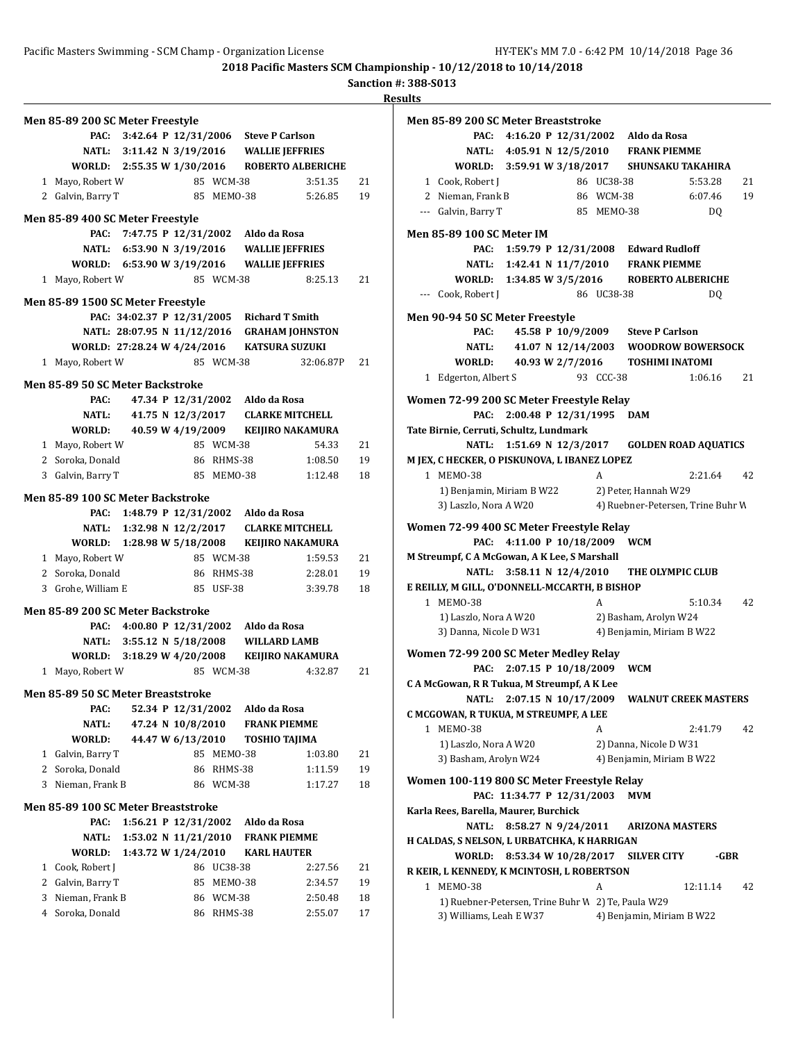Pacific Masters Swimming - SCM Champ - Organization License HY-TEK's MM 7.0 - 6:42 PM 10/14/2018 Page 36

**2018 Pacific Masters SCM Championship - 10/12/2018 to 10/14/2018**

**Sanction #: 388-S013**

|                | Men 85-89 200 SC Meter Freestyle           |                                            |                      |               |                                   |                                             |    |
|----------------|--------------------------------------------|--------------------------------------------|----------------------|---------------|-----------------------------------|---------------------------------------------|----|
|                | PAC:                                       | 3:42.64 P 12/31/2006 Steve P Carlson       |                      |               |                                   |                                             |    |
|                |                                            | NATL: 3:11.42 N 3/19/2016 WALLIE JEFFRIES  |                      |               |                                   |                                             |    |
|                | WORLD: 2:55.35 W 1/30/2016                 |                                            |                      |               |                                   | <b>ROBERTO ALBERICHE</b>                    |    |
|                | 1 Mayo, Robert W                           |                                            |                      | 85 WCM-38     |                                   | 3:51.35                                     | 21 |
|                | 2 Galvin, Barry T                          |                                            |                      | 85 MEM0-38    |                                   | 5:26.85                                     | 19 |
|                |                                            |                                            |                      |               |                                   |                                             |    |
|                | Men 85-89 400 SC Meter Freestyle           |                                            |                      |               |                                   |                                             |    |
|                | PAC:                                       |                                            |                      |               | 7:47.75 P 12/31/2002 Aldo da Rosa |                                             |    |
|                |                                            | NATL: 6:53.90 N 3/19/2016                  |                      |               |                                   | <b>WALLIE JEFFRIES</b>                      |    |
|                | WORLD: 6:53.90 W 3/19/2016                 |                                            |                      |               |                                   | <b>WALLIE JEFFRIES</b>                      |    |
| 1              | Mayo, Robert W                             |                                            |                      | 85 WCM-38     |                                   | 8:25.13                                     | 21 |
|                | Men 85-89 1500 SC Meter Freestyle          |                                            |                      |               |                                   |                                             |    |
|                |                                            | PAC: 34:02.37 P 12/31/2005 Richard T Smith |                      |               |                                   |                                             |    |
|                |                                            |                                            |                      |               |                                   | NATL: 28:07.95 N 11/12/2016 GRAHAM JOHNSTON |    |
|                | WORLD: 27:28.24 W 4/24/2016 KATSURA SUZUKI |                                            |                      |               |                                   |                                             |    |
|                | 1 Mayo, Robert W                           |                                            |                      | 85 WCM-38     |                                   | 32:06.87P                                   | 21 |
|                |                                            |                                            |                      |               |                                   |                                             |    |
|                | <b>Men 85-89 50 SC Meter Backstroke</b>    |                                            |                      |               |                                   |                                             |    |
|                | PAC:                                       |                                            |                      |               | 47.34 P 12/31/2002 Aldo da Rosa   |                                             |    |
|                | NATL:                                      |                                            | 41.75 N 12/3/2017    |               |                                   | <b>CLARKE MITCHELL</b>                      |    |
|                | WORLD:                                     |                                            |                      |               |                                   | 40.59 W 4/19/2009 KEIJIRO NAKAMURA          |    |
|                | 1 Mayo, Robert W                           |                                            |                      | 85 WCM-38     |                                   | 54.33                                       | 21 |
|                | 2 Soroka, Donald                           |                                            |                      | 86 RHMS-38    |                                   | 1:08.50                                     | 19 |
|                | 3 Galvin, Barry T                          |                                            |                      | 85 MEMO-38    |                                   | 1:12.48                                     | 18 |
|                |                                            |                                            |                      |               |                                   |                                             |    |
|                | <b>Men 85-89 100 SC Meter Backstroke</b>   |                                            |                      |               |                                   |                                             |    |
|                |                                            | PAC: 1:48.79 P 12/31/2002 Aldo da Rosa     |                      |               |                                   |                                             |    |
|                |                                            |                                            |                      |               |                                   | NATL: 1:32.98 N 12/2/2017 CLARKE MITCHELL   |    |
|                | WORLD: 1:28.98 W 5/18/2008                 |                                            |                      |               |                                   | KEIJIRO NAKAMURA                            |    |
|                | 1 Mayo, Robert W                           |                                            |                      | 85 WCM-38     |                                   | 1:59.53                                     | 21 |
|                | 2 Soroka, Donald                           |                                            |                      | 86 RHMS-38    |                                   | 2:28.01                                     | 19 |
|                | 3 Grohe, William E                         |                                            |                      | 85 USF-38     |                                   | 3:39.78                                     | 18 |
|                | Men 85-89 200 SC Meter Backstroke          |                                            |                      |               |                                   |                                             |    |
|                | PAC:                                       | 4:00.80 P 12/31/2002 Aldo da Rosa          |                      |               |                                   |                                             |    |
|                |                                            | NATL: 3:55.12 N 5/18/2008 WILLARD LAMB     |                      |               |                                   |                                             |    |
|                | WORLD: 3:18.29 W 4/20/2008                 |                                            |                      |               |                                   | KEIJIRO NAKAMURA                            |    |
|                | 1 Mayo, Robert W                           |                                            |                      | 85 WCM-38     |                                   | 4:32.87                                     | 21 |
|                |                                            |                                            |                      |               |                                   |                                             |    |
|                | Men 85-89 50 SC Meter Breaststroke         |                                            |                      |               |                                   |                                             |    |
|                | PAC:                                       |                                            | 52.34 P 12/31/2002   |               | Aldo da Rosa                      |                                             |    |
|                | <b>NATL:</b>                               |                                            | 47.24 N 10/8/2010    |               | <b>FRANK PIEMME</b>               |                                             |    |
|                | WORLD:                                     |                                            | 44.47 W 6/13/2010    |               | <b>TOSHIO TAJIMA</b>              |                                             |    |
| $\mathbf{1}$   | Galvin, Barry T                            |                                            | 85                   | MEMO-38       |                                   | 1:03.80                                     | 21 |
| $\overline{2}$ | Soroka, Donald                             |                                            | 86                   | RHMS-38       |                                   | 1:11.59                                     | 19 |
| 3              | Nieman, Frank B                            |                                            |                      | 86 WCM-38     |                                   | 1:17.27                                     | 18 |
|                |                                            |                                            |                      |               |                                   |                                             |    |
|                | Men 85-89 100 SC Meter Breaststroke        |                                            |                      |               |                                   |                                             |    |
|                | PAC:                                       |                                            | 1:56.21 P 12/31/2002 |               | Aldo da Rosa                      |                                             |    |
|                | NATL:                                      |                                            | 1:53.02 N 11/21/2010 |               | <b>FRANK PIEMME</b>               |                                             |    |
|                | WORLD:                                     | 1:43.72 W 1/24/2010                        |                      |               | <b>KARL HAUTER</b>                |                                             |    |
|                | 1 Cook, Robert J                           |                                            | 86                   | UC38-38       |                                   | 2:27.56                                     | 21 |
|                | 2 Galvin, Barry T                          |                                            | 85                   | MEMO-38       |                                   | 2:34.57                                     | 19 |
| 3              | Nieman, Frank B                            |                                            | 86                   | <b>WCM-38</b> |                                   | 2:50.48                                     | 18 |
|                | 4 Soroka, Donald                           |                                            | 86                   | RHMS-38       |                                   | 2:55.07                                     | 17 |

| Men 85-89 200 SC Meter Breaststroke                                           |                       |            |                                                |                |    |
|-------------------------------------------------------------------------------|-----------------------|------------|------------------------------------------------|----------------|----|
|                                                                               |                       |            |                                                |                |    |
| PAC:                                                                          |                       |            | 4:16.20 P 12/31/2002 Aldo da Rosa              |                |    |
|                                                                               |                       |            | NATL: 4:05.91 N 12/5/2010 FRANK PIEMME         |                |    |
| WORLD: 3:59.91 W 3/18/2017 SHUNSAKU TAKAHIRA                                  |                       |            |                                                |                |    |
| 1 Cook, Robert J                                                              |                       | 86 UC38-38 |                                                | 5:53.28        | 21 |
| 2 Nieman, Frank B                                                             |                       | 86 WCM-38  |                                                | 6:07.46        | 19 |
| --- Galvin, Barry T                                                           |                       | 85 MEMO-38 |                                                | DQ             |    |
|                                                                               |                       |            |                                                |                |    |
| Men 85-89 100 SC Meter IM                                                     |                       |            |                                                |                |    |
|                                                                               |                       |            | PAC: 1:59.79 P 12/31/2008 Edward Rudloff       |                |    |
|                                                                               |                       |            | NATL: 1:42.41 N 11/7/2010 FRANK PIEMME         |                |    |
| WORLD: 1:34.85 W 3/5/2016                                                     |                       |            | <b>ROBERTO ALBERICHE</b>                       |                |    |
| --- Cook, Robert J                                                            |                       | 86 UC38-38 |                                                | D <sub>Q</sub> |    |
| Men 90-94 50 SC Meter Freestyle                                               |                       |            |                                                |                |    |
| PAC:                                                                          |                       |            | 45.58 P 10/9/2009 Steve P Carlson              |                |    |
|                                                                               |                       |            | NATL: 41.07 N 12/14/2003 WOODROW BOWERSOCK     |                |    |
| WORLD: 40.93 W 2/7/2016                                                       |                       |            | <b>TOSHIMI INATOMI</b>                         |                |    |
| 1 Edgerton, Albert S                                                          |                       | 93 CCC-38  |                                                | 1:06.16        | 21 |
|                                                                               |                       |            |                                                |                |    |
| Women 72-99 200 SC Meter Freestyle Relay                                      |                       |            |                                                |                |    |
| PAC:                                                                          | 2:00.48 P 12/31/1995  |            | <b>DAM</b>                                     |                |    |
| Tate Birnie, Cerruti, Schultz, Lundmark                                       |                       |            |                                                |                |    |
|                                                                               |                       |            | NATL: 1:51.69 N 12/3/2017 GOLDEN ROAD AQUATICS |                |    |
| M JEX, C HECKER, O PISKUNOVA, L IBANEZ LOPEZ                                  |                       |            |                                                |                |    |
| 1 MEM0-38                                                                     |                       | A          |                                                | 2:21.64        | 42 |
| 1) Benjamin, Miriam B W22                                                     |                       |            | 2) Peter, Hannah W29                           |                |    |
| 3) Laszlo, Nora A W20                                                         |                       |            | 4) Ruebner-Petersen, Trine Buhr W              |                |    |
| Women 72-99 400 SC Meter Freestyle Relay                                      |                       |            |                                                |                |    |
| PAC:                                                                          | 4:11.00 P 10/18/2009  |            | WCM                                            |                |    |
| M Streumpf, C A McGowan, A K Lee, S Marshall                                  |                       |            |                                                |                |    |
|                                                                               | 3:58.11 N $12/4/2010$ |            | THE OLYMPIC CLUB                               |                |    |
|                                                                               |                       |            |                                                |                |    |
| NATL:                                                                         |                       |            |                                                |                |    |
| E REILLY, M GILL, O'DONNELL-MCCARTH, B BISHOP                                 |                       |            |                                                |                |    |
| 1 MEM0-38                                                                     |                       | A          |                                                | 5:10.34        | 42 |
| 1) Laszlo, Nora A W20                                                         |                       |            | 2) Basham, Arolyn W24                          |                |    |
| 3) Danna, Nicole D W31                                                        |                       |            | 4) Benjamin, Miriam B W22                      |                |    |
| Women 72-99 200 SC Meter Medley Relay                                         |                       |            |                                                |                |    |
| PAC: 2:07.15 P 10/18/2009                                                     |                       |            | <b>WCM</b>                                     |                |    |
| C A McGowan, R R Tukua, M Streumpf, A K Lee                                   |                       |            |                                                |                |    |
| NATL: 2:07.15 N 10/17/2009 WALNUT CREEK MASTERS                               |                       |            |                                                |                |    |
| C MCGOWAN, R TUKUA, M STREUMPF, A LEE                                         |                       |            |                                                |                |    |
| 1 MEMO-38                                                                     |                       | A          |                                                | 2:41.79        | 42 |
| 1) Laszlo, Nora A W20                                                         |                       |            | 2) Danna, Nicole D W31                         |                |    |
| 3) Basham, Arolyn W24                                                         |                       |            | 4) Benjamin, Miriam B W22                      |                |    |
|                                                                               |                       |            |                                                |                |    |
| Women 100-119 800 SC Meter Freestyle Relay                                    |                       |            |                                                |                |    |
| PAC: 11:34.77 P 12/31/2003                                                    |                       |            | MVM                                            |                |    |
| Karla Rees, Barella, Maurer, Burchick                                         |                       |            |                                                |                |    |
| <b>NATL:</b>                                                                  | 8:58.27 N 9/24/2011   |            | <b>ARIZONA MASTERS</b>                         |                |    |
| H CALDAS, S NELSON, L URBATCHKA, K HARRIGAN                                   |                       |            |                                                |                |    |
| <b>WORLD:</b>                                                                 | 8:53.34 W 10/28/2017  |            | <b>SILVER CITY</b>                             | -GBR           |    |
| R KEIR, L KENNEDY, K MCINTOSH, L ROBERTSON                                    |                       |            |                                                |                |    |
| 1 MEMO-38                                                                     |                       | A          |                                                | 12:11.14       | 42 |
| 1) Ruebner-Petersen, Trine Buhr W 2) Te, Paula W29<br>3) Williams, Leah E W37 |                       |            | 4) Benjamin, Miriam B W22                      |                |    |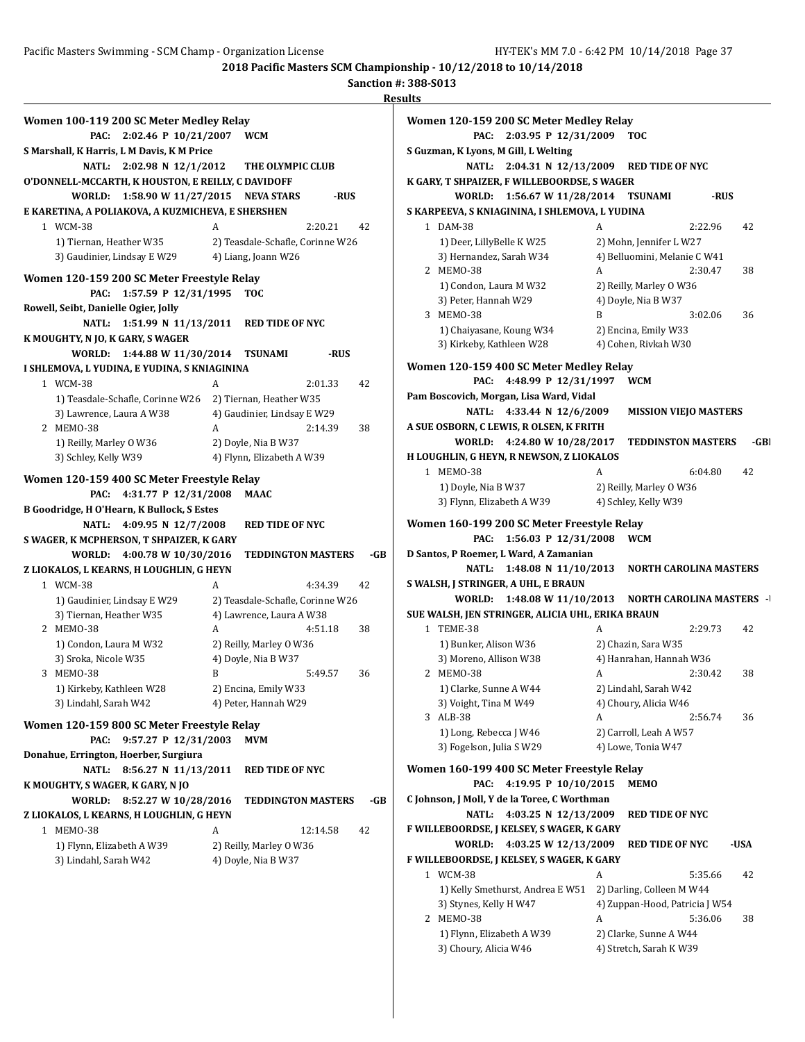| Women 100-119 200 SC Meter Medley Relay                                           |   |                                  |          |     |
|-----------------------------------------------------------------------------------|---|----------------------------------|----------|-----|
| 2:02.46 P 10/21/2007<br>PAC:                                                      |   | <b>WCM</b>                       |          |     |
| S Marshall, K Harris, L M Davis, K M Price                                        |   |                                  |          |     |
| 2:02.98 N 12/1/2012<br><b>NATL:</b>                                               |   | THE OLYMPIC CLUB                 |          |     |
| O'DONNELL-MCCARTH, K HOUSTON, E REILLY, C DAVIDOFF                                |   |                                  |          |     |
| WORLD:<br>1:58.90 W 11/27/2015                                                    |   | <b>NEVA STARS</b>                | -RUS     |     |
| E KARETINA, A POLIAKOVA, A KUZMICHEVA, E SHERSHEN                                 |   |                                  |          |     |
| 1 WCM-38                                                                          | A |                                  | 2:20.21  | 42  |
| 1) Tiernan, Heather W35                                                           |   | 2) Teasdale-Schafle, Corinne W26 |          |     |
| 3) Gaudinier, Lindsay E W29                                                       |   | 4) Liang, Joann W26              |          |     |
| Women 120-159 200 SC Meter Freestyle Relay                                        |   |                                  |          |     |
| 1:57.59 P 12/31/1995<br>PAC:                                                      |   | <b>TOC</b>                       |          |     |
| Rowell, Seibt, Danielle Ogier, Jolly                                              |   |                                  |          |     |
| 1:51.99 N 11/13/2011<br><b>NATL:</b>                                              |   | <b>RED TIDE OF NYC</b>           |          |     |
| K MOUGHTY, N JO, K GARY, S WAGER                                                  |   |                                  |          |     |
| WORLD:<br>1:44.88 W 11/30/2014 TSUNAMI                                            |   |                                  | -RUS     |     |
| I SHLEMOVA, L YUDINA, E YUDINA, S KNIAGININA                                      |   |                                  |          |     |
| 1 WCM-38                                                                          | A |                                  | 2:01.33  | 42  |
| 1) Teasdale-Schafle, Corinne W26                                                  |   | 2) Tiernan, Heather W35          |          |     |
| 3) Lawrence, Laura A W38                                                          |   | 4) Gaudinier, Lindsay E W29      |          |     |
| 2 MEM0-38                                                                         | A |                                  | 2:14.39  | 38  |
| 1) Reilly, Marley 0 W36                                                           |   | 2) Doyle, Nia B W37              |          |     |
| 3) Schley, Kelly W39                                                              |   | 4) Flynn, Elizabeth A W39        |          |     |
|                                                                                   |   |                                  |          |     |
|                                                                                   |   |                                  |          |     |
| Women 120-159 400 SC Meter Freestyle Relay<br>PAC:                                |   | MAAC                             |          |     |
| 4:31.77 P 12/31/2008                                                              |   |                                  |          |     |
| B Goodridge, H O'Hearn, K Bullock, S Estes<br><b>NATL:</b><br>4:09.95 N 12/7/2008 |   | <b>RED TIDE OF NYC</b>           |          |     |
| S WAGER, K MCPHERSON, T SHPAIZER, K GARY                                          |   |                                  |          |     |
| 4:00.78 W 10/30/2016<br>WORLD:                                                    |   | <b>TEDDINGTON MASTERS</b>        |          | -GB |
| Z LIOKALOS, L KEARNS, H LOUGHLIN, G HEYN                                          |   |                                  |          |     |
| 1 WCM-38                                                                          | A |                                  | 4:34.39  | 42  |
| 1) Gaudinier, Lindsay E W29                                                       |   | 2) Teasdale-Schafle, Corinne W26 |          |     |
| 3) Tiernan, Heather W35                                                           |   | 4) Lawrence, Laura A W38         |          |     |
| 2 MEMO-38                                                                         | A |                                  | 4:51.18  | 38  |
| 1) Condon, Laura M W32                                                            |   | 2) Reilly, Marley O W36          |          |     |
| 3) Sroka, Nicole W35                                                              |   | 4) Doyle, Nia B W37              |          |     |
| 3 MEMO-38                                                                         | B |                                  | 5:49.57  | 36  |
| 1) Kirkeby, Kathleen W28                                                          |   | 2) Encina, Emily W33             |          |     |
| 3) Lindahl, Sarah W42                                                             |   | 4) Peter, Hannah W29             |          |     |
| Women 120-159 800 SC Meter Freestyle Relay                                        |   |                                  |          |     |
| 9:57.27 P 12/31/2003<br>PAC:                                                      |   | <b>MVM</b>                       |          |     |
| Donahue, Errington, Hoerber, Surgiura                                             |   |                                  |          |     |
| 8:56.27 N 11/13/2011<br><b>NATL:</b>                                              |   | <b>RED TIDE OF NYC</b>           |          |     |
| K MOUGHTY, S WAGER, K GARY, N JO                                                  |   |                                  |          |     |
| WORLD:<br>8:52.27 W 10/28/2016                                                    |   | <b>TEDDINGTON MASTERS</b>        |          | -GB |
| Z LIOKALOS, L KEARNS, H LOUGHLIN, G HEYN                                          |   |                                  |          |     |
| 1 MEMO-38                                                                         | A |                                  | 12:14.58 | 42  |
| 1) Flynn, Elizabeth A W39                                                         |   | 2) Reilly, Marley O W36          |          |     |

|   | Women 120-159 200 SC Meter Medley Relay                                    |   |                                                |      |
|---|----------------------------------------------------------------------------|---|------------------------------------------------|------|
|   | PAC:<br>2:03.95 P 12/31/2009<br>S Guzman, K Lyons, M Gill, L Welting       |   | TOC                                            |      |
|   | NATL: 2:04.31 N 12/13/2009                                                 |   | <b>RED TIDE OF NYC</b>                         |      |
|   | K GARY, T SHPAIZER, F WILLEBOORDSE, S WAGER                                |   |                                                |      |
|   | WORLD: 1:56.67 W 11/28/2014                                                |   | <b>TSUNAMI</b><br>-RUS                         |      |
|   | S KARPEEVA, S KNIAGININA, I SHLEMOVA, L YUDINA                             |   |                                                |      |
|   | 1 DAM-38                                                                   | A | 2:22.96                                        | 42   |
|   | 1) Deer, LillyBelle K W25                                                  |   | 2) Mohn, Jennifer L W27                        |      |
|   | 3) Hernandez, Sarah W34                                                    |   | 4) Belluomini, Melanie C W41                   |      |
|   | 2 MEMO-38                                                                  | A | 2:30.47                                        | 38   |
|   | 1) Condon, Laura M W32                                                     |   | 2) Reilly, Marley O W36                        |      |
|   | 3) Peter, Hannah W29                                                       |   | 4) Doyle, Nia B W37                            |      |
|   | 3 MEMO-38                                                                  | B | 3:02.06                                        | 36   |
|   | 1) Chaiyasane, Koung W34                                                   |   | 2) Encina, Emily W33                           |      |
|   | 3) Kirkeby, Kathleen W28                                                   |   | 4) Cohen, Rivkah W30                           |      |
|   | Women 120-159 400 SC Meter Medley Relay                                    |   |                                                |      |
|   | 4:48.99 P 12/31/1997<br>PAC:                                               |   | <b>WCM</b>                                     |      |
|   | Pam Boscovich, Morgan, Lisa Ward, Vidal                                    |   |                                                |      |
|   | <b>NATL:</b><br>4:33.44 N 12/6/2009                                        |   | <b>MISSION VIEJO MASTERS</b>                   |      |
|   | A SUE OSBORN, C LEWIS, R OLSEN, K FRITH                                    |   |                                                |      |
|   | WORLD:<br>4:24.80 W 10/28/2017                                             |   | <b>TEDDINSTON MASTERS</b>                      | -GBI |
|   | H LOUGHLIN, G HEYN, R NEWSON, Z LIOKALOS                                   |   |                                                |      |
|   | 1 MEMO-38                                                                  | A | 6:04.80                                        | 42   |
|   | 1) Doyle, Nia B W37                                                        |   | 2) Reilly, Marley O W36                        |      |
|   | 3) Flynn, Elizabeth A W39                                                  |   | 4) Schley, Kelly W39                           |      |
|   | Women 160-199 200 SC Meter Freestyle Relay                                 |   |                                                |      |
|   | 1:56.03 P 12/31/2008<br>PAC:                                               |   | <b>WCM</b>                                     |      |
|   | D Santos, P Roemer, L Ward, A Zamanian                                     |   |                                                |      |
|   | 1:48.08 N 11/10/2013<br><b>NATL:</b>                                       |   | <b>NORTH CAROLINA MASTERS</b>                  |      |
|   | S WALSH, J STRINGER, A UHL, E BRAUN                                        |   |                                                |      |
|   | WORLD:                                                                     |   | 1:48.08 W 11/10/2013 NORTH CAROLINA MASTERS -  |      |
|   | SUE WALSH, JEN STRINGER, ALICIA UHL, ERIKA BRAUN                           |   |                                                |      |
|   | 1 TEME-38                                                                  | A | 2:29.73                                        | 42   |
|   | 1) Bunker, Alison W36                                                      |   | 2) Chazin, Sara W35<br>4) Hanrahan, Hannah W36 |      |
|   | 3) Moreno, Allison W38<br>2 MEMO-38                                        | A | 2:30.42                                        | 38   |
|   | 1) Clarke, Sunne A W44                                                     |   | 2) Lindahl, Sarah W42                          |      |
|   | 3) Voight, Tina M W49                                                      |   | 4) Choury, Alicia W46                          |      |
|   | 3 ALB-38                                                                   | A | 2:56.74                                        | 36   |
|   | 1) Long, Rebecca J W46                                                     |   | 2) Carroll, Leah A W57                         |      |
|   | 3) Fogelson, Julia S W29                                                   |   | 4) Lowe, Tonia W47                             |      |
|   |                                                                            |   |                                                |      |
|   | Women 160-199 400 SC Meter Freestyle Relay<br>4:19.95 P 10/10/2015<br>PAC: |   | MEMO                                           |      |
|   | C Johnson, J Moll, Y de la Toree, C Worthman                               |   |                                                |      |
|   | <b>NATL:</b><br>4:03.25 N 12/13/2009                                       |   | <b>RED TIDE OF NYC</b>                         |      |
|   | F WILLEBOORDSE, J KELSEY, S WAGER, K GARY                                  |   |                                                |      |
|   | WORLD:<br>4:03.25 W 12/13/2009                                             |   | <b>RED TIDE OF NYC</b>                         | -USA |
|   | F WILLEBOORDSE, J KELSEY, S WAGER, K GARY                                  |   |                                                |      |
|   | 1 WCM-38                                                                   | A | 5:35.66                                        | 42   |
|   | 1) Kelly Smethurst, Andrea E W51                                           |   | 2) Darling, Colleen M W44                      |      |
|   | 3) Stynes, Kelly H W47                                                     |   | 4) Zuppan-Hood, Patricia J W54                 |      |
| 2 | MEMO-38                                                                    | A | 5:36.06                                        | 38   |
|   |                                                                            |   |                                                |      |
|   | 1) Flynn, Elizabeth A W39                                                  |   | 2) Clarke, Sunne A W44                         |      |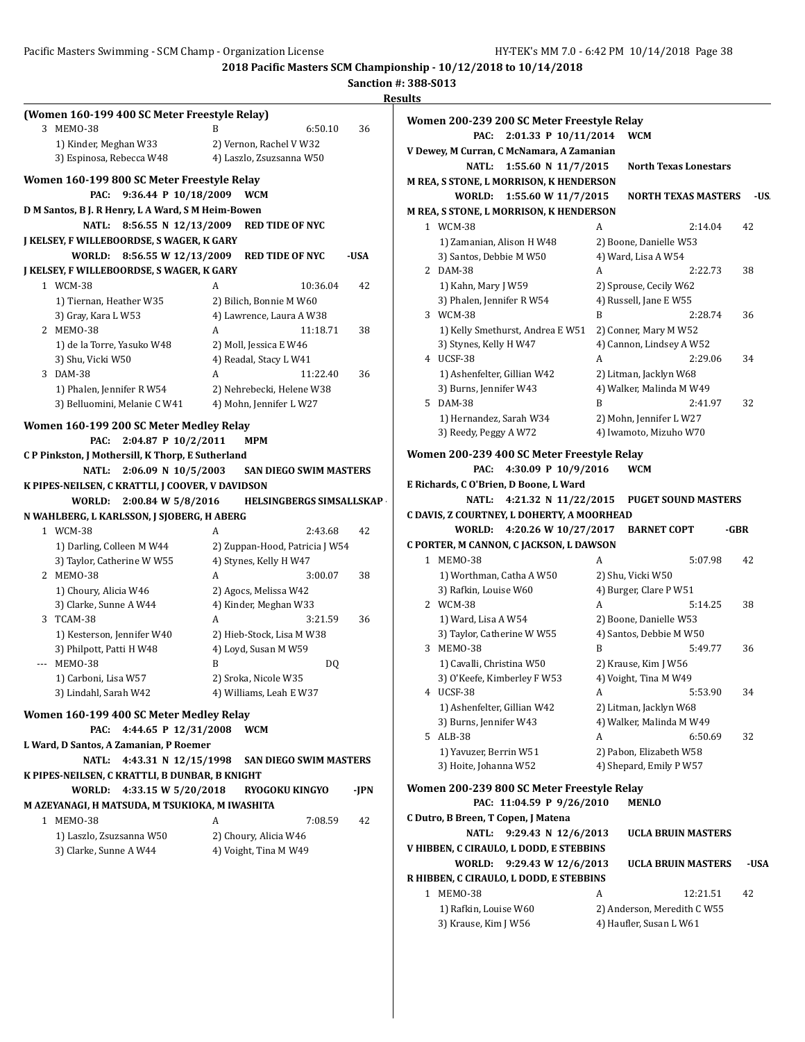|                                                    |                                            |      | Sanction #: 388-S013                       |                                                |      |
|----------------------------------------------------|--------------------------------------------|------|--------------------------------------------|------------------------------------------------|------|
| (Women 160-199 400 SC Meter Freestyle Relay)       |                                            |      | <b>Results</b>                             |                                                |      |
| 3 MEMO-38                                          | B<br>6:50.10                               | 36   | Women 200-239 200 SC Meter Freestyle Relay |                                                |      |
| 1) Kinder, Meghan W33                              | 2) Vernon, Rachel V W32                    |      | PAC: 2:01.33 P 10/11/2014 WCM              |                                                |      |
| 3) Espinosa, Rebecca W48                           | 4) Laszlo, Zsuzsanna W50                   |      | V Dewey, M Curran, C McNamara, A Zamanian  |                                                |      |
|                                                    |                                            |      | NATL: 1:55.60 N 11/7/2015                  | <b>North Texas Lonestars</b>                   |      |
| Women 160-199 800 SC Meter Freestyle Relay         |                                            |      | M REA, S STONE, L MORRISON, K HENDERSON    |                                                |      |
| PAC: 9:36.44 P 10/18/2009 WCM                      |                                            |      | WORLD: 1:55.60 W 11/7/2015                 | <b>NORTH TEXAS MASTERS</b>                     | -US. |
| D M Santos, B J. R Henry, L A Ward, S M Heim-Bowen |                                            |      | M REA, S STONE, L MORRISON, K HENDERSON    |                                                |      |
|                                                    | NATL: 8:56.55 N 12/13/2009 RED TIDE OF NYC |      | 1 WCM-38                                   | 2:14.04<br>A                                   | 42   |
| J KELSEY, F WILLEBOORDSE, S WAGER, K GARY          |                                            |      | 1) Zamanian, Alison H W48                  | 2) Boone, Danielle W53                         |      |
| WORLD: 8:56.55 W 12/13/2009                        | <b>RED TIDE OF NYC</b>                     | -USA | 3) Santos, Debbie M W50                    | 4) Ward, Lisa A W54                            |      |
| J KELSEY, F WILLEBOORDSE, S WAGER, K GARY          |                                            |      | 2 DAM-38                                   | A<br>2:22.73                                   | 38   |
| 1 WCM-38                                           | A<br>10:36.04                              | 42   | 1) Kahn, Mary J W59                        | 2) Sprouse, Cecily W62                         |      |
| 1) Tiernan, Heather W35                            | 2) Bilich, Bonnie M W60                    |      | 3) Phalen, Jennifer R W54                  | 4) Russell, Jane E W55                         |      |
| 3) Gray, Kara L W53                                | 4) Lawrence, Laura A W38                   |      | 3 WCM-38                                   | B<br>2:28.74                                   | 36   |
| 2 MEMO-38                                          | A<br>11:18.71                              | 38   | 1) Kelly Smethurst, Andrea E W51           | 2) Conner, Mary M W52                          |      |
| 1) de la Torre, Yasuko W48                         | 2) Moll, Jessica E W46                     |      | 3) Stynes, Kelly H W47                     | 4) Cannon, Lindsey A W52                       |      |
| 3) Shu, Vicki W50                                  | 4) Readal, Stacy L W41                     |      | 4 UCSF-38                                  | A<br>2:29.06                                   | 34   |
| 3 DAM-38                                           | 11:22.40<br>A                              | 36   | 1) Ashenfelter, Gillian W42                | 2) Litman, Jacklyn W68                         |      |
| 1) Phalen, Jennifer R W54                          | 2) Nehrebecki, Helene W38                  |      | 3) Burns, Jennifer W43                     | 4) Walker, Malinda M W49                       |      |
| 3) Belluomini, Melanie C W41                       | 4) Mohn, Jennifer L W27                    |      | 5 DAM-38                                   | B<br>2:41.97                                   | 32   |
|                                                    |                                            |      | 1) Hernandez, Sarah W34                    | 2) Mohn, Jennifer L W27                        |      |
| Women 160-199 200 SC Meter Medley Relay            |                                            |      | 3) Reedy, Peggy A W72                      | 4) Iwamoto, Mizuho W70                         |      |
| PAC: 2:04.87 P 10/2/2011                           | MPM                                        |      |                                            |                                                |      |
| CP Pinkston, J Mothersill, K Thorp, E Sutherland   |                                            |      | Women 200-239 400 SC Meter Freestyle Relay |                                                |      |
| NATL: 2:06.09 N 10/5/2003                          | <b>SAN DIEGO SWIM MASTERS</b>              |      | PAC: 4:30.09 P 10/9/2016                   | <b>WCM</b>                                     |      |
| K PIPES-NEILSEN, C KRATTLI, J COOVER, V DAVIDSON   |                                            |      | E Richards, C O'Brien, D Boone, L Ward     |                                                |      |
| WORLD: 2:00.84 W 5/8/2016                          | <b>HELSINGBERGS SIMSALLSKAP</b>            |      |                                            | NATL: 4:21.32 N 11/22/2015 PUGET SOUND MASTERS |      |
| N WAHLBERG, L KARLSSON, J SJOBERG, H ABERG         |                                            |      | C DAVIS, Z COURTNEY, L DOHERTY, A MOORHEAD |                                                |      |
| 1 WCM-38                                           | 2:43.68<br>A                               | 42   | WORLD: 4:20.26 W 10/27/2017 BARNET COPT    |                                                | -GBR |
| 1) Darling, Colleen M W44                          | 2) Zuppan-Hood, Patricia J W54             |      | C PORTER, M CANNON, C JACKSON, L DAWSON    |                                                |      |
| 3) Taylor, Catherine W W55                         | 4) Stynes, Kelly H W47                     |      | 1 MEMO-38                                  | A<br>5:07.98                                   | 42   |
| 2 MEMO-38                                          | 3:00.07<br>A                               | 38   | 1) Worthman, Catha A W50                   | 2) Shu, Vicki W50                              |      |
| 1) Choury, Alicia W46                              | 2) Agocs, Melissa W42                      |      | 3) Rafkin, Louise W60                      | 4) Burger, Clare P W51                         |      |
| 3) Clarke, Sunne A W44                             | 4) Kinder, Meghan W33                      |      | 2 WCM-38                                   | 5:14.25<br>A                                   | 38   |
| 3 TCAM-38                                          | 3:21.59<br>A                               | 36   | 1) Ward, Lisa A W54                        | 2) Boone, Danielle W53                         |      |
| 1) Kesterson, Jennifer W40                         |                                            |      | 3) Taylor, Catherine W W55                 | 4) Santos, Debbie M W50                        |      |
|                                                    | 2) Hieb-Stock, Lisa M W38                  |      | 3 MEM0-38                                  | B<br>5:49.77                                   | 36   |
| 3) Philpott, Patti H W48                           | 4) Loyd, Susan M W59                       |      |                                            |                                                |      |
| MEMO-38                                            | R<br>DQ                                    |      | 1) Cavalli, Christina W50                  | 2) Krause, Kim J W56                           |      |
| 1) Carboni, Lisa W57                               | 2) Sroka, Nicole W35                       |      | 3) O'Keefe, Kimberley F W53                | 4) Voight, Tina M W49                          |      |
| 3) Lindahl, Sarah W42                              | 4) Williams, Leah E W37                    |      | 4 UCSF-38                                  | 5:53.90<br>A                                   | 34   |
| Women 160-199 400 SC Meter Medley Relay            |                                            |      | 1) Ashenfelter, Gillian W42                | 2) Litman, Jacklyn W68                         |      |
| PAC: 4:44.65 P 12/31/2008                          | <b>WCM</b>                                 |      | 3) Burns, Jennifer W43                     | 4) Walker, Malinda M W49                       |      |
| L Ward, D Santos, A Zamanian, P Roemer             |                                            |      | 5 ALB-38                                   | A<br>6:50.69                                   | 32   |
|                                                    |                                            |      | 1) Yavuzer, Berrin W51                     | 2) Pabon, Elizabeth W58                        |      |
| NATL: 4:43.31 N 12/15/1998                         | <b>SAN DIEGO SWIM MASTERS</b>              |      | 3) Hoite, Johanna W52                      | 4) Shepard, Emily P W57                        |      |
| K PIPES-NEILSEN, C KRATTLI, B DUNBAR, B KNIGHT     |                                            |      | Women 200-239 800 SC Meter Freestyle Relay |                                                |      |
| WORLD: 4:33.15 W 5/20/2018                         | <b>RYOGOKU KINGYO</b>                      | -JPN |                                            |                                                |      |
| M AZEYANAGI, H MATSUDA, M TSUKIOKA, M IWASHITA     |                                            |      | PAC: 11:04.59 P 9/26/2010                  | <b>MENLO</b>                                   |      |
| 1 MEMO-38                                          | A<br>7:08.59                               | 42   | C Dutro, B Breen, T Copen, J Matena        |                                                |      |
| 1) Laszlo, Zsuzsanna W50                           | 2) Choury, Alicia W46                      |      | NATL: 9:29.43 N 12/6/2013                  | <b>UCLA BRUIN MASTERS</b>                      |      |
| 3) Clarke, Sunne A W44                             | 4) Voight, Tina M W49                      |      | V HIBBEN, C CIRAULO, L DODD, E STEBBINS    |                                                |      |
|                                                    |                                            |      | WORLD: 9:29.43 W 12/6/2013                 | <b>UCLA BRUIN MASTERS</b>                      | -USA |
|                                                    |                                            |      | R HIBBEN, C CIRAULO, L DODD, E STEBBINS    |                                                |      |
|                                                    |                                            |      | 1 MEM0-38                                  | A<br>12:21.51                                  | 42   |
|                                                    |                                            |      | 1) Rafkin, Louise W60                      | 2) Anderson, Meredith C W55                    |      |
|                                                    |                                            |      | 3) Krause, Kim J W56                       | 4) Haufler, Susan L W61                        |      |
|                                                    |                                            |      |                                            |                                                |      |
|                                                    |                                            |      |                                            |                                                |      |
|                                                    |                                            |      |                                            |                                                |      |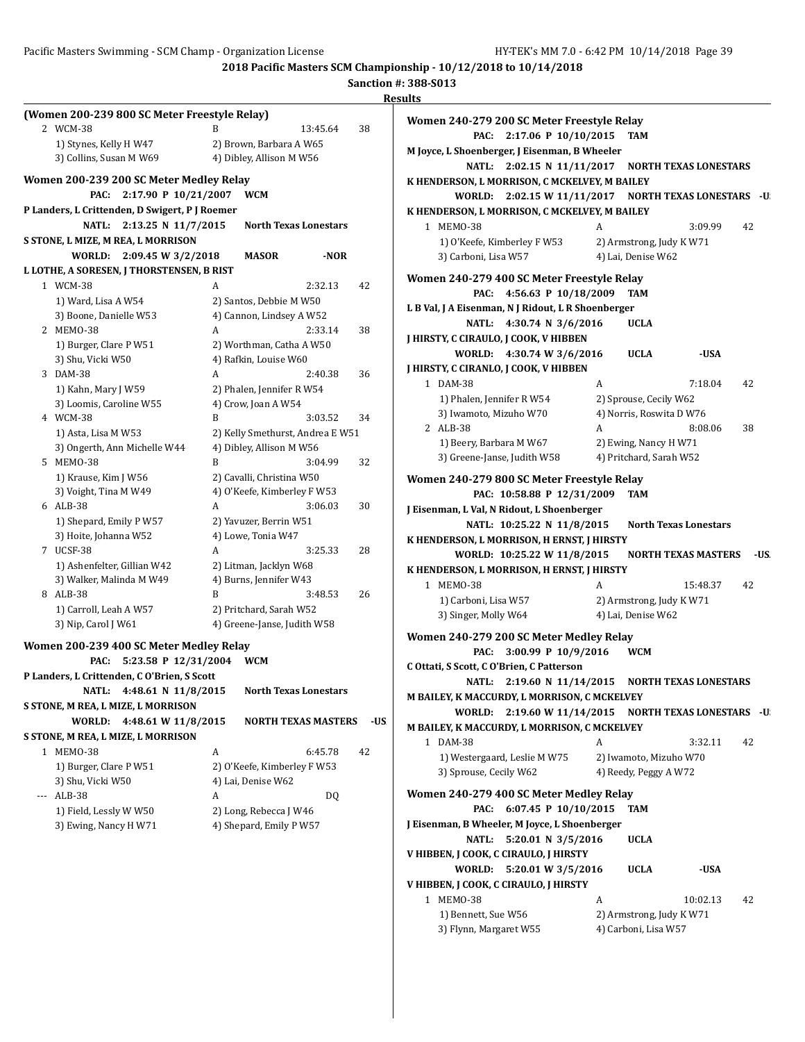**2018 Pacific Masters SCM Championship - 10/12/2018 to 10/14/2018 Sanction #: 388-S013**

|                                                |                                                   |                | <b>Results</b>                                      |                                                      |      |
|------------------------------------------------|---------------------------------------------------|----------------|-----------------------------------------------------|------------------------------------------------------|------|
| (Women 200-239 800 SC Meter Freestyle Relay)   |                                                   |                | Women 240-279 200 SC Meter Freestyle Relay          |                                                      |      |
| 2 WCM-38                                       | B                                                 | 13:45.64<br>38 | PAC: 2:17.06 P 10/10/2015 TAM                       |                                                      |      |
| 1) Stynes, Kelly H W47                         | 2) Brown, Barbara A W65                           |                | M Joyce, L Shoenberger, J Eisenman, B Wheeler       |                                                      |      |
| 3) Collins, Susan M W69                        | 4) Dibley, Allison M W56                          |                |                                                     | NATL: 2:02.15 N 11/11/2017 NORTH TEXAS LONESTARS     |      |
| Women 200-239 200 SC Meter Medley Relay        |                                                   |                | K HENDERSON, L MORRISON, C MCKELVEY, M BAILEY       |                                                      |      |
| PAC: 2:17.90 P 10/21/2007 WCM                  |                                                   |                |                                                     | WORLD: 2:02.15 W 11/11/2017 NORTH TEXAS LONESTARS -U |      |
| P Landers, L Crittenden, D Swigert, P J Roemer |                                                   |                | K HENDERSON, L MORRISON, C MCKELVEY, M BAILEY       |                                                      |      |
| NATL: 2:13.25 N 11/7/2015                      | <b>North Texas Lonestars</b>                      |                | 1 MEM0-38                                           | 3:09.99<br>A                                         | 42   |
| S STONE, L MIZE, M REA, L MORRISON             |                                                   |                | 1) O'Keefe, Kimberley F W53                         | 2) Armstrong, Judy K W71                             |      |
| WORLD: 2:09.45 W 3/2/2018                      | <b>MASOR</b>                                      | -NOR           | 3) Carboni, Lisa W57                                | 4) Lai, Denise W62                                   |      |
| L LOTHE, A SORESEN, J THORSTENSEN, B RIST      |                                                   |                | Women 240-279 400 SC Meter Freestyle Relay          |                                                      |      |
| 1 WCM-38                                       | A                                                 | 2:32.13<br>42  | PAC: 4:56.63 P 10/18/2009                           | TAM                                                  |      |
| 1) Ward, Lisa A W54                            | 2) Santos, Debbie M W50                           |                | L B Val, J A Eisenman, N J Ridout, L R Shoenberger  |                                                      |      |
| 3) Boone, Danielle W53                         | 4) Cannon, Lindsey A W52                          |                | NATL: 4:30.74 N 3/6/2016                            | <b>UCLA</b>                                          |      |
| 2 MEMO-38                                      | A                                                 | 2:33.14<br>38  | J HIRSTY, C CIRAULO, J COOK, V HIBBEN               |                                                      |      |
| 1) Burger, Clare P W51<br>3) Shu, Vicki W50    | 2) Worthman, Catha A W50<br>4) Rafkin, Louise W60 |                | WORLD: 4:30.74 W 3/6/2016                           | <b>UCLA</b><br>-USA                                  |      |
| 3 DAM-38                                       | A                                                 | 2:40.38<br>36  | J HIRSTY, C CIRANLO, J COOK, V HIBBEN               |                                                      |      |
| 1) Kahn, Mary J W59                            | 2) Phalen, Jennifer R W54                         |                | 1 DAM-38                                            | A<br>7:18.04                                         | 42   |
| 3) Loomis, Caroline W55                        | 4) Crow, Joan A W54                               |                | 1) Phalen, Jennifer R W54                           | 2) Sprouse, Cecily W62                               |      |
| 4 WCM-38                                       | B                                                 | 3:03.52<br>34  | 3) Iwamoto, Mizuho W70                              | 4) Norris, Roswita D W76                             |      |
| 1) Asta, Lisa M W53                            | 2) Kelly Smethurst, Andrea E W51                  |                | 2 ALB-38                                            | A<br>8:08.06                                         | 38   |
| 3) Ongerth, Ann Michelle W44                   | 4) Dibley, Allison M W56                          |                | 1) Beery, Barbara M W67                             | 2) Ewing, Nancy H W71                                |      |
| 5 MEMO-38                                      | B                                                 | 3:04.99<br>32  | 3) Greene-Janse, Judith W58                         | 4) Pritchard, Sarah W52                              |      |
| 1) Krause, Kim J W56                           | 2) Cavalli, Christina W50                         |                | Women 240-279 800 SC Meter Freestyle Relay          |                                                      |      |
| 3) Voight, Tina M W49                          | 4) O'Keefe, Kimberley F W53                       |                | PAC: 10:58.88 P 12/31/2009                          | <b>TAM</b>                                           |      |
| 6 ALB-38                                       | A                                                 | 3:06.03<br>30  | J Eisenman, L Val, N Ridout, L Shoenberger          |                                                      |      |
| 1) Shepard, Emily P W57                        | 2) Yavuzer, Berrin W51                            |                | NATL: 10:25.22 N 11/8/2015                          | <b>North Texas Lonestars</b>                         |      |
| 3) Hoite, Johanna W52                          | 4) Lowe, Tonia W47                                |                | K HENDERSON, L MORRISON, H ERNST, J HIRSTY          |                                                      |      |
| 7 UCSF-38<br>1) Ashenfelter, Gillian W42       | A<br>2) Litman, Jacklyn W68                       | 3:25.33<br>28  | WORLD: 10:25.22 W 11/8/2015                         | <b>NORTH TEXAS MASTERS</b>                           | -US. |
| 3) Walker, Malinda M W49                       | 4) Burns, Jennifer W43                            |                | K HENDERSON, L MORRISON, H ERNST, J HIRSTY          |                                                      |      |
| 8 ALB-38                                       | B                                                 | 3:48.53<br>26  | 1 MEM0-38                                           | A<br>15:48.37                                        | 42   |
| 1) Carroll, Leah A W57                         | 2) Pritchard, Sarah W52                           |                | 1) Carboni, Lisa W57                                | 2) Armstrong, Judy K W71                             |      |
| 3) Nip, Carol J W61                            | 4) Greene-Janse, Judith W58                       |                | 3) Singer, Molly W64                                | 4) Lai, Denise W62                                   |      |
| Women 200-239 400 SC Meter Medley Relay        |                                                   |                | Women 240-279 200 SC Meter Medley Relay             |                                                      |      |
| PAC: 5:23.58 P 12/31/2004 WCM                  |                                                   |                | PAC: 3:00.99 P 10/9/2016                            | <b>WCM</b>                                           |      |
| P Landers, L Crittenden, C O'Brien, S Scott    |                                                   |                | C Ottati, S Scott, C O'Brien, C Patterson           |                                                      |      |
| NATL: 4:48.61 N 11/8/2015                      | <b>North Texas Lonestars</b>                      |                |                                                     | NATL: 2:19.60 N 11/14/2015 NORTH TEXAS LONESTARS     |      |
| S STONE, M REA, L MIZE, L MORRISON             |                                                   |                | <b>M BAILEY, K MACCURDY, L MORRISON, C MCKELVEY</b> |                                                      |      |
| WORLD: 4:48.61 W 11/8/2015                     | <b>NORTH TEXAS MASTERS</b>                        | -US            |                                                     | WORLD: 2:19.60 W 11/14/2015 NORTH TEXAS LONESTARS -U |      |
| S STONE, M REA, L MIZE, L MORRISON             |                                                   |                | M BAILEY, K MACCURDY, L MORRISON, C MCKELVEY        |                                                      |      |
| 1 MEMO-38                                      | A                                                 | 6:45.78<br>42  | 1 DAM-38<br>1) Westergaard, Leslie M W75            | 3:32.11<br>A<br>2) Iwamoto, Mizuho W70               | 42   |
| 1) Burger, Clare P W51                         | 2) O'Keefe, Kimberley F W53                       |                | 3) Sprouse, Cecily W62                              | 4) Reedy, Peggy A W72                                |      |
| 3) Shu, Vicki W50                              | 4) Lai, Denise W62                                |                |                                                     |                                                      |      |
| --- ALB-38                                     | A                                                 | DQ             | Women 240-279 400 SC Meter Medley Relay             |                                                      |      |
| 1) Field, Lessly W W50                         | 2) Long, Rebecca J W46                            |                | PAC: 6:07.45 P 10/10/2015 TAM                       |                                                      |      |
| 3) Ewing, Nancy H W71                          | 4) Shepard, Emily P W57                           |                | J Eisenman, B Wheeler, M Joyce, L Shoenberger       |                                                      |      |
|                                                |                                                   |                | NATL: 5:20.01 N 3/5/2016                            | <b>UCLA</b>                                          |      |
|                                                |                                                   |                | V HIBBEN, J COOK, C CIRAULO, J HIRSTY               |                                                      |      |
|                                                |                                                   |                | WORLD: 5:20.01 W 3/5/2016                           | <b>UCLA</b><br>-USA                                  |      |
|                                                |                                                   |                | V HIBBEN, J COOK, C CIRAULO, J HIRSTY<br>1 MEM0-38  | 10:02.13<br>A                                        | 42   |
|                                                |                                                   |                | 1) Bennett, Sue W56                                 | 2) Armstrong, Judy K W71                             |      |
|                                                |                                                   |                |                                                     |                                                      |      |

3) Flynn, Margaret W55 4) Carboni, Lisa W57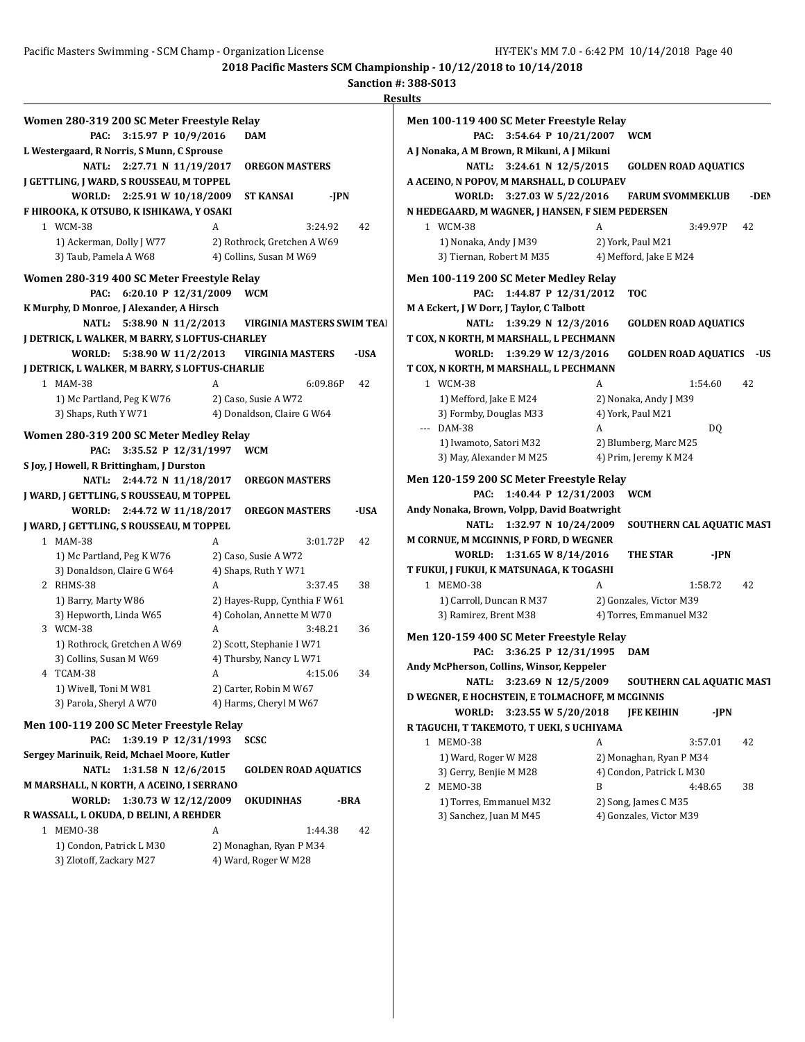|                                                |                              | K)                                |
|------------------------------------------------|------------------------------|-----------------------------------|
| Women 280-319 200 SC Meter Freestyle Relay     |                              |                                   |
| PAC:<br>3:15.97 P 10/9/2016                    | <b>DAM</b>                   |                                   |
| L Westergaard, R Norris, S Munn, C Sprouse     |                              |                                   |
| 2:27.71 N 11/19/2017<br><b>NATL:</b>           | <b>OREGON MASTERS</b>        |                                   |
| J GETTLING, J WARD, S ROUSSEAU, M TOPPEL       |                              |                                   |
| WORLD:<br>2:25.91 W 10/18/2009                 | <b>ST KANSAI</b>             | -JPN                              |
| F HIROOKA, K OTSUBO, K ISHIKAWA, Y OSAKI       |                              |                                   |
| 1 WCM-38                                       | A                            | 42<br>3:24.92                     |
| 1) Ackerman, Dolly J W77                       | 2) Rothrock, Gretchen A W69  |                                   |
| 3) Taub, Pamela A W68                          | 4) Collins, Susan M W69      |                                   |
|                                                |                              |                                   |
| Women 280-319 400 SC Meter Freestyle Relay     |                              |                                   |
| 6:20.10 P 12/31/2009<br>PAC:                   | <b>WCM</b>                   |                                   |
| K Murphy, D Monroe, J Alexander, A Hirsch      |                              |                                   |
| 5:38.90 N 11/2/2013<br><b>NATL:</b>            |                              | <b>VIRGINIA MASTERS SWIM TEAL</b> |
| J DETRICK, L WALKER, M BARRY, S LOFTUS-CHARLEY |                              |                                   |
| WORLD:<br>5:38.90 W 11/2/2013                  | <b>VIRGINIA MASTERS</b>      | -USA                              |
| J DETRICK, L WALKER, M BARRY, S LOFTUS-CHARLIE |                              |                                   |
| 1 MAM-38                                       | A                            | 6:09.86P<br>42                    |
| 1) Mc Partland, Peg K W76                      | 2) Caso, Susie A W72         |                                   |
| 3) Shaps, Ruth Y W71                           | 4) Donaldson, Claire G W64   |                                   |
| Women 280-319 200 SC Meter Medley Relay        |                              |                                   |
| 3:35.52 P 12/31/1997<br>PAC:                   | <b>WCM</b>                   |                                   |
| S Joy, J Howell, R Brittingham, J Durston      |                              |                                   |
| <b>NATL:</b><br>2:44.72 N 11/18/2017           | <b>OREGON MASTERS</b>        |                                   |
| J WARD, J GETTLING, S ROUSSEAU, M TOPPEL       |                              |                                   |
| 2:44.72 W 11/18/2017<br>WORLD:                 | <b>OREGON MASTERS</b>        | -USA                              |
| J WARD, J GETTLING, S ROUSSEAU, M TOPPEL       |                              |                                   |
| MAM-38<br>$\mathbf{1}$                         | A                            | 3:01.72P<br>42                    |
| 1) Mc Partland, Peg K W76                      | 2) Caso, Susie A W72         |                                   |
| 3) Donaldson, Claire G W64                     | 4) Shaps, Ruth Y W71         |                                   |
| 2 RHMS-38                                      | A                            | 3:37.45<br>38                     |
| 1) Barry, Marty W86                            | 2) Hayes-Rupp, Cynthia F W61 |                                   |
| 3) Hepworth, Linda W65                         | 4) Coholan, Annette M W70    |                                   |
| 3 WCM-38                                       | A                            | 3:48.21<br>36                     |
| 1) Rothrock, Gretchen A W69                    | 2) Scott, Stephanie I W71    |                                   |
| 3) Collins, Susan M W69                        | 4) Thursby, Nancy L W71      |                                   |
| 4 TCAM-38                                      | A                            | 4:15.06<br>34                     |
| 1) Wivell, Toni M W81                          | 2) Carter, Robin M W67       |                                   |
| 3) Parola, Sheryl A W70                        | 4) Harms, Cheryl M W67       |                                   |
|                                                |                              |                                   |
| Men 100-119 200 SC Meter Freestyle Relay       |                              |                                   |
| 1:39.19 P 12/31/1993<br>PAC:                   | <b>SCSC</b>                  |                                   |
| Sergey Marinuik, Reid, Mchael Moore, Kutler    |                              |                                   |
| 1:31.58 N 12/6/2015<br><b>NATL:</b>            |                              | <b>GOLDEN ROAD AQUATICS</b>       |
| M MARSHALL, N KORTH, A ACEINO, I SERRANO       |                              |                                   |
| 1:30.73 W 12/12/2009<br><b>WORLD:</b>          | <b>OKUDINHAS</b>             | -BRA                              |
| R WASSALL, L OKUDA, D BELINI, A REHDER         |                              |                                   |
| 1 MEM0-38                                      | A                            | 1:44.38<br>42                     |
| 1) Condon, Patrick L M30                       | 2) Monaghan, Ryan P M34      |                                   |
| 3) Zlotoff, Zackary M27                        | 4) Ward, Roger W M28         |                                   |

| 11.S |                                                  |   |                                                |          |      |
|------|--------------------------------------------------|---|------------------------------------------------|----------|------|
|      | Men 100-119 400 SC Meter Freestyle Relay         |   |                                                |          |      |
|      | PAC:<br>3:54.64 P 10/21/2007                     |   | <b>WCM</b>                                     |          |      |
|      | A J Nonaka, A M Brown, R Mikuni, A J Mikuni      |   |                                                |          |      |
|      | <b>NATL:</b><br>3:24.61 N 12/5/2015              |   | <b>GOLDEN ROAD AQUATICS</b>                    |          |      |
|      | A ACEINO, N POPOV, M MARSHALL, D COLUPAEV        |   |                                                |          |      |
|      | 3:27.03 W 5/22/2016<br>WORLD:                    |   | <b>FARUM SVOMMEKLUB</b>                        |          | -DEN |
|      | N HEDEGAARD, M WAGNER, J HANSEN, F SIEM PEDERSEN |   |                                                |          |      |
|      | 1 WCM-38                                         | A |                                                | 3:49.97P | 42   |
|      | 1) Nonaka, Andy J M39                            |   | 2) York, Paul M21                              |          |      |
|      | 3) Tiernan, Robert M M35                         |   | 4) Mefford, Jake E M24                         |          |      |
|      |                                                  |   |                                                |          |      |
|      | Men 100-119 200 SC Meter Medley Relay            |   |                                                |          |      |
|      | 1:44.87 P 12/31/2012<br>PAC:                     |   | <b>TOC</b>                                     |          |      |
|      | M A Eckert, J W Dorr, J Taylor, C Talbott        |   |                                                |          |      |
|      | <b>NATL:</b><br>1:39.29 N 12/3/2016              |   | <b>GOLDEN ROAD AQUATICS</b>                    |          |      |
|      | T COX, N KORTH, M MARSHALL, L PECHMANN           |   |                                                |          |      |
|      | 1:39.29 W 12/3/2016<br>WORLD:                    |   | <b>GOLDEN ROAD AQUATICS</b>                    |          | -US  |
|      | T COX, N KORTH, M MARSHALL, L PECHMANN           |   |                                                |          |      |
|      | 1 WCM-38                                         | A |                                                | 1:54.60  | 42   |
|      | 1) Mefford, Jake E M24                           |   | 2) Nonaka, Andy J M39                          |          |      |
|      | 3) Formby, Douglas M33<br>--- DAM-38             | A | 4) York, Paul M21                              |          |      |
|      |                                                  |   |                                                | DQ       |      |
|      | 1) Iwamoto, Satori M32                           |   | 2) Blumberg, Marc M25<br>4) Prim, Jeremy K M24 |          |      |
|      | 3) May, Alexander M M25                          |   |                                                |          |      |
|      | Men 120-159 200 SC Meter Freestyle Relay         |   |                                                |          |      |
|      | 1:40.44 P 12/31/2003<br>PAC:                     |   | <b>WCM</b>                                     |          |      |
|      | Andy Nonaka, Brown, Volpp, David Boatwright      |   |                                                |          |      |
|      | <b>NATL:</b><br>1:32.97 N 10/24/2009             |   | SOUTHERN CAL AQUATIC MAST                      |          |      |
|      | M CORNUE, M MCGINNIS, P FORD, D WEGNER           |   |                                                |          |      |
|      | 1:31.65 W 8/14/2016<br>WORLD:                    |   | <b>THE STAR</b>                                | -JPN     |      |
|      | T FUKUI, J FUKUI, K MATSUNAGA, K TOGASHI         |   |                                                |          |      |
|      | 1 MEM0-38                                        | A |                                                | 1:58.72  | 42   |
|      | 1) Carroll, Duncan R M37                         |   | 2) Gonzales, Victor M39                        |          |      |
|      | 3) Ramirez, Brent M38                            |   | 4) Torres, Emmanuel M32                        |          |      |
|      | Men 120-159 400 SC Meter Freestyle Relay         |   |                                                |          |      |
|      | 3:36.25 P 12/31/1995<br>PAC:                     |   | <b>DAM</b>                                     |          |      |
|      | Andy McPherson, Collins, Winsor, Keppeler        |   |                                                |          |      |
|      | <b>NATL:</b><br>3:23.69 N 12/5/2009              |   | <b>SOUTHERN CAL AQUATIC MAST</b>               |          |      |
|      | D WEGNER, E HOCHSTEIN, E TOLMACHOFF, M MCGINNIS  |   |                                                |          |      |
|      | WORLD:<br>3:23.55 W 5/20/2018                    |   | <b>IFE KEIHIN</b>                              | -JPN     |      |
|      | R TAGUCHI, T TAKEMOTO, T UEKI, S UCHIYAMA        |   |                                                |          |      |
|      | 1 MEMO-38                                        | A |                                                | 3:57.01  | 42   |
|      | 1) Ward, Roger W M28                             |   | 2) Monaghan, Ryan P M34                        |          |      |
|      | 3) Gerry, Benjie M M28                           |   | 4) Condon, Patrick L M30                       |          |      |
|      | 2 MEM0-38                                        | B |                                                | 4:48.65  | 38   |
|      | 1) Torres, Emmanuel M32                          |   | 2) Song, James C M35                           |          |      |
|      | 3) Sanchez, Juan M M45                           |   | 4) Gonzales, Victor M39                        |          |      |
|      |                                                  |   |                                                |          |      |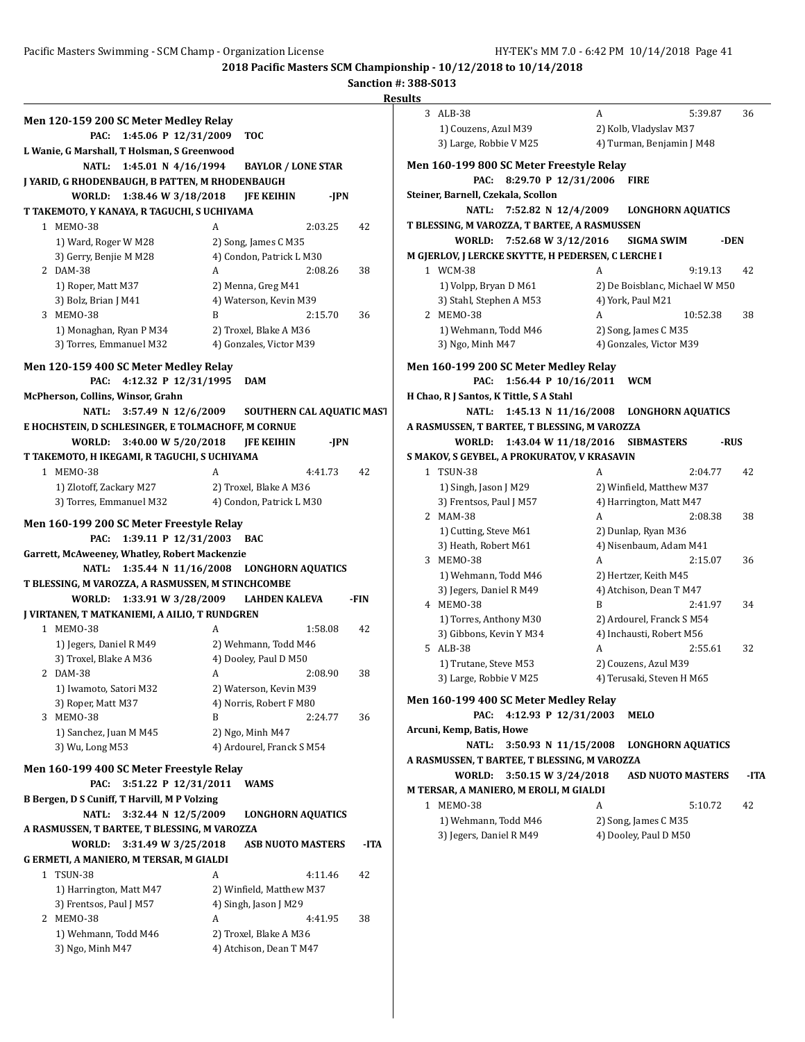### Pacific Masters Swimming - SCM Champ - Organization License HY-TEK's MM 7.0 - 6:42 PM 10/14/2018 Page 41

**2018 Pacific Masters SCM Championship - 10/12/2018 to 10/14/2018**

|                                                           |                                                  | Resu |
|-----------------------------------------------------------|--------------------------------------------------|------|
| Men 120-159 200 SC Meter Medley Relay                     |                                                  |      |
| 1:45.06 P 12/31/2009<br>PAC:                              | <b>TOC</b>                                       |      |
| L Wanie, G Marshall, T Holsman, S Greenwood               |                                                  |      |
| 1:45.01 N $4/16/1994$<br>NATL:                            | <b>BAYLOR / LONE STAR</b>                        |      |
| J YARID, G RHODENBAUGH, B PATTEN, M RHODENBAUGH           |                                                  |      |
| WORLD:<br>1:38.46 W 3/18/2018                             | <b>JFE KEIHIN</b><br>-JPN                        |      |
| T TAKEMOTO, Y KANAYA, R TAGUCHI, S UCHIYAMA               |                                                  |      |
| 1 MEMO-38<br>1) Ward, Roger W M28                         | 2:03.25<br>A                                     | 42   |
| 3) Gerry, Benjie M M28                                    | 2) Song, James C M35<br>4) Condon, Patrick L M30 |      |
| 2 DAM-38                                                  | A<br>2:08.26                                     | 38   |
| 1) Roper, Matt M37                                        | 2) Menna, Greg M41                               |      |
| 3) Bolz, Brian J M41                                      | 4) Waterson, Kevin M39                           |      |
| 3 MEMO-38                                                 | 2:15.70<br>B                                     | 36   |
| 1) Monaghan, Ryan P M34                                   | 2) Troxel, Blake A M36                           |      |
| 3) Torres, Emmanuel M32                                   | 4) Gonzales, Victor M39                          |      |
| Men 120-159 400 SC Meter Medley Relay                     |                                                  |      |
| 4:12.32 P 12/31/1995<br>PAC:                              | <b>DAM</b>                                       |      |
| McPherson, Collins, Winsor, Grahn                         |                                                  |      |
| NATL:<br>3:57.49 N 12/6/2009                              | SOUTHERN CAL AQUATIC MAST                        |      |
| E HOCHSTEIN, D SCHLESINGER, E TOLMACHOFF, M CORNUE        |                                                  |      |
| 3:40.00 W 5/20/2018<br>WORLD:                             | <b>IFE KEIHIN</b><br>-JPN                        |      |
| T TAKEMOTO, H IKEGAMI, R TAGUCHI, S UCHIYAMA<br>1 MEMO-38 | A<br>4:41.73                                     | 42   |
| 1) Zlotoff, Zackary M27                                   | 2) Troxel, Blake A M36                           |      |
| 3) Torres, Emmanuel M32                                   | 4) Condon, Patrick L M30                         |      |
|                                                           |                                                  |      |
| Men 160-199 200 SC Meter Freestyle Relay<br>PAC:          | 1:39.11 P 12/31/2003 BAC                         |      |
| Garrett, McAweeney, Whatley, Robert Mackenzie             |                                                  |      |
| NATL:                                                     | 1:35.44 N 11/16/2008 LONGHORN AQUATICS           |      |
| T BLESSING, M VAROZZA, A RASMUSSEN, M STINCHCOMBE         |                                                  |      |
| WORLD:                                                    | 1:33.91 W 3/28/2009 LAHDEN KALEVA                | -FIN |
| J VIRTANEN, T MATKANIEMI, A AILIO, T RUNDGREN             |                                                  |      |
| 1 MEMO-38                                                 | A<br>1:58.08                                     | 42   |
| 1) Jegers, Daniel R M49                                   | 2) Wehmann, Todd M46                             |      |
| 3) Troxel, Blake A M36<br>2 DAM-38                        | 4) Dooley, Paul D M50                            | 38   |
| 1) Iwamoto, Satori M32                                    | A<br>2:08.90<br>2) Waterson, Kevin M39           |      |
| 3) Roper, Matt M37                                        | 4) Norris, Robert F M80                          |      |
| 3 MEMO-38                                                 | B<br>2:24.77                                     | 36   |
| 1) Sanchez, Juan M M45                                    | 2) Ngo, Minh M47                                 |      |
| 3) Wu, Long M53                                           | 4) Ardourel, Franck S M54                        |      |
| Men 160-199 400 SC Meter Freestyle Relay                  |                                                  |      |
| 3:51.22 P 12/31/2011<br>PAC:                              | WAMS                                             |      |
| <b>B Bergen, D S Cuniff, T Harvill, M P Volzing</b>       |                                                  |      |
| <b>NATL:</b><br>3:32.44 N 12/5/2009                       | <b>LONGHORN AQUATICS</b>                         |      |
| A RASMUSSEN, T BARTEE, T BLESSING, M VAROZZA              |                                                  |      |
| <b>WORLD:</b><br>3:31.49 W 3/25/2018                      | <b>ASB NUOTO MASTERS</b>                         | -ITA |
| G ERMETI, A MANIERO, M TERSAR, M GIALDI                   |                                                  |      |
| 1 TSUN-38                                                 | A<br>4:11.46                                     | 42   |
| 1) Harrington, Matt M47                                   | 2) Winfield, Matthew M37                         |      |
| 3) Frentsos, Paul J M57                                   | 4) Singh, Jason J M29                            |      |
| 2 MEMO-38<br>1) Wehmann, Todd M46                         | A<br>4:41.95<br>2) Troxel, Blake A M36           | 38   |
| 3) Ngo, Minh M47                                          | 4) Atchison, Dean T M47                          |      |
|                                                           |                                                  |      |

| 3 | ALB-38                                             | A                              | 5:39.87  | 36   |
|---|----------------------------------------------------|--------------------------------|----------|------|
|   | 1) Couzens, Azul M39                               | 2) Kolb, Vladyslav M37         |          |      |
|   | 3) Large, Robbie V M25                             | 4) Turman, Benjamin J M48      |          |      |
|   | Men 160-199 800 SC Meter Freestyle Relay           |                                |          |      |
|   | 8:29.70 P 12/31/2006<br>PAC:                       | <b>FIRE</b>                    |          |      |
|   | Steiner, Barnell, Czekala, Scollon                 |                                |          |      |
|   | 7:52.82 N 12/4/2009<br>NATL:                       | <b>LONGHORN AQUATICS</b>       |          |      |
|   | T BLESSING, M VAROZZA, T BARTEE, A RASMUSSEN       |                                |          |      |
|   | WORLD:<br>7:52.68 W 3/12/2016                      | <b>SIGMA SWIM</b>              | -DEN     |      |
|   | M GJERLOV, J LERCKE SKYTTE, H PEDERSEN, C LERCHE I |                                |          |      |
|   | 1 WCM-38                                           | A                              | 9:19.13  | 42   |
|   | 1) Volpp, Bryan D M61                              | 2) De Boisblanc, Michael W M50 |          |      |
|   | 3) Stahl, Stephen A M53                            | 4) York, Paul M21              |          |      |
|   | 2 MEMO-38                                          | A                              | 10:52.38 | 38   |
|   | 1) Wehmann, Todd M46                               | 2) Song, James C M35           |          |      |
|   | 3) Ngo, Minh M47                                   | 4) Gonzales, Victor M39        |          |      |
|   |                                                    |                                |          |      |
|   | Men 160-199 200 SC Meter Medley Relay              |                                |          |      |
|   | 1:56.44 P 10/16/2011<br>PAC:                       | WCM                            |          |      |
|   | H Chao, R J Santos, K Tittle, S A Stahl            |                                |          |      |
|   | 1:45.13 N 11/16/2008<br><b>NATL:</b>               | <b>LONGHORN AQUATICS</b>       |          |      |
|   | A RASMUSSEN, T BARTEE, T BLESSING, M VAROZZA       |                                |          |      |
|   | WORLD:<br>1:43.04 W 11/18/2016                     | <b>SIBMASTERS</b>              | -RUS     |      |
|   | S MAKOV, S GEYBEL, A PROKURATOV, V KRASAVIN        |                                |          |      |
|   | 1 TSUN-38                                          | A                              | 2:04.77  | 42   |
|   | 1) Singh, Jason J M29                              | 2) Winfield, Matthew M37       |          |      |
|   | 3) Frentsos, Paul J M57                            | 4) Harrington, Matt M47        |          |      |
|   | 2 MAM-38                                           | A                              | 2:08.38  | 38   |
|   | 1) Cutting, Steve M61                              | 2) Dunlap, Ryan M36            |          |      |
|   | 3) Heath, Robert M61                               | 4) Nisenbaum, Adam M41         |          |      |
|   | 3 MEMO-38                                          | A                              | 2:15.07  | 36   |
|   | 1) Wehmann, Todd M46                               | 2) Hertzer, Keith M45          |          |      |
|   | 3) Jegers, Daniel R M49                            | 4) Atchison, Dean T M47        |          |      |
|   | 4 MEMO-38                                          | B                              | 2:41.97  | 34   |
|   | 1) Torres, Anthony M30                             | 2) Ardourel, Franck S M54      |          |      |
|   | 3) Gibbons, Kevin Y M34                            | 4) Inchausti, Robert M56       |          |      |
|   | 5 ALB-38                                           | A                              | 2:55.61  | 32   |
|   | 1) Trutane, Steve M53                              | 2) Couzens, Azul M39           |          |      |
|   | 3) Large, Robbie V M25                             | 4) Terusaki, Steven H M65      |          |      |
|   | Men 160-199 400 SC Meter Medley Relay              |                                |          |      |
|   | 4:12.93 P 12/31/2003<br>PAC:                       | MELO                           |          |      |
|   | Arcuni, Kemp, Batis, Howe                          |                                |          |      |
|   | <b>NATL:</b><br>3:50.93 N 11/15/2008               | <b>LONGHORN AQUATICS</b>       |          |      |
|   | A RASMUSSEN, T BARTEE, T BLESSING, M VAROZZA       |                                |          |      |
|   | <b>WORLD:</b><br>3:50.15 W 3/24/2018               | <b>ASD NUOTO MASTERS</b>       |          | -ITA |
|   | M TERSAR, A MANIERO, M EROLI, M GIALDI             |                                |          |      |
|   | 1 MEMO-38                                          | A                              | 5:10.72  | 42   |
|   | 1) Wehmann, Todd M46                               | 2) Song, James C M35           |          |      |
|   | 3) Jegers, Daniel R M49                            | 4) Dooley, Paul D M50          |          |      |
|   |                                                    |                                |          |      |
|   |                                                    |                                |          |      |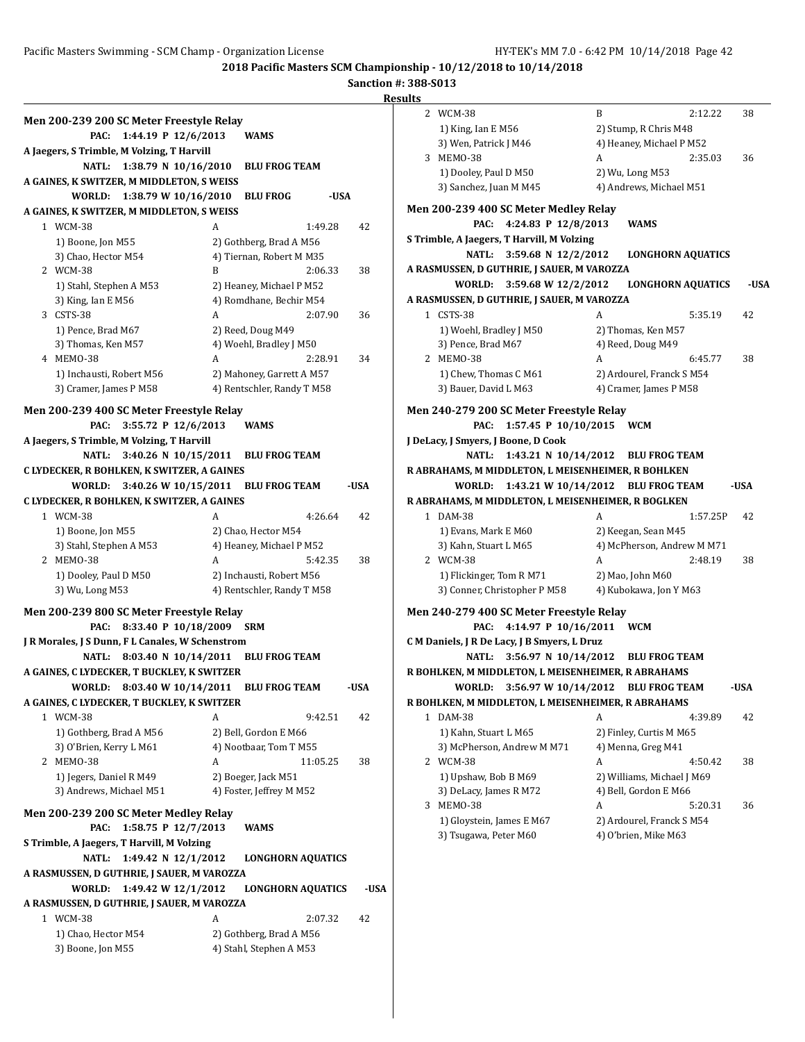### Pacific Masters Swimming - SCM Champ - Organization License HY-TEK's MM 7.0 - 6:42 PM 10/14/2018 Page 42

**2018 Pacific Masters SCM Championship - 10/12/2018 to 10/14/2018**

## **Sanction #: 388-S013**

|                                                                                  |                                                         | R    |
|----------------------------------------------------------------------------------|---------------------------------------------------------|------|
| Men 200-239 200 SC Meter Freestyle Relay                                         |                                                         |      |
| 1:44.19 P 12/6/2013<br>PAC:                                                      | <b>WAMS</b>                                             |      |
| A Jaegers, S Trimble, M Volzing, T Harvill                                       |                                                         |      |
| NATL: 1:38.79 N 10/16/2010                                                       | <b>BLU FROG TEAM</b>                                    |      |
| A GAINES, K SWITZER, M MIDDLETON, S WEISS                                        |                                                         |      |
| WORLD: 1:38.79 W 10/16/2010                                                      | <b>BLU FROG</b><br>-USA                                 |      |
| A GAINES, K SWITZER, M MIDDLETON, S WEISS                                        |                                                         |      |
| 1 WCM-38                                                                         | A<br>1:49.28                                            | 42   |
| 1) Boone, Jon M55                                                                | 2) Gothberg, Brad A M56                                 |      |
| 3) Chao, Hector M54                                                              | 4) Tiernan, Robert M M35                                |      |
| 2 WCM-38                                                                         | 2:06.33<br>B                                            | 38   |
| 1) Stahl, Stephen A M53                                                          | 2) Heaney, Michael P M52                                |      |
| 3) King, Ian E M56                                                               | 4) Romdhane, Bechir M54                                 |      |
| 3 CSTS-38                                                                        | 2:07.90<br>A                                            | 36   |
| 1) Pence, Brad M67                                                               | 2) Reed, Doug M49                                       |      |
| 3) Thomas, Ken M57                                                               | 4) Woehl, Bradley J M50                                 |      |
| 4 MEMO-38                                                                        | A<br>2:28.91                                            | 34   |
| 1) Inchausti, Robert M56<br>3) Cramer, James P M58                               | 2) Mahoney, Garrett A M57<br>4) Rentschler, Randy T M58 |      |
|                                                                                  |                                                         |      |
| Men 200-239 400 SC Meter Freestyle Relay                                         |                                                         |      |
| 3:55.72 P 12/6/2013<br>PAC:                                                      | WAMS                                                    |      |
| A Jaegers, S Trimble, M Volzing, T Harvill                                       |                                                         |      |
| NATL:                                                                            | 3:40.26 N 10/15/2011 BLU FROG TEAM                      |      |
| C LYDECKER, R BOHLKEN, K SWITZER, A GAINES                                       |                                                         |      |
| WORLD:                                                                           | 3:40.26 W 10/15/2011 BLU FROG TEAM                      | -USA |
| C LYDECKER, R BOHLKEN, K SWITZER, A GAINES                                       |                                                         |      |
| 1 WCM-38                                                                         | 4:26.64<br>A                                            | 42   |
| 1) Boone, Jon M55<br>3) Stahl, Stephen A M53                                     | 2) Chao, Hector M54<br>4) Heaney, Michael P M52         |      |
| 2 MEMO-38                                                                        | A<br>5:42.35                                            | 38   |
| 1) Dooley, Paul D M50                                                            | 2) Inchausti, Robert M56                                |      |
| 3) Wu, Long M53                                                                  | 4) Rentschler, Randy T M58                              |      |
|                                                                                  |                                                         |      |
| Men 200-239 800 SC Meter Freestyle Relay                                         |                                                         |      |
| 8:33.40 P 10/18/2009<br>PAC:<br>J R Morales, J S Dunn, F L Canales, W Schenstrom | <b>SRM</b>                                              |      |
| NATL:                                                                            | 8:03.40 N 10/14/2011 BLU FROG TEAM                      |      |
| A GAINES, C LYDECKER, T BUCKLEY, K SWITZER                                       |                                                         |      |
| WORLD: 8:03.40 W 10/14/2011 BLU FROG TEAM                                        |                                                         | -USA |
| A GAINES, C LYDECKER, T BUCKLEY, K SWITZER                                       |                                                         |      |
| 1 WCM-38                                                                         | A<br>9:42.51                                            | 42   |
| 1) Gothberg, Brad A M56                                                          | 2) Bell, Gordon E M66                                   |      |
| 3) O'Brien, Kerry L M61                                                          | 4) Nootbaar, Tom T M55                                  |      |
| 2 MEMO-38                                                                        | A<br>11:05.25                                           | 38   |
| 1) Jegers, Daniel R M49                                                          | 2) Boeger, Jack M51                                     |      |
| 3) Andrews, Michael M51                                                          | 4) Foster, Jeffrey M M52                                |      |
| Men 200-239 200 SC Meter Medley Relay                                            |                                                         |      |
| 1:58.75 P 12/7/2013<br>PAC:                                                      | <b>WAMS</b>                                             |      |
| S Trimble, A Jaegers, T Harvill, M Volzing                                       |                                                         |      |
| 1:49.42 N 12/1/2012<br><b>NATL:</b>                                              | <b>LONGHORN AQUATICS</b>                                |      |
| A RASMUSSEN, D GUTHRIE, J SAUER, M VAROZZA                                       |                                                         |      |
| 1:49.42 W 12/1/2012<br>WORLD:                                                    | <b>LONGHORN AQUATICS</b>                                | -USA |
| A RASMUSSEN, D GUTHRIE, J SAUER, M VAROZZA                                       |                                                         |      |
| 1 WCM-38                                                                         | 2:07.32<br>A                                            | 42   |
| 1) Chao, Hector M54                                                              | 2) Gothberg, Brad A M56                                 |      |
| 3) Boone, Jon M55                                                                | 4) Stahl, Stephen A M53                                 |      |
|                                                                                  |                                                         |      |

| esults    |                         |                                                    |   |                                    |      |
|-----------|-------------------------|----------------------------------------------------|---|------------------------------------|------|
| 2 WCM-38  |                         |                                                    | B | 2:12.22                            | 38   |
|           | 1) King, Ian E M56      |                                                    |   | 2) Stump, R Chris M48              |      |
|           | 3) Wen, Patrick J M46   |                                                    |   | 4) Heaney, Michael P M52           |      |
| 3 MEMO-38 |                         |                                                    | A | 2:35.03                            | 36   |
|           | 1) Dooley, Paul D M50   |                                                    |   | 2) Wu, Long M53                    |      |
|           | 3) Sanchez, Juan M M45  |                                                    |   | 4) Andrews, Michael M51            |      |
|           |                         | Men 200-239 400 SC Meter Medley Relay              |   |                                    |      |
|           | PAC:                    | 4:24.83 P 12/8/2013                                |   | <b>WAMS</b>                        |      |
|           |                         | S Trimble, A Jaegers, T Harvill, M Volzing         |   |                                    |      |
|           | NATL:                   | 3:59.68 N 12/2/2012                                |   | <b>LONGHORN AQUATICS</b>           |      |
|           |                         | A RASMUSSEN, D GUTHRIE, J SAUER, M VAROZZA         |   |                                    |      |
|           | WORLD:                  | 3:59.68 W 12/2/2012                                |   | <b>LONGHORN AQUATICS</b>           | -USA |
|           |                         | A RASMUSSEN, D GUTHRIE, J SAUER, M VAROZZA         |   |                                    |      |
| 1 CSTS-38 |                         |                                                    | A | 5:35.19                            | 42   |
|           | 1) Woehl, Bradley J M50 |                                                    |   | 2) Thomas, Ken M57                 |      |
|           | 3) Pence, Brad M67      |                                                    |   | 4) Reed, Doug M49                  |      |
| 2 MEMO-38 |                         |                                                    | A | 6:45.77                            | 38   |
|           | 1) Chew, Thomas C M61   |                                                    |   | 2) Ardourel, Franck S M54          |      |
|           | 3) Bauer, David L M63   |                                                    |   | 4) Cramer, James P M58             |      |
|           |                         |                                                    |   |                                    |      |
|           |                         | Men 240-279 200 SC Meter Freestyle Relay           |   |                                    |      |
|           | PAC:                    | 1:57.45 P 10/10/2015                               |   | <b>WCM</b>                         |      |
|           |                         | J DeLacy, J Smyers, J Boone, D Cook                |   |                                    |      |
|           | NATL:                   | 1:43.21 N 10/14/2012                               |   | <b>BLU FROG TEAM</b>               |      |
|           |                         | R ABRAHAMS, M MIDDLETON, L MEISENHEIMER, R BOHLKEN |   |                                    |      |
|           | WORLD:                  |                                                    |   | 1:43.21 W 10/14/2012 BLU FROG TEAM | -USA |
|           |                         | R ABRAHAMS, M MIDDLETON, L MEISENHEIMER, R BOGLKEN |   |                                    |      |
| 1 DAM-38  |                         |                                                    | A | 1:57.25P                           | 42   |
|           | 1) Evans, Mark E M60    |                                                    |   | 2) Keegan, Sean M45                |      |
|           | 3) Kahn, Stuart L M65   |                                                    |   | 4) McPherson, Andrew M M71         |      |
| 2 WCM-38  |                         |                                                    | A | 2:48.19                            | 38   |
|           |                         | 1) Flickinger, Tom R M71                           |   | 2) Mao, John M60                   |      |
|           |                         | 3) Conner, Christopher P M58                       |   | 4) Kubokawa, Jon Y M63             |      |
|           |                         | Men 240-279 400 SC Meter Freestyle Relay           |   |                                    |      |
|           | PAC:                    | 4:14.97 P 10/16/2011                               |   | <b>WCM</b>                         |      |
|           |                         | C M Daniels, J R De Lacy, J B Smyers, L Druz       |   |                                    |      |
|           | <b>NATL:</b>            | 3:56.97 N 10/14/2012                               |   | <b>BLU FROG TEAM</b>               |      |
|           |                         | R BOHLKEN, M MIDDLETON, L MEISENHEIMER, R ABRAHAMS |   |                                    |      |
|           | WORLD:                  | 3:56.97 W 10/14/2012                               |   | <b>BLU FROG TEAM</b>               | -USA |
|           |                         | R BOHLKEN, M MIDDLETON, L MEISENHEIMER, R ABRAHAMS |   |                                    |      |
| 1 DAM-38  |                         |                                                    | A | 4:39.89                            | 42   |
|           | 1) Kahn, Stuart L M65   |                                                    |   | 2) Finley, Curtis M M65            |      |
|           |                         | 3) McPherson, Andrew M M71                         |   | 4) Menna, Greg M41                 |      |
| 2 WCM-38  |                         |                                                    | A | 4:50.42                            | 38   |
|           | 1) Upshaw, Bob B M69    |                                                    |   | 2) Williams, Michael J M69         |      |
|           | 3) DeLacy, James R M72  |                                                    |   | 4) Bell, Gordon E M66              |      |
| 3 MEMO-38 |                         |                                                    | A | 5:20.31                            | 36   |
|           |                         | 1) Gloystein, James E M67                          |   | 2) Ardourel, Franck S M54          |      |
|           | 3) Tsugawa, Peter M60   |                                                    |   | 4) O'brien, Mike M63               |      |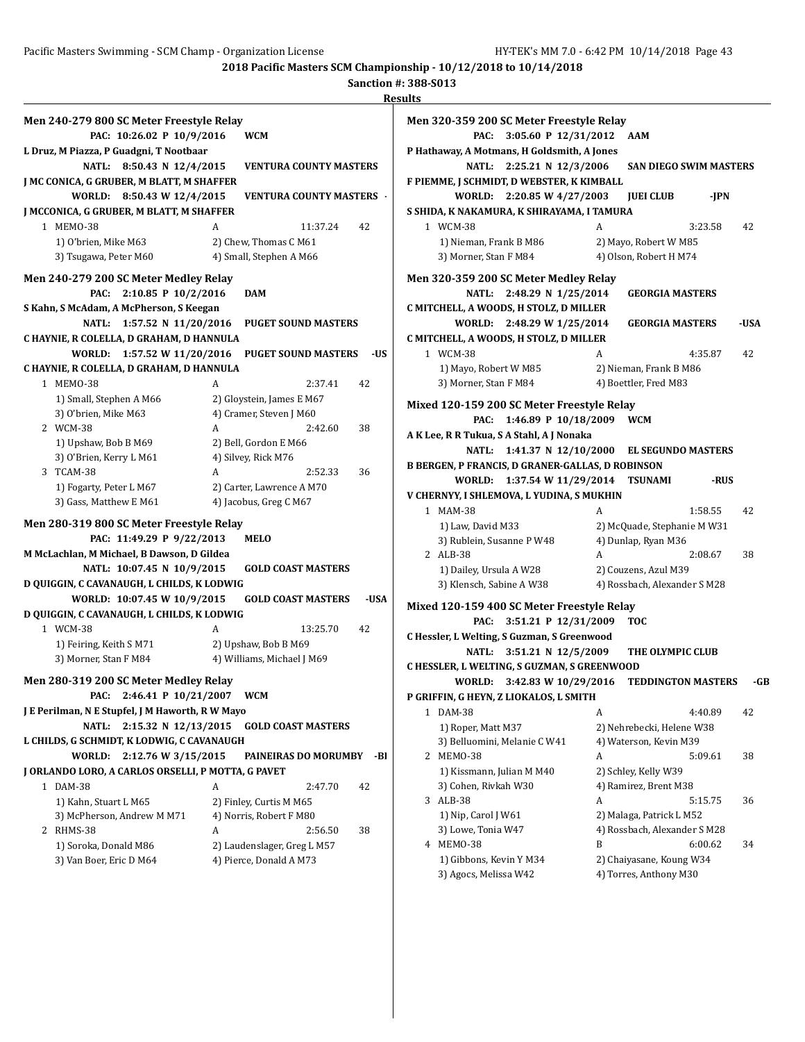|                                                    |   |                                 | <b>Results</b> |
|----------------------------------------------------|---|---------------------------------|----------------|
| Men 240-279 800 SC Meter Freestyle Relay           |   |                                 | Mei            |
| PAC: 10:26.02 P 10/9/2016                          |   | <b>WCM</b>                      |                |
| L Druz, M Piazza, P Guadgni, T Nootbaar            |   |                                 | P Ha           |
| NATL:<br>8:50.43 N 12/4/2015                       |   | <b>VENTURA COUNTY MASTERS</b>   |                |
| J MC CONICA, G GRUBER, M BLATT, M SHAFFER          |   |                                 | F PI           |
| WORLD:<br>8:50.43 W 12/4/2015                      |   | <b>VENTURA COUNTY MASTERS ·</b> |                |
| J MCCONICA, G GRUBER, M BLATT, M SHAFFER           |   |                                 | S SH           |
|                                                    |   |                                 |                |
| 1 MEM0-38                                          | A | 11:37.24                        | 42             |
| 1) O'brien, Mike M63                               |   | 2) Chew, Thomas C M61           |                |
| 3) Tsugawa, Peter M60                              |   | 4) Small, Stephen A M66         |                |
| Men 240-279 200 SC Meter Medley Relay              |   |                                 | Mei            |
| PAC:<br>2:10.85 P 10/2/2016                        |   | <b>DAM</b>                      |                |
| S Kahn, S McAdam, A McPherson, S Keegan            |   |                                 | C MI           |
| <b>NATL:</b><br>1:57.52 N 11/20/2016               |   | <b>PUGET SOUND MASTERS</b>      |                |
| C HAYNIE, R COLELLA, D GRAHAM, D HANNULA           |   |                                 | C M            |
| WORLD:<br>1:57.52 W 11/20/2016                     |   | <b>PUGET SOUND MASTERS</b>      | -US            |
| C HAYNIE, R COLELLA, D GRAHAM, D HANNULA           |   |                                 |                |
| 1 MEM0-38                                          | A | 2:37.41                         | 42             |
| 1) Small, Stephen A M66                            |   | 2) Glovstein, James E M67       |                |
|                                                    |   |                                 | Mix            |
| 3) O'brien, Mike M63                               | A | 4) Cramer, Steven J M60         |                |
| 2 WCM-38                                           |   | 2:42.60                         | 38<br>A K      |
| 1) Upshaw, Bob B M69                               |   | 2) Bell, Gordon E M66           |                |
| 3) O'Brien, Kerry L M61                            |   | 4) Silvey, Rick M76             | <b>B</b> B     |
| 3 TCAM-38                                          | A | 2:52.33                         | 36             |
| 1) Fogarty, Peter L M67                            |   | 2) Carter, Lawrence A M70       | V CI           |
| 3) Gass, Matthew E M61                             |   | 4) Jacobus, Greg C M67          |                |
| Men 280-319 800 SC Meter Freestyle Relay           |   |                                 |                |
| PAC: 11:49.29 P 9/22/2013                          |   | MELO                            |                |
| M McLachlan, M Michael, B Dawson, D Gildea         |   |                                 |                |
| NATL: 10:07.45 N 10/9/2015                         |   | <b>GOLD COAST MASTERS</b>       |                |
| D QUIGGIN, C CAVANAUGH, L CHILDS, K LODWIG         |   |                                 |                |
| WORLD: 10:07.45 W 10/9/2015                        |   | <b>GOLD COAST MASTERS</b>       | -USA           |
| D QUIGGIN, C CAVANAUGH, L CHILDS, K LODWIG         |   |                                 | Mix            |
| 1 WCM-38                                           | A | 13:25.70                        | 42             |
|                                                    |   |                                 | C H            |
| 1) Feiring, Keith SM71                             |   | 2) Upshaw, Bob B M69            |                |
| 3) Morner, Stan F M84                              |   | 4) Williams, Michael J M69      | C HI           |
| Men 280-319 200 SC Meter Medley Relay              |   |                                 |                |
| 2:46.41 P 10/21/2007<br>PAC:                       |   | <b>WCM</b>                      | P GI           |
| J E Perilman, N E Stupfel, J M Haworth, R W Mayo   |   |                                 |                |
| NATL:<br>2:15.32 N 12/13/2015                      |   | <b>GOLD COAST MASTERS</b>       |                |
| L CHILDS, G SCHMIDT, K LODWIG, C CAVANAUGH         |   |                                 |                |
| WORLD:<br>2:12.76 W 3/15/2015                      |   | PAINEIRAS DO MORUMBY            | -BI            |
| J ORLANDO LORO, A CARLOS ORSELLI, P MOTTA, G PAVET |   |                                 |                |
| 1 DAM-38                                           | A | 2:47.70                         | 42             |
|                                                    |   | 2) Finley, Curtis M M65         |                |
| 1) Kahn, Stuart L M65                              |   |                                 |                |
| 3) McPherson, Andrew M M71                         |   | 4) Norris, Robert F M80         |                |
| 2 RHMS-38                                          | A | 2:56.50                         | 38             |
| 1) Soroka, Donald M86                              |   | 2) Laudenslager, Greg L M57     |                |
| 3) Van Boer, Eric D M64                            |   | 4) Pierce, Donald A M73         |                |

|   | Men 320-359 200 SC Meter Freestyle Relay         |                                         |                               |      |
|---|--------------------------------------------------|-----------------------------------------|-------------------------------|------|
|   | 3:05.60 P 12/31/2012<br>PAC:                     | AAM                                     |                               |      |
|   | P Hathaway, A Motmans, H Goldsmith, A Jones      |                                         |                               |      |
|   | NATL:<br>2:25.21 N 12/3/2006                     |                                         | <b>SAN DIEGO SWIM MASTERS</b> |      |
|   | F PIEMME, J SCHMIDT, D WEBSTER, K KIMBALL        |                                         |                               |      |
|   | WORLD: 2:20.85 W 4/27/2003                       | <b>JUEI CLUB</b>                        | -JPN                          |      |
|   | S SHIDA, K NAKAMURA, K SHIRAYAMA, I TAMURA       |                                         |                               |      |
|   | 1 WCM-38                                         | A                                       | 3:23.58                       | 42   |
|   | 1) Nieman, Frank B M86                           | 2) Mayo, Robert W M85                   |                               |      |
|   | 3) Morner, Stan F M84                            | 4) Olson, Robert H M74                  |                               |      |
|   | Men 320-359 200 SC Meter Medley Relay            |                                         |                               |      |
|   | 2:48.29 N 1/25/2014<br>NATL:                     | <b>GEORGIA MASTERS</b>                  |                               |      |
|   | C MITCHELL, A WOODS, H STOLZ, D MILLER           |                                         |                               |      |
|   | 2:48.29 W 1/25/2014<br>WORLD:                    | GEORGIA MASTERS                         |                               | -USA |
|   | C MITCHELL, A WOODS, H STOLZ, D MILLER           |                                         |                               |      |
|   |                                                  |                                         |                               |      |
|   | 1 WCM-38                                         | A                                       | 4:35.87                       | 42   |
|   | 1) Mayo, Robert W M85                            | 2) Nieman, Frank B M86                  |                               |      |
|   | 3) Morner, Stan F M84                            | 4) Boettler, Fred M83                   |                               |      |
|   | Mixed 120-159 200 SC Meter Freestyle Relay       |                                         |                               |      |
|   | 1:46.89 P 10/18/2009<br>PAC:                     | <b>WCM</b>                              |                               |      |
|   | A K Lee, R R Tukua, S A Stahl, A J Nonaka        |                                         |                               |      |
|   | <b>NATL:</b>                                     | 1:41.37 N 12/10/2000 EL SEGUNDO MASTERS |                               |      |
|   | B BERGEN, P FRANCIS, D GRANER-GALLAS, D ROBINSON |                                         |                               |      |
|   | 1:37.54 W 11/29/2014<br>WORLD:                   | <b>TSUNAMI</b>                          | -RUS                          |      |
|   | V CHERNYY, I SHLEMOVA, L YUDINA, S MUKHIN        |                                         |                               |      |
|   | 1 MAM-38                                         | A                                       | 1:58.55                       | 42   |
|   | 1) Law, David M33                                | 2) McQuade, Stephanie M W31             |                               |      |
|   | 3) Rublein, Susanne P W48                        | 4) Dunlap, Ryan M36                     |                               |      |
|   | 2 ALB-38                                         | A                                       | 2:08.67                       | 38   |
|   | 1) Dailey, Ursula A W28                          | 2) Couzens, Azul M39                    |                               |      |
|   | 3) Klensch, Sabine A W38                         | 4) Rossbach, Alexander S M28            |                               |      |
|   |                                                  |                                         |                               |      |
|   | Mixed 120-159 400 SC Meter Freestyle Relay       |                                         |                               |      |
|   | 3:51.21 P 12/31/2009<br>PAC:                     | <b>TOC</b>                              |                               |      |
|   | C Hessler, L Welting, S Guzman, S Greenwood      |                                         |                               |      |
|   | NATL:<br>3:51.21 N 12/5/2009                     | THE OLYMPIC CLUB                        |                               |      |
|   | C HESSLER, L WELTING, S GUZMAN, S GREENWOOD      |                                         |                               |      |
|   | WORLD: 3:42.83 W 10/29/2016                      |                                         | <b>TEDDINGTON MASTERS</b>     | -GB  |
|   | P GRIFFIN, G HEYN, Z LIOKALOS, L SMITH           |                                         |                               |      |
|   | 1 DAM-38                                         | A                                       | 4:40.89                       | 42   |
|   | 1) Roper, Matt M37                               | 2) Nehrebecki, Helene W38               |                               |      |
|   | 3) Belluomini, Melanie C W41                     | 4) Waterson, Kevin M39                  |                               |      |
| 2 | MEMO-38                                          | A                                       | 5:09.61                       | 38   |
|   | 1) Kissmann, Julian M M40                        | 2) Schley, Kelly W39                    |                               |      |
|   | 3) Cohen, Rivkah W30                             | 4) Ramirez, Brent M38                   |                               |      |
| 3 | ALB-38                                           | A                                       | 5:15.75                       | 36   |
|   | 1) Nip, Carol J W61                              | 2) Malaga, Patrick L M52                |                               |      |
|   | 3) Lowe, Tonia W47                               | 4) Rossbach, Alexander S M28            |                               |      |
|   | 4 MEMO-38                                        | B                                       | 6:00.62                       | 34   |
|   | 1) Gibbons, Kevin Y M34                          | 2) Chaiyasane, Koung W34                |                               |      |
|   |                                                  |                                         |                               |      |

3) Agocs, Melissa W42 4) Torres, Anthony M30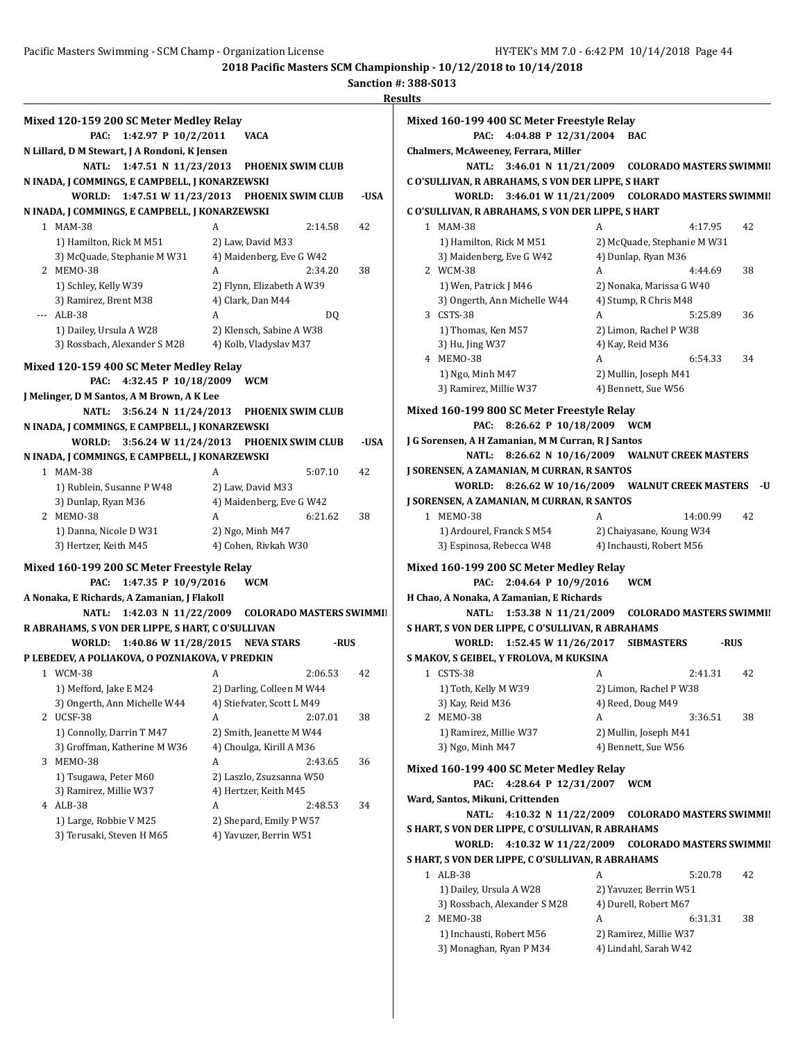|     |                                                   |                                        | ne:  |
|-----|---------------------------------------------------|----------------------------------------|------|
|     | Mixed 120-159 200 SC Meter Medley Relay           |                                        |      |
|     | 1:42.97 P 10/2/2011<br>PAC:                       | VACA                                   |      |
|     | N Lillard, D M Stewart, J A Rondoni, K Jensen     |                                        |      |
|     | 1:47.51 N 11/23/2013<br>NATL:                     | <b>PHOENIX SWIM CLUB</b>               |      |
|     | N INADA, J COMMINGS, E CAMPBELL, J KONARZEWSKI    |                                        |      |
|     | WORLD:                                            | 1:47.51 W 11/23/2013 PHOENIX SWIM CLUB | -USA |
|     | N INADA, J COMMINGS, E CAMPBELL, J KONARZEWSKI    |                                        |      |
|     | 1 MAM-38                                          | A<br>2:14.58                           | 42   |
|     | 1) Hamilton, Rick M M51                           | 2) Law, David M33                      |      |
|     | 3) McQuade, Stephanie M W31                       | 4) Maidenberg, Eve G W42               |      |
|     | 2 MEMO-38                                         | A<br>2:34.20                           | 38   |
|     | 1) Schley, Kelly W39                              | 2) Flynn, Elizabeth A W39              |      |
|     | 3) Ramirez, Brent M38                             | 4) Clark, Dan M44                      |      |
| --- | ALB-38                                            | A<br>DQ                                |      |
|     | 1) Dailey, Ursula A W28                           | 2) Klensch, Sabine A W38               |      |
|     | 3) Rossbach, Alexander S M28                      | 4) Kolb, Vladyslav M37                 |      |
|     |                                                   |                                        |      |
|     | Mixed 120-159 400 SC Meter Medley Relay           |                                        |      |
|     | 4:32.45 P 10/18/2009<br>PAC:                      | <b>WCM</b>                             |      |
|     | J Melinger, D M Santos, A M Brown, A K Lee        |                                        |      |
|     | <b>NATL:</b><br>3:56.24 N 11/24/2013              | <b>PHOENIX SWIM CLUB</b>               |      |
|     | N INADA, J COMMINGS, E CAMPBELL, J KONARZEWSKI    |                                        |      |
|     | WORLD:<br>3:56.24 W 11/24/2013                    | <b>PHOENIX SWIM CLUB</b>               | -USA |
|     | N INADA, J COMMINGS, E CAMPBELL, J KONARZEWSKI    |                                        |      |
|     | 1 MAM-38                                          | 5:07.10<br>A                           | 42   |
|     | 1) Rublein, Susanne P W48                         | 2) Law, David M33                      |      |
|     | 3) Dunlap, Ryan M36                               | 4) Maidenberg, Eve G W42               |      |
|     | 2 MEMO-38                                         | 6:21.62<br>A                           | 38   |
|     | 1) Danna, Nicole D W31                            | 2) Ngo, Minh M47                       |      |
|     | 3) Hertzer, Keith M45                             | 4) Cohen, Rivkah W30                   |      |
|     | Mixed 160-199 200 SC Meter Freestyle Relay        |                                        |      |
|     | 1:47.35 P 10/9/2016<br>PAC:                       | <b>WCM</b>                             |      |
|     | A Nonaka, E Richards, A Zamanian, J Flakoll       |                                        |      |
|     | 1:42.03 N 11/22/2009<br>NATL:                     | <b>COLORADO MASTERS SWIMMII</b>        |      |
|     | R ABRAHAMS, S VON DER LIPPE, S HART, C O'SULLIVAN |                                        |      |
|     | WORLD: 1:40.86 W 11/28/2015                       | NEVA STARS<br>-RUS                     |      |
|     | P LEBEDEV, A POLIAKOVA, O POZNIAKOVA, V PREDKIN   |                                        |      |
|     | 1 WCM-38                                          | 2:06.53<br>A                           | 42   |
|     | 1) Mefford, Jake E M24                            | 2) Darling, Colleen M W44              |      |
|     | 3) Ongerth, Ann Michelle W44                      | 4) Stiefvater, Scott L M49             |      |
| 2   | UCSF-38                                           | A<br>2:07.01                           | 38   |
|     | 1) Connolly, Darrin T M47                         | 2) Smith, Jeanette M W44               |      |
|     | 3) Groffman, Katherine M W36                      | 4) Choulga, Kirill A M36               |      |
| 3   | MEMO-38                                           | А<br>2:43.65                           | 36   |
|     | 1) Tsugawa, Peter M60                             | 2) Laszlo, Zsuzsanna W50               |      |
|     | 3) Ramirez, Millie W37                            | 4) Hertzer, Keith M45                  |      |
|     | 4 ALB-38                                          | А<br>2:48.53                           | 34   |
|     |                                                   |                                        |      |
|     | 1) Large, Robbie V M25                            | 2) Shepard, Emily P W57                |      |
|     | 3) Terusaki, Steven H M65                         | 4) Yavuzer, Berrin W51                 |      |

| Mixed 160-199 400 SC Meter Freestyle Relay<br>4:04.88 P 12/31/2004<br>PAC: |   | BAC                                          |      |
|----------------------------------------------------------------------------|---|----------------------------------------------|------|
| Chalmers, McAweeney, Ferrara, Miller                                       |   |                                              |      |
| <b>NATL:</b><br>3:46.01 N 11/21/2009                                       |   | <b>COLORADO MASTERS SWIMMII</b>              |      |
| C O'SULLIVAN, R ABRAHAMS, S VON DER LIPPE, S HART                          |   |                                              |      |
| WORLD:                                                                     |   | 3:46.01 W 11/21/2009 COLORADO MASTERS SWIMMI |      |
| C O'SULLIVAN, R ABRAHAMS, S VON DER LIPPE, S HART                          |   |                                              |      |
| 1 MAM-38                                                                   | A | 4:17.95                                      | 42   |
| 1) Hamilton, Rick M M51                                                    |   | 2) McQuade, Stephanie M W31                  |      |
| 3) Maidenberg, Eve G W42                                                   |   | 4) Dunlap, Ryan M36                          |      |
| 2 WCM-38                                                                   | A | 4:44.69                                      | 38   |
| 1) Wen, Patrick J M46                                                      |   | 2) Nonaka, Marissa G W40                     |      |
| 3) Ongerth, Ann Michelle W44                                               |   | 4) Stump, R Chris M48                        |      |
| 3 CSTS-38                                                                  | A | 5:25.89                                      | 36   |
| 1) Thomas, Ken M57                                                         |   | 2) Limon, Rachel P W38                       |      |
| 3) Hu, Jing W37                                                            |   | 4) Kay, Reid M36                             |      |
| 4 MEMO-38                                                                  | A | 6:54.33                                      | 34   |
| 1) Ngo, Minh M47                                                           |   | 2) Mullin, Joseph M41                        |      |
| 3) Ramirez, Millie W37                                                     |   | 4) Bennett, Sue W56                          |      |
| Mixed 160-199 800 SC Meter Freestyle Relay                                 |   |                                              |      |
| PAC:<br>8:26.62 P 10/18/2009                                               |   | WCM                                          |      |
| J G Sorensen, A H Zamanian, M M Curran, R J Santos                         |   |                                              |      |
| <b>NATL:</b><br>8:26.62 N 10/16/2009                                       |   | <b>WALNUT CREEK MASTERS</b>                  |      |
| J SORENSEN, A ZAMANIAN, M CURRAN, R SANTOS                                 |   |                                              |      |
| WORLD:                                                                     |   | 8:26.62 W 10/16/2009 WALNUT CREEK MASTERS    | -U   |
| J SORENSEN, A ZAMANIAN, M CURRAN, R SANTOS                                 |   |                                              |      |
| 1 MEMO-38                                                                  | A | 14:00.99                                     | 42   |
| 1) Ardourel, Franck S M54                                                  |   | 2) Chaiyasane, Koung W34                     |      |
| 3) Espinosa, Rebecca W48                                                   |   | 4) Inchausti, Robert M56                     |      |
| Mixed 160-199 200 SC Meter Medley Relay                                    |   |                                              |      |
| PAC:<br>2:04.64 P 10/9/2016                                                |   | WCM                                          |      |
| H Chao, A Nonaka, A Zamanian, E Richards                                   |   |                                              |      |
| 1:53.38 N 11/21/2009<br>NATL:                                              |   | <b>COLORADO MASTERS SWIMMII</b>              |      |
| S HART, S VON DER LIPPE, C O'SULLIVAN, R ABRAHAMS                          |   |                                              |      |
| 1:52.45 W 11/26/2017<br>WORLD:                                             |   | SIBMASTERS                                   | -RUS |
| S MAKOV, S GEIBEL, Y FROLOVA, M KUKSINA                                    |   |                                              |      |
| 1 CSTS-38                                                                  | A | 2:41.31                                      | 42   |
| 1) Toth, Kelly M W39                                                       |   | 2) Limon, Rachel P W38                       |      |
| 3) Kay, Reid M36                                                           |   | 4) Reed, Doug M49                            |      |
| 2 MEMO-38                                                                  | A | 3:36.51                                      | 38   |
| 1) Ramirez, Millie W37                                                     |   | 2) Mullin, Joseph M41                        |      |
| 3) Ngo, Minh M47                                                           |   | 4) Bennett, Sue W56                          |      |
|                                                                            |   |                                              |      |
| Mixed 160-199 400 SC Meter Medley Relay                                    |   |                                              |      |
| 4:28.64 P 12/31/2007<br>PAC:                                               |   | <b>WCM</b>                                   |      |
| Ward, Santos, Mikuni, Crittenden                                           |   |                                              |      |
| 4:10.32 N 11/22/2009<br>NATL:                                              |   | <b>COLORADO MASTERS SWIMMII</b>              |      |
| S HART, S VON DER LIPPE, C O'SULLIVAN, R ABRAHAMS                          |   |                                              |      |
| 4:10.32 W 11/22/2009<br>WORLD:                                             |   | <b>COLORADO MASTERS SWIMMII</b>              |      |
| S HART, S VON DER LIPPE, C O'SULLIVAN, R ABRAHAMS                          |   |                                              |      |
| 1 ALB-38                                                                   | A | 5:20.78                                      | 42   |
| 1) Dailey, Ursula A W28                                                    |   | 2) Yavuzer, Berrin W51                       |      |
| 3) Rossbach, Alexander S M28                                               |   | 4) Durell, Robert M67                        |      |
| 2 MEMO-38                                                                  | A | 6:31.31                                      | 38   |
| 1) Inchausti, Robert M56                                                   |   | 2) Ramirez, Millie W37                       |      |
| 3) Monaghan, Ryan P M34                                                    |   | 4) Lindahl, Sarah W42                        |      |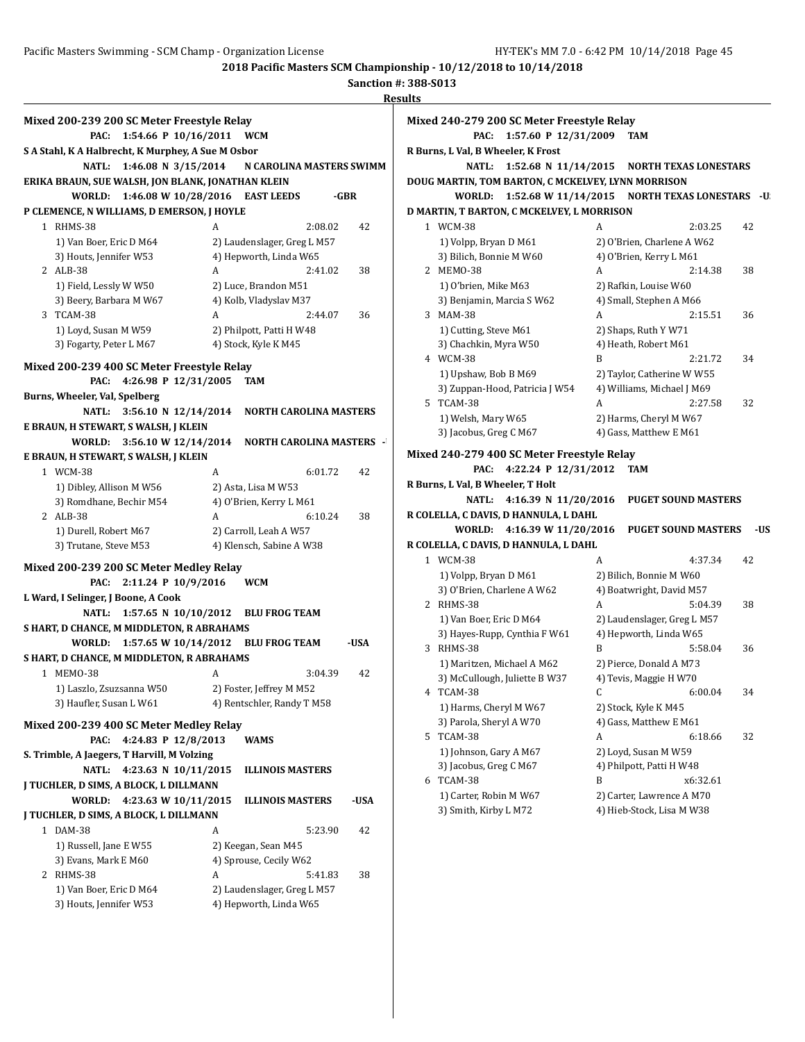|                                                                             |   |                                                        | Rest |
|-----------------------------------------------------------------------------|---|--------------------------------------------------------|------|
| Mixed 200-239 200 SC Meter Freestyle Relay                                  |   |                                                        |      |
| 1:54.66 P 10/16/2011<br>PAC:                                                |   | <b>WCM</b>                                             |      |
| S A Stahl, K A Halbrecht, K Murphey, A Sue M Osbor                          |   |                                                        |      |
| 1:46.08 N 3/15/2014<br>NATL:                                                |   | N CAROLINA MASTERS SWIMM                               |      |
| ERIKA BRAUN, SUE WALSH, JON BLANK, JONATHAN KLEIN                           |   |                                                        |      |
| 1:46.08 W 10/28/2016<br>WORLD:                                              |   | <b>EAST LEEDS</b>                                      | -GBR |
| P CLEMENCE, N WILLIAMS, D EMERSON, J HOYLE                                  |   |                                                        |      |
| 1 RHMS-38                                                                   | A | 2:08.02                                                | 42   |
| 1) Van Boer, Eric D M64                                                     |   | 2) Laudenslager, Greg L M57                            |      |
| 3) Houts, Jennifer W53                                                      |   | 4) Hepworth, Linda W65                                 |      |
| 2 ALB-38                                                                    | A | 2:41.02                                                | 38   |
| 1) Field, Lessly W W50                                                      |   | 2) Luce, Brandon M51                                   |      |
| 3) Beery, Barbara M W67                                                     |   | 4) Kolb, Vladyslav M37                                 |      |
| 3 TCAM-38                                                                   | A | 2:44.07                                                | 36   |
| 1) Loyd, Susan M W59                                                        |   | 2) Philpott, Patti H W48                               |      |
| 3) Fogarty, Peter L M67                                                     |   | 4) Stock, Kyle K M45                                   |      |
|                                                                             |   |                                                        |      |
| Mixed 200-239 400 SC Meter Freestyle Relay<br>4:26.98 P 12/31/2005<br>PAC:  |   | TAM                                                    |      |
| Burns, Wheeler, Val, Spelberg                                               |   |                                                        |      |
| $3:56.10 \text{ N } 12/14/2014$<br>NATL:                                    |   | <b>NORTH CAROLINA MASTERS</b>                          |      |
| E BRAUN, H STEWART, S WALSH, J KLEIN                                        |   |                                                        |      |
| 3:56.10 W 12/14/2014<br>WORLD:                                              |   | <b>NORTH CAROLINA MASTERS -</b>                        |      |
| E BRAUN, H STEWART, S WALSH, J KLEIN                                        |   |                                                        |      |
| 1 WCM-38                                                                    | A | 6:01.72                                                | 42   |
| 1) Dibley, Allison M W56                                                    |   | 2) Asta, Lisa M W53                                    |      |
| 3) Romdhane, Bechir M54                                                     |   | 4) O'Brien, Kerry L M61                                |      |
| 2 ALB-38                                                                    | A | 6:10.24                                                | 38   |
| 1) Durell, Robert M67                                                       |   | 2) Carroll, Leah A W57                                 |      |
| 3) Trutane, Steve M53                                                       |   | 4) Klensch, Sabine A W38                               |      |
|                                                                             |   |                                                        |      |
| Mixed 200-239 200 SC Meter Medley Relay<br>PAC:                             |   |                                                        |      |
| 2:11.24 P 10/9/2016                                                         |   | <b>WCM</b>                                             |      |
| L Ward, I Selinger, J Boone, A Cook<br>NATL:                                |   | <b>BLU FROG TEAM</b>                                   |      |
| 1:57.65 N $10/10/2012$<br>S HART, D CHANCE, M MIDDLETON, R ABRAHAMS         |   |                                                        |      |
|                                                                             |   |                                                        | -USA |
| 1:57.65 W 10/14/2012<br>WORLD:<br>S HART, D CHANCE, M MIDDLETON, R ABRAHAMS |   | <b>BLU FROG TEAM</b>                                   |      |
| 1 MEMO-38                                                                   | A | 3:04.39                                                | 42   |
|                                                                             |   |                                                        |      |
| 1) Laszlo, Zsuzsanna W50<br>3) Haufler, Susan L W61                         |   | 2) Foster, Jeffrey M M52<br>4) Rentschler, Randy T M58 |      |
|                                                                             |   |                                                        |      |
| Mixed 200-239 400 SC Meter Medley Relay                                     |   |                                                        |      |
| 4:24.83 P 12/8/2013<br>PAC:                                                 |   | WAMS                                                   |      |
| S. Trimble, A Jaegers, T Harvill, M Volzing                                 |   |                                                        |      |
| 4:23.63 N 10/11/2015<br><b>NATL:</b>                                        |   | <b>ILLINOIS MASTERS</b>                                |      |
| J TUCHLER, D SIMS, A BLOCK, L DILLMANN                                      |   |                                                        |      |
| WORLD:<br>4:23.63 W 10/11/2015                                              |   | <b>ILLINOIS MASTERS</b>                                | -USA |
| J TUCHLER, D SIMS, A BLOCK, L DILLMANN                                      |   |                                                        |      |
| 1 DAM-38                                                                    | A | 5:23.90                                                | 42   |
| 1) Russell, Jane E W55                                                      |   | 2) Keegan, Sean M45                                    |      |
| 3) Evans, Mark E M60                                                        |   | 4) Sprouse, Cecily W62                                 |      |
| 2 RHMS-38                                                                   | A | 5:41.83                                                | 38   |
| 1) Van Boer, Eric D M64                                                     |   | 2) Laudenslager, Greg L M57                            |      |
| 3) Houts, Jennifer W53                                                      |   | 4) Hepworth, Linda W65                                 |      |
|                                                                             |   |                                                        |      |

|    | Mixed 240-279 200 SC Meter Freestyle Relay         |                                    |
|----|----------------------------------------------------|------------------------------------|
|    | PAC:<br>1:57.60 P 12/31/2009                       | <b>TAM</b>                         |
|    | R Burns, L Val, B Wheeler, K Frost                 |                                    |
|    | NATL:<br>1:52.68 N 11/14/2015                      | <b>NORTH TEXAS LONESTARS</b>       |
|    | DOUG MARTIN, TOM BARTON, C MCKELVEY, LYNN MORRISON |                                    |
|    | WORLD:<br>1:52.68 W 11/14/2015                     | <b>NORTH TEXAS LONESTARS</b><br>-U |
|    | D MARTIN, T BARTON, C MCKELVEY, L MORRISON         |                                    |
|    | 1 WCM-38                                           | A<br>2:03.25<br>42                 |
|    | 1) Volpp, Bryan D M61                              | 2) O'Brien, Charlene A W62         |
|    | 3) Bilich, Bonnie M W60                            | 4) O'Brien, Kerry L M61            |
|    | 2 MEMO-38                                          | 2:14.38<br>38<br>A                 |
|    |                                                    | 2) Rafkin, Louise W60              |
|    | 1) O'brien, Mike M63<br>3) Benjamin, Marcia S W62  | 4) Small, Stephen A M66            |
|    | 3 MAM-38                                           | A<br>2:15.51<br>36                 |
|    |                                                    |                                    |
|    | 1) Cutting, Steve M61                              | 2) Shaps, Ruth Y W71               |
|    | 3) Chachkin, Myra W50                              | 4) Heath, Robert M61               |
|    | 4 WCM-38                                           | B<br>2:21.72<br>34                 |
|    | 1) Upshaw, Bob B M69                               | 2) Taylor, Catherine W W55         |
|    | 3) Zuppan-Hood, Patricia J W54                     | 4) Williams, Michael J M69         |
| 5  | TCAM-38                                            | A<br>2:27.58<br>32                 |
|    | 1) Welsh, Mary W65                                 | 2) Harms, Cheryl M W67             |
|    | 3) Jacobus, Greg C M67                             | 4) Gass, Matthew E M61             |
|    | Mixed 240-279 400 SC Meter Freestyle Relay         |                                    |
|    | 4:22.24 P 12/31/2012<br>PAC:                       | <b>TAM</b>                         |
|    | R Burns, L Val, B Wheeler, T Holt                  |                                    |
|    | <b>NATL:</b><br>4:16.39 N 11/20/2016               | <b>PUGET SOUND MASTERS</b>         |
|    | R COLELLA, C DAVIS, D HANNULA, L DAHL              |                                    |
|    | 4:16.39 W 11/20/2016<br>WORLD:                     | <b>PUGET SOUND MASTERS</b><br>-US  |
|    | R COLELLA, C DAVIS, D HANNULA, L DAHL              |                                    |
|    | 1 WCM-38                                           | A<br>4:37.34<br>42                 |
|    |                                                    |                                    |
|    | 1) Volpp, Bryan D M61                              | 2) Bilich, Bonnie M W60            |
|    | 3) O'Brien, Charlene A W62                         | 4) Boatwright, David M57           |
|    | 2 RHMS-38                                          | A<br>5:04.39<br>38                 |
|    | 1) Van Boer, Eric D M64                            | 2) Laudenslager, Greg L M57        |
|    | 3) Hayes-Rupp, Cynthia F W61                       | 4) Hepworth, Linda W65             |
|    | 3 RHMS-38                                          | B<br>5:58.04<br>36                 |
|    | 1) Maritzen, Michael A M62                         | 2) Pierce, Donald A M73            |
|    | 3) McCullough, Juliette B W37                      | 4) Tevis, Maggie H W70             |
|    | 4 TCAM-38                                          | 34<br>6:00.04<br>C.                |
|    | 1) Harms, Cheryl M W67                             | 2) Stock, Kyle K M45               |
|    | 3) Parola, Sheryl A W70                            | 4) Gass, Matthew E M61             |
| 5. | TCAM-38                                            | A<br>6:18.66<br>32                 |
|    | 1) Johnson, Gary A M67                             | 2) Loyd, Susan M W59               |
|    | 3) Jacobus, Greg C M67                             | 4) Philpott, Patti H W48           |
| 6  | TCAM-38                                            | B<br>x6:32.61                      |
|    | 1) Carter, Robin M W67                             | 2) Carter, Lawrence A M70          |
|    | 3) Smith, Kirby L M72                              | 4) Hieb-Stock, Lisa M W38          |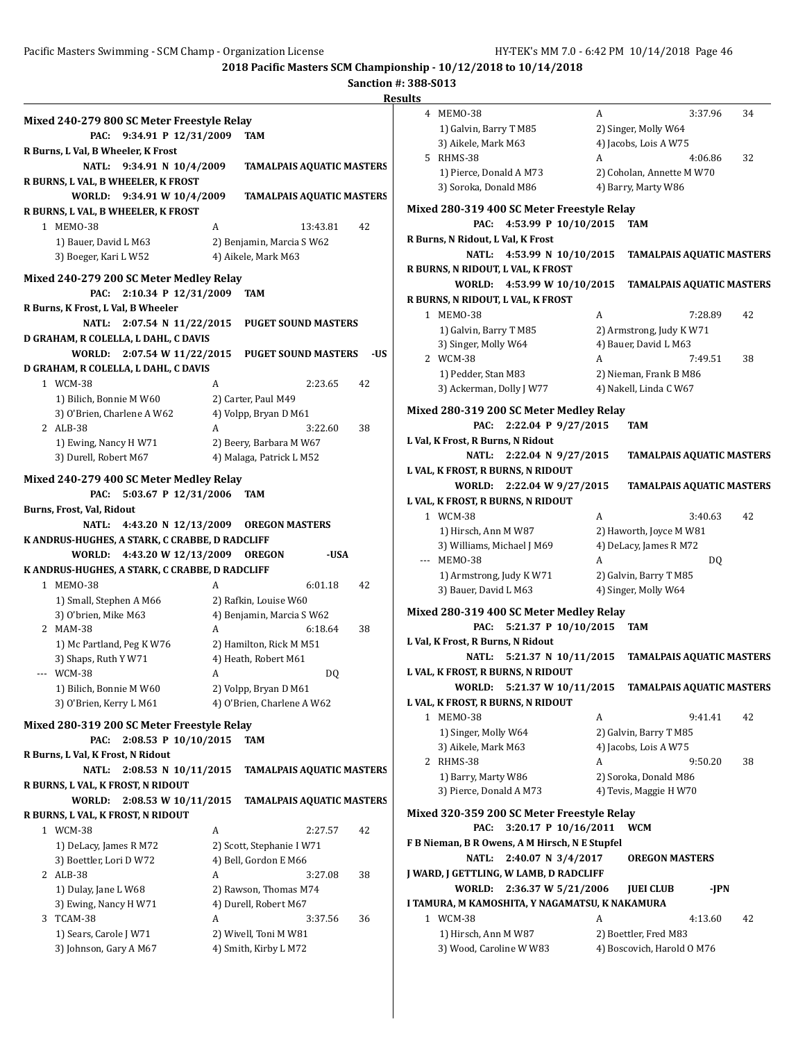# **Sanction #: 388-S013**

|                                                |   |                                  |     | <b>Results</b>          |
|------------------------------------------------|---|----------------------------------|-----|-------------------------|
| Mixed 240-279 800 SC Meter Freestyle Relay     |   |                                  |     | 4 MEMO-3                |
| 9:34.91 P 12/31/2009<br>PAC:                   |   | TAM                              |     | 1) Galvir               |
| R Burns, L Val, B Wheeler, K Frost             |   |                                  |     | 3) Aikele               |
| NATL: 9:34.91 N 10/4/2009                      |   | <b>TAMALPAIS AQUATIC MASTERS</b> |     | 5 RHMS-38               |
| R BURNS, L VAL, B WHEELER, K FROST             |   |                                  |     | 1) Pierce               |
| WORLD: 9:34.91 W 10/4/2009                     |   | <b>TAMALPAIS AQUATIC MASTERS</b> |     | 3) Sorok                |
| R BURNS, L VAL, B WHEELER, K FROST             |   |                                  |     | <b>Mixed 280-31</b>     |
| 1 MEMO-38                                      | A | 13:43.81                         | 42  |                         |
| 1) Bauer, David L M63                          |   | 2) Benjamin, Marcia S W62        |     | R Burns, N Rido         |
| 3) Boeger, Kari L W52                          |   | 4) Aikele, Mark M63              |     | N/                      |
|                                                |   |                                  |     | <b>R BURNS, N RIL</b>   |
| Mixed 240-279 200 SC Meter Medley Relay        |   |                                  |     | <b>WOR</b>              |
| 2:10.34 P 12/31/2009<br>PAC:                   |   | TAM                              |     | <b>R BURNS, N RIL</b>   |
| R Burns, K Frost, L Val, B Wheeler             |   |                                  |     | 1 MEM0-3                |
| NATL: 2:07.54 N 11/22/2015                     |   | <b>PUGET SOUND MASTERS</b>       |     | 1) Galvir               |
| D GRAHAM, R COLELLA, L DAHL, C DAVIS           |   |                                  |     | 3) Singer               |
| WORLD: 2:07.54 W 11/22/2015                    |   | <b>PUGET SOUND MASTERS</b>       | -US | 2 WCM-38                |
| D GRAHAM, R COLELLA, L DAHL, C DAVIS           |   |                                  |     | 1) Pedde                |
| 1 WCM-38                                       | A | 2:23.65                          | 42  | 3) Acker                |
| 1) Bilich, Bonnie M W60                        |   | 2) Carter, Paul M49              |     |                         |
| 3) O'Brien, Charlene A W62                     |   | 4) Volpp, Bryan D M61            |     | <b>Mixed 280-31</b>     |
| 2 ALB-38                                       | A | 3:22.60                          | 38  |                         |
| 1) Ewing, Nancy H W71                          |   | 2) Beery, Barbara M W67          |     | L Val, K Frost, R       |
| 3) Durell, Robert M67                          |   | 4) Malaga, Patrick L M52         |     | N/                      |
| Mixed 240-279 400 SC Meter Medley Relay        |   |                                  |     | <b>L VAL, K FROST</b>   |
| 5:03.67 P 12/31/2006<br>PAC:                   |   | <b>TAM</b>                       |     | <b>WOR</b>              |
| Burns, Frost, Val, Ridout                      |   |                                  |     | <b>L VAL, K FROST</b>   |
| <b>NATL:</b><br>4:43.20 N 12/13/2009           |   | <b>OREGON MASTERS</b>            |     | 1 WCM-38                |
| K ANDRUS-HUGHES, A STARK, C CRABBE, D RADCLIFF |   |                                  |     | 1) Hirsch               |
| 4:43.20 W 12/13/2009<br>WORLD:                 |   | <b>OREGON</b><br>-USA            |     | 3) Willia<br>--- MEMO-3 |
| K ANDRUS-HUGHES, A STARK, C CRABBE, D RADCLIFF |   |                                  |     | 1) Armst                |
| 1 MEMO-38                                      | A | 6:01.18                          | 42  | 3) Bauer,               |
| 1) Small, Stephen A M66                        |   | 2) Rafkin, Louise W60            |     |                         |
| 3) O'brien, Mike M63                           |   | 4) Benjamin, Marcia S W62        |     | <b>Mixed 280-31</b>     |
| 2 MAM-38                                       | A | 6:18.64                          | 38  |                         |
| 1) Mc Partland, Peg K W76                      |   | 2) Hamilton, Rick M M51          |     | L Val, K Frost, R       |
| 3) Shaps, Ruth Y W71                           |   | 4) Heath, Robert M61             |     | N                       |
| --- WCM-38                                     | A | DQ                               |     | <b>L VAL, K FROST</b>   |
| 1) Bilich, Bonnie M W60                        |   | 2) Volpp, Bryan D M61            |     | WOR                     |
| 3) O'Brien, Kerry L M61                        |   | 4) O'Brien, Charlene A W62       |     | <b>L VAL, K FROST</b>   |
| Mixed 280-319 200 SC Meter Freestyle Relay     |   |                                  |     | 1 MEMO-3                |
| 2:08.53 P 10/10/2015<br>PAC:                   |   | TAM                              |     | 1) Singer               |
| R Burns, L Val, K Frost, N Ridout              |   |                                  |     | 3) Aikele               |
| <b>NATL:</b><br>2:08.53 N 10/11/2015           |   | <b>TAMALPAIS AQUATIC MASTERS</b> |     | 2 RHMS-38               |
| R BURNS, L VAL, K FROST, N RIDOUT              |   |                                  |     | 1) Barry,               |
| WORLD:<br>2:08.53 W 10/11/2015                 |   | TAMALPAIS AQUATIC MASTERS        |     | 3) Pierce               |
| R BURNS, L VAL, K FROST, N RIDOUT              |   |                                  |     | <b>Mixed 320-35</b>     |
| 1 WCM-38                                       | A | 2:27.57                          | 42  |                         |
| 1) DeLacy, James R M72                         |   | 2) Scott, Stephanie I W71        |     | F B Nieman, B I         |
| 3) Boettler, Lori D W72                        |   | 4) Bell, Gordon E M66            |     | N/                      |
| 2 ALB-38                                       | A | 3:27.08                          | 38  | J WARD, J GETT          |
| 1) Dulay, Jane L W68                           |   | 2) Rawson, Thomas M74            |     | WOR                     |
| 3) Ewing, Nancy H W71                          |   | 4) Durell, Robert M67            |     | I TAMURA, MK            |
| 3 TCAM-38                                      | A | 3:37.56                          | 36  | 1 WCM-38                |
| 1) Sears, Carole J W71                         |   | 2) Wivell, Toni M W81            |     | 1) Hirsch               |
| 3) Johnson, Gary A M67                         |   | 4) Smith, Kirby L M72            |     | 3) Wood,                |
|                                                |   |                                  |     |                         |
|                                                |   |                                  |     |                         |

| 1 L.S |                                                                         |   |                                  |    |
|-------|-------------------------------------------------------------------------|---|----------------------------------|----|
|       | 4 MEM0-38                                                               | A | 3:37.96                          | 34 |
|       | 1) Galvin, Barry T M85                                                  |   | 2) Singer, Molly W64             |    |
|       | 3) Aikele, Mark M63                                                     |   | 4) Jacobs, Lois A W75            |    |
|       | 5 RHMS-38                                                               | A | 4:06.86                          | 32 |
|       | 1) Pierce, Donald A M73                                                 |   | 2) Coholan, Annette M W70        |    |
|       | 3) Soroka, Donald M86                                                   |   | 4) Barry, Marty W86              |    |
|       | Mixed 280-319 400 SC Meter Freestyle Relay                              |   |                                  |    |
|       | 4:53.99 P 10/10/2015<br>PAC:                                            |   | TAM                              |    |
|       | R Burns, N Ridout, L Val, K Frost                                       |   |                                  |    |
|       | 4:53.99 N 10/10/2015<br>NATL:                                           |   | <b>TAMALPAIS AQUATIC MASTERS</b> |    |
|       | R BURNS, N RIDOUT, L VAL, K FROST                                       |   |                                  |    |
|       | WORLD:<br>4:53.99 W 10/10/2015                                          |   | <b>TAMALPAIS AQUATIC MASTERS</b> |    |
|       | R BURNS, N RIDOUT, L VAL, K FROST                                       |   |                                  |    |
|       | 1 MEMO-38                                                               | A | 7:28.89                          | 42 |
|       | 1) Galvin, Barry T M85                                                  |   | 2) Armstrong, Judy K W71         |    |
|       | 3) Singer, Molly W64                                                    |   | 4) Bauer, David L M63            |    |
|       | 2 WCM-38                                                                | A | 7:49.51                          | 38 |
|       | 1) Pedder, Stan M83                                                     |   | 2) Nieman, Frank B M86           |    |
|       | 3) Ackerman, Dolly J W77                                                |   | 4) Nakell, Linda C W67           |    |
|       | Mixed 280-319 200 SC Meter Medley Relay                                 |   |                                  |    |
|       | 2:22.04 P 9/27/2015<br>PAC:                                             |   | TAM                              |    |
|       | L Val, K Frost, R Burns, N Ridout                                       |   |                                  |    |
|       | NATL:<br>2:22.04 N 9/27/2015                                            |   | <b>TAMALPAIS AQUATIC MASTERS</b> |    |
|       | L VAL, K FROST, R BURNS, N RIDOUT                                       |   |                                  |    |
|       | WORLD: 2:22.04 W 9/27/2015                                              |   | <b>TAMALPAIS AQUATIC MASTERS</b> |    |
|       | L VAL, K FROST, R BURNS, N RIDOUT                                       |   |                                  |    |
|       | 1 WCM-38                                                                | A | 3:40.63                          | 42 |
|       | 1) Hirsch, Ann M W87                                                    |   | 2) Haworth, Joyce M W81          |    |
|       | 3) Williams, Michael J M69                                              |   | 4) DeLacy, James R M72           |    |
| ---   | MEMO-38                                                                 | A | DQ                               |    |
|       | 1) Armstrong, Judy K W71                                                |   | 2) Galvin, Barry T M85           |    |
|       | 3) Bauer, David L M63                                                   |   | 4) Singer, Molly W64             |    |
|       |                                                                         |   |                                  |    |
|       | Mixed 280-319 400 SC Meter Medley Relay<br>5:21.37 P 10/10/2015<br>PAC: |   |                                  |    |
|       | L Val, K Frost, R Burns, N Ridout                                       |   | TAM                              |    |
|       | <b>NATL:</b><br>5:21.37 N 10/11/2015                                    |   | <b>TAMALPAIS AQUATIC MASTERS</b> |    |
|       | L VAL, K FROST, R BURNS, N RIDOUT                                       |   |                                  |    |
|       | WORLD: 5:21.37 W 10/11/2015                                             |   | TAMALPAIS AQUATIC MASTERS        |    |
|       | L VAL, K FROST, R BURNS, N RIDOUT                                       |   |                                  |    |
|       | 1 MEM0-38                                                               | A | 9:41.41                          | 42 |
|       | 1) Singer, Molly W64                                                    |   | 2) Galvin, Barry T M85           |    |
|       | 3) Aikele, Mark M63                                                     |   | 4) Jacobs, Lois A W75            |    |
|       | 2 RHMS-38                                                               | A | 9:50.20                          | 38 |
|       | 1) Barry, Marty W86                                                     |   | 2) Soroka, Donald M86            |    |
|       | 3) Pierce, Donald A M73                                                 |   | 4) Tevis, Maggie H W70           |    |
|       |                                                                         |   |                                  |    |
|       | Mixed 320-359 200 SC Meter Freestyle Relay                              |   |                                  |    |
|       | 3:20.17 P 10/16/2011<br>PAC:                                            |   | <b>WCM</b>                       |    |
|       | F B Nieman, B R Owens, A M Hirsch, N E Stupfel                          |   |                                  |    |
|       | NATL: 2:40.07 N 3/4/2017                                                |   | <b>OREGON MASTERS</b>            |    |
|       | J WARD, J GETTLING, W LAMB, D RADCLIFF                                  |   |                                  |    |
|       | WORLD: 2:36.37 W 5/21/2006                                              |   | <b>JUEI CLUB</b><br>-JPN         |    |
|       | I TAMURA, M KAMOSHITA, Y NAGAMATSU, K NAKAMURA                          |   |                                  |    |
|       | 1 WCM-38                                                                | A | 4:13.60                          | 42 |
|       | 1) Hirsch, Ann M W87                                                    |   | 2) Boettler, Fred M83            |    |
|       | 3) Wood, Caroline W W83                                                 |   | 4) Boscovich, Harold O M76       |    |